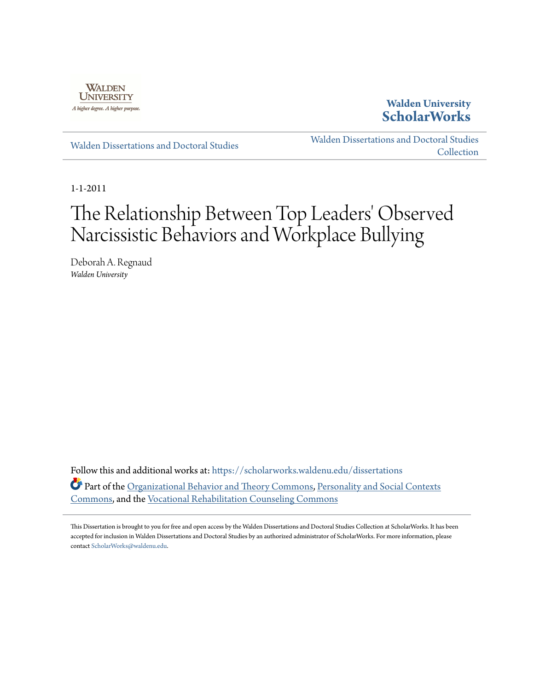

**Walden University [ScholarWorks](https://scholarworks.waldenu.edu?utm_source=scholarworks.waldenu.edu%2Fdissertations%2F1147&utm_medium=PDF&utm_campaign=PDFCoverPages)**

[Walden Dissertations and Doctoral Studies](https://scholarworks.waldenu.edu/dissertations?utm_source=scholarworks.waldenu.edu%2Fdissertations%2F1147&utm_medium=PDF&utm_campaign=PDFCoverPages)

[Walden Dissertations and Doctoral Studies](https://scholarworks.waldenu.edu/dissanddoc?utm_source=scholarworks.waldenu.edu%2Fdissertations%2F1147&utm_medium=PDF&utm_campaign=PDFCoverPages) **[Collection](https://scholarworks.waldenu.edu/dissanddoc?utm_source=scholarworks.waldenu.edu%2Fdissertations%2F1147&utm_medium=PDF&utm_campaign=PDFCoverPages)** 

1-1-2011

# The Relationship Between Top Leaders' Observed Narcissistic Behaviors and Workplace Bullying

Deborah A. Regnaud *Walden University*

Follow this and additional works at: [https://scholarworks.waldenu.edu/dissertations](https://scholarworks.waldenu.edu/dissertations?utm_source=scholarworks.waldenu.edu%2Fdissertations%2F1147&utm_medium=PDF&utm_campaign=PDFCoverPages) Part of the [Organizational Behavior and Theory Commons](http://network.bepress.com/hgg/discipline/639?utm_source=scholarworks.waldenu.edu%2Fdissertations%2F1147&utm_medium=PDF&utm_campaign=PDFCoverPages), [Personality and Social Contexts](http://network.bepress.com/hgg/discipline/413?utm_source=scholarworks.waldenu.edu%2Fdissertations%2F1147&utm_medium=PDF&utm_campaign=PDFCoverPages) [Commons,](http://network.bepress.com/hgg/discipline/413?utm_source=scholarworks.waldenu.edu%2Fdissertations%2F1147&utm_medium=PDF&utm_campaign=PDFCoverPages) and the [Vocational Rehabilitation Counseling Commons](http://network.bepress.com/hgg/discipline/756?utm_source=scholarworks.waldenu.edu%2Fdissertations%2F1147&utm_medium=PDF&utm_campaign=PDFCoverPages)

This Dissertation is brought to you for free and open access by the Walden Dissertations and Doctoral Studies Collection at ScholarWorks. It has been accepted for inclusion in Walden Dissertations and Doctoral Studies by an authorized administrator of ScholarWorks. For more information, please contact [ScholarWorks@waldenu.edu](mailto:ScholarWorks@waldenu.edu).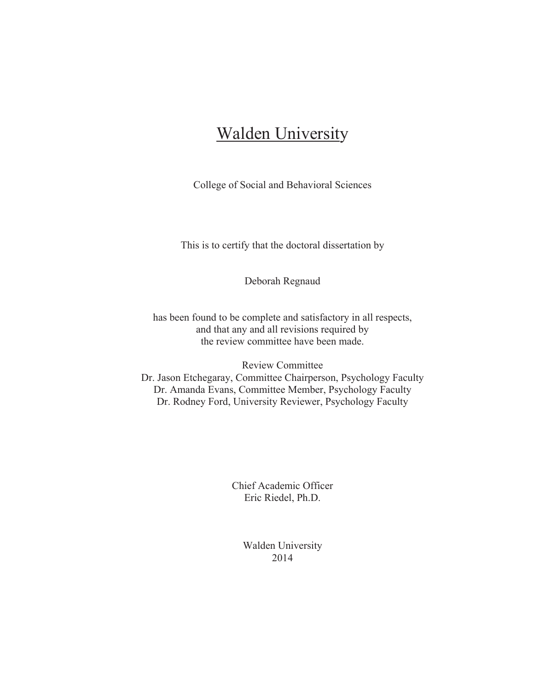## **Walden University**

College of Social and Behavioral Sciences

This is to certify that the doctoral dissertation by

Deborah Regnaud

has been found to be complete and satisfactory in all respects, and that any and all revisions required by the review committee have been made.

Review Committee Dr. Jason Etchegaray, Committee Chairperson, Psychology Faculty Dr. Amanda Evans, Committee Member, Psychology Faculty Dr. Rodney Ford, University Reviewer, Psychology Faculty

> Chief Academic Officer Eric Riedel, Ph.D.

> > Walden University 2014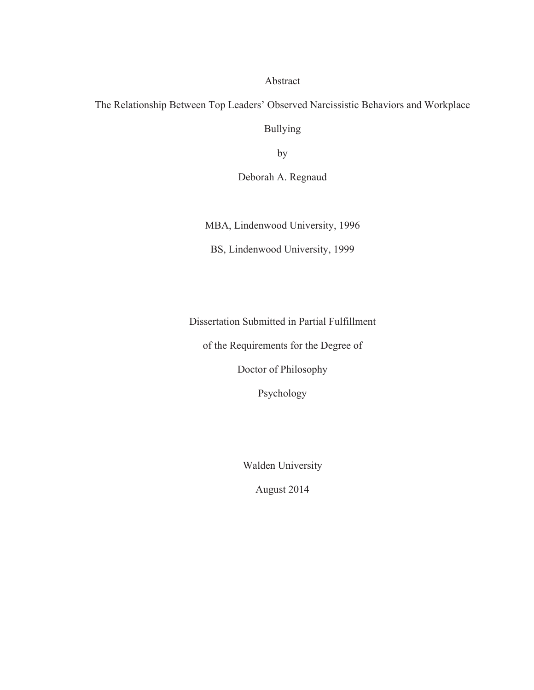Abstract

The Relationship Between Top Leaders' Observed Narcissistic Behaviors and Workplace

Bullying

by

Deborah A. Regnaud

MBA, Lindenwood University, 1996

BS, Lindenwood University, 1999

Dissertation Submitted in Partial Fulfillment

of the Requirements for the Degree of

Doctor of Philosophy

Psychology

Walden University

August 2014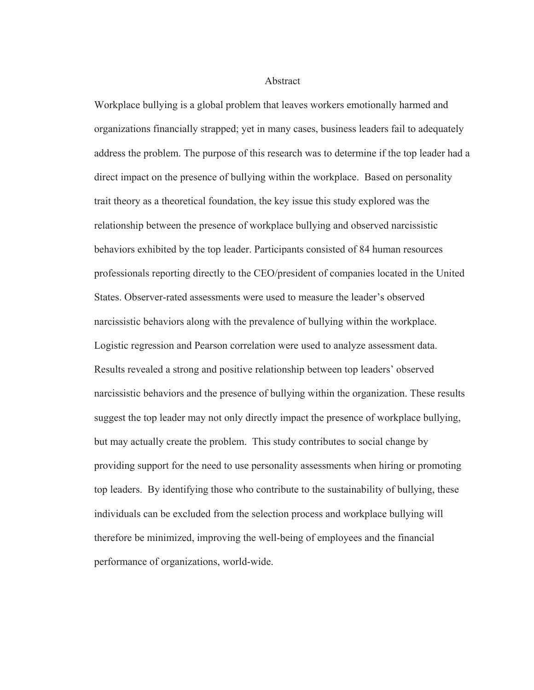Abstract

Workplace bullying is a global problem that leaves workers emotionally harmed and organizations financially strapped; yet in many cases, business leaders fail to adequately address the problem. The purpose of this research was to determine if the top leader had a direct impact on the presence of bullying within the workplace. Based on personality trait theory as a theoretical foundation, the key issue this study explored was the relationship between the presence of workplace bullying and observed narcissistic behaviors exhibited by the top leader. Participants consisted of 84 human resources professionals reporting directly to the CEO/president of companies located in the United States. Observer-rated assessments were used to measure the leader's observed narcissistic behaviors along with the prevalence of bullying within the workplace. Logistic regression and Pearson correlation were used to analyze assessment data. Results revealed a strong and positive relationship between top leaders' observed narcissistic behaviors and the presence of bullying within the organization. These results suggest the top leader may not only directly impact the presence of workplace bullying, but may actually create the problem. This study contributes to social change by providing support for the need to use personality assessments when hiring or promoting top leaders. By identifying those who contribute to the sustainability of bullying, these individuals can be excluded from the selection process and workplace bullying will therefore be minimized, improving the well-being of employees and the financial performance of organizations, world-wide.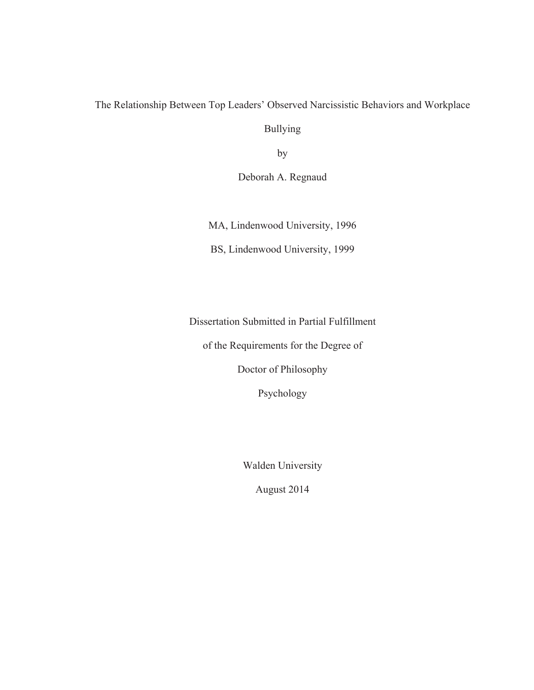### The Relationship Between Top Leaders' Observed Narcissistic Behaviors and Workplace

Bullying

by

Deborah A. Regnaud

MA, Lindenwood University, 1996

BS, Lindenwood University, 1999

Dissertation Submitted in Partial Fulfillment

of the Requirements for the Degree of

Doctor of Philosophy

Psychology

Walden University

August 2014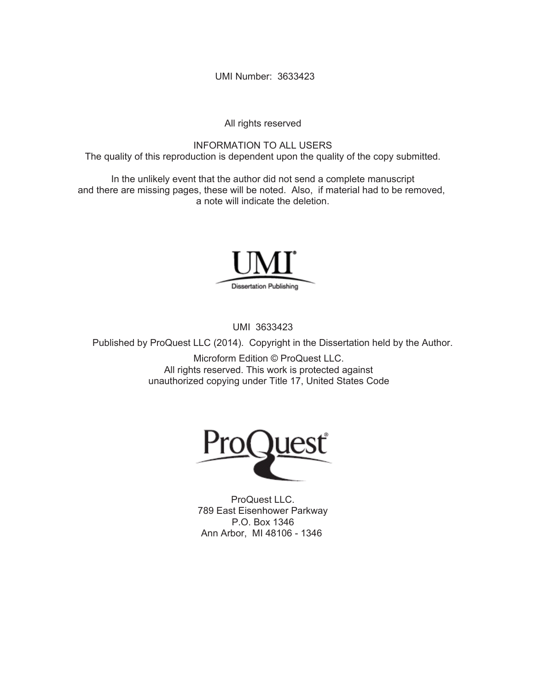UMI Number: 3633423

All rights reserved

INFORMATION TO ALL USERS The quality of this reproduction is dependent upon the quality of the copy submitted.

In the unlikely event that the author did not send a complete manuscript and there are missing pages, these will be noted. Also, if material had to be removed, a note will indicate the deletion.



UMI 3633423

Published by ProQuest LLC (2014). Copyright in the Dissertation held by the Author.

Microform Edition © ProQuest LLC. All rights reserved. This work is protected against unauthorized copying under Title 17, United States Code



ProQuest LLC. 789 East Eisenhower Parkway P.O. Box 1346 Ann Arbor, MI 48106 - 1346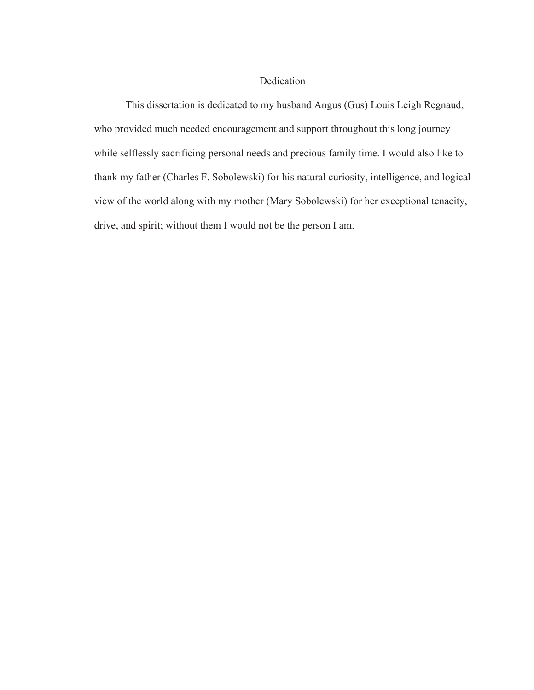#### Dedication

This dissertation is dedicated to my husband Angus (Gus) Louis Leigh Regnaud, who provided much needed encouragement and support throughout this long journey while selflessly sacrificing personal needs and precious family time. I would also like to thank my father (Charles F. Sobolewski) for his natural curiosity, intelligence, and logical view of the world along with my mother (Mary Sobolewski) for her exceptional tenacity, drive, and spirit; without them I would not be the person I am.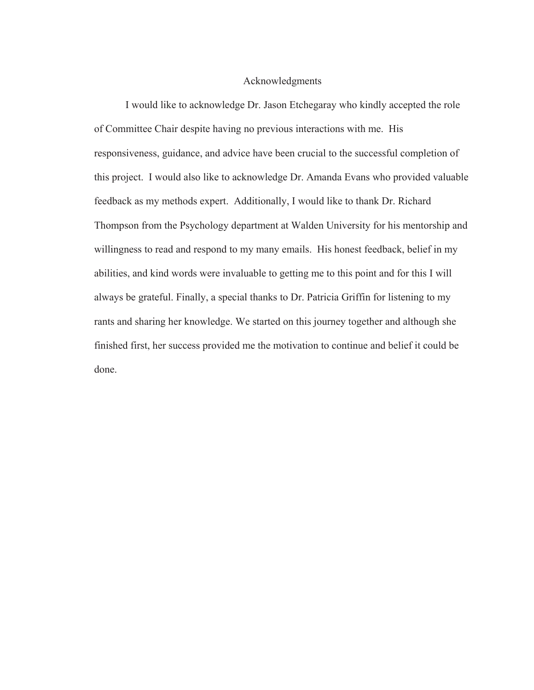#### Acknowledgments

I would like to acknowledge Dr. Jason Etchegaray who kindly accepted the role of Committee Chair despite having no previous interactions with me. His responsiveness, guidance, and advice have been crucial to the successful completion of this project. I would also like to acknowledge Dr. Amanda Evans who provided valuable feedback as my methods expert. Additionally, I would like to thank Dr. Richard Thompson from the Psychology department at Walden University for his mentorship and willingness to read and respond to my many emails. His honest feedback, belief in my abilities, and kind words were invaluable to getting me to this point and for this I will always be grateful. Finally, a special thanks to Dr. Patricia Griffin for listening to my rants and sharing her knowledge. We started on this journey together and although she finished first, her success provided me the motivation to continue and belief it could be done.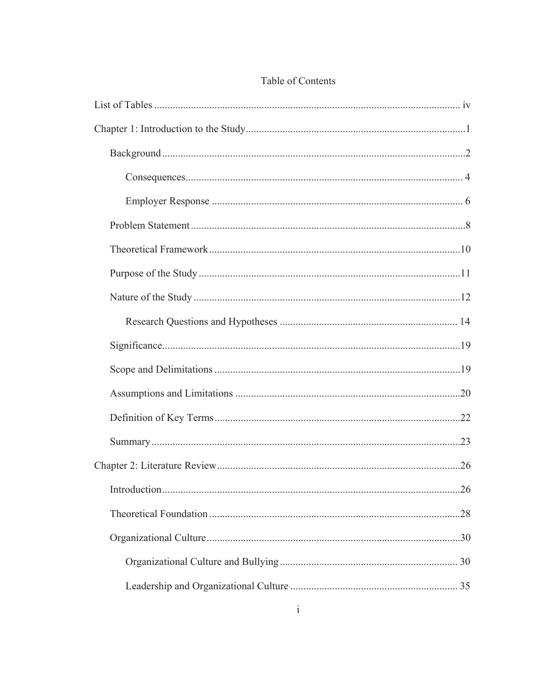## Table of Contents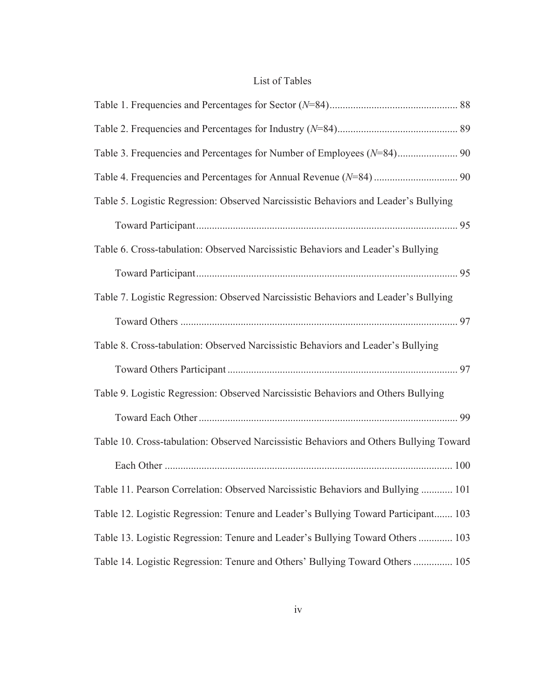## List of Tables

| Table 5. Logistic Regression: Observed Narcissistic Behaviors and Leader's Bullying    |  |
|----------------------------------------------------------------------------------------|--|
|                                                                                        |  |
| Table 6. Cross-tabulation: Observed Narcissistic Behaviors and Leader's Bullying       |  |
|                                                                                        |  |
| Table 7. Logistic Regression: Observed Narcissistic Behaviors and Leader's Bullying    |  |
|                                                                                        |  |
| Table 8. Cross-tabulation: Observed Narcissistic Behaviors and Leader's Bullying       |  |
|                                                                                        |  |
| Table 9. Logistic Regression: Observed Narcissistic Behaviors and Others Bullying      |  |
|                                                                                        |  |
| Table 10. Cross-tabulation: Observed Narcissistic Behaviors and Others Bullying Toward |  |
|                                                                                        |  |
| Table 11. Pearson Correlation: Observed Narcissistic Behaviors and Bullying  101       |  |
| Table 12. Logistic Regression: Tenure and Leader's Bullying Toward Participant 103     |  |
| Table 13. Logistic Regression: Tenure and Leader's Bullying Toward Others  103         |  |
| Table 14. Logistic Regression: Tenure and Others' Bullying Toward Others  105          |  |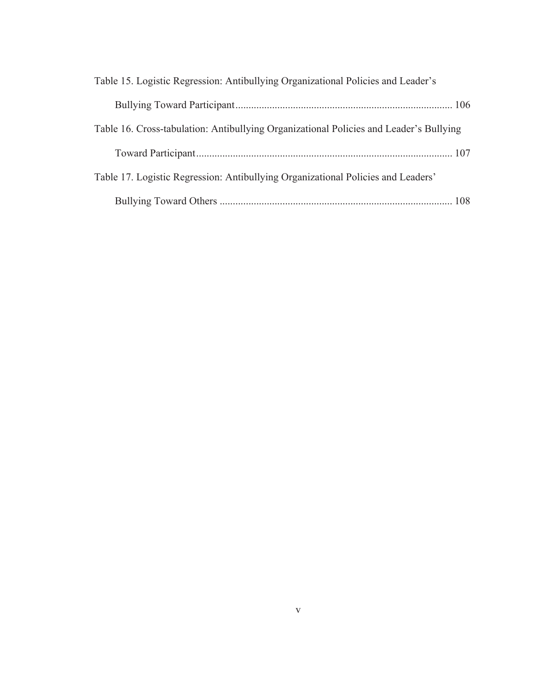| Table 15. Logistic Regression: Antibullying Organizational Policies and Leader's       |  |
|----------------------------------------------------------------------------------------|--|
|                                                                                        |  |
| Table 16. Cross-tabulation: Antibullying Organizational Policies and Leader's Bullying |  |
|                                                                                        |  |
| Table 17. Logistic Regression: Antibullying Organizational Policies and Leaders'       |  |
|                                                                                        |  |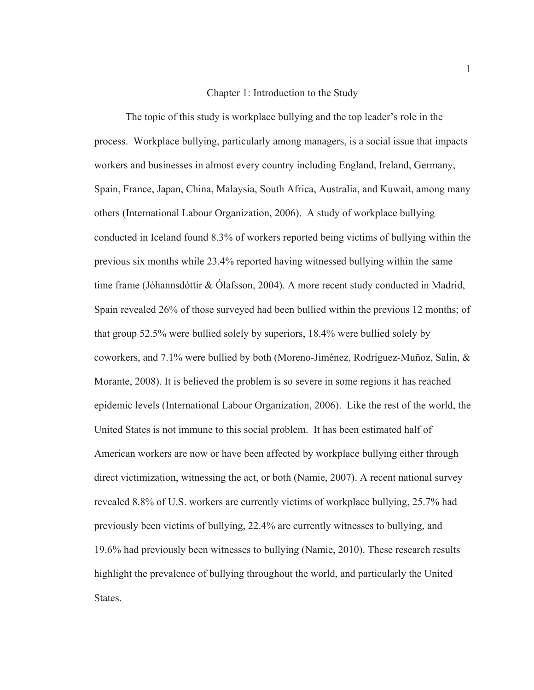#### Chapter 1: Introduction to the Study

The topic of this study is workplace bullying and the top leader's role in the process. Workplace bullying, particularly among managers, is a social issue that impacts workers and businesses in almost every country including England, Ireland, Germany, Spain, France, Japan, China, Malaysia, South Africa, Australia, and Kuwait, among many others (International Labour Organization, 2006). A study of workplace bullying conducted in Iceland found 8.3% of workers reported being victims of bullying within the previous six months while 23.4% reported having witnessed bullying within the same time frame (Jóhannsdóttir & Ólafsson, 2004). A more recent study conducted in Madrid, Spain revealed 26% of those surveyed had been bullied within the previous 12 months; of that group 52.5% were bullied solely by superiors, 18.4% were bullied solely by coworkers, and 7.1% were bullied by both (Moreno-Jiménez, Rodríguez-Muñoz, Salin, & Morante, 2008). It is believed the problem is so severe in some regions it has reached epidemic levels (International Labour Organization, 2006). Like the rest of the world, the United States is not immune to this social problem. It has been estimated half of American workers are now or have been affected by workplace bullying either through direct victimization, witnessing the act, or both (Namie, 2007). A recent national survey revealed 8.8% of U.S. workers are currently victims of workplace bullying, 25.7% had previously been victims of bullying, 22.4% are currently witnesses to bullying, and 19.6% had previously been witnesses to bullying (Namie, 2010). These research results highlight the prevalence of bullying throughout the world, and particularly the United States.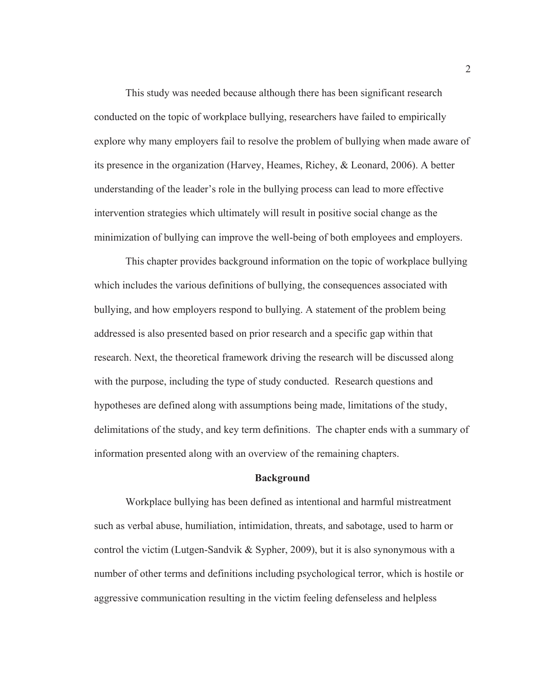This study was needed because although there has been significant research conducted on the topic of workplace bullying, researchers have failed to empirically explore why many employers fail to resolve the problem of bullying when made aware of its presence in the organization (Harvey, Heames, Richey, & Leonard, 2006). A better understanding of the leader's role in the bullying process can lead to more effective intervention strategies which ultimately will result in positive social change as the minimization of bullying can improve the well-being of both employees and employers.

This chapter provides background information on the topic of workplace bullying which includes the various definitions of bullying, the consequences associated with bullying, and how employers respond to bullying. A statement of the problem being addressed is also presented based on prior research and a specific gap within that research. Next, the theoretical framework driving the research will be discussed along with the purpose, including the type of study conducted. Research questions and hypotheses are defined along with assumptions being made, limitations of the study, delimitations of the study, and key term definitions. The chapter ends with a summary of information presented along with an overview of the remaining chapters.

#### **Background**

Workplace bullying has been defined as intentional and harmful mistreatment such as verbal abuse, humiliation, intimidation, threats, and sabotage, used to harm or control the victim (Lutgen-Sandvik & Sypher, 2009), but it is also synonymous with a number of other terms and definitions including psychological terror, which is hostile or aggressive communication resulting in the victim feeling defenseless and helpless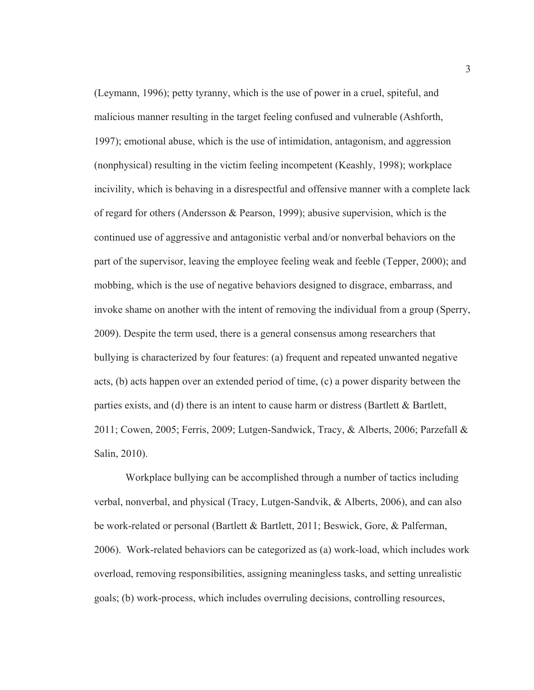(Leymann, 1996); petty tyranny, which is the use of power in a cruel, spiteful, and malicious manner resulting in the target feeling confused and vulnerable (Ashforth, 1997); emotional abuse, which is the use of intimidation, antagonism, and aggression (nonphysical) resulting in the victim feeling incompetent (Keashly, 1998); workplace incivility, which is behaving in a disrespectful and offensive manner with a complete lack of regard for others (Andersson & Pearson, 1999); abusive supervision, which is the continued use of aggressive and antagonistic verbal and/or nonverbal behaviors on the part of the supervisor, leaving the employee feeling weak and feeble (Tepper, 2000); and mobbing, which is the use of negative behaviors designed to disgrace, embarrass, and invoke shame on another with the intent of removing the individual from a group (Sperry, 2009). Despite the term used, there is a general consensus among researchers that bullying is characterized by four features: (a) frequent and repeated unwanted negative acts, (b) acts happen over an extended period of time, (c) a power disparity between the parties exists, and (d) there is an intent to cause harm or distress (Bartlett  $\&$  Bartlett, 2011; Cowen, 2005; Ferris, 2009; Lutgen-Sandwick, Tracy, & Alberts, 2006; Parzefall & Salin, 2010).

Workplace bullying can be accomplished through a number of tactics including verbal, nonverbal, and physical (Tracy, Lutgen-Sandvik, & Alberts, 2006), and can also be work-related or personal (Bartlett & Bartlett, 2011; Beswick, Gore, & Palferman, 2006). Work-related behaviors can be categorized as (a) work-load, which includes work overload, removing responsibilities, assigning meaningless tasks, and setting unrealistic goals; (b) work-process, which includes overruling decisions, controlling resources,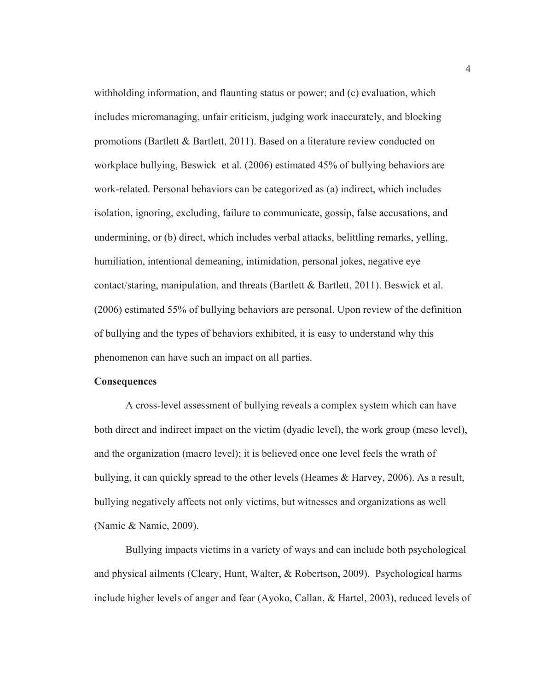withholding information, and flaunting status or power; and (c) evaluation, which includes micromanaging, unfair criticism, judging work inaccurately, and blocking promotions (Bartlett & Bartlett, 2011). Based on a literature review conducted on workplace bullying, Beswick et al. (2006) estimated 45% of bullying behaviors are work-related. Personal behaviors can be categorized as (a) indirect, which includes isolation, ignoring, excluding, failure to communicate, gossip, false accusations, and undermining, or (b) direct, which includes verbal attacks, belittling remarks, yelling, humiliation, intentional demeaning, intimidation, personal jokes, negative eye contact/staring, manipulation, and threats (Bartlett & Bartlett, 2011). Beswick et al. (2006) estimated 55% of bullying behaviors are personal. Upon review of the definition of bullying and the types of behaviors exhibited, it is easy to understand why this phenomenon can have such an impact on all parties.

#### **Consequences**

A cross-level assessment of bullying reveals a complex system which can have both direct and indirect impact on the victim (dyadic level), the work group (meso level), and the organization (macro level); it is believed once one level feels the wrath of bullying, it can quickly spread to the other levels (Heames & Harvey, 2006). As a result, bullying negatively affects not only victims, but witnesses and organizations as well (Namie & Namie, 2009).

Bullying impacts victims in a variety of ways and can include both psychological and physical ailments (Cleary, Hunt, Walter, & Robertson, 2009). Psychological harms include higher levels of anger and fear (Ayoko, Callan, & Hartel, 2003), reduced levels of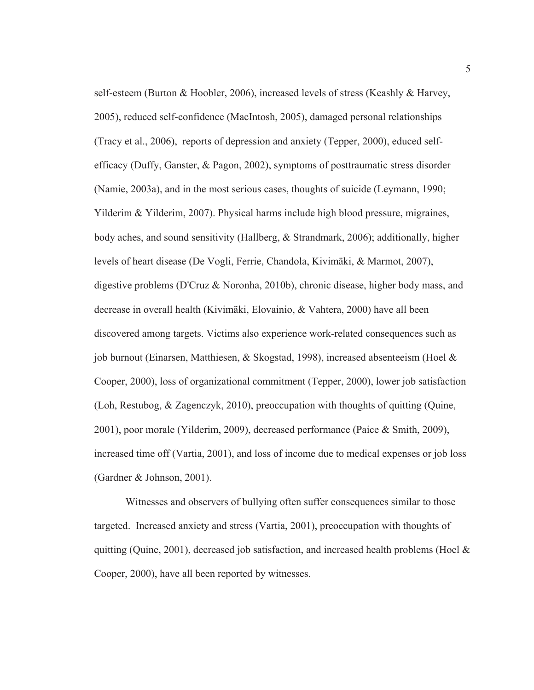self-esteem (Burton & Hoobler, 2006), increased levels of stress (Keashly & Harvey, 2005), reduced self-confidence (MacIntosh, 2005), damaged personal relationships (Tracy et al., 2006), reports of depression and anxiety (Tepper, 2000), educed selfefficacy (Duffy, Ganster, & Pagon, 2002), symptoms of posttraumatic stress disorder (Namie, 2003a), and in the most serious cases, thoughts of suicide (Leymann, 1990; Yilderim & Yilderim, 2007). Physical harms include high blood pressure, migraines, body aches, and sound sensitivity (Hallberg, & Strandmark, 2006); additionally, higher levels of heart disease (De Vogli, Ferrie, Chandola, Kivimäki, & Marmot, 2007), digestive problems (D'Cruz & Noronha, 2010b), chronic disease, higher body mass, and decrease in overall health (Kivimäki, Elovainio, & Vahtera, 2000) have all been discovered among targets. Victims also experience work-related consequences such as job burnout (Einarsen, Matthiesen, & Skogstad, 1998), increased absenteeism (Hoel & Cooper, 2000), loss of organizational commitment (Tepper, 2000), lower job satisfaction (Loh, Restubog, & Zagenczyk, 2010), preoccupation with thoughts of quitting (Quine, 2001), poor morale (Yilderim, 2009), decreased performance (Paice & Smith, 2009), increased time off (Vartia, 2001), and loss of income due to medical expenses or job loss (Gardner & Johnson, 2001).

Witnesses and observers of bullying often suffer consequences similar to those targeted. Increased anxiety and stress (Vartia, 2001), preoccupation with thoughts of quitting (Quine, 2001), decreased job satisfaction, and increased health problems (Hoel  $\&$ Cooper, 2000), have all been reported by witnesses.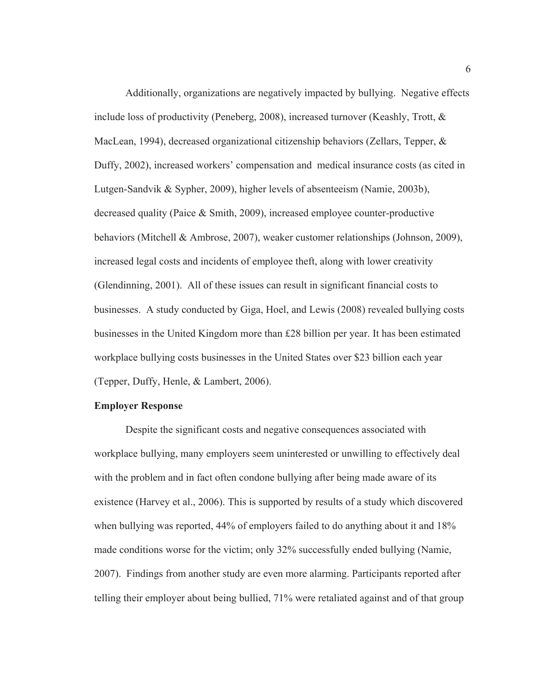Additionally, organizations are negatively impacted by bullying. Negative effects include loss of productivity (Peneberg, 2008), increased turnover (Keashly, Trott, & MacLean, 1994), decreased organizational citizenship behaviors (Zellars, Tepper, & Duffy, 2002), increased workers' compensation and medical insurance costs (as cited in Lutgen-Sandvik & Sypher, 2009), higher levels of absenteeism (Namie, 2003b), decreased quality (Paice & Smith, 2009), increased employee counter-productive behaviors (Mitchell & Ambrose, 2007), weaker customer relationships (Johnson, 2009), increased legal costs and incidents of employee theft, along with lower creativity (Glendinning, 2001). All of these issues can result in significant financial costs to businesses. A study conducted by Giga, Hoel, and Lewis (2008) revealed bullying costs businesses in the United Kingdom more than £28 billion per year. It has been estimated workplace bullying costs businesses in the United States over \$23 billion each year (Tepper, Duffy, Henle, & Lambert, 2006).

#### **Employer Response**

Despite the significant costs and negative consequences associated with workplace bullying, many employers seem uninterested or unwilling to effectively deal with the problem and in fact often condone bullying after being made aware of its existence (Harvey et al., 2006). This is supported by results of a study which discovered when bullying was reported, 44% of employers failed to do anything about it and 18% made conditions worse for the victim; only 32% successfully ended bullying (Namie, 2007). Findings from another study are even more alarming. Participants reported after telling their employer about being bullied, 71% were retaliated against and of that group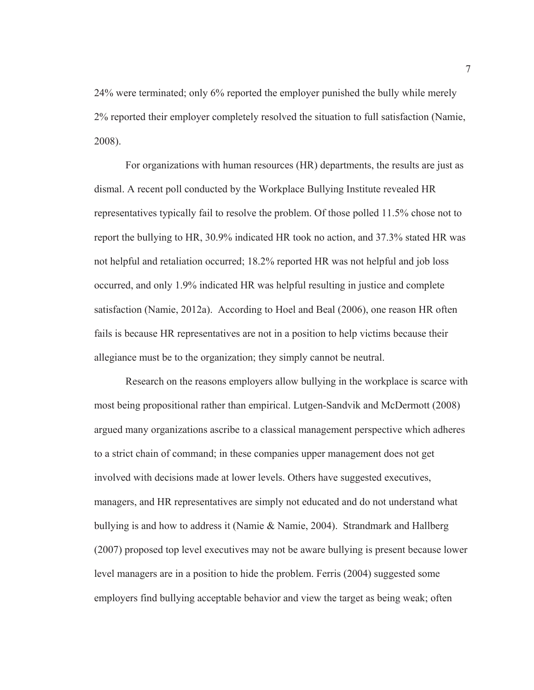24% were terminated; only 6% reported the employer punished the bully while merely 2% reported their employer completely resolved the situation to full satisfaction (Namie, 2008).

For organizations with human resources (HR) departments, the results are just as dismal. A recent poll conducted by the Workplace Bullying Institute revealed HR representatives typically fail to resolve the problem. Of those polled 11.5% chose not to report the bullying to HR, 30.9% indicated HR took no action, and 37.3% stated HR was not helpful and retaliation occurred; 18.2% reported HR was not helpful and job loss occurred, and only 1.9% indicated HR was helpful resulting in justice and complete satisfaction (Namie, 2012a). According to Hoel and Beal (2006), one reason HR often fails is because HR representatives are not in a position to help victims because their allegiance must be to the organization; they simply cannot be neutral.

Research on the reasons employers allow bullying in the workplace is scarce with most being propositional rather than empirical. Lutgen-Sandvik and McDermott (2008) argued many organizations ascribe to a classical management perspective which adheres to a strict chain of command; in these companies upper management does not get involved with decisions made at lower levels. Others have suggested executives, managers, and HR representatives are simply not educated and do not understand what bullying is and how to address it (Namie & Namie, 2004). Strandmark and Hallberg (2007) proposed top level executives may not be aware bullying is present because lower level managers are in a position to hide the problem. Ferris (2004) suggested some employers find bullying acceptable behavior and view the target as being weak; often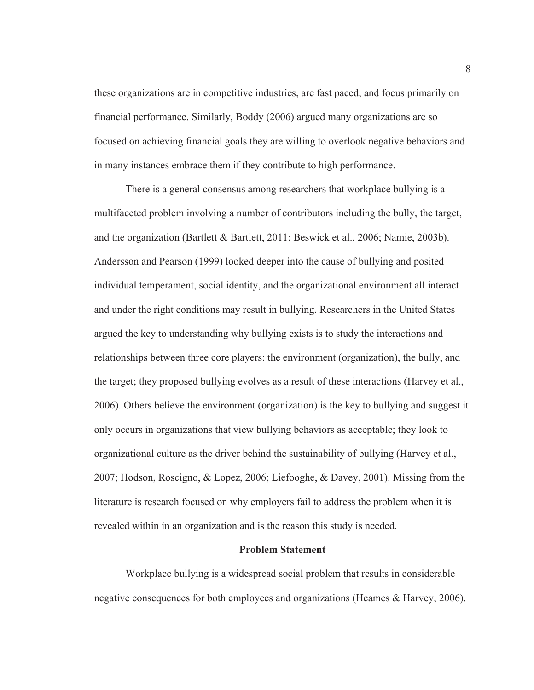these organizations are in competitive industries, are fast paced, and focus primarily on financial performance. Similarly, Boddy (2006) argued many organizations are so focused on achieving financial goals they are willing to overlook negative behaviors and in many instances embrace them if they contribute to high performance.

There is a general consensus among researchers that workplace bullying is a multifaceted problem involving a number of contributors including the bully, the target, and the organization (Bartlett & Bartlett, 2011; Beswick et al., 2006; Namie, 2003b). Andersson and Pearson (1999) looked deeper into the cause of bullying and posited individual temperament, social identity, and the organizational environment all interact and under the right conditions may result in bullying. Researchers in the United States argued the key to understanding why bullying exists is to study the interactions and relationships between three core players: the environment (organization), the bully, and the target; they proposed bullying evolves as a result of these interactions (Harvey et al., 2006). Others believe the environment (organization) is the key to bullying and suggest it only occurs in organizations that view bullying behaviors as acceptable; they look to organizational culture as the driver behind the sustainability of bullying (Harvey et al., 2007; Hodson, Roscigno, & Lopez, 2006; Liefooghe, & Davey, 2001). Missing from the literature is research focused on why employers fail to address the problem when it is revealed within in an organization and is the reason this study is needed.

#### **Problem Statement**

Workplace bullying is a widespread social problem that results in considerable negative consequences for both employees and organizations (Heames & Harvey, 2006).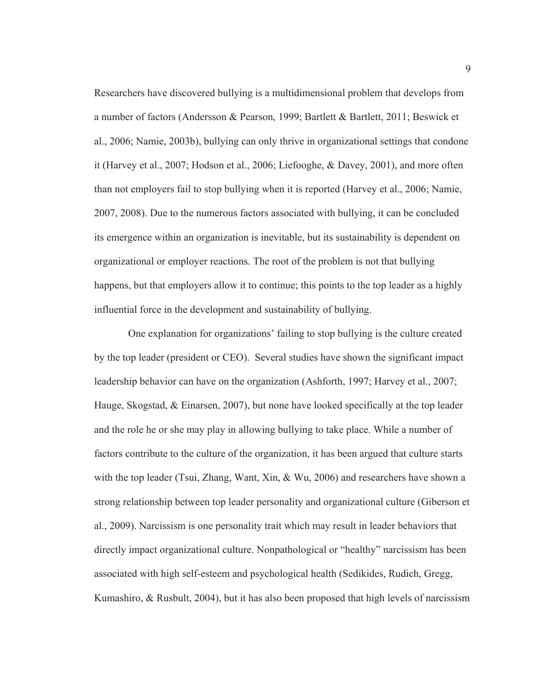Researchers have discovered bullying is a multidimensional problem that develops from a number of factors (Andersson & Pearson, 1999; Bartlett & Bartlett, 2011; Beswick et al., 2006; Namie, 2003b), bullying can only thrive in organizational settings that condone it (Harvey et al., 2007; Hodson et al., 2006; Liefooghe, & Davey, 2001), and more often than not employers fail to stop bullying when it is reported (Harvey et al., 2006; Namie, 2007, 2008). Due to the numerous factors associated with bullying, it can be concluded its emergence within an organization is inevitable, but its sustainability is dependent on organizational or employer reactions. The root of the problem is not that bullying happens, but that employers allow it to continue; this points to the top leader as a highly influential force in the development and sustainability of bullying.

 One explanation for organizations' failing to stop bullying is the culture created by the top leader (president or CEO). Several studies have shown the significant impact leadership behavior can have on the organization (Ashforth, 1997; Harvey et al., 2007; Hauge, Skogstad, & Einarsen, 2007), but none have looked specifically at the top leader and the role he or she may play in allowing bullying to take place. While a number of factors contribute to the culture of the organization, it has been argued that culture starts with the top leader (Tsui, Zhang, Want, Xin, & Wu, 2006) and researchers have shown a strong relationship between top leader personality and organizational culture (Giberson et al., 2009). Narcissism is one personality trait which may result in leader behaviors that directly impact organizational culture. Nonpathological or "healthy" narcissism has been associated with high self-esteem and psychological health (Sedikides, Rudich, Gregg, Kumashiro,  $\&$  Rusbult, 2004), but it has also been proposed that high levels of narcissism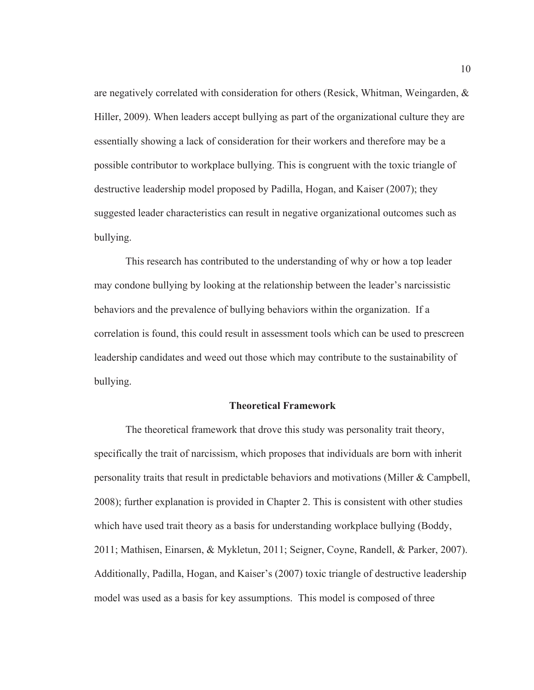are negatively correlated with consideration for others (Resick, Whitman, Weingarden, & Hiller, 2009). When leaders accept bullying as part of the organizational culture they are essentially showing a lack of consideration for their workers and therefore may be a possible contributor to workplace bullying. This is congruent with the toxic triangle of destructive leadership model proposed by Padilla, Hogan, and Kaiser (2007); they suggested leader characteristics can result in negative organizational outcomes such as bullying.

This research has contributed to the understanding of why or how a top leader may condone bullying by looking at the relationship between the leader's narcissistic behaviors and the prevalence of bullying behaviors within the organization. If a correlation is found, this could result in assessment tools which can be used to prescreen leadership candidates and weed out those which may contribute to the sustainability of bullying.

#### **Theoretical Framework**

The theoretical framework that drove this study was personality trait theory, specifically the trait of narcissism, which proposes that individuals are born with inherit personality traits that result in predictable behaviors and motivations (Miller & Campbell, 2008); further explanation is provided in Chapter 2. This is consistent with other studies which have used trait theory as a basis for understanding workplace bullying (Boddy, 2011; Mathisen, Einarsen, & Mykletun, 2011; Seigner, Coyne, Randell, & Parker, 2007). Additionally, Padilla, Hogan, and Kaiser's (2007) toxic triangle of destructive leadership model was used as a basis for key assumptions. This model is composed of three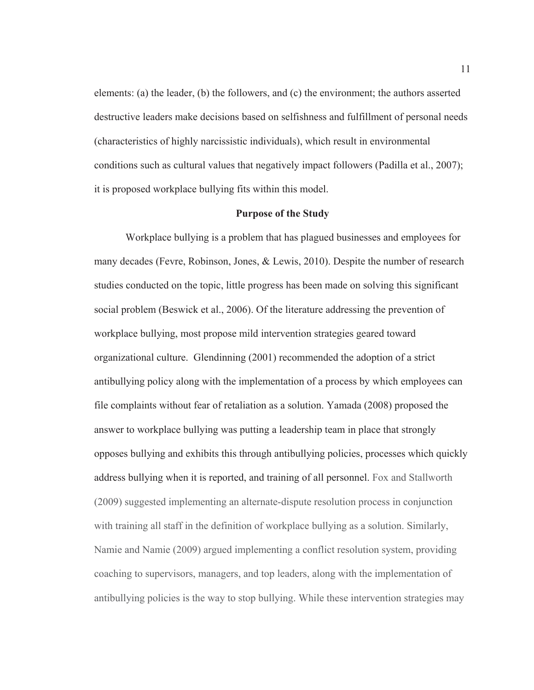elements: (a) the leader, (b) the followers, and (c) the environment; the authors asserted destructive leaders make decisions based on selfishness and fulfillment of personal needs (characteristics of highly narcissistic individuals), which result in environmental conditions such as cultural values that negatively impact followers (Padilla et al., 2007); it is proposed workplace bullying fits within this model.

#### **Purpose of the Study**

Workplace bullying is a problem that has plagued businesses and employees for many decades (Fevre, Robinson, Jones, & Lewis, 2010). Despite the number of research studies conducted on the topic, little progress has been made on solving this significant social problem (Beswick et al., 2006). Of the literature addressing the prevention of workplace bullying, most propose mild intervention strategies geared toward organizational culture. Glendinning (2001) recommended the adoption of a strict antibullying policy along with the implementation of a process by which employees can file complaints without fear of retaliation as a solution. Yamada (2008) proposed the answer to workplace bullying was putting a leadership team in place that strongly opposes bullying and exhibits this through antibullying policies, processes which quickly address bullying when it is reported, and training of all personnel. Fox and Stallworth (2009) suggested implementing an alternate-dispute resolution process in conjunction with training all staff in the definition of workplace bullying as a solution. Similarly, Namie and Namie (2009) argued implementing a conflict resolution system, providing coaching to supervisors, managers, and top leaders, along with the implementation of antibullying policies is the way to stop bullying. While these intervention strategies may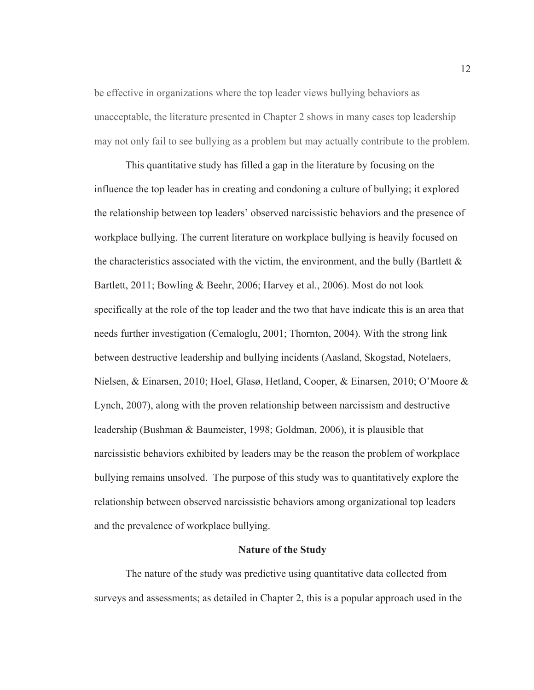be effective in organizations where the top leader views bullying behaviors as unacceptable, the literature presented in Chapter 2 shows in many cases top leadership may not only fail to see bullying as a problem but may actually contribute to the problem.

This quantitative study has filled a gap in the literature by focusing on the influence the top leader has in creating and condoning a culture of bullying; it explored the relationship between top leaders' observed narcissistic behaviors and the presence of workplace bullying. The current literature on workplace bullying is heavily focused on the characteristics associated with the victim, the environment, and the bully (Bartlett  $\&$ Bartlett, 2011; Bowling & Beehr, 2006; Harvey et al., 2006). Most do not look specifically at the role of the top leader and the two that have indicate this is an area that needs further investigation (Cemaloglu, 2001; Thornton, 2004). With the strong link between destructive leadership and bullying incidents (Aasland, Skogstad, Notelaers, Nielsen, & Einarsen, 2010; Hoel, Glasø, Hetland, Cooper, & Einarsen, 2010; O'Moore & Lynch, 2007), along with the proven relationship between narcissism and destructive leadership (Bushman & Baumeister, 1998; Goldman, 2006), it is plausible that narcissistic behaviors exhibited by leaders may be the reason the problem of workplace bullying remains unsolved. The purpose of this study was to quantitatively explore the relationship between observed narcissistic behaviors among organizational top leaders and the prevalence of workplace bullying.

#### **Nature of the Study**

The nature of the study was predictive using quantitative data collected from surveys and assessments; as detailed in Chapter 2, this is a popular approach used in the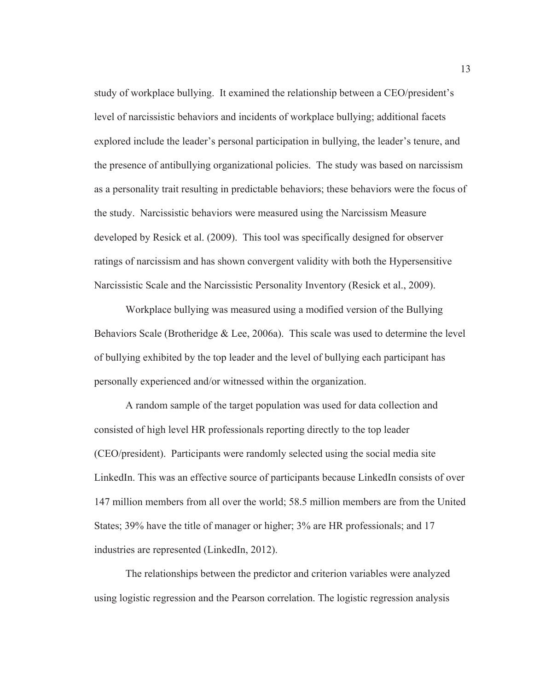study of workplace bullying. It examined the relationship between a CEO/president's level of narcissistic behaviors and incidents of workplace bullying; additional facets explored include the leader's personal participation in bullying, the leader's tenure, and the presence of antibullying organizational policies. The study was based on narcissism as a personality trait resulting in predictable behaviors; these behaviors were the focus of the study. Narcissistic behaviors were measured using the Narcissism Measure developed by Resick et al. (2009). This tool was specifically designed for observer ratings of narcissism and has shown convergent validity with both the Hypersensitive Narcissistic Scale and the Narcissistic Personality Inventory (Resick et al., 2009).

Workplace bullying was measured using a modified version of the Bullying Behaviors Scale (Brotheridge & Lee, 2006a). This scale was used to determine the level of bullying exhibited by the top leader and the level of bullying each participant has personally experienced and/or witnessed within the organization.

A random sample of the target population was used for data collection and consisted of high level HR professionals reporting directly to the top leader (CEO/president). Participants were randomly selected using the social media site LinkedIn. This was an effective source of participants because LinkedIn consists of over 147 million members from all over the world; 58.5 million members are from the United States; 39% have the title of manager or higher; 3% are HR professionals; and 17 industries are represented (LinkedIn, 2012).

The relationships between the predictor and criterion variables were analyzed using logistic regression and the Pearson correlation. The logistic regression analysis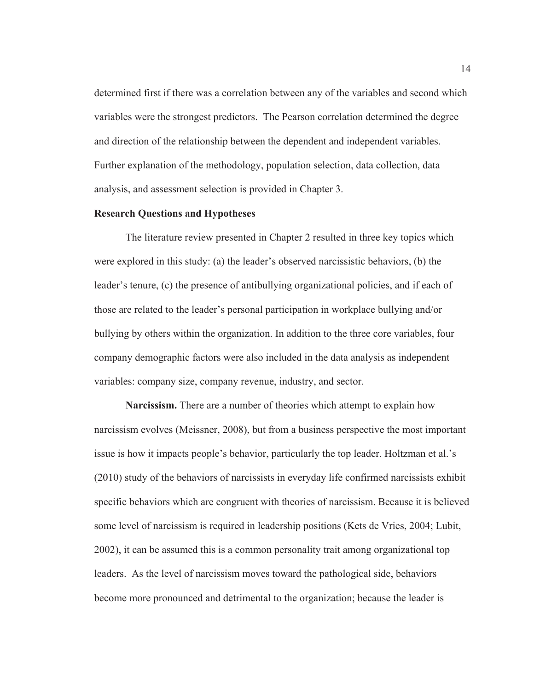determined first if there was a correlation between any of the variables and second which variables were the strongest predictors. The Pearson correlation determined the degree and direction of the relationship between the dependent and independent variables. Further explanation of the methodology, population selection, data collection, data analysis, and assessment selection is provided in Chapter 3.

#### **Research Questions and Hypotheses**

The literature review presented in Chapter 2 resulted in three key topics which were explored in this study: (a) the leader's observed narcissistic behaviors, (b) the leader's tenure, (c) the presence of antibullying organizational policies, and if each of those are related to the leader's personal participation in workplace bullying and/or bullying by others within the organization. In addition to the three core variables, four company demographic factors were also included in the data analysis as independent variables: company size, company revenue, industry, and sector.

**Narcissism.** There are a number of theories which attempt to explain how narcissism evolves (Meissner, 2008), but from a business perspective the most important issue is how it impacts people's behavior, particularly the top leader. Holtzman et al.'s (2010) study of the behaviors of narcissists in everyday life confirmed narcissists exhibit specific behaviors which are congruent with theories of narcissism. Because it is believed some level of narcissism is required in leadership positions (Kets de Vries, 2004; Lubit, 2002), it can be assumed this is a common personality trait among organizational top leaders. As the level of narcissism moves toward the pathological side, behaviors become more pronounced and detrimental to the organization; because the leader is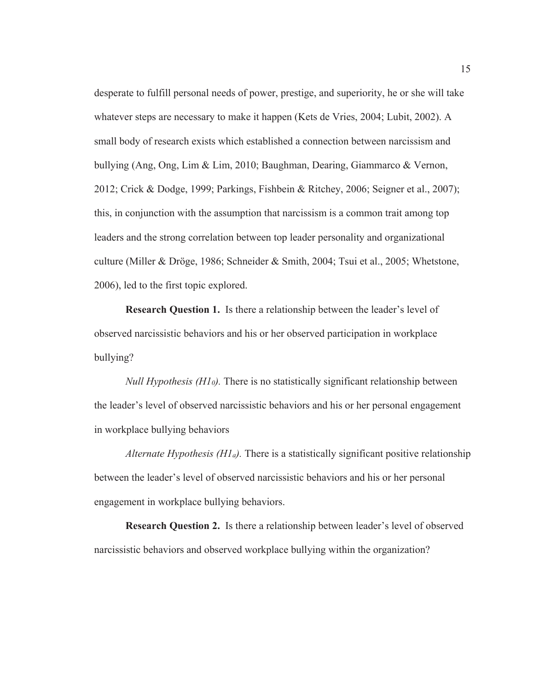desperate to fulfill personal needs of power, prestige, and superiority, he or she will take whatever steps are necessary to make it happen (Kets de Vries, 2004; Lubit, 2002). A small body of research exists which established a connection between narcissism and bullying (Ang, Ong, Lim & Lim, 2010; Baughman, Dearing, Giammarco & Vernon, 2012; Crick & Dodge, 1999; Parkings, Fishbein & Ritchey, 2006; Seigner et al., 2007); this, in conjunction with the assumption that narcissism is a common trait among top leaders and the strong correlation between top leader personality and organizational culture (Miller & Dröge, 1986; Schneider & Smith, 2004; Tsui et al., 2005; Whetstone, 2006), led to the first topic explored.

**Research Question 1.** Is there a relationship between the leader's level of observed narcissistic behaviors and his or her observed participation in workplace bullying?

*Null Hypothesis (H10).* There is no statistically significant relationship between the leader's level of observed narcissistic behaviors and his or her personal engagement in workplace bullying behaviors

*Alternate Hypothesis (H1a).* There is a statistically significant positive relationship between the leader's level of observed narcissistic behaviors and his or her personal engagement in workplace bullying behaviors.

**Research Question 2.** Is there a relationship between leader's level of observed narcissistic behaviors and observed workplace bullying within the organization?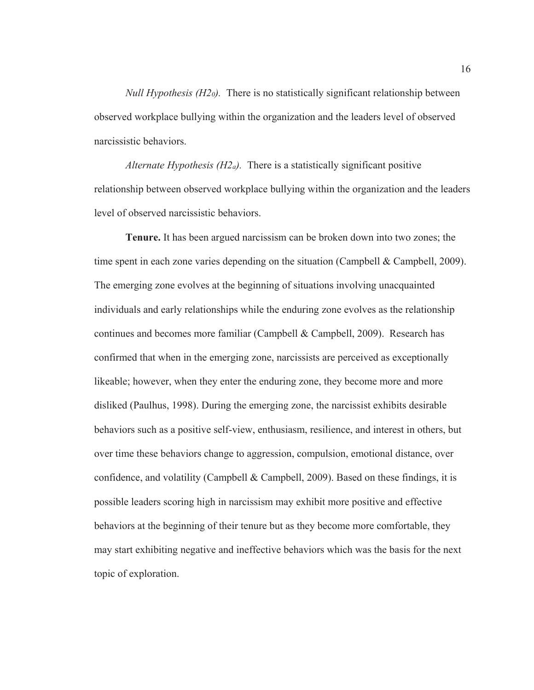*Null Hypothesis (H20).* There is no statistically significant relationship between observed workplace bullying within the organization and the leaders level of observed narcissistic behaviors.

*Alternate Hypothesis (H2a).* There is a statistically significant positive relationship between observed workplace bullying within the organization and the leaders level of observed narcissistic behaviors.

**Tenure.** It has been argued narcissism can be broken down into two zones; the time spent in each zone varies depending on the situation (Campbell & Campbell, 2009). The emerging zone evolves at the beginning of situations involving unacquainted individuals and early relationships while the enduring zone evolves as the relationship continues and becomes more familiar (Campbell & Campbell, 2009). Research has confirmed that when in the emerging zone, narcissists are perceived as exceptionally likeable; however, when they enter the enduring zone, they become more and more disliked (Paulhus, 1998). During the emerging zone, the narcissist exhibits desirable behaviors such as a positive self-view, enthusiasm, resilience, and interest in others, but over time these behaviors change to aggression, compulsion, emotional distance, over confidence, and volatility (Campbell & Campbell, 2009). Based on these findings, it is possible leaders scoring high in narcissism may exhibit more positive and effective behaviors at the beginning of their tenure but as they become more comfortable, they may start exhibiting negative and ineffective behaviors which was the basis for the next topic of exploration.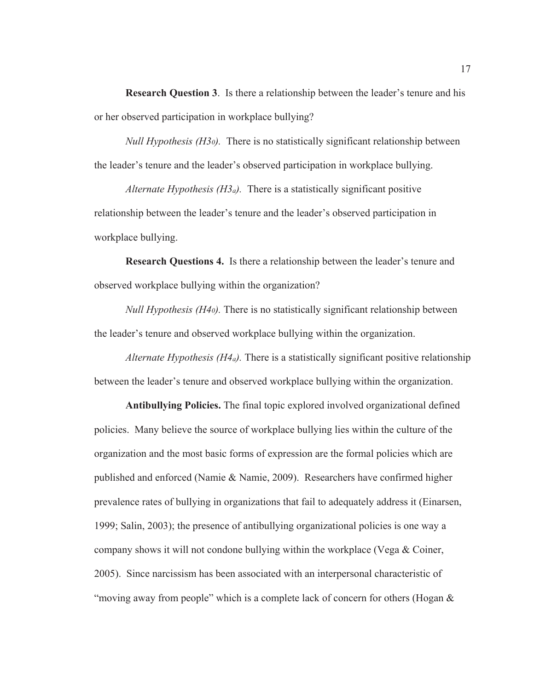**Research Question 3**. Is there a relationship between the leader's tenure and his or her observed participation in workplace bullying?

*Null Hypothesis (H30).* There is no statistically significant relationship between the leader's tenure and the leader's observed participation in workplace bullying.

*Alternate Hypothesis (H3a).* There is a statistically significant positive relationship between the leader's tenure and the leader's observed participation in workplace bullying.

**Research Questions 4.** Is there a relationship between the leader's tenure and observed workplace bullying within the organization?

*Null Hypothesis (H40).* There is no statistically significant relationship between the leader's tenure and observed workplace bullying within the organization.

*Alternate Hypothesis (H4a).* There is a statistically significant positive relationship between the leader's tenure and observed workplace bullying within the organization.

**Antibullying Policies.** The final topic explored involved organizational defined policies. Many believe the source of workplace bullying lies within the culture of the organization and the most basic forms of expression are the formal policies which are published and enforced (Namie & Namie, 2009). Researchers have confirmed higher prevalence rates of bullying in organizations that fail to adequately address it (Einarsen, 1999; Salin, 2003); the presence of antibullying organizational policies is one way a company shows it will not condone bullying within the workplace (Vega  $\&$  Coiner, 2005). Since narcissism has been associated with an interpersonal characteristic of "moving away from people" which is a complete lack of concern for others (Hogan &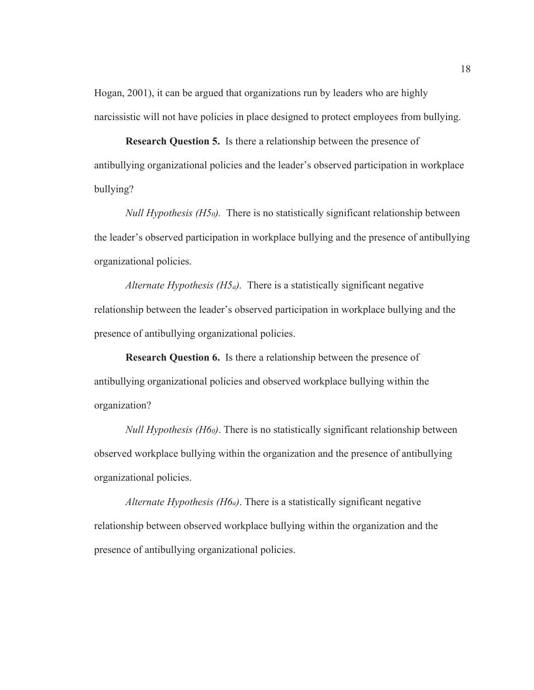Hogan, 2001), it can be argued that organizations run by leaders who are highly narcissistic will not have policies in place designed to protect employees from bullying.

**Research Question 5.** Is there a relationship between the presence of antibullying organizational policies and the leader's observed participation in workplace bullying?

*Null Hypothesis (H50).* There is no statistically significant relationship between the leader's observed participation in workplace bullying and the presence of antibullying organizational policies.

*Alternate Hypothesis (H5a).* There is a statistically significant negative relationship between the leader's observed participation in workplace bullying and the presence of antibullying organizational policies.

**Research Question 6.** Is there a relationship between the presence of antibullying organizational policies and observed workplace bullying within the organization?

*Null Hypothesis (H60)*. There is no statistically significant relationship between observed workplace bullying within the organization and the presence of antibullying organizational policies.

*Alternate Hypothesis (H6a)*. There is a statistically significant negative relationship between observed workplace bullying within the organization and the presence of antibullying organizational policies.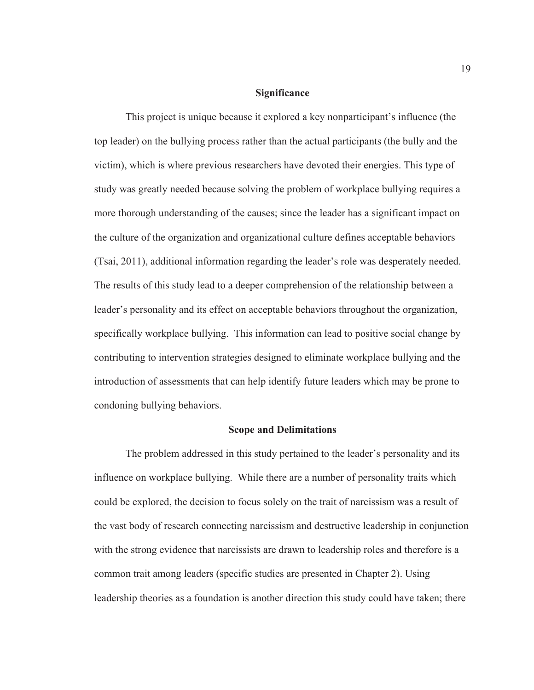#### **Significance**

This project is unique because it explored a key nonparticipant's influence (the top leader) on the bullying process rather than the actual participants (the bully and the victim), which is where previous researchers have devoted their energies. This type of study was greatly needed because solving the problem of workplace bullying requires a more thorough understanding of the causes; since the leader has a significant impact on the culture of the organization and organizational culture defines acceptable behaviors (Tsai, 2011), additional information regarding the leader's role was desperately needed. The results of this study lead to a deeper comprehension of the relationship between a leader's personality and its effect on acceptable behaviors throughout the organization, specifically workplace bullying. This information can lead to positive social change by contributing to intervention strategies designed to eliminate workplace bullying and the introduction of assessments that can help identify future leaders which may be prone to condoning bullying behaviors.

#### **Scope and Delimitations**

The problem addressed in this study pertained to the leader's personality and its influence on workplace bullying. While there are a number of personality traits which could be explored, the decision to focus solely on the trait of narcissism was a result of the vast body of research connecting narcissism and destructive leadership in conjunction with the strong evidence that narcissists are drawn to leadership roles and therefore is a common trait among leaders (specific studies are presented in Chapter 2). Using leadership theories as a foundation is another direction this study could have taken; there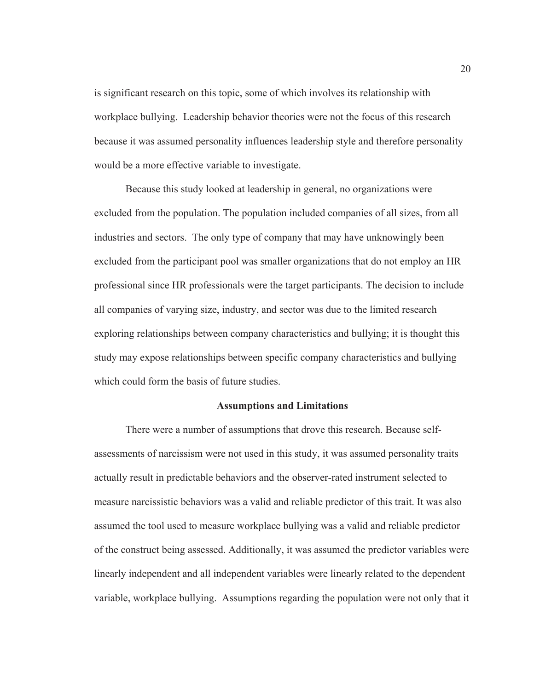is significant research on this topic, some of which involves its relationship with workplace bullying. Leadership behavior theories were not the focus of this research because it was assumed personality influences leadership style and therefore personality would be a more effective variable to investigate.

Because this study looked at leadership in general, no organizations were excluded from the population. The population included companies of all sizes, from all industries and sectors. The only type of company that may have unknowingly been excluded from the participant pool was smaller organizations that do not employ an HR professional since HR professionals were the target participants. The decision to include all companies of varying size, industry, and sector was due to the limited research exploring relationships between company characteristics and bullying; it is thought this study may expose relationships between specific company characteristics and bullying which could form the basis of future studies.

#### **Assumptions and Limitations**

There were a number of assumptions that drove this research. Because selfassessments of narcissism were not used in this study, it was assumed personality traits actually result in predictable behaviors and the observer-rated instrument selected to measure narcissistic behaviors was a valid and reliable predictor of this trait. It was also assumed the tool used to measure workplace bullying was a valid and reliable predictor of the construct being assessed. Additionally, it was assumed the predictor variables were linearly independent and all independent variables were linearly related to the dependent variable, workplace bullying. Assumptions regarding the population were not only that it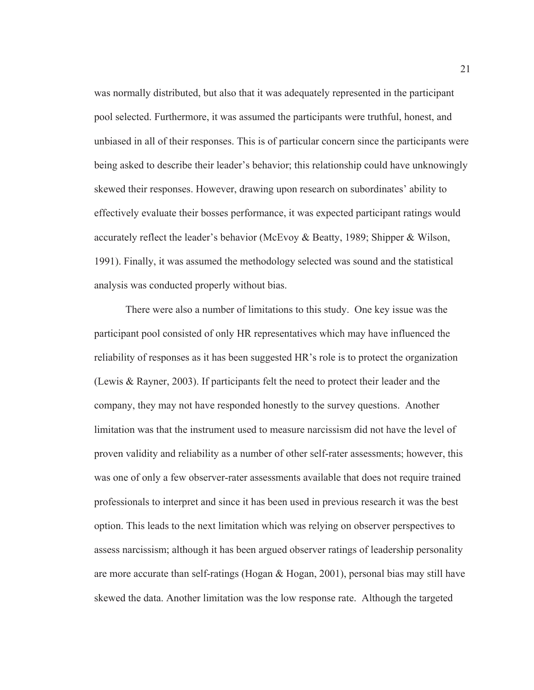was normally distributed, but also that it was adequately represented in the participant pool selected. Furthermore, it was assumed the participants were truthful, honest, and unbiased in all of their responses. This is of particular concern since the participants were being asked to describe their leader's behavior; this relationship could have unknowingly skewed their responses. However, drawing upon research on subordinates' ability to effectively evaluate their bosses performance, it was expected participant ratings would accurately reflect the leader's behavior (McEvoy & Beatty, 1989; Shipper & Wilson, 1991). Finally, it was assumed the methodology selected was sound and the statistical analysis was conducted properly without bias.

There were also a number of limitations to this study. One key issue was the participant pool consisted of only HR representatives which may have influenced the reliability of responses as it has been suggested HR's role is to protect the organization (Lewis & Rayner, 2003). If participants felt the need to protect their leader and the company, they may not have responded honestly to the survey questions. Another limitation was that the instrument used to measure narcissism did not have the level of proven validity and reliability as a number of other self-rater assessments; however, this was one of only a few observer-rater assessments available that does not require trained professionals to interpret and since it has been used in previous research it was the best option. This leads to the next limitation which was relying on observer perspectives to assess narcissism; although it has been argued observer ratings of leadership personality are more accurate than self-ratings (Hogan  $\&$  Hogan, 2001), personal bias may still have skewed the data. Another limitation was the low response rate. Although the targeted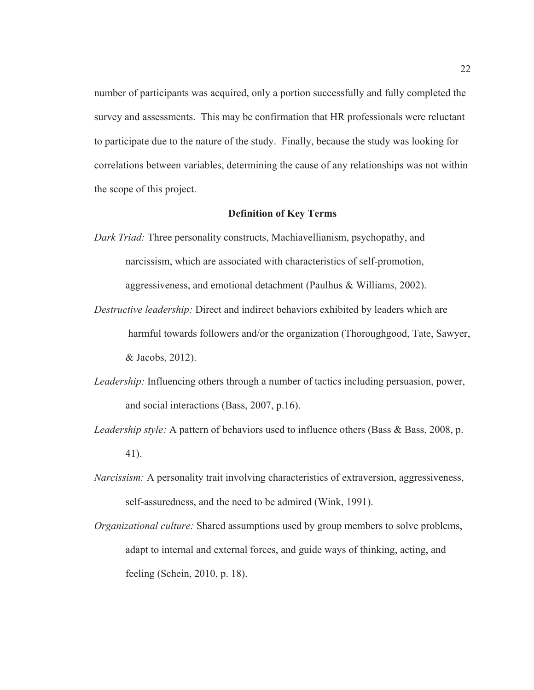number of participants was acquired, only a portion successfully and fully completed the survey and assessments. This may be confirmation that HR professionals were reluctant to participate due to the nature of the study. Finally, because the study was looking for correlations between variables, determining the cause of any relationships was not within the scope of this project.

#### **Definition of Key Terms**

- *Dark Triad:* Three personality constructs, Machiavellianism, psychopathy, and narcissism, which are associated with characteristics of self-promotion, aggressiveness, and emotional detachment (Paulhus & Williams, 2002).
- *Destructive leadership:* Direct and indirect behaviors exhibited by leaders which are harmful towards followers and/or the organization (Thoroughgood, Tate, Sawyer, & Jacobs, 2012).
- *Leadership:* Influencing others through a number of tactics including persuasion, power, and social interactions (Bass, 2007, p.16).
- *Leadership style:* A pattern of behaviors used to influence others (Bass & Bass, 2008, p. 41).
- *Narcissism:* A personality trait involving characteristics of extraversion, aggressiveness, self-assuredness, and the need to be admired (Wink, 1991).
- *Organizational culture:* Shared assumptions used by group members to solve problems, adapt to internal and external forces, and guide ways of thinking, acting, and feeling (Schein, 2010, p. 18).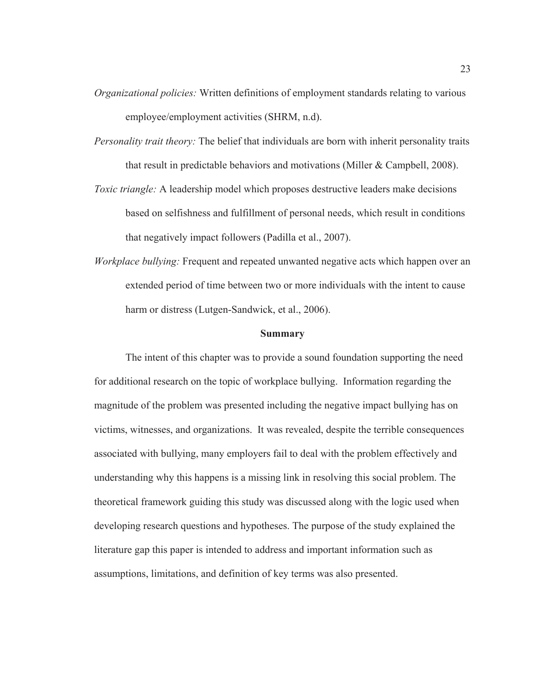- *Organizational policies:* Written definitions of employment standards relating to various employee/employment activities (SHRM, n.d).
- *Personality trait theory:* The belief that individuals are born with inherit personality traits that result in predictable behaviors and motivations (Miller & Campbell, 2008).
- *Toxic triangle:* A leadership model which proposes destructive leaders make decisions based on selfishness and fulfillment of personal needs, which result in conditions that negatively impact followers (Padilla et al., 2007).
- *Workplace bullying:* Frequent and repeated unwanted negative acts which happen over an extended period of time between two or more individuals with the intent to cause harm or distress (Lutgen-Sandwick, et al., 2006).

### **Summary**

The intent of this chapter was to provide a sound foundation supporting the need for additional research on the topic of workplace bullying. Information regarding the magnitude of the problem was presented including the negative impact bullying has on victims, witnesses, and organizations. It was revealed, despite the terrible consequences associated with bullying, many employers fail to deal with the problem effectively and understanding why this happens is a missing link in resolving this social problem. The theoretical framework guiding this study was discussed along with the logic used when developing research questions and hypotheses. The purpose of the study explained the literature gap this paper is intended to address and important information such as assumptions, limitations, and definition of key terms was also presented.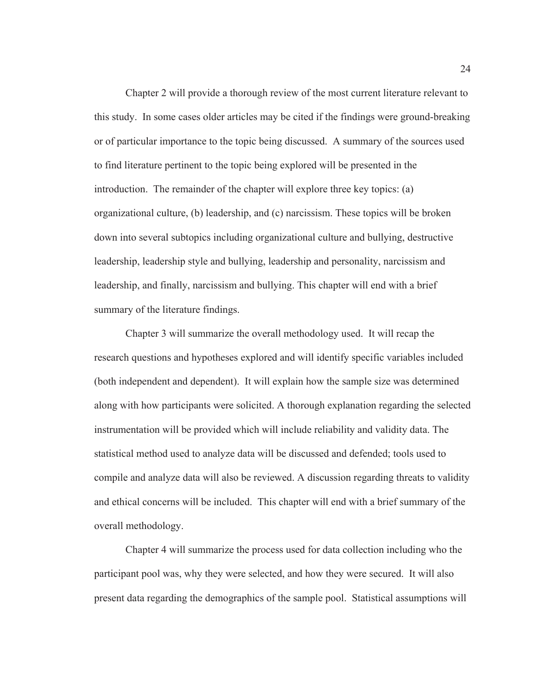Chapter 2 will provide a thorough review of the most current literature relevant to this study. In some cases older articles may be cited if the findings were ground-breaking or of particular importance to the topic being discussed. A summary of the sources used to find literature pertinent to the topic being explored will be presented in the introduction. The remainder of the chapter will explore three key topics: (a) organizational culture, (b) leadership, and (c) narcissism. These topics will be broken down into several subtopics including organizational culture and bullying, destructive leadership, leadership style and bullying, leadership and personality, narcissism and leadership, and finally, narcissism and bullying. This chapter will end with a brief summary of the literature findings.

Chapter 3 will summarize the overall methodology used. It will recap the research questions and hypotheses explored and will identify specific variables included (both independent and dependent). It will explain how the sample size was determined along with how participants were solicited. A thorough explanation regarding the selected instrumentation will be provided which will include reliability and validity data. The statistical method used to analyze data will be discussed and defended; tools used to compile and analyze data will also be reviewed. A discussion regarding threats to validity and ethical concerns will be included. This chapter will end with a brief summary of the overall methodology.

Chapter 4 will summarize the process used for data collection including who the participant pool was, why they were selected, and how they were secured. It will also present data regarding the demographics of the sample pool. Statistical assumptions will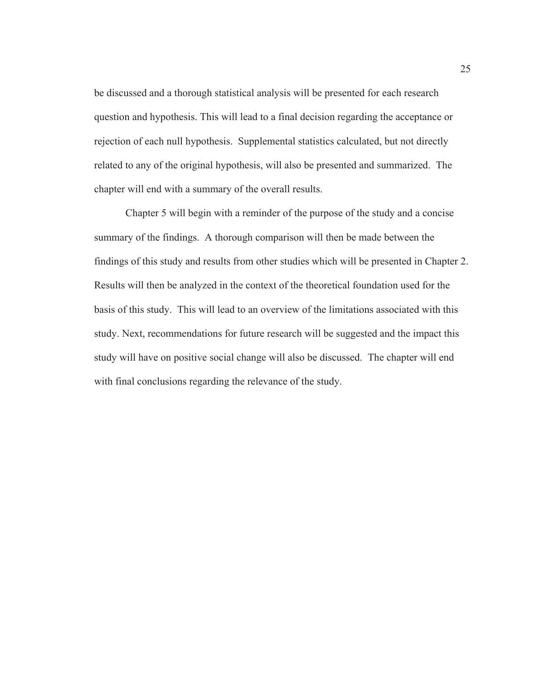be discussed and a thorough statistical analysis will be presented for each research question and hypothesis. This will lead to a final decision regarding the acceptance or rejection of each null hypothesis. Supplemental statistics calculated, but not directly related to any of the original hypothesis, will also be presented and summarized. The chapter will end with a summary of the overall results.

Chapter 5 will begin with a reminder of the purpose of the study and a concise summary of the findings. A thorough comparison will then be made between the findings of this study and results from other studies which will be presented in Chapter 2. Results will then be analyzed in the context of the theoretical foundation used for the basis of this study. This will lead to an overview of the limitations associated with this study. Next, recommendations for future research will be suggested and the impact this study will have on positive social change will also be discussed. The chapter will end with final conclusions regarding the relevance of the study.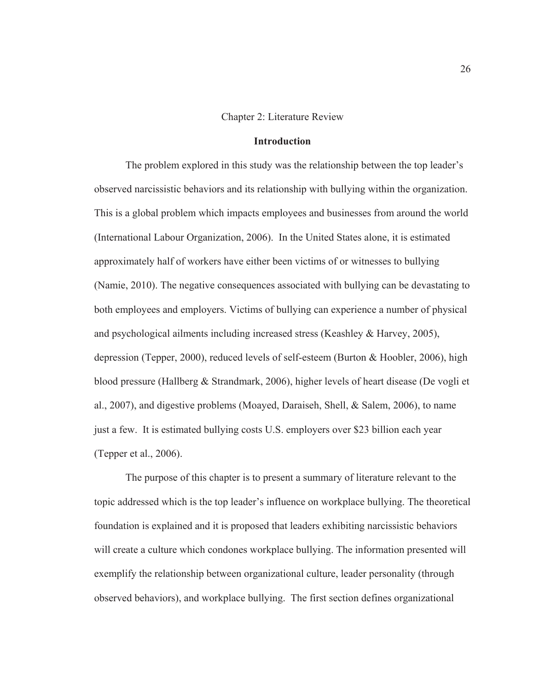## Chapter 2: Literature Review

## **Introduction**

The problem explored in this study was the relationship between the top leader's observed narcissistic behaviors and its relationship with bullying within the organization. This is a global problem which impacts employees and businesses from around the world (International Labour Organization, 2006). In the United States alone, it is estimated approximately half of workers have either been victims of or witnesses to bullying (Namie, 2010). The negative consequences associated with bullying can be devastating to both employees and employers. Victims of bullying can experience a number of physical and psychological ailments including increased stress (Keashley & Harvey, 2005), depression (Tepper, 2000), reduced levels of self-esteem (Burton & Hoobler, 2006), high blood pressure (Hallberg & Strandmark, 2006), higher levels of heart disease (De vogli et al., 2007), and digestive problems (Moayed, Daraiseh, Shell, & Salem, 2006), to name just a few. It is estimated bullying costs U.S. employers over \$23 billion each year (Tepper et al., 2006).

The purpose of this chapter is to present a summary of literature relevant to the topic addressed which is the top leader's influence on workplace bullying. The theoretical foundation is explained and it is proposed that leaders exhibiting narcissistic behaviors will create a culture which condones workplace bullying. The information presented will exemplify the relationship between organizational culture, leader personality (through observed behaviors), and workplace bullying. The first section defines organizational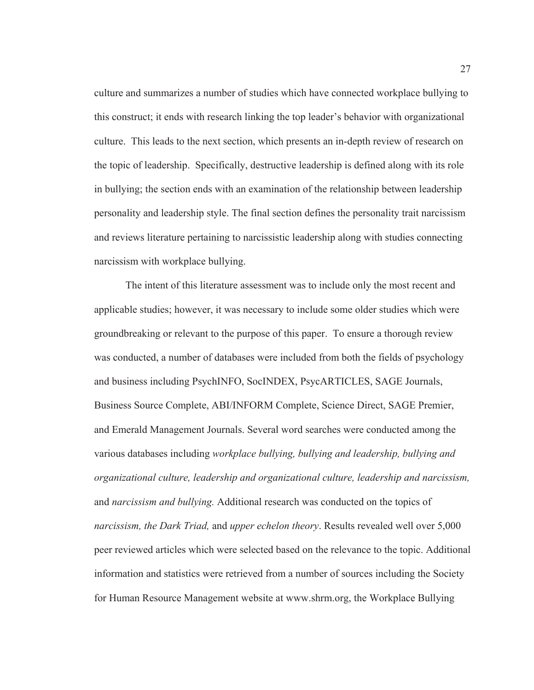culture and summarizes a number of studies which have connected workplace bullying to this construct; it ends with research linking the top leader's behavior with organizational culture. This leads to the next section, which presents an in-depth review of research on the topic of leadership. Specifically, destructive leadership is defined along with its role in bullying; the section ends with an examination of the relationship between leadership personality and leadership style. The final section defines the personality trait narcissism and reviews literature pertaining to narcissistic leadership along with studies connecting narcissism with workplace bullying.

The intent of this literature assessment was to include only the most recent and applicable studies; however, it was necessary to include some older studies which were groundbreaking or relevant to the purpose of this paper. To ensure a thorough review was conducted, a number of databases were included from both the fields of psychology and business including PsychINFO, SocINDEX, PsycARTICLES, SAGE Journals, Business Source Complete, ABI/INFORM Complete, Science Direct, SAGE Premier, and Emerald Management Journals. Several word searches were conducted among the various databases including *workplace bullying, bullying and leadership, bullying and organizational culture, leadership and organizational culture, leadership and narcissism,*  and *narcissism and bullying.* Additional research was conducted on the topics of *narcissism, the Dark Triad,* and *upper echelon theory*. Results revealed well over 5,000 peer reviewed articles which were selected based on the relevance to the topic. Additional information and statistics were retrieved from a number of sources including the Society for Human Resource Management website at www.shrm.org, the Workplace Bullying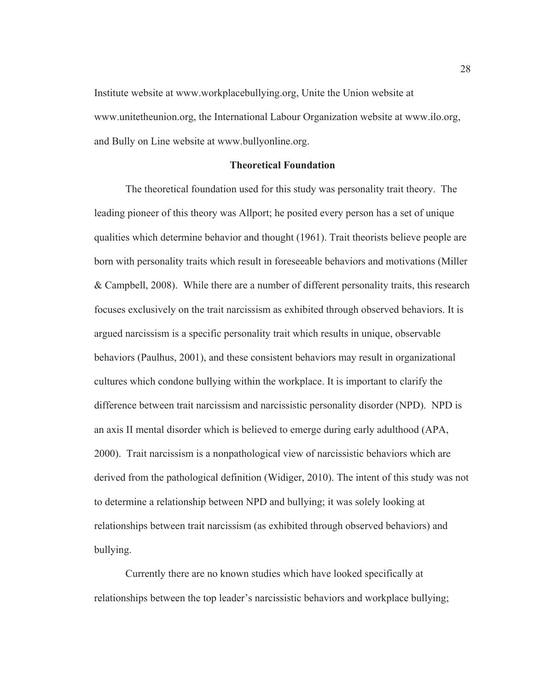Institute website at www.workplacebullying.org, Unite the Union website at www.unitetheunion.org, the International Labour Organization website at www.ilo.org, and Bully on Line website at www.bullyonline.org.

## **Theoretical Foundation**

The theoretical foundation used for this study was personality trait theory. The leading pioneer of this theory was Allport; he posited every person has a set of unique qualities which determine behavior and thought (1961). Trait theorists believe people are born with personality traits which result in foreseeable behaviors and motivations (Miller & Campbell, 2008). While there are a number of different personality traits, this research focuses exclusively on the trait narcissism as exhibited through observed behaviors. It is argued narcissism is a specific personality trait which results in unique, observable behaviors (Paulhus, 2001), and these consistent behaviors may result in organizational cultures which condone bullying within the workplace. It is important to clarify the difference between trait narcissism and narcissistic personality disorder (NPD). NPD is an axis II mental disorder which is believed to emerge during early adulthood (APA, 2000). Trait narcissism is a nonpathological view of narcissistic behaviors which are derived from the pathological definition (Widiger, 2010). The intent of this study was not to determine a relationship between NPD and bullying; it was solely looking at relationships between trait narcissism (as exhibited through observed behaviors) and bullying.

Currently there are no known studies which have looked specifically at relationships between the top leader's narcissistic behaviors and workplace bullying;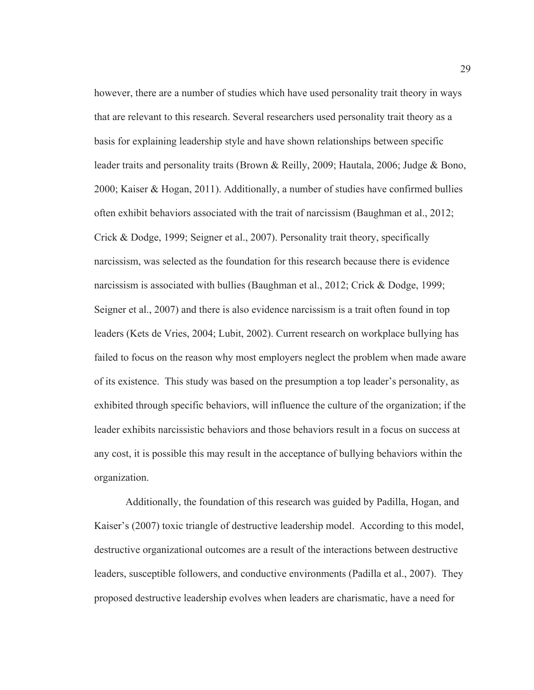however, there are a number of studies which have used personality trait theory in ways that are relevant to this research. Several researchers used personality trait theory as a basis for explaining leadership style and have shown relationships between specific leader traits and personality traits (Brown & Reilly, 2009; Hautala, 2006; Judge & Bono, 2000; Kaiser & Hogan, 2011). Additionally, a number of studies have confirmed bullies often exhibit behaviors associated with the trait of narcissism (Baughman et al., 2012; Crick & Dodge, 1999; Seigner et al., 2007). Personality trait theory, specifically narcissism, was selected as the foundation for this research because there is evidence narcissism is associated with bullies (Baughman et al., 2012; Crick & Dodge, 1999; Seigner et al., 2007) and there is also evidence narcissism is a trait often found in top leaders (Kets de Vries, 2004; Lubit, 2002). Current research on workplace bullying has failed to focus on the reason why most employers neglect the problem when made aware of its existence. This study was based on the presumption a top leader's personality, as exhibited through specific behaviors, will influence the culture of the organization; if the leader exhibits narcissistic behaviors and those behaviors result in a focus on success at any cost, it is possible this may result in the acceptance of bullying behaviors within the organization.

Additionally, the foundation of this research was guided by Padilla, Hogan, and Kaiser's (2007) toxic triangle of destructive leadership model. According to this model, destructive organizational outcomes are a result of the interactions between destructive leaders, susceptible followers, and conductive environments (Padilla et al., 2007). They proposed destructive leadership evolves when leaders are charismatic, have a need for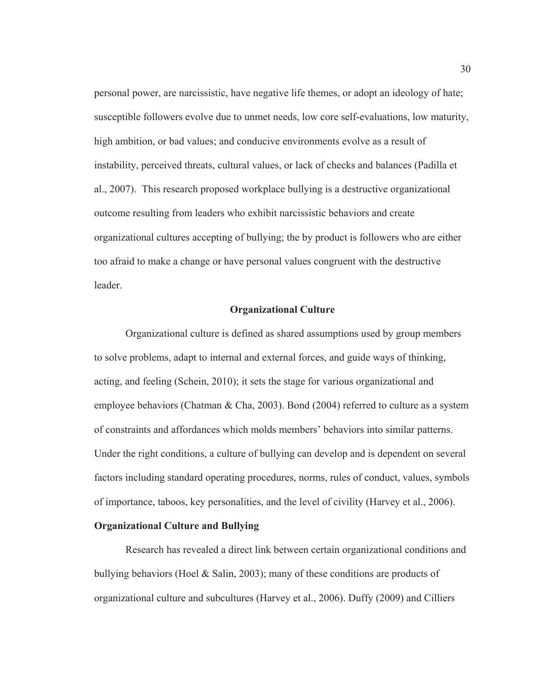personal power, are narcissistic, have negative life themes, or adopt an ideology of hate; susceptible followers evolve due to unmet needs, low core self-evaluations, low maturity, high ambition, or bad values; and conducive environments evolve as a result of instability, perceived threats, cultural values, or lack of checks and balances (Padilla et al., 2007). This research proposed workplace bullying is a destructive organizational outcome resulting from leaders who exhibit narcissistic behaviors and create organizational cultures accepting of bullying; the by product is followers who are either too afraid to make a change or have personal values congruent with the destructive leader.

### **Organizational Culture**

Organizational culture is defined as shared assumptions used by group members to solve problems, adapt to internal and external forces, and guide ways of thinking, acting, and feeling (Schein, 2010); it sets the stage for various organizational and employee behaviors (Chatman & Cha, 2003). Bond (2004) referred to culture as a system of constraints and affordances which molds members' behaviors into similar patterns. Under the right conditions, a culture of bullying can develop and is dependent on several factors including standard operating procedures, norms, rules of conduct, values, symbols of importance, taboos, key personalities, and the level of civility (Harvey et al., 2006).

# **Organizational Culture and Bullying**

Research has revealed a direct link between certain organizational conditions and bullying behaviors (Hoel & Salin, 2003); many of these conditions are products of organizational culture and subcultures (Harvey et al., 2006). Duffy (2009) and Cilliers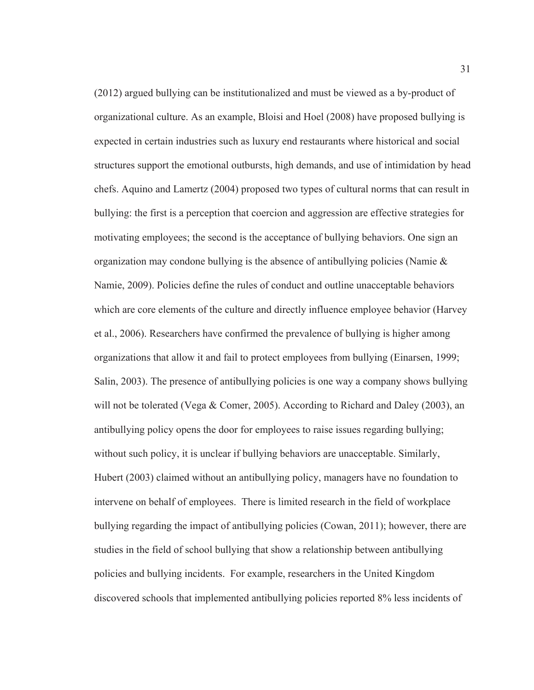(2012) argued bullying can be institutionalized and must be viewed as a by-product of organizational culture. As an example, Bloisi and Hoel (2008) have proposed bullying is expected in certain industries such as luxury end restaurants where historical and social structures support the emotional outbursts, high demands, and use of intimidation by head chefs. Aquino and Lamertz (2004) proposed two types of cultural norms that can result in bullying: the first is a perception that coercion and aggression are effective strategies for motivating employees; the second is the acceptance of bullying behaviors. One sign an organization may condone bullying is the absence of antibullying policies (Namie & Namie, 2009). Policies define the rules of conduct and outline unacceptable behaviors which are core elements of the culture and directly influence employee behavior (Harvey et al., 2006). Researchers have confirmed the prevalence of bullying is higher among organizations that allow it and fail to protect employees from bullying (Einarsen, 1999; Salin, 2003). The presence of antibullying policies is one way a company shows bullying will not be tolerated (Vega & Comer, 2005). According to Richard and Daley (2003), an antibullying policy opens the door for employees to raise issues regarding bullying; without such policy, it is unclear if bullying behaviors are unacceptable. Similarly, Hubert (2003) claimed without an antibullying policy, managers have no foundation to intervene on behalf of employees. There is limited research in the field of workplace bullying regarding the impact of antibullying policies (Cowan, 2011); however, there are studies in the field of school bullying that show a relationship between antibullying policies and bullying incidents. For example, researchers in the United Kingdom discovered schools that implemented antibullying policies reported 8% less incidents of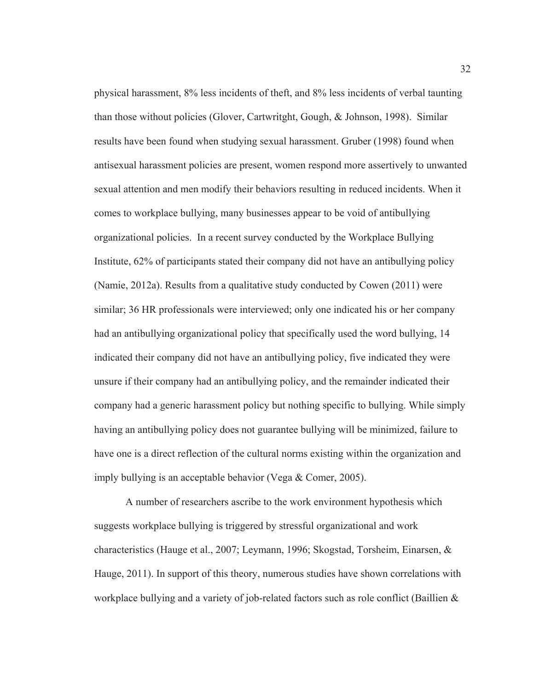physical harassment, 8% less incidents of theft, and 8% less incidents of verbal taunting than those without policies (Glover, Cartwritght, Gough, & Johnson, 1998). Similar results have been found when studying sexual harassment. Gruber (1998) found when antisexual harassment policies are present, women respond more assertively to unwanted sexual attention and men modify their behaviors resulting in reduced incidents. When it comes to workplace bullying, many businesses appear to be void of antibullying organizational policies. In a recent survey conducted by the Workplace Bullying Institute, 62% of participants stated their company did not have an antibullying policy (Namie, 2012a). Results from a qualitative study conducted by Cowen (2011) were similar; 36 HR professionals were interviewed; only one indicated his or her company had an antibullying organizational policy that specifically used the word bullying, 14 indicated their company did not have an antibullying policy, five indicated they were unsure if their company had an antibullying policy, and the remainder indicated their company had a generic harassment policy but nothing specific to bullying. While simply having an antibullying policy does not guarantee bullying will be minimized, failure to have one is a direct reflection of the cultural norms existing within the organization and imply bullying is an acceptable behavior (Vega & Comer, 2005).

A number of researchers ascribe to the work environment hypothesis which suggests workplace bullying is triggered by stressful organizational and work characteristics (Hauge et al., 2007; Leymann, 1996; Skogstad, Torsheim, Einarsen, & Hauge, 2011). In support of this theory, numerous studies have shown correlations with workplace bullying and a variety of job-related factors such as role conflict (Baillien  $\&$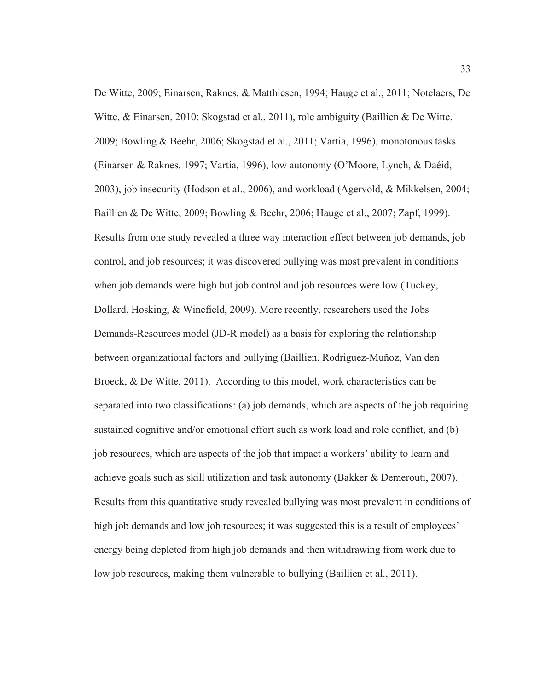De Witte, 2009; Einarsen, Raknes, & Matthiesen, 1994; Hauge et al., 2011; Notelaers, De Witte, & Einarsen, 2010; Skogstad et al., 2011), role ambiguity (Baillien & De Witte, 2009; Bowling & Beehr, 2006; Skogstad et al., 2011; Vartia, 1996), monotonous tasks (Einarsen & Raknes, 1997; Vartia, 1996), low autonomy (O'Moore, Lynch, & Daéid, 2003), job insecurity (Hodson et al., 2006), and workload (Agervold, & Mikkelsen, 2004; Baillien & De Witte, 2009; Bowling & Beehr, 2006; Hauge et al., 2007; Zapf, 1999). Results from one study revealed a three way interaction effect between job demands, job control, and job resources; it was discovered bullying was most prevalent in conditions when job demands were high but job control and job resources were low (Tuckey, Dollard, Hosking, & Winefield, 2009). More recently, researchers used the Jobs Demands-Resources model (JD-R model) as a basis for exploring the relationship between organizational factors and bullying (Baillien, Rodriguez-Muñoz, Van den Broeck, & De Witte, 2011). According to this model, work characteristics can be separated into two classifications: (a) job demands, which are aspects of the job requiring sustained cognitive and/or emotional effort such as work load and role conflict, and (b) job resources, which are aspects of the job that impact a workers' ability to learn and achieve goals such as skill utilization and task autonomy (Bakker & Demerouti, 2007). Results from this quantitative study revealed bullying was most prevalent in conditions of high job demands and low job resources; it was suggested this is a result of employees' energy being depleted from high job demands and then withdrawing from work due to low job resources, making them vulnerable to bullying (Baillien et al., 2011).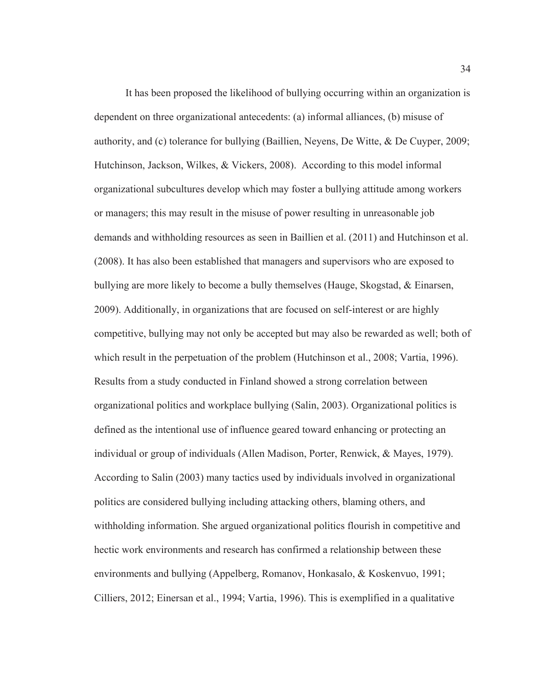It has been proposed the likelihood of bullying occurring within an organization is dependent on three organizational antecedents: (a) informal alliances, (b) misuse of authority, and (c) tolerance for bullying (Baillien, Neyens, De Witte, & De Cuyper, 2009; Hutchinson, Jackson, Wilkes, & Vickers, 2008). According to this model informal organizational subcultures develop which may foster a bullying attitude among workers or managers; this may result in the misuse of power resulting in unreasonable job demands and withholding resources as seen in Baillien et al. (2011) and Hutchinson et al. (2008). It has also been established that managers and supervisors who are exposed to bullying are more likely to become a bully themselves (Hauge, Skogstad, & Einarsen, 2009). Additionally, in organizations that are focused on self-interest or are highly competitive, bullying may not only be accepted but may also be rewarded as well; both of which result in the perpetuation of the problem (Hutchinson et al., 2008; Vartia, 1996). Results from a study conducted in Finland showed a strong correlation between organizational politics and workplace bullying (Salin, 2003). Organizational politics is defined as the intentional use of influence geared toward enhancing or protecting an individual or group of individuals (Allen Madison, Porter, Renwick, & Mayes, 1979). According to Salin (2003) many tactics used by individuals involved in organizational politics are considered bullying including attacking others, blaming others, and withholding information. She argued organizational politics flourish in competitive and hectic work environments and research has confirmed a relationship between these environments and bullying (Appelberg, Romanov, Honkasalo, & Koskenvuo, 1991; Cilliers, 2012; Einersan et al., 1994; Vartia, 1996). This is exemplified in a qualitative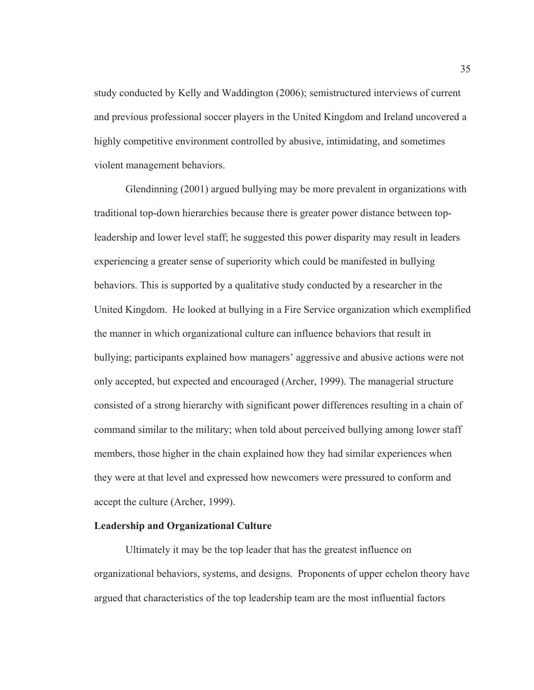study conducted by Kelly and Waddington (2006); semistructured interviews of current and previous professional soccer players in the United Kingdom and Ireland uncovered a highly competitive environment controlled by abusive, intimidating, and sometimes violent management behaviors.

Glendinning (2001) argued bullying may be more prevalent in organizations with traditional top-down hierarchies because there is greater power distance between topleadership and lower level staff; he suggested this power disparity may result in leaders experiencing a greater sense of superiority which could be manifested in bullying behaviors. This is supported by a qualitative study conducted by a researcher in the United Kingdom. He looked at bullying in a Fire Service organization which exemplified the manner in which organizational culture can influence behaviors that result in bullying; participants explained how managers' aggressive and abusive actions were not only accepted, but expected and encouraged (Archer, 1999). The managerial structure consisted of a strong hierarchy with significant power differences resulting in a chain of command similar to the military; when told about perceived bullying among lower staff members, those higher in the chain explained how they had similar experiences when they were at that level and expressed how newcomers were pressured to conform and accept the culture (Archer, 1999).

# **Leadership and Organizational Culture**

Ultimately it may be the top leader that has the greatest influence on organizational behaviors, systems, and designs. Proponents of upper echelon theory have argued that characteristics of the top leadership team are the most influential factors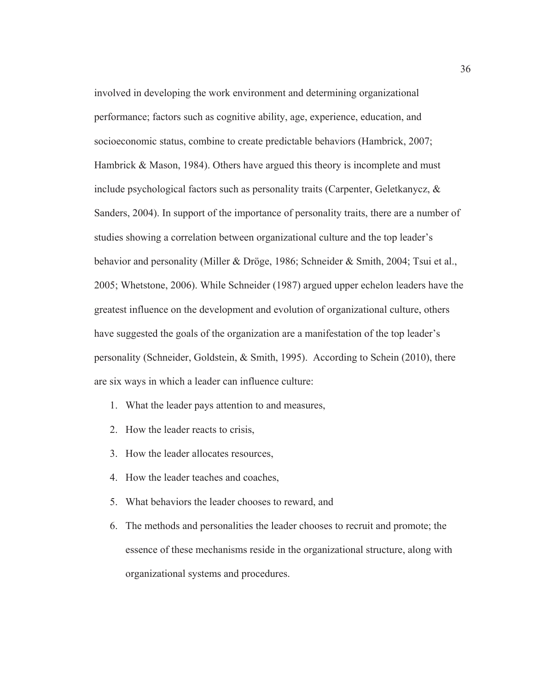involved in developing the work environment and determining organizational performance; factors such as cognitive ability, age, experience, education, and socioeconomic status, combine to create predictable behaviors (Hambrick, 2007; Hambrick & Mason, 1984). Others have argued this theory is incomplete and must include psychological factors such as personality traits (Carpenter, Geletkanycz, & Sanders, 2004). In support of the importance of personality traits, there are a number of studies showing a correlation between organizational culture and the top leader's behavior and personality (Miller & Dröge, 1986; Schneider & Smith, 2004; Tsui et al., 2005; Whetstone, 2006). While Schneider (1987) argued upper echelon leaders have the greatest influence on the development and evolution of organizational culture, others have suggested the goals of the organization are a manifestation of the top leader's personality (Schneider, Goldstein, & Smith, 1995). According to Schein (2010), there are six ways in which a leader can influence culture:

- 1. What the leader pays attention to and measures,
- 2. How the leader reacts to crisis,
- 3. How the leader allocates resources,
- 4. How the leader teaches and coaches,
- 5. What behaviors the leader chooses to reward, and
- 6. The methods and personalities the leader chooses to recruit and promote; the essence of these mechanisms reside in the organizational structure, along with organizational systems and procedures.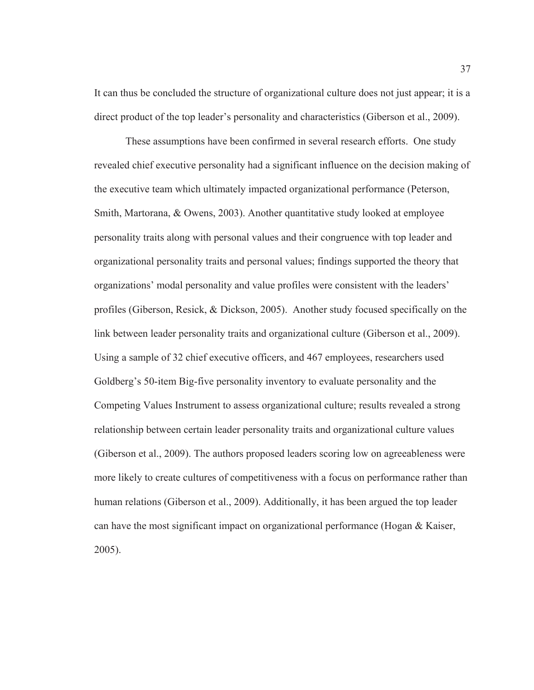It can thus be concluded the structure of organizational culture does not just appear; it is a direct product of the top leader's personality and characteristics (Giberson et al., 2009).

These assumptions have been confirmed in several research efforts. One study revealed chief executive personality had a significant influence on the decision making of the executive team which ultimately impacted organizational performance (Peterson, Smith, Martorana, & Owens, 2003). Another quantitative study looked at employee personality traits along with personal values and their congruence with top leader and organizational personality traits and personal values; findings supported the theory that organizations' modal personality and value profiles were consistent with the leaders' profiles (Giberson, Resick, & Dickson, 2005). Another study focused specifically on the link between leader personality traits and organizational culture (Giberson et al., 2009). Using a sample of 32 chief executive officers, and 467 employees, researchers used Goldberg's 50-item Big-five personality inventory to evaluate personality and the Competing Values Instrument to assess organizational culture; results revealed a strong relationship between certain leader personality traits and organizational culture values (Giberson et al., 2009). The authors proposed leaders scoring low on agreeableness were more likely to create cultures of competitiveness with a focus on performance rather than human relations (Giberson et al., 2009). Additionally, it has been argued the top leader can have the most significant impact on organizational performance (Hogan  $\&$  Kaiser, 2005).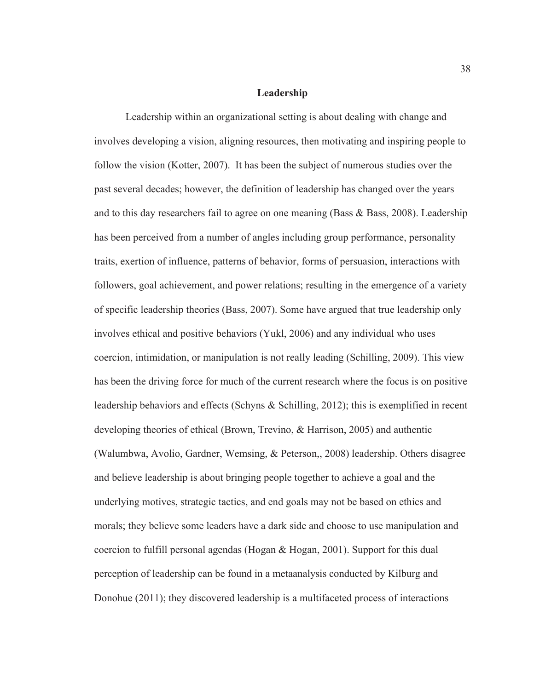### **Leadership**

Leadership within an organizational setting is about dealing with change and involves developing a vision, aligning resources, then motivating and inspiring people to follow the vision (Kotter, 2007). It has been the subject of numerous studies over the past several decades; however, the definition of leadership has changed over the years and to this day researchers fail to agree on one meaning (Bass  $\&$  Bass, 2008). Leadership has been perceived from a number of angles including group performance, personality traits, exertion of influence, patterns of behavior, forms of persuasion, interactions with followers, goal achievement, and power relations; resulting in the emergence of a variety of specific leadership theories (Bass, 2007). Some have argued that true leadership only involves ethical and positive behaviors (Yukl, 2006) and any individual who uses coercion, intimidation, or manipulation is not really leading (Schilling, 2009). This view has been the driving force for much of the current research where the focus is on positive leadership behaviors and effects (Schyns & Schilling, 2012); this is exemplified in recent developing theories of ethical (Brown, Trevino, & Harrison, 2005) and authentic (Walumbwa, Avolio, Gardner, Wemsing, & Peterson,, 2008) leadership. Others disagree and believe leadership is about bringing people together to achieve a goal and the underlying motives, strategic tactics, and end goals may not be based on ethics and morals; they believe some leaders have a dark side and choose to use manipulation and coercion to fulfill personal agendas (Hogan  $\&$  Hogan, 2001). Support for this dual perception of leadership can be found in a metaanalysis conducted by Kilburg and Donohue (2011); they discovered leadership is a multifaceted process of interactions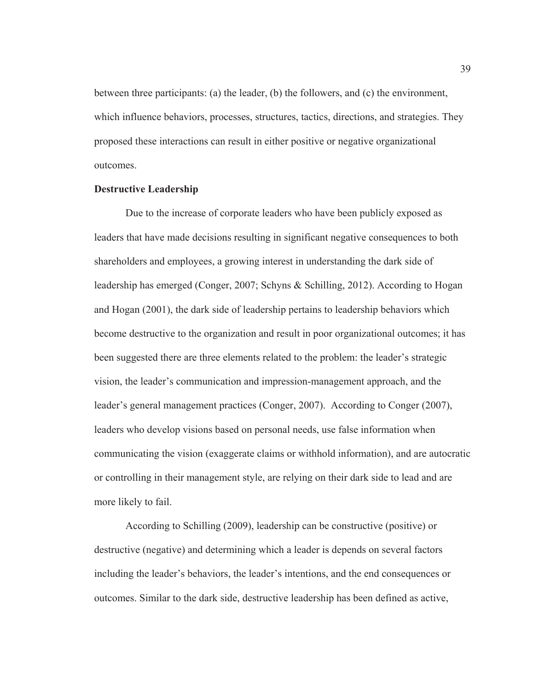between three participants: (a) the leader, (b) the followers, and (c) the environment, which influence behaviors, processes, structures, tactics, directions, and strategies. They proposed these interactions can result in either positive or negative organizational outcomes.

# **Destructive Leadership**

Due to the increase of corporate leaders who have been publicly exposed as leaders that have made decisions resulting in significant negative consequences to both shareholders and employees, a growing interest in understanding the dark side of leadership has emerged (Conger, 2007; Schyns & Schilling, 2012). According to Hogan and Hogan (2001), the dark side of leadership pertains to leadership behaviors which become destructive to the organization and result in poor organizational outcomes; it has been suggested there are three elements related to the problem: the leader's strategic vision, the leader's communication and impression-management approach, and the leader's general management practices (Conger, 2007). According to Conger (2007), leaders who develop visions based on personal needs, use false information when communicating the vision (exaggerate claims or withhold information), and are autocratic or controlling in their management style, are relying on their dark side to lead and are more likely to fail.

According to Schilling (2009), leadership can be constructive (positive) or destructive (negative) and determining which a leader is depends on several factors including the leader's behaviors, the leader's intentions, and the end consequences or outcomes. Similar to the dark side, destructive leadership has been defined as active,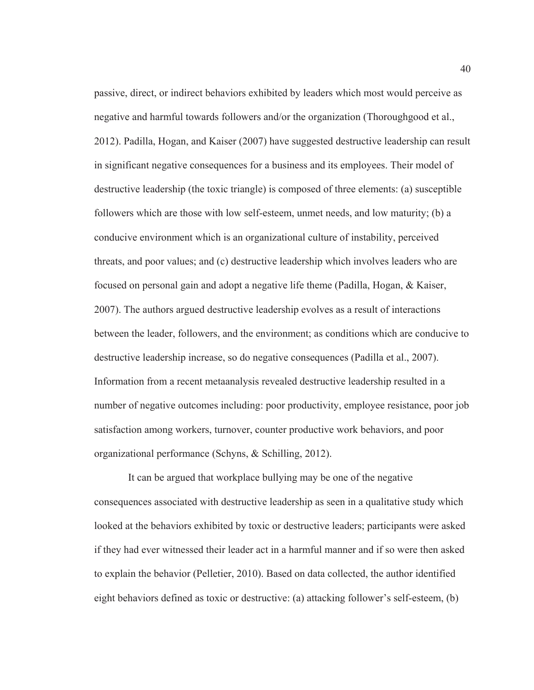passive, direct, or indirect behaviors exhibited by leaders which most would perceive as negative and harmful towards followers and/or the organization (Thoroughgood et al., 2012). Padilla, Hogan, and Kaiser (2007) have suggested destructive leadership can result in significant negative consequences for a business and its employees. Their model of destructive leadership (the toxic triangle) is composed of three elements: (a) susceptible followers which are those with low self-esteem, unmet needs, and low maturity; (b) a conducive environment which is an organizational culture of instability, perceived threats, and poor values; and (c) destructive leadership which involves leaders who are focused on personal gain and adopt a negative life theme (Padilla, Hogan, & Kaiser, 2007). The authors argued destructive leadership evolves as a result of interactions between the leader, followers, and the environment; as conditions which are conducive to destructive leadership increase, so do negative consequences (Padilla et al., 2007). Information from a recent metaanalysis revealed destructive leadership resulted in a number of negative outcomes including: poor productivity, employee resistance, poor job satisfaction among workers, turnover, counter productive work behaviors, and poor organizational performance (Schyns, & Schilling, 2012).

 It can be argued that workplace bullying may be one of the negative consequences associated with destructive leadership as seen in a qualitative study which looked at the behaviors exhibited by toxic or destructive leaders; participants were asked if they had ever witnessed their leader act in a harmful manner and if so were then asked to explain the behavior (Pelletier, 2010). Based on data collected, the author identified eight behaviors defined as toxic or destructive: (a) attacking follower's self-esteem, (b)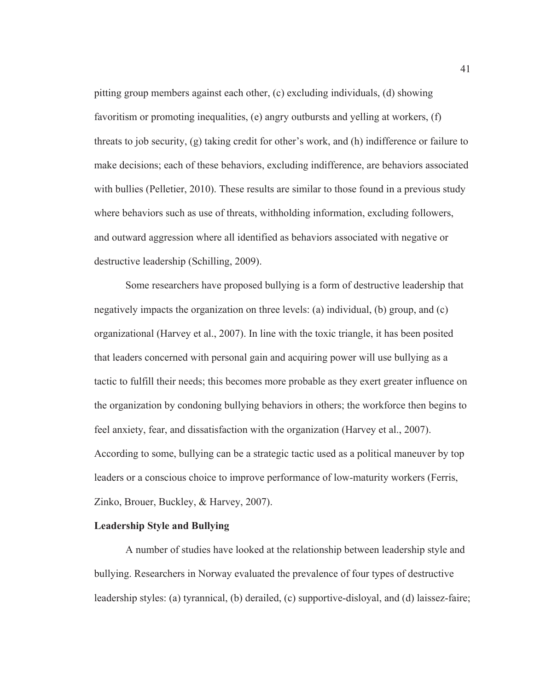pitting group members against each other, (c) excluding individuals, (d) showing favoritism or promoting inequalities, (e) angry outbursts and yelling at workers, (f) threats to job security, (g) taking credit for other's work, and (h) indifference or failure to make decisions; each of these behaviors, excluding indifference, are behaviors associated with bullies (Pelletier, 2010). These results are similar to those found in a previous study where behaviors such as use of threats, withholding information, excluding followers, and outward aggression where all identified as behaviors associated with negative or destructive leadership (Schilling, 2009).

Some researchers have proposed bullying is a form of destructive leadership that negatively impacts the organization on three levels: (a) individual, (b) group, and (c) organizational (Harvey et al., 2007). In line with the toxic triangle, it has been posited that leaders concerned with personal gain and acquiring power will use bullying as a tactic to fulfill their needs; this becomes more probable as they exert greater influence on the organization by condoning bullying behaviors in others; the workforce then begins to feel anxiety, fear, and dissatisfaction with the organization (Harvey et al., 2007). According to some, bullying can be a strategic tactic used as a political maneuver by top leaders or a conscious choice to improve performance of low-maturity workers (Ferris, Zinko, Brouer, Buckley, & Harvey, 2007).

## **Leadership Style and Bullying**

A number of studies have looked at the relationship between leadership style and bullying. Researchers in Norway evaluated the prevalence of four types of destructive leadership styles: (a) tyrannical, (b) derailed, (c) supportive-disloyal, and (d) laissez-faire;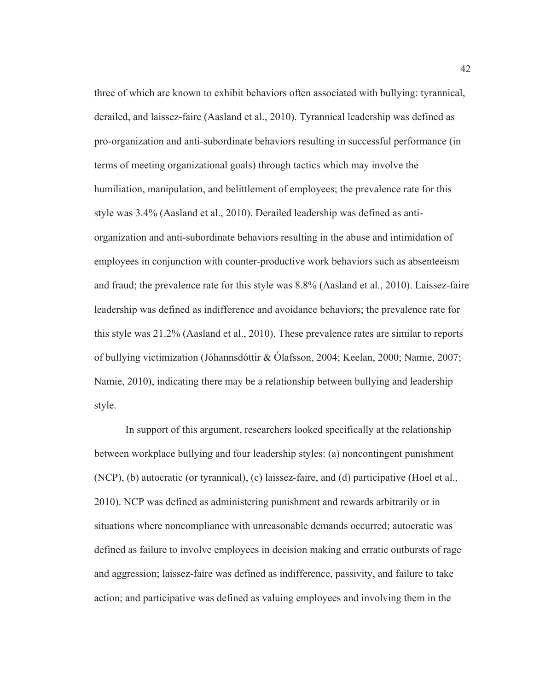three of which are known to exhibit behaviors often associated with bullying: tyrannical, derailed, and laissez-faire (Aasland et al., 2010). Tyrannical leadership was defined as pro-organization and anti-subordinate behaviors resulting in successful performance (in terms of meeting organizational goals) through tactics which may involve the humiliation, manipulation, and belittlement of employees; the prevalence rate for this style was 3.4% (Aasland et al., 2010). Derailed leadership was defined as antiorganization and anti-subordinate behaviors resulting in the abuse and intimidation of employees in conjunction with counter-productive work behaviors such as absenteeism and fraud; the prevalence rate for this style was 8.8% (Aasland et al., 2010). Laissez-faire leadership was defined as indifference and avoidance behaviors; the prevalence rate for this style was 21.2% (Aasland et al., 2010). These prevalence rates are similar to reports of bullying victimization (Jóhannsdóttir & Ólafsson, 2004; Keelan, 2000; Namie, 2007; Namie, 2010), indicating there may be a relationship between bullying and leadership style.

In support of this argument, researchers looked specifically at the relationship between workplace bullying and four leadership styles: (a) noncontingent punishment (NCP), (b) autocratic (or tyrannical), (c) laissez-faire, and (d) participative (Hoel et al., 2010). NCP was defined as administering punishment and rewards arbitrarily or in situations where noncompliance with unreasonable demands occurred; autocratic was defined as failure to involve employees in decision making and erratic outbursts of rage and aggression; laissez-faire was defined as indifference, passivity, and failure to take action; and participative was defined as valuing employees and involving them in the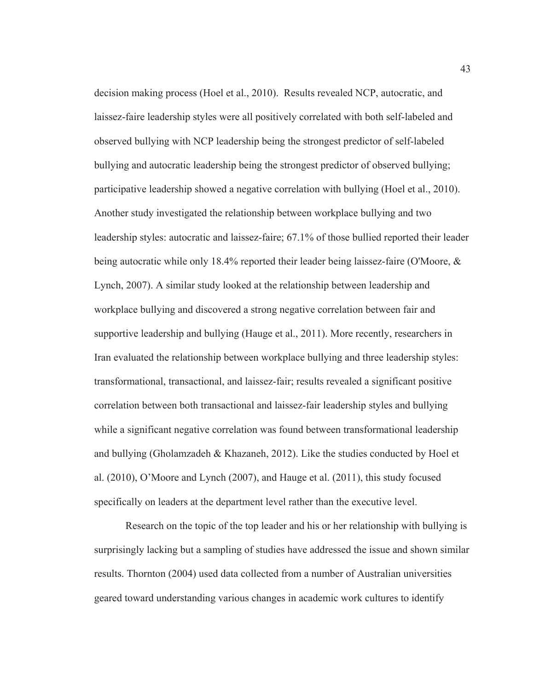decision making process (Hoel et al., 2010). Results revealed NCP, autocratic, and laissez-faire leadership styles were all positively correlated with both self-labeled and observed bullying with NCP leadership being the strongest predictor of self-labeled bullying and autocratic leadership being the strongest predictor of observed bullying; participative leadership showed a negative correlation with bullying (Hoel et al., 2010). Another study investigated the relationship between workplace bullying and two leadership styles: autocratic and laissez-faire; 67.1% of those bullied reported their leader being autocratic while only 18.4% reported their leader being laissez-faire (O'Moore, & Lynch, 2007). A similar study looked at the relationship between leadership and workplace bullying and discovered a strong negative correlation between fair and supportive leadership and bullying (Hauge et al., 2011). More recently, researchers in Iran evaluated the relationship between workplace bullying and three leadership styles: transformational, transactional, and laissez-fair; results revealed a significant positive correlation between both transactional and laissez-fair leadership styles and bullying while a significant negative correlation was found between transformational leadership and bullying (Gholamzadeh & Khazaneh, 2012). Like the studies conducted by Hoel et al. (2010), O'Moore and Lynch (2007), and Hauge et al. (2011), this study focused specifically on leaders at the department level rather than the executive level.

Research on the topic of the top leader and his or her relationship with bullying is surprisingly lacking but a sampling of studies have addressed the issue and shown similar results. Thornton (2004) used data collected from a number of Australian universities geared toward understanding various changes in academic work cultures to identify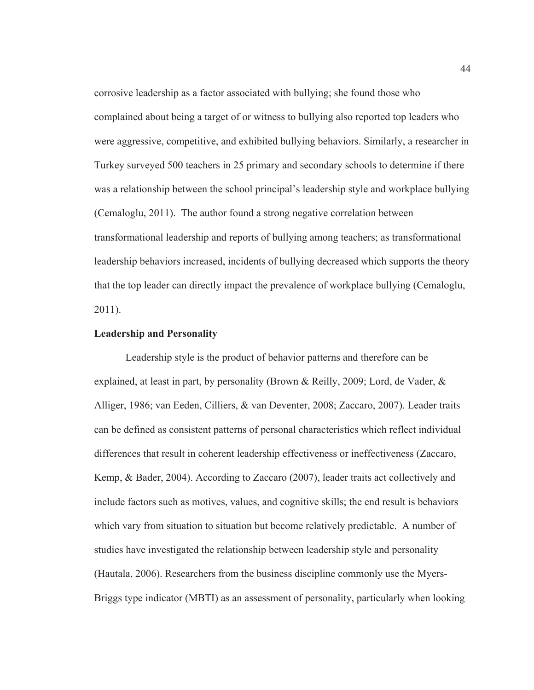corrosive leadership as a factor associated with bullying; she found those who complained about being a target of or witness to bullying also reported top leaders who were aggressive, competitive, and exhibited bullying behaviors. Similarly, a researcher in Turkey surveyed 500 teachers in 25 primary and secondary schools to determine if there was a relationship between the school principal's leadership style and workplace bullying (Cemaloglu, 2011). The author found a strong negative correlation between transformational leadership and reports of bullying among teachers; as transformational leadership behaviors increased, incidents of bullying decreased which supports the theory that the top leader can directly impact the prevalence of workplace bullying (Cemaloglu, 2011).

# **Leadership and Personality**

Leadership style is the product of behavior patterns and therefore can be explained, at least in part, by personality (Brown & Reilly, 2009; Lord, de Vader, & Alliger, 1986; van Eeden, Cilliers, & van Deventer, 2008; Zaccaro, 2007). Leader traits can be defined as consistent patterns of personal characteristics which reflect individual differences that result in coherent leadership effectiveness or ineffectiveness (Zaccaro, Kemp, & Bader, 2004). According to Zaccaro (2007), leader traits act collectively and include factors such as motives, values, and cognitive skills; the end result is behaviors which vary from situation to situation but become relatively predictable. A number of studies have investigated the relationship between leadership style and personality (Hautala, 2006). Researchers from the business discipline commonly use the Myers-Briggs type indicator (MBTI) as an assessment of personality, particularly when looking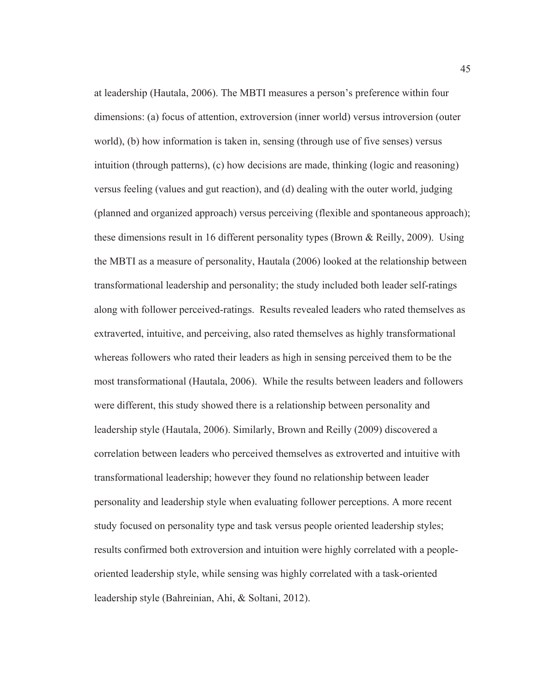at leadership (Hautala, 2006). The MBTI measures a person's preference within four dimensions: (a) focus of attention, extroversion (inner world) versus introversion (outer world), (b) how information is taken in, sensing (through use of five senses) versus intuition (through patterns), (c) how decisions are made, thinking (logic and reasoning) versus feeling (values and gut reaction), and (d) dealing with the outer world, judging (planned and organized approach) versus perceiving (flexible and spontaneous approach); these dimensions result in 16 different personality types (Brown & Reilly, 2009). Using the MBTI as a measure of personality, Hautala (2006) looked at the relationship between transformational leadership and personality; the study included both leader self-ratings along with follower perceived-ratings. Results revealed leaders who rated themselves as extraverted, intuitive, and perceiving, also rated themselves as highly transformational whereas followers who rated their leaders as high in sensing perceived them to be the most transformational (Hautala, 2006). While the results between leaders and followers were different, this study showed there is a relationship between personality and leadership style (Hautala, 2006). Similarly, Brown and Reilly (2009) discovered a correlation between leaders who perceived themselves as extroverted and intuitive with transformational leadership; however they found no relationship between leader personality and leadership style when evaluating follower perceptions. A more recent study focused on personality type and task versus people oriented leadership styles; results confirmed both extroversion and intuition were highly correlated with a peopleoriented leadership style, while sensing was highly correlated with a task-oriented leadership style (Bahreinian, Ahi, & Soltani, 2012).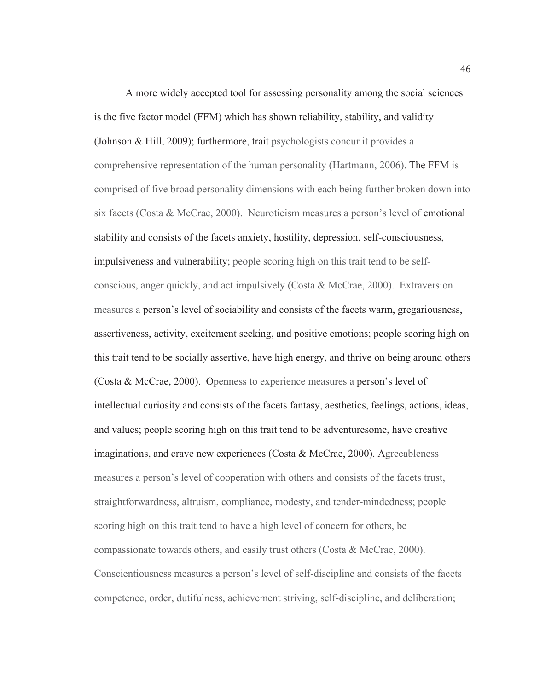A more widely accepted tool for assessing personality among the social sciences is the five factor model (FFM) which has shown reliability, stability, and validity (Johnson & Hill, 2009); furthermore, trait psychologists concur it provides a comprehensive representation of the human personality (Hartmann, 2006). The FFM is comprised of five broad personality dimensions with each being further broken down into six facets (Costa & McCrae, 2000). Neuroticism measures a person's level of emotional stability and consists of the facets anxiety, hostility, depression, self-consciousness, impulsiveness and vulnerability; people scoring high on this trait tend to be selfconscious, anger quickly, and act impulsively (Costa & McCrae, 2000). Extraversion measures a person's level of sociability and consists of the facets warm, gregariousness, assertiveness, activity, excitement seeking, and positive emotions; people scoring high on this trait tend to be socially assertive, have high energy, and thrive on being around others (Costa & McCrae, 2000). Openness to experience measures a person's level of intellectual curiosity and consists of the facets fantasy, aesthetics, feelings, actions, ideas, and values; people scoring high on this trait tend to be adventuresome, have creative imaginations, and crave new experiences (Costa  $\&$  McCrae, 2000). Agreeableness measures a person's level of cooperation with others and consists of the facets trust, straightforwardness, altruism, compliance, modesty, and tender-mindedness; people scoring high on this trait tend to have a high level of concern for others, be compassionate towards others, and easily trust others (Costa  $\&$  McCrae, 2000). Conscientiousness measures a person's level of self-discipline and consists of the facets competence, order, dutifulness, achievement striving, self-discipline, and deliberation;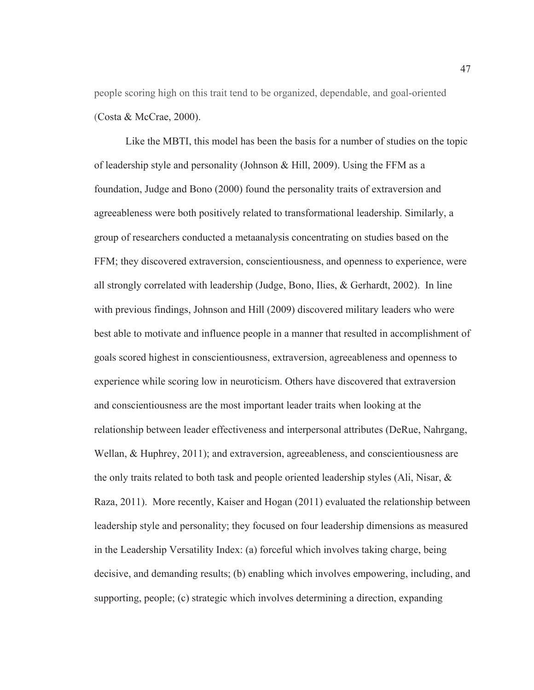people scoring high on this trait tend to be organized, dependable, and goal-oriented (Costa & McCrae, 2000).

Like the MBTI, this model has been the basis for a number of studies on the topic of leadership style and personality (Johnson & Hill, 2009). Using the FFM as a foundation, Judge and Bono (2000) found the personality traits of extraversion and agreeableness were both positively related to transformational leadership. Similarly, a group of researchers conducted a metaanalysis concentrating on studies based on the FFM; they discovered extraversion, conscientiousness, and openness to experience, were all strongly correlated with leadership (Judge, Bono, Ilies, & Gerhardt, 2002). In line with previous findings, Johnson and Hill (2009) discovered military leaders who were best able to motivate and influence people in a manner that resulted in accomplishment of goals scored highest in conscientiousness, extraversion, agreeableness and openness to experience while scoring low in neuroticism. Others have discovered that extraversion and conscientiousness are the most important leader traits when looking at the relationship between leader effectiveness and interpersonal attributes (DeRue, Nahrgang, Wellan, & Huphrey, 2011); and extraversion, agreeableness, and conscientiousness are the only traits related to both task and people oriented leadership styles (Ali, Nisar,  $\&$ Raza, 2011). More recently, Kaiser and Hogan (2011) evaluated the relationship between leadership style and personality; they focused on four leadership dimensions as measured in the Leadership Versatility Index: (a) forceful which involves taking charge, being decisive, and demanding results; (b) enabling which involves empowering, including, and supporting, people; (c) strategic which involves determining a direction, expanding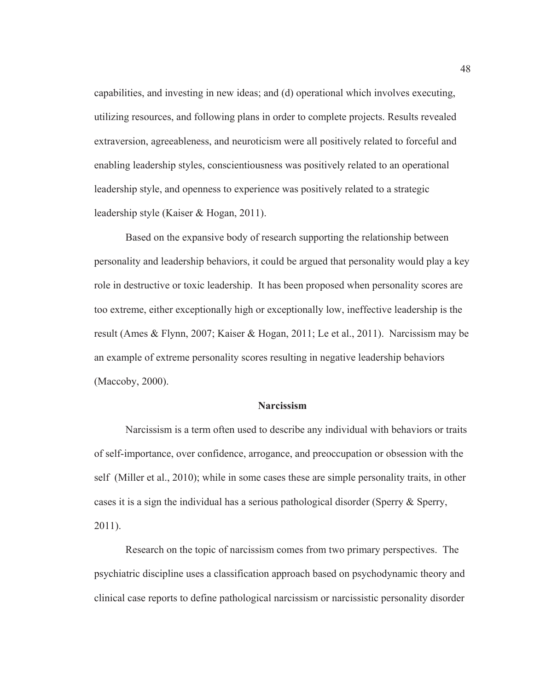capabilities, and investing in new ideas; and (d) operational which involves executing, utilizing resources, and following plans in order to complete projects. Results revealed extraversion, agreeableness, and neuroticism were all positively related to forceful and enabling leadership styles, conscientiousness was positively related to an operational leadership style, and openness to experience was positively related to a strategic leadership style (Kaiser & Hogan, 2011).

Based on the expansive body of research supporting the relationship between personality and leadership behaviors, it could be argued that personality would play a key role in destructive or toxic leadership. It has been proposed when personality scores are too extreme, either exceptionally high or exceptionally low, ineffective leadership is the result (Ames & Flynn, 2007; Kaiser & Hogan, 2011; Le et al., 2011). Narcissism may be an example of extreme personality scores resulting in negative leadership behaviors (Maccoby, 2000).

### **Narcissism**

Narcissism is a term often used to describe any individual with behaviors or traits of self-importance, over confidence, arrogance, and preoccupation or obsession with the self (Miller et al., 2010); while in some cases these are simple personality traits, in other cases it is a sign the individual has a serious pathological disorder (Sperry  $\&$  Sperry, 2011).

Research on the topic of narcissism comes from two primary perspectives. The psychiatric discipline uses a classification approach based on psychodynamic theory and clinical case reports to define pathological narcissism or narcissistic personality disorder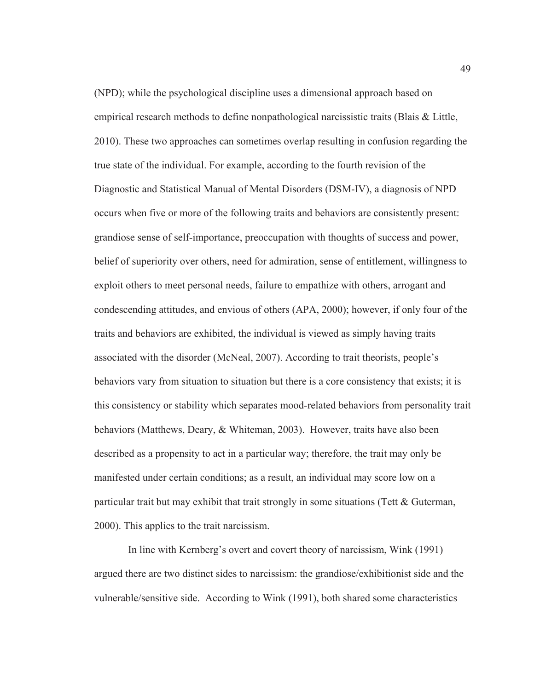(NPD); while the psychological discipline uses a dimensional approach based on empirical research methods to define nonpathological narcissistic traits (Blais & Little, 2010). These two approaches can sometimes overlap resulting in confusion regarding the true state of the individual. For example, according to the fourth revision of the Diagnostic and Statistical Manual of Mental Disorders (DSM-IV), a diagnosis of NPD occurs when five or more of the following traits and behaviors are consistently present: grandiose sense of self-importance, preoccupation with thoughts of success and power, belief of superiority over others, need for admiration, sense of entitlement, willingness to exploit others to meet personal needs, failure to empathize with others, arrogant and condescending attitudes, and envious of others (APA, 2000); however, if only four of the traits and behaviors are exhibited, the individual is viewed as simply having traits associated with the disorder (McNeal, 2007). According to trait theorists, people's behaviors vary from situation to situation but there is a core consistency that exists; it is this consistency or stability which separates mood-related behaviors from personality trait behaviors (Matthews, Deary, & Whiteman, 2003). However, traits have also been described as a propensity to act in a particular way; therefore, the trait may only be manifested under certain conditions; as a result, an individual may score low on a particular trait but may exhibit that trait strongly in some situations (Tett  $\&$  Guterman, 2000). This applies to the trait narcissism.

 In line with Kernberg's overt and covert theory of narcissism, Wink (1991) argued there are two distinct sides to narcissism: the grandiose/exhibitionist side and the vulnerable/sensitive side. According to Wink (1991), both shared some characteristics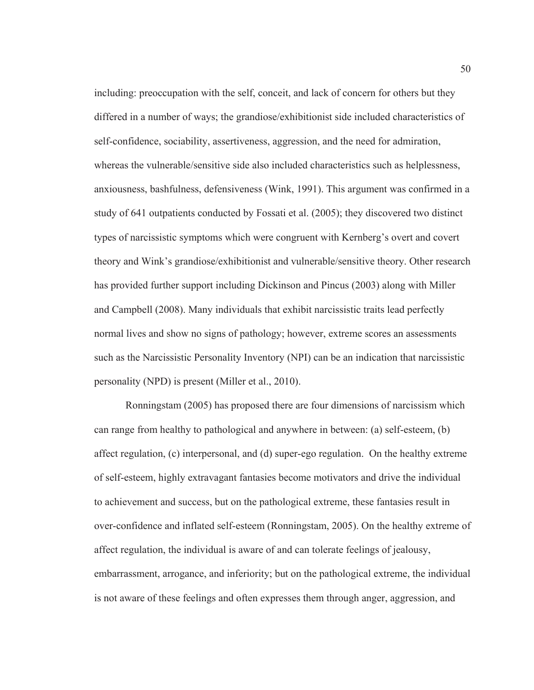including: preoccupation with the self, conceit, and lack of concern for others but they differed in a number of ways; the grandiose/exhibitionist side included characteristics of self-confidence, sociability, assertiveness, aggression, and the need for admiration, whereas the vulnerable/sensitive side also included characteristics such as helplessness, anxiousness, bashfulness, defensiveness (Wink, 1991). This argument was confirmed in a study of 641 outpatients conducted by Fossati et al. (2005); they discovered two distinct types of narcissistic symptoms which were congruent with Kernberg's overt and covert theory and Wink's grandiose/exhibitionist and vulnerable/sensitive theory. Other research has provided further support including Dickinson and Pincus (2003) along with Miller and Campbell (2008). Many individuals that exhibit narcissistic traits lead perfectly normal lives and show no signs of pathology; however, extreme scores an assessments such as the Narcissistic Personality Inventory (NPI) can be an indication that narcissistic personality (NPD) is present (Miller et al., 2010).

Ronningstam (2005) has proposed there are four dimensions of narcissism which can range from healthy to pathological and anywhere in between: (a) self-esteem, (b) affect regulation, (c) interpersonal, and (d) super-ego regulation. On the healthy extreme of self-esteem, highly extravagant fantasies become motivators and drive the individual to achievement and success, but on the pathological extreme, these fantasies result in over-confidence and inflated self-esteem (Ronningstam, 2005). On the healthy extreme of affect regulation, the individual is aware of and can tolerate feelings of jealousy, embarrassment, arrogance, and inferiority; but on the pathological extreme, the individual is not aware of these feelings and often expresses them through anger, aggression, and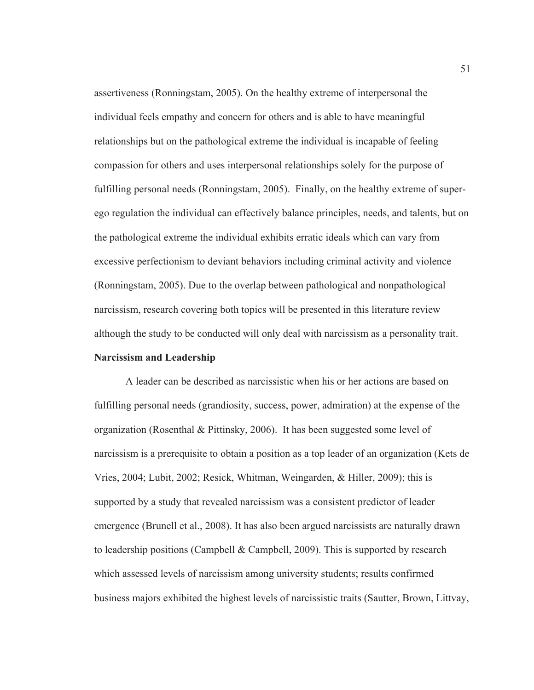assertiveness (Ronningstam, 2005). On the healthy extreme of interpersonal the individual feels empathy and concern for others and is able to have meaningful relationships but on the pathological extreme the individual is incapable of feeling compassion for others and uses interpersonal relationships solely for the purpose of fulfilling personal needs (Ronningstam, 2005). Finally, on the healthy extreme of superego regulation the individual can effectively balance principles, needs, and talents, but on the pathological extreme the individual exhibits erratic ideals which can vary from excessive perfectionism to deviant behaviors including criminal activity and violence (Ronningstam, 2005). Due to the overlap between pathological and nonpathological narcissism, research covering both topics will be presented in this literature review although the study to be conducted will only deal with narcissism as a personality trait. **Narcissism and Leadership** 

A leader can be described as narcissistic when his or her actions are based on fulfilling personal needs (grandiosity, success, power, admiration) at the expense of the organization (Rosenthal & Pittinsky, 2006). It has been suggested some level of narcissism is a prerequisite to obtain a position as a top leader of an organization (Kets de Vries, 2004; Lubit, 2002; Resick, Whitman, Weingarden, & Hiller, 2009); this is supported by a study that revealed narcissism was a consistent predictor of leader emergence (Brunell et al., 2008). It has also been argued narcissists are naturally drawn to leadership positions (Campbell  $&$  Campbell, 2009). This is supported by research which assessed levels of narcissism among university students; results confirmed business majors exhibited the highest levels of narcissistic traits (Sautter, Brown, Littvay,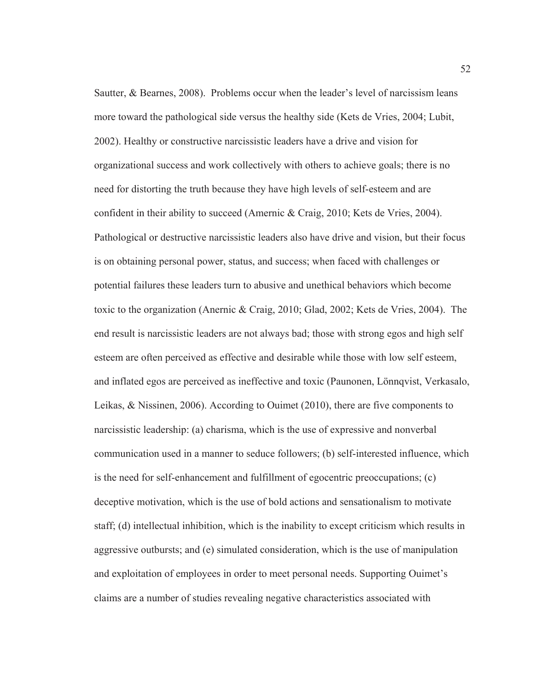Sautter, & Bearnes, 2008). Problems occur when the leader's level of narcissism leans more toward the pathological side versus the healthy side (Kets de Vries, 2004; Lubit, 2002). Healthy or constructive narcissistic leaders have a drive and vision for organizational success and work collectively with others to achieve goals; there is no need for distorting the truth because they have high levels of self-esteem and are confident in their ability to succeed (Amernic & Craig, 2010; Kets de Vries, 2004). Pathological or destructive narcissistic leaders also have drive and vision, but their focus is on obtaining personal power, status, and success; when faced with challenges or potential failures these leaders turn to abusive and unethical behaviors which become toxic to the organization (Anernic & Craig, 2010; Glad, 2002; Kets de Vries, 2004). The end result is narcissistic leaders are not always bad; those with strong egos and high self esteem are often perceived as effective and desirable while those with low self esteem, and inflated egos are perceived as ineffective and toxic (Paunonen, Lönnqvist, Verkasalo, Leikas, & Nissinen, 2006). According to Ouimet (2010), there are five components to narcissistic leadership: (a) charisma, which is the use of expressive and nonverbal communication used in a manner to seduce followers; (b) self-interested influence, which is the need for self-enhancement and fulfillment of egocentric preoccupations; (c) deceptive motivation, which is the use of bold actions and sensationalism to motivate staff; (d) intellectual inhibition, which is the inability to except criticism which results in aggressive outbursts; and (e) simulated consideration, which is the use of manipulation and exploitation of employees in order to meet personal needs. Supporting Ouimet's claims are a number of studies revealing negative characteristics associated with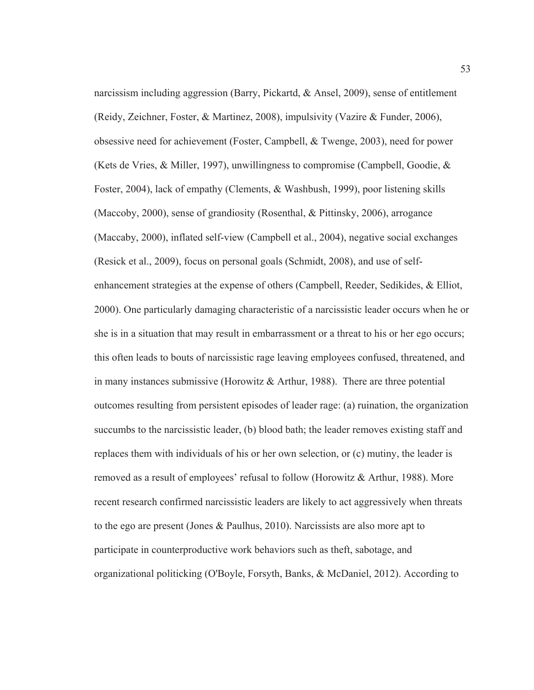narcissism including aggression (Barry, Pickartd, & Ansel, 2009), sense of entitlement (Reidy, Zeichner, Foster, & Martinez, 2008), impulsivity (Vazire & Funder, 2006), obsessive need for achievement (Foster, Campbell, & Twenge, 2003), need for power (Kets de Vries,  $\&$  Miller, 1997), unwillingness to compromise (Campbell, Goodie,  $\&$ Foster, 2004), lack of empathy (Clements, & Washbush, 1999), poor listening skills (Maccoby, 2000), sense of grandiosity (Rosenthal, & Pittinsky, 2006), arrogance (Maccaby, 2000), inflated self-view (Campbell et al., 2004), negative social exchanges (Resick et al., 2009), focus on personal goals (Schmidt, 2008), and use of selfenhancement strategies at the expense of others (Campbell, Reeder, Sedikides, & Elliot, 2000). One particularly damaging characteristic of a narcissistic leader occurs when he or she is in a situation that may result in embarrassment or a threat to his or her ego occurs; this often leads to bouts of narcissistic rage leaving employees confused, threatened, and in many instances submissive (Horowitz  $\&$  Arthur, 1988). There are three potential outcomes resulting from persistent episodes of leader rage: (a) ruination, the organization succumbs to the narcissistic leader, (b) blood bath; the leader removes existing staff and replaces them with individuals of his or her own selection, or (c) mutiny, the leader is removed as a result of employees' refusal to follow (Horowitz & Arthur, 1988). More recent research confirmed narcissistic leaders are likely to act aggressively when threats to the ego are present (Jones & Paulhus, 2010). Narcissists are also more apt to participate in counterproductive work behaviors such as theft, sabotage, and organizational politicking (O'Boyle, Forsyth, Banks, & McDaniel, 2012). According to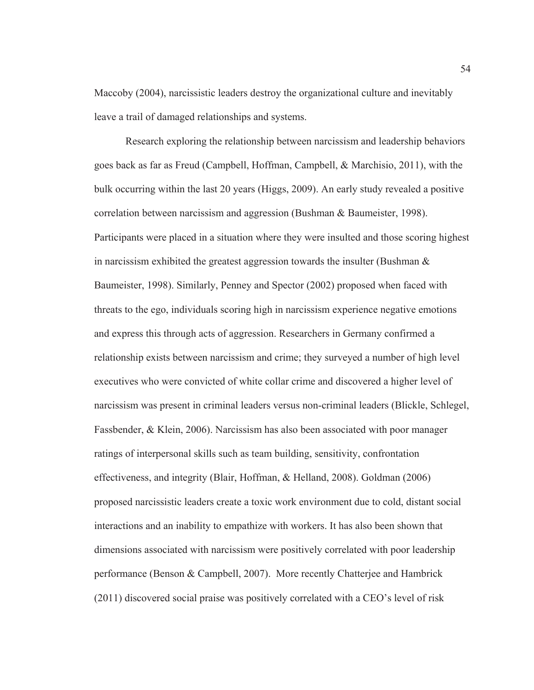Maccoby (2004), narcissistic leaders destroy the organizational culture and inevitably leave a trail of damaged relationships and systems.

Research exploring the relationship between narcissism and leadership behaviors goes back as far as Freud (Campbell, Hoffman, Campbell, & Marchisio, 2011), with the bulk occurring within the last 20 years (Higgs, 2009). An early study revealed a positive correlation between narcissism and aggression (Bushman & Baumeister, 1998). Participants were placed in a situation where they were insulted and those scoring highest in narcissism exhibited the greatest aggression towards the insulter (Bushman & Baumeister, 1998). Similarly, Penney and Spector (2002) proposed when faced with threats to the ego, individuals scoring high in narcissism experience negative emotions and express this through acts of aggression. Researchers in Germany confirmed a relationship exists between narcissism and crime; they surveyed a number of high level executives who were convicted of white collar crime and discovered a higher level of narcissism was present in criminal leaders versus non-criminal leaders (Blickle, Schlegel, Fassbender, & Klein, 2006). Narcissism has also been associated with poor manager ratings of interpersonal skills such as team building, sensitivity, confrontation effectiveness, and integrity (Blair, Hoffman, & Helland, 2008). Goldman (2006) proposed narcissistic leaders create a toxic work environment due to cold, distant social interactions and an inability to empathize with workers. It has also been shown that dimensions associated with narcissism were positively correlated with poor leadership performance (Benson & Campbell, 2007). More recently Chatterjee and Hambrick (2011) discovered social praise was positively correlated with a CEO's level of risk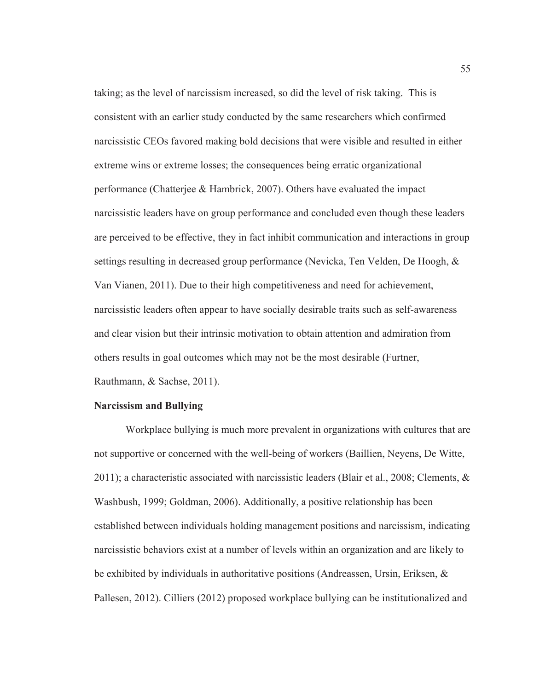taking; as the level of narcissism increased, so did the level of risk taking. This is consistent with an earlier study conducted by the same researchers which confirmed narcissistic CEOs favored making bold decisions that were visible and resulted in either extreme wins or extreme losses; the consequences being erratic organizational performance (Chatterjee & Hambrick, 2007). Others have evaluated the impact narcissistic leaders have on group performance and concluded even though these leaders are perceived to be effective, they in fact inhibit communication and interactions in group settings resulting in decreased group performance (Nevicka, Ten Velden, De Hoogh, & Van Vianen, 2011). Due to their high competitiveness and need for achievement, narcissistic leaders often appear to have socially desirable traits such as self-awareness and clear vision but their intrinsic motivation to obtain attention and admiration from others results in goal outcomes which may not be the most desirable (Furtner, Rauthmann, & Sachse, 2011).

### **Narcissism and Bullying**

Workplace bullying is much more prevalent in organizations with cultures that are not supportive or concerned with the well-being of workers (Baillien, Neyens, De Witte, 2011); a characteristic associated with narcissistic leaders (Blair et al., 2008; Clements, & Washbush, 1999; Goldman, 2006). Additionally, a positive relationship has been established between individuals holding management positions and narcissism, indicating narcissistic behaviors exist at a number of levels within an organization and are likely to be exhibited by individuals in authoritative positions (Andreassen, Ursin, Eriksen, & Pallesen, 2012). Cilliers (2012) proposed workplace bullying can be institutionalized and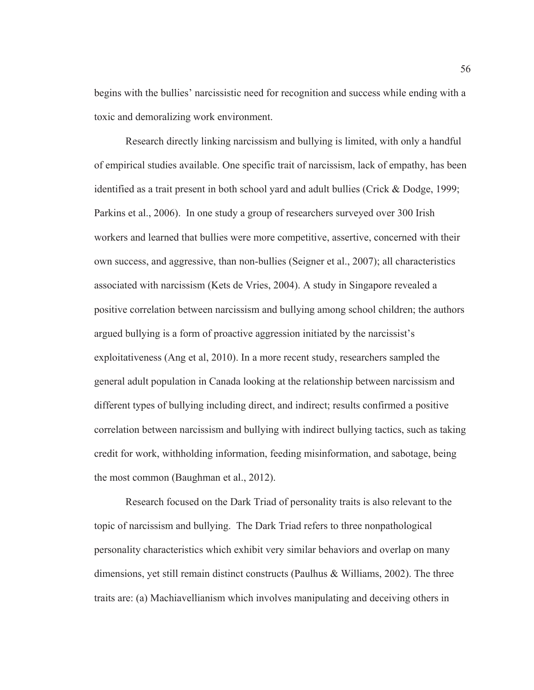begins with the bullies' narcissistic need for recognition and success while ending with a toxic and demoralizing work environment.

Research directly linking narcissism and bullying is limited, with only a handful of empirical studies available. One specific trait of narcissism, lack of empathy, has been identified as a trait present in both school yard and adult bullies (Crick & Dodge, 1999; Parkins et al., 2006). In one study a group of researchers surveyed over 300 Irish workers and learned that bullies were more competitive, assertive, concerned with their own success, and aggressive, than non-bullies (Seigner et al., 2007); all characteristics associated with narcissism (Kets de Vries, 2004). A study in Singapore revealed a positive correlation between narcissism and bullying among school children; the authors argued bullying is a form of proactive aggression initiated by the narcissist's exploitativeness (Ang et al, 2010). In a more recent study, researchers sampled the general adult population in Canada looking at the relationship between narcissism and different types of bullying including direct, and indirect; results confirmed a positive correlation between narcissism and bullying with indirect bullying tactics, such as taking credit for work, withholding information, feeding misinformation, and sabotage, being the most common (Baughman et al., 2012).

Research focused on the Dark Triad of personality traits is also relevant to the topic of narcissism and bullying. The Dark Triad refers to three nonpathological personality characteristics which exhibit very similar behaviors and overlap on many dimensions, yet still remain distinct constructs (Paulhus & Williams, 2002). The three traits are: (a) Machiavellianism which involves manipulating and deceiving others in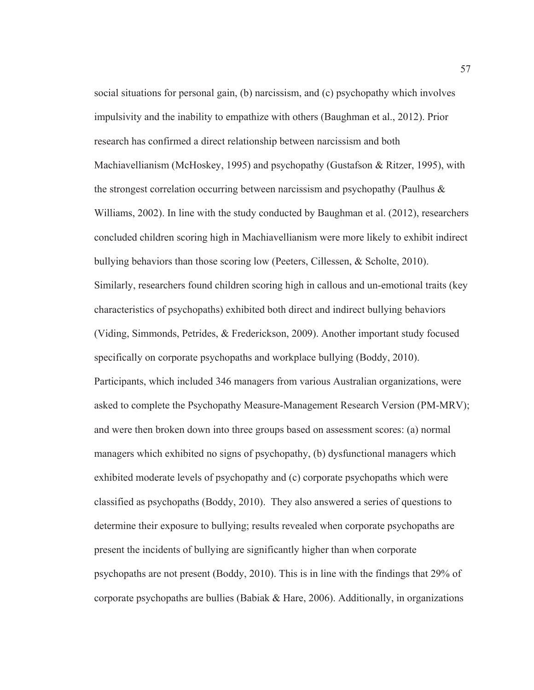social situations for personal gain, (b) narcissism, and (c) psychopathy which involves impulsivity and the inability to empathize with others (Baughman et al., 2012). Prior research has confirmed a direct relationship between narcissism and both Machiavellianism (McHoskey, 1995) and psychopathy (Gustafson & Ritzer, 1995), with the strongest correlation occurring between narcissism and psychopathy (Paulhus  $\&$ Williams, 2002). In line with the study conducted by Baughman et al. (2012), researchers concluded children scoring high in Machiavellianism were more likely to exhibit indirect bullying behaviors than those scoring low (Peeters, Cillessen, & Scholte, 2010). Similarly, researchers found children scoring high in callous and un-emotional traits (key characteristics of psychopaths) exhibited both direct and indirect bullying behaviors (Viding, Simmonds, Petrides, & Frederickson, 2009). Another important study focused specifically on corporate psychopaths and workplace bullying (Boddy, 2010). Participants, which included 346 managers from various Australian organizations, were asked to complete the Psychopathy Measure-Management Research Version (PM-MRV); and were then broken down into three groups based on assessment scores: (a) normal managers which exhibited no signs of psychopathy, (b) dysfunctional managers which exhibited moderate levels of psychopathy and (c) corporate psychopaths which were classified as psychopaths (Boddy, 2010). They also answered a series of questions to determine their exposure to bullying; results revealed when corporate psychopaths are present the incidents of bullying are significantly higher than when corporate psychopaths are not present (Boddy, 2010). This is in line with the findings that 29% of corporate psychopaths are bullies (Babiak & Hare, 2006). Additionally, in organizations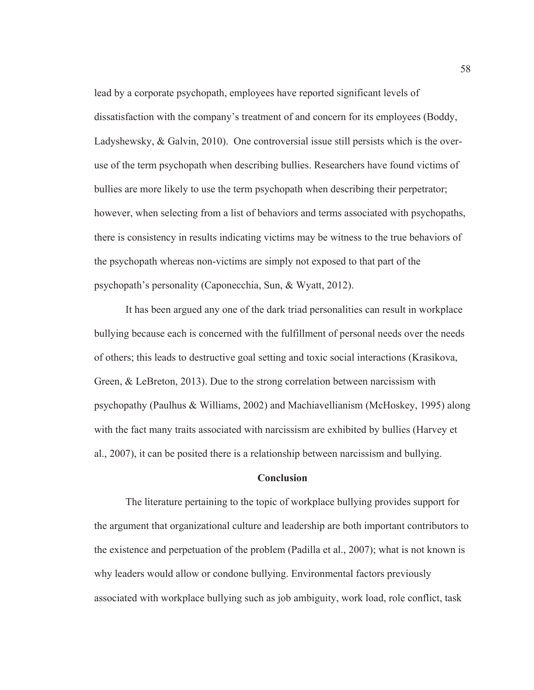lead by a corporate psychopath, employees have reported significant levels of dissatisfaction with the company's treatment of and concern for its employees (Boddy, Ladyshewsky, & Galvin, 2010). One controversial issue still persists which is the overuse of the term psychopath when describing bullies. Researchers have found victims of bullies are more likely to use the term psychopath when describing their perpetrator; however, when selecting from a list of behaviors and terms associated with psychopaths, there is consistency in results indicating victims may be witness to the true behaviors of the psychopath whereas non-victims are simply not exposed to that part of the psychopath's personality (Caponecchia, Sun, & Wyatt, 2012).

It has been argued any one of the dark triad personalities can result in workplace bullying because each is concerned with the fulfillment of personal needs over the needs of others; this leads to destructive goal setting and toxic social interactions (Krasikova, Green, & LeBreton, 2013). Due to the strong correlation between narcissism with psychopathy (Paulhus & Williams, 2002) and Machiavellianism (McHoskey, 1995) along with the fact many traits associated with narcissism are exhibited by bullies (Harvey et al., 2007), it can be posited there is a relationship between narcissism and bullying.

## **Conclusion**

The literature pertaining to the topic of workplace bullying provides support for the argument that organizational culture and leadership are both important contributors to the existence and perpetuation of the problem (Padilla et al., 2007); what is not known is why leaders would allow or condone bullying. Environmental factors previously associated with workplace bullying such as job ambiguity, work load, role conflict, task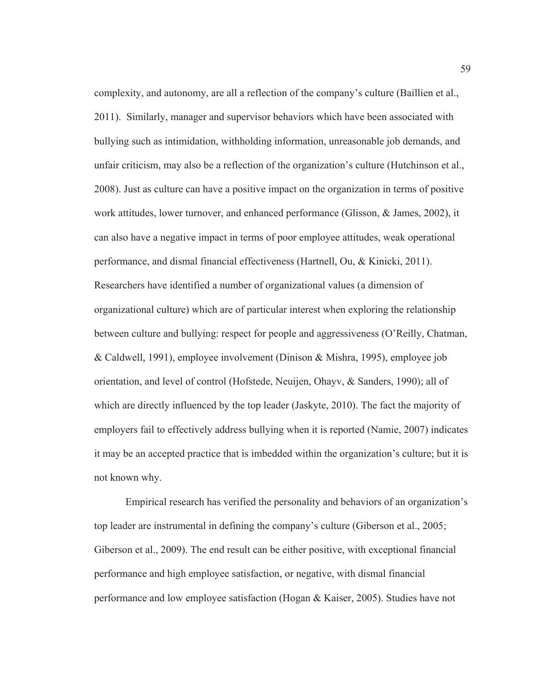complexity, and autonomy, are all a reflection of the company's culture (Baillien et al., 2011). Similarly, manager and supervisor behaviors which have been associated with bullying such as intimidation, withholding information, unreasonable job demands, and unfair criticism, may also be a reflection of the organization's culture (Hutchinson et al., 2008). Just as culture can have a positive impact on the organization in terms of positive work attitudes, lower turnover, and enhanced performance (Glisson, & James, 2002), it can also have a negative impact in terms of poor employee attitudes, weak operational performance, and dismal financial effectiveness (Hartnell, Ou, & Kinicki, 2011). Researchers have identified a number of organizational values (a dimension of organizational culture) which are of particular interest when exploring the relationship between culture and bullying: respect for people and aggressiveness (O'Reilly, Chatman, & Caldwell, 1991), employee involvement (Dinison & Mishra, 1995), employee job orientation, and level of control (Hofstede, Neuijen, Ohayv, & Sanders, 1990); all of which are directly influenced by the top leader (Jaskyte, 2010). The fact the majority of employers fail to effectively address bullying when it is reported (Namie, 2007) indicates it may be an accepted practice that is imbedded within the organization's culture; but it is not known why.

Empirical research has verified the personality and behaviors of an organization's top leader are instrumental in defining the company's culture (Giberson et al., 2005; Giberson et al., 2009). The end result can be either positive, with exceptional financial performance and high employee satisfaction, or negative, with dismal financial performance and low employee satisfaction (Hogan & Kaiser, 2005). Studies have not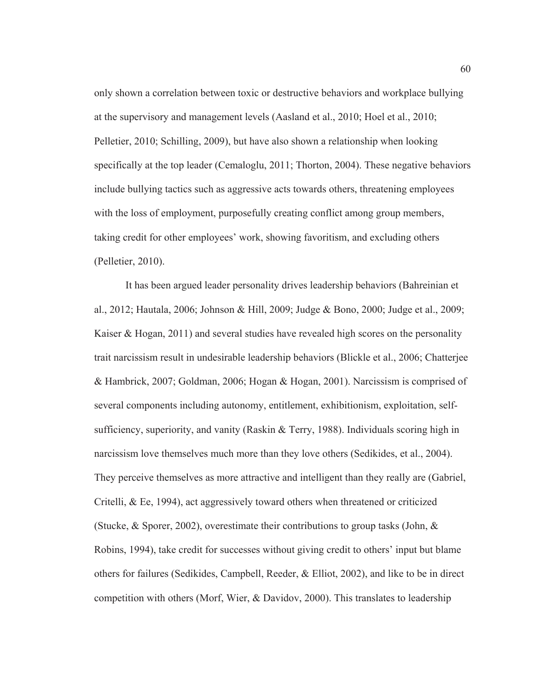only shown a correlation between toxic or destructive behaviors and workplace bullying at the supervisory and management levels (Aasland et al., 2010; Hoel et al., 2010; Pelletier, 2010; Schilling, 2009), but have also shown a relationship when looking specifically at the top leader (Cemaloglu, 2011; Thorton, 2004). These negative behaviors include bullying tactics such as aggressive acts towards others, threatening employees with the loss of employment, purposefully creating conflict among group members, taking credit for other employees' work, showing favoritism, and excluding others (Pelletier, 2010).

It has been argued leader personality drives leadership behaviors (Bahreinian et al., 2012; Hautala, 2006; Johnson & Hill, 2009; Judge & Bono, 2000; Judge et al., 2009; Kaiser  $\&$  Hogan, 2011) and several studies have revealed high scores on the personality trait narcissism result in undesirable leadership behaviors (Blickle et al., 2006; Chatterjee & Hambrick, 2007; Goldman, 2006; Hogan & Hogan, 2001). Narcissism is comprised of several components including autonomy, entitlement, exhibitionism, exploitation, selfsufficiency, superiority, and vanity (Raskin & Terry, 1988). Individuals scoring high in narcissism love themselves much more than they love others (Sedikides, et al., 2004). They perceive themselves as more attractive and intelligent than they really are (Gabriel, Critelli, & Ee, 1994), act aggressively toward others when threatened or criticized (Stucke, & Sporer, 2002), overestimate their contributions to group tasks (John,  $\&$ Robins, 1994), take credit for successes without giving credit to others' input but blame others for failures (Sedikides, Campbell, Reeder, & Elliot, 2002), and like to be in direct competition with others (Morf, Wier, & Davidov, 2000). This translates to leadership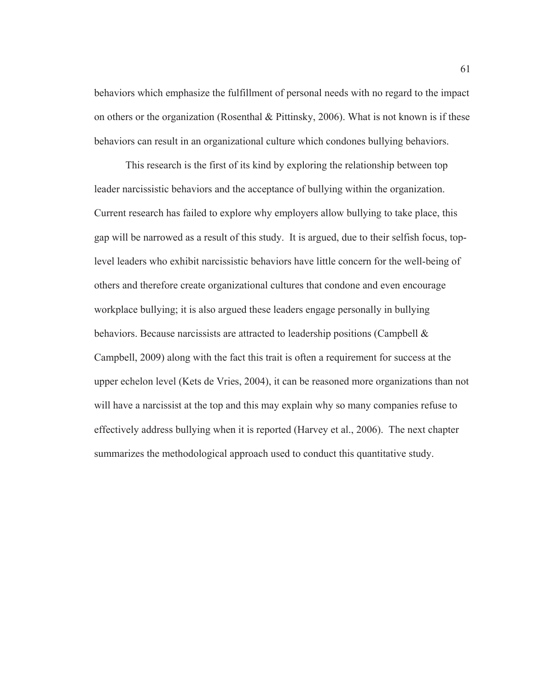behaviors which emphasize the fulfillment of personal needs with no regard to the impact on others or the organization (Rosenthal & Pittinsky, 2006). What is not known is if these behaviors can result in an organizational culture which condones bullying behaviors.

This research is the first of its kind by exploring the relationship between top leader narcissistic behaviors and the acceptance of bullying within the organization. Current research has failed to explore why employers allow bullying to take place, this gap will be narrowed as a result of this study. It is argued, due to their selfish focus, toplevel leaders who exhibit narcissistic behaviors have little concern for the well-being of others and therefore create organizational cultures that condone and even encourage workplace bullying; it is also argued these leaders engage personally in bullying behaviors. Because narcissists are attracted to leadership positions (Campbell  $\&$ Campbell, 2009) along with the fact this trait is often a requirement for success at the upper echelon level (Kets de Vries, 2004), it can be reasoned more organizations than not will have a narcissist at the top and this may explain why so many companies refuse to effectively address bullying when it is reported (Harvey et al., 2006). The next chapter summarizes the methodological approach used to conduct this quantitative study.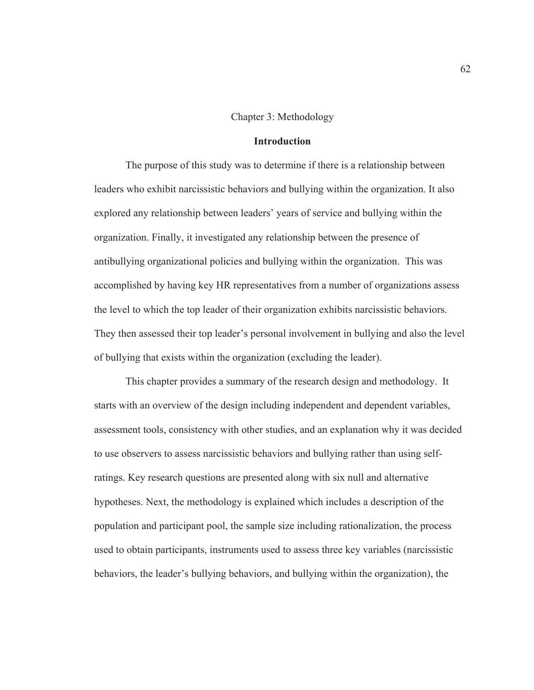## Chapter 3: Methodology

## **Introduction**

The purpose of this study was to determine if there is a relationship between leaders who exhibit narcissistic behaviors and bullying within the organization. It also explored any relationship between leaders' years of service and bullying within the organization. Finally, it investigated any relationship between the presence of antibullying organizational policies and bullying within the organization. This was accomplished by having key HR representatives from a number of organizations assess the level to which the top leader of their organization exhibits narcissistic behaviors. They then assessed their top leader's personal involvement in bullying and also the level of bullying that exists within the organization (excluding the leader).

This chapter provides a summary of the research design and methodology. It starts with an overview of the design including independent and dependent variables, assessment tools, consistency with other studies, and an explanation why it was decided to use observers to assess narcissistic behaviors and bullying rather than using selfratings. Key research questions are presented along with six null and alternative hypotheses. Next, the methodology is explained which includes a description of the population and participant pool, the sample size including rationalization, the process used to obtain participants, instruments used to assess three key variables (narcissistic behaviors, the leader's bullying behaviors, and bullying within the organization), the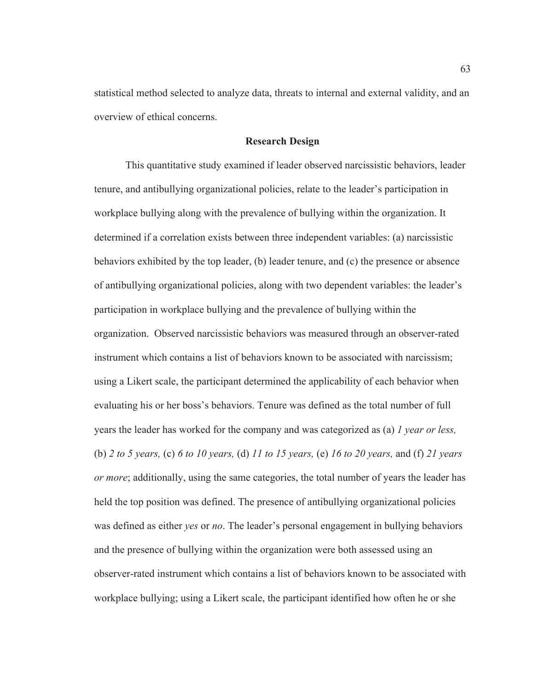statistical method selected to analyze data, threats to internal and external validity, and an overview of ethical concerns.

## **Research Design**

This quantitative study examined if leader observed narcissistic behaviors, leader tenure, and antibullying organizational policies, relate to the leader's participation in workplace bullying along with the prevalence of bullying within the organization. It determined if a correlation exists between three independent variables: (a) narcissistic behaviors exhibited by the top leader, (b) leader tenure, and (c) the presence or absence of antibullying organizational policies, along with two dependent variables: the leader's participation in workplace bullying and the prevalence of bullying within the organization. Observed narcissistic behaviors was measured through an observer-rated instrument which contains a list of behaviors known to be associated with narcissism; using a Likert scale, the participant determined the applicability of each behavior when evaluating his or her boss's behaviors. Tenure was defined as the total number of full years the leader has worked for the company and was categorized as (a) *1 year or less,* (b) *2 to 5 years,* (c) *6 to 10 years,* (d) *11 to 15 years,* (e) *16 to 20 years,* and (f) *21 years or more*; additionally, using the same categories, the total number of years the leader has held the top position was defined. The presence of antibullying organizational policies was defined as either *yes* or *no*. The leader's personal engagement in bullying behaviors and the presence of bullying within the organization were both assessed using an observer-rated instrument which contains a list of behaviors known to be associated with workplace bullying; using a Likert scale, the participant identified how often he or she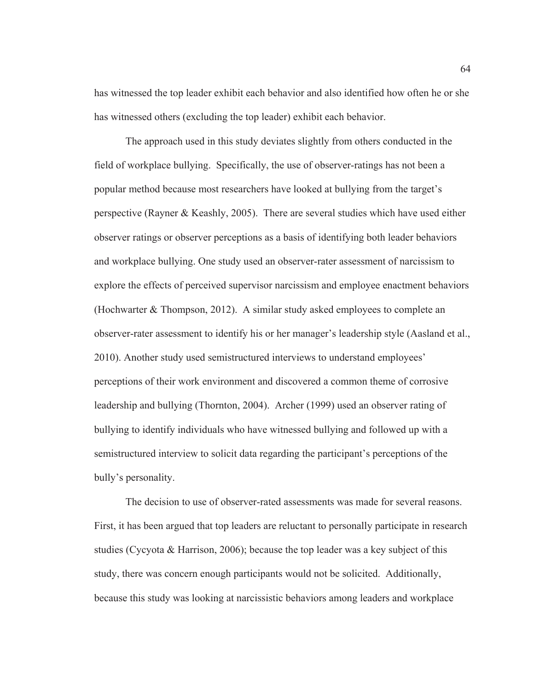has witnessed the top leader exhibit each behavior and also identified how often he or she has witnessed others (excluding the top leader) exhibit each behavior.

The approach used in this study deviates slightly from others conducted in the field of workplace bullying. Specifically, the use of observer-ratings has not been a popular method because most researchers have looked at bullying from the target's perspective (Rayner & Keashly, 2005). There are several studies which have used either observer ratings or observer perceptions as a basis of identifying both leader behaviors and workplace bullying. One study used an observer-rater assessment of narcissism to explore the effects of perceived supervisor narcissism and employee enactment behaviors (Hochwarter & Thompson, 2012). A similar study asked employees to complete an observer-rater assessment to identify his or her manager's leadership style (Aasland et al., 2010). Another study used semistructured interviews to understand employees' perceptions of their work environment and discovered a common theme of corrosive leadership and bullying (Thornton, 2004). Archer (1999) used an observer rating of bullying to identify individuals who have witnessed bullying and followed up with a semistructured interview to solicit data regarding the participant's perceptions of the bully's personality.

The decision to use of observer-rated assessments was made for several reasons. First, it has been argued that top leaders are reluctant to personally participate in research studies (Cycyota  $\&$  Harrison, 2006); because the top leader was a key subject of this study, there was concern enough participants would not be solicited. Additionally, because this study was looking at narcissistic behaviors among leaders and workplace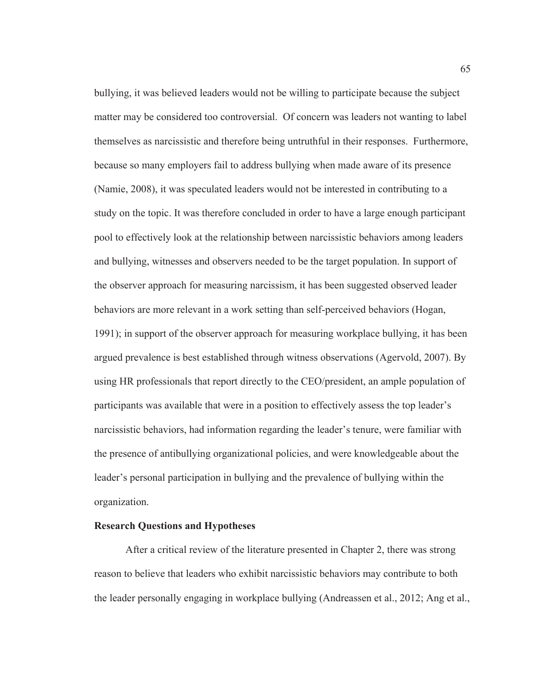bullying, it was believed leaders would not be willing to participate because the subject matter may be considered too controversial. Of concern was leaders not wanting to label themselves as narcissistic and therefore being untruthful in their responses. Furthermore, because so many employers fail to address bullying when made aware of its presence (Namie, 2008), it was speculated leaders would not be interested in contributing to a study on the topic. It was therefore concluded in order to have a large enough participant pool to effectively look at the relationship between narcissistic behaviors among leaders and bullying, witnesses and observers needed to be the target population. In support of the observer approach for measuring narcissism, it has been suggested observed leader behaviors are more relevant in a work setting than self-perceived behaviors (Hogan, 1991); in support of the observer approach for measuring workplace bullying, it has been argued prevalence is best established through witness observations (Agervold, 2007). By using HR professionals that report directly to the CEO/president, an ample population of participants was available that were in a position to effectively assess the top leader's narcissistic behaviors, had information regarding the leader's tenure, were familiar with the presence of antibullying organizational policies, and were knowledgeable about the leader's personal participation in bullying and the prevalence of bullying within the organization.

## **Research Questions and Hypotheses**

After a critical review of the literature presented in Chapter 2, there was strong reason to believe that leaders who exhibit narcissistic behaviors may contribute to both the leader personally engaging in workplace bullying (Andreassen et al., 2012; Ang et al.,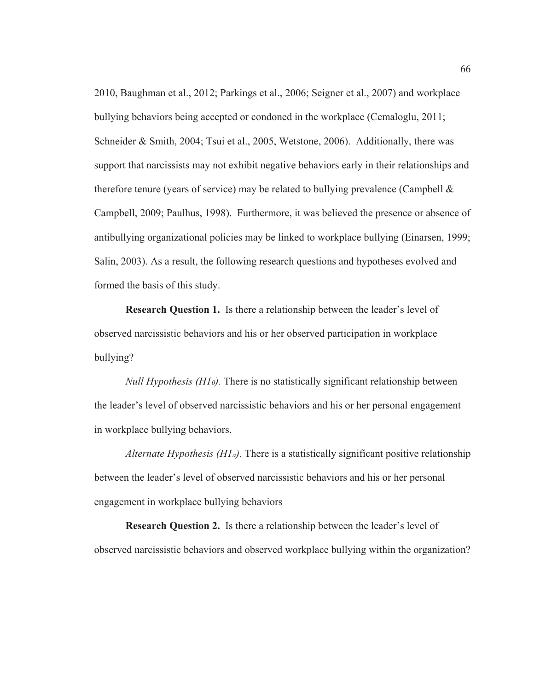2010, Baughman et al., 2012; Parkings et al., 2006; Seigner et al., 2007) and workplace bullying behaviors being accepted or condoned in the workplace (Cemaloglu, 2011; Schneider & Smith, 2004; Tsui et al., 2005, Wetstone, 2006). Additionally, there was support that narcissists may not exhibit negative behaviors early in their relationships and therefore tenure (years of service) may be related to bullying prevalence (Campbell  $\&$ Campbell, 2009; Paulhus, 1998). Furthermore, it was believed the presence or absence of antibullying organizational policies may be linked to workplace bullying (Einarsen, 1999; Salin, 2003). As a result, the following research questions and hypotheses evolved and formed the basis of this study.

**Research Question 1.** Is there a relationship between the leader's level of observed narcissistic behaviors and his or her observed participation in workplace bullying?

*Null Hypothesis (H10).* There is no statistically significant relationship between the leader's level of observed narcissistic behaviors and his or her personal engagement in workplace bullying behaviors.

*Alternate Hypothesis (H1a).* There is a statistically significant positive relationship between the leader's level of observed narcissistic behaviors and his or her personal engagement in workplace bullying behaviors

**Research Question 2.** Is there a relationship between the leader's level of observed narcissistic behaviors and observed workplace bullying within the organization?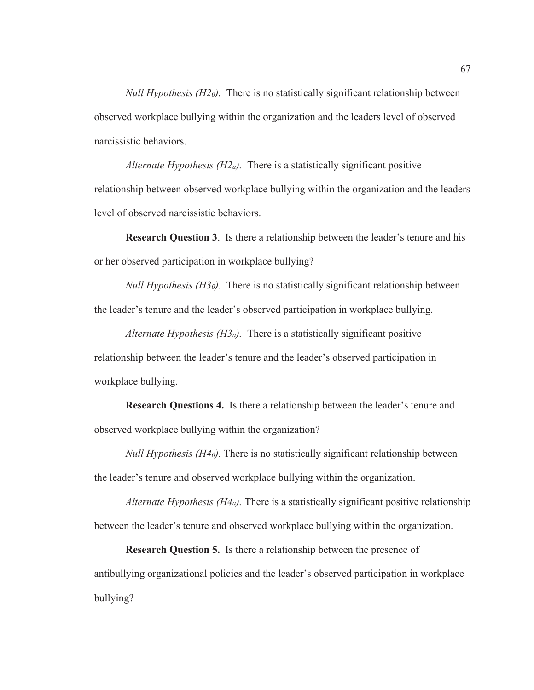*Null Hypothesis (H20).* There is no statistically significant relationship between observed workplace bullying within the organization and the leaders level of observed narcissistic behaviors.

*Alternate Hypothesis (H2a).* There is a statistically significant positive relationship between observed workplace bullying within the organization and the leaders level of observed narcissistic behaviors.

**Research Question 3**. Is there a relationship between the leader's tenure and his or her observed participation in workplace bullying?

*Null Hypothesis (H30).* There is no statistically significant relationship between the leader's tenure and the leader's observed participation in workplace bullying.

*Alternate Hypothesis (H3a).* There is a statistically significant positive relationship between the leader's tenure and the leader's observed participation in workplace bullying.

**Research Questions 4.** Is there a relationship between the leader's tenure and observed workplace bullying within the organization?

*Null Hypothesis (H40).* There is no statistically significant relationship between the leader's tenure and observed workplace bullying within the organization.

*Alternate Hypothesis (H4a).* There is a statistically significant positive relationship between the leader's tenure and observed workplace bullying within the organization.

**Research Question 5.** Is there a relationship between the presence of antibullying organizational policies and the leader's observed participation in workplace bullying?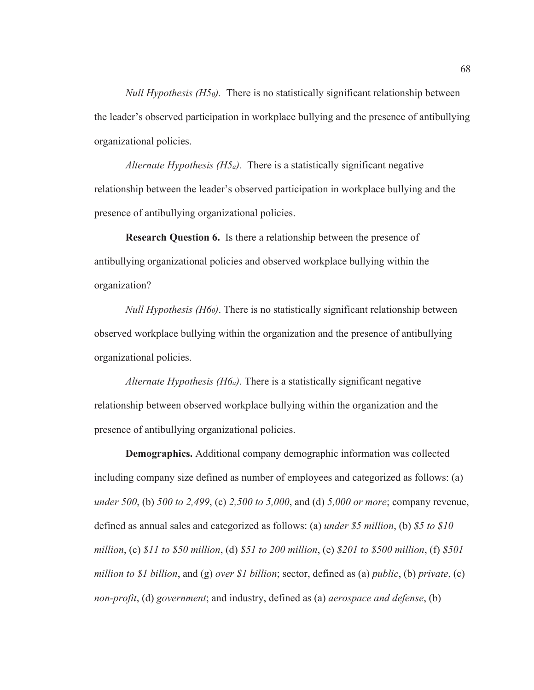*Null Hypothesis (H50).* There is no statistically significant relationship between the leader's observed participation in workplace bullying and the presence of antibullying organizational policies.

*Alternate Hypothesis (H5a).* There is a statistically significant negative relationship between the leader's observed participation in workplace bullying and the presence of antibullying organizational policies.

**Research Question 6.** Is there a relationship between the presence of antibullying organizational policies and observed workplace bullying within the organization?

*Null Hypothesis (H60)*. There is no statistically significant relationship between observed workplace bullying within the organization and the presence of antibullying organizational policies.

*Alternate Hypothesis (H6a)*. There is a statistically significant negative relationship between observed workplace bullying within the organization and the presence of antibullying organizational policies.

**Demographics.** Additional company demographic information was collected including company size defined as number of employees and categorized as follows: (a) *under 500*, (b) *500 to 2,499*, (c) *2,500 to 5,000*, and (d) *5,000 or more*; company revenue, defined as annual sales and categorized as follows: (a) *under \$5 million*, (b) *\$5 to \$10 million*, (c) *\$11 to \$50 million*, (d) *\$51 to 200 million*, (e) *\$201 to \$500 million*, (f) *\$501 million to \$1 billion*, and (g) *over \$1 billion*; sector, defined as (a) *public*, (b) *private*, (c) *non-profit*, (d) *government*; and industry, defined as (a) *aerospace and defense*, (b)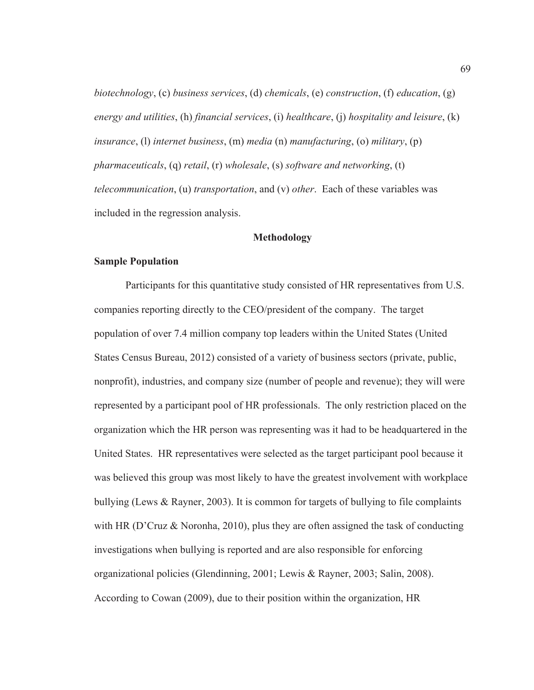*biotechnology*, (c) *business services*, (d) *chemicals*, (e) *construction*, (f) *education*, (g) *energy and utilities*, (h) *financial services*, (i) *healthcare*, (j) *hospitality and leisure*, (k) *insurance*, (l) *internet business*, (m) *media* (n) *manufacturing*, (o) *military*, (p) *pharmaceuticals*, (q) *retail*, (r) *wholesale*, (s) *software and networking*, (t) *telecommunication*, (u) *transportation*, and (v) *other*. Each of these variables was included in the regression analysis.

## **Methodology**

## **Sample Population**

Participants for this quantitative study consisted of HR representatives from U.S. companies reporting directly to the CEO/president of the company. The target population of over 7.4 million company top leaders within the United States (United States Census Bureau, 2012) consisted of a variety of business sectors (private, public, nonprofit), industries, and company size (number of people and revenue); they will were represented by a participant pool of HR professionals. The only restriction placed on the organization which the HR person was representing was it had to be headquartered in the United States. HR representatives were selected as the target participant pool because it was believed this group was most likely to have the greatest involvement with workplace bullying (Lews & Rayner, 2003). It is common for targets of bullying to file complaints with HR (D'Cruz  $\&$  Noronha, 2010), plus they are often assigned the task of conducting investigations when bullying is reported and are also responsible for enforcing organizational policies (Glendinning, 2001; Lewis & Rayner, 2003; Salin, 2008). According to Cowan (2009), due to their position within the organization, HR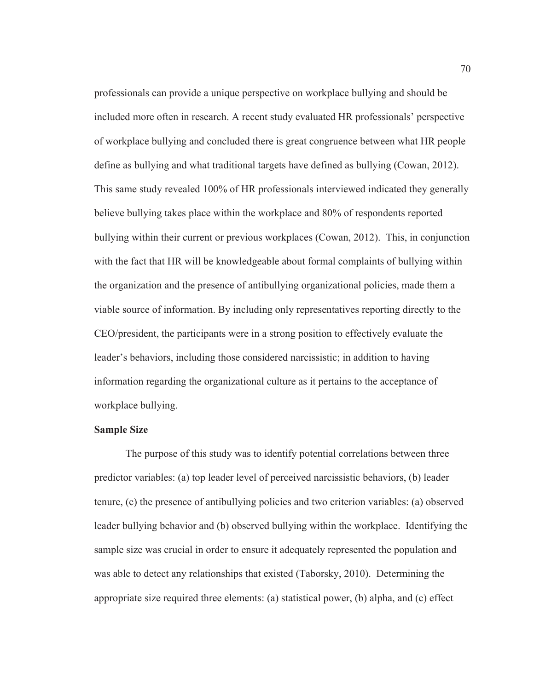professionals can provide a unique perspective on workplace bullying and should be included more often in research. A recent study evaluated HR professionals' perspective of workplace bullying and concluded there is great congruence between what HR people define as bullying and what traditional targets have defined as bullying (Cowan, 2012). This same study revealed 100% of HR professionals interviewed indicated they generally believe bullying takes place within the workplace and 80% of respondents reported bullying within their current or previous workplaces (Cowan, 2012). This, in conjunction with the fact that HR will be knowledgeable about formal complaints of bullying within the organization and the presence of antibullying organizational policies, made them a viable source of information. By including only representatives reporting directly to the CEO/president, the participants were in a strong position to effectively evaluate the leader's behaviors, including those considered narcissistic; in addition to having information regarding the organizational culture as it pertains to the acceptance of workplace bullying.

## **Sample Size**

The purpose of this study was to identify potential correlations between three predictor variables: (a) top leader level of perceived narcissistic behaviors, (b) leader tenure, (c) the presence of antibullying policies and two criterion variables: (a) observed leader bullying behavior and (b) observed bullying within the workplace. Identifying the sample size was crucial in order to ensure it adequately represented the population and was able to detect any relationships that existed (Taborsky, 2010). Determining the appropriate size required three elements: (a) statistical power, (b) alpha, and (c) effect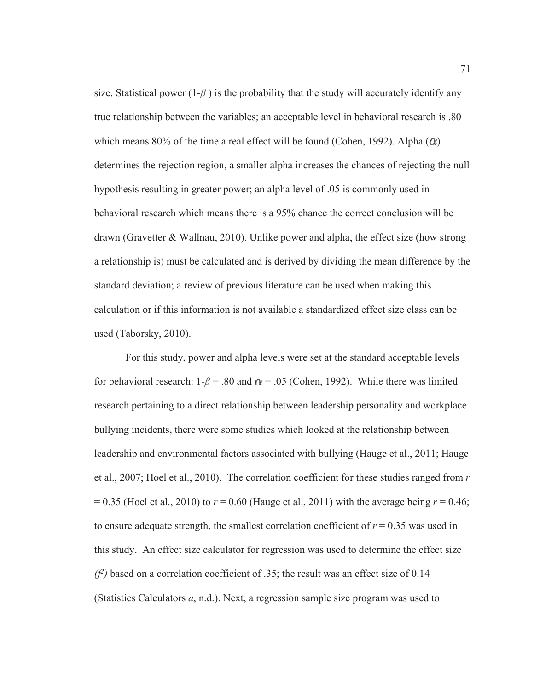size. Statistical power  $(1-\beta)$  is the probability that the study will accurately identify any true relationship between the variables; an acceptable level in behavioral research is .80 which means 80% of the time a real effect will be found (Cohen, 1992). Alpha  $(\alpha)$ determines the rejection region, a smaller alpha increases the chances of rejecting the null hypothesis resulting in greater power; an alpha level of .05 is commonly used in behavioral research which means there is a 95% chance the correct conclusion will be drawn (Gravetter & Wallnau, 2010). Unlike power and alpha, the effect size (how strong a relationship is) must be calculated and is derived by dividing the mean difference by the standard deviation; a review of previous literature can be used when making this calculation or if this information is not available a standardized effect size class can be used (Taborsky, 2010).

For this study, power and alpha levels were set at the standard acceptable levels for behavioral research:  $1-\beta = .80$  and  $\alpha = .05$  (Cohen, 1992). While there was limited research pertaining to a direct relationship between leadership personality and workplace bullying incidents, there were some studies which looked at the relationship between leadership and environmental factors associated with bullying (Hauge et al., 2011; Hauge et al., 2007; Hoel et al., 2010). The correlation coefficient for these studies ranged from *r*  $= 0.35$  (Hoel et al., 2010) to  $r = 0.60$  (Hauge et al., 2011) with the average being  $r = 0.46$ ; to ensure adequate strength, the smallest correlation coefficient of  $r = 0.35$  was used in this study. An effect size calculator for regression was used to determine the effect size  $(f^2)$  based on a correlation coefficient of .35; the result was an effect size of 0.14 (Statistics Calculators *a*, n.d.). Next, a regression sample size program was used to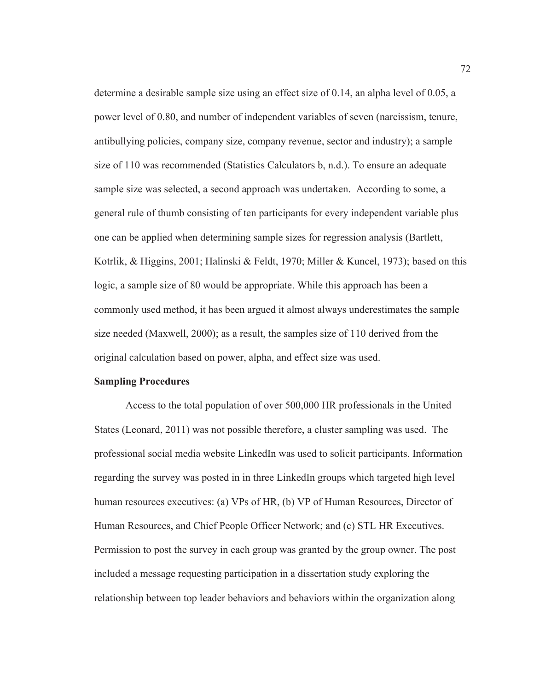determine a desirable sample size using an effect size of 0.14, an alpha level of 0.05, a power level of 0.80, and number of independent variables of seven (narcissism, tenure, antibullying policies, company size, company revenue, sector and industry); a sample size of 110 was recommended (Statistics Calculators b, n.d.). To ensure an adequate sample size was selected, a second approach was undertaken. According to some, a general rule of thumb consisting of ten participants for every independent variable plus one can be applied when determining sample sizes for regression analysis (Bartlett, Kotrlik, & Higgins, 2001; Halinski & Feldt, 1970; Miller & Kuncel, 1973); based on this logic, a sample size of 80 would be appropriate. While this approach has been a commonly used method, it has been argued it almost always underestimates the sample size needed (Maxwell, 2000); as a result, the samples size of 110 derived from the original calculation based on power, alpha, and effect size was used.

#### **Sampling Procedures**

Access to the total population of over 500,000 HR professionals in the United States (Leonard, 2011) was not possible therefore, a cluster sampling was used. The professional social media website LinkedIn was used to solicit participants. Information regarding the survey was posted in in three LinkedIn groups which targeted high level human resources executives: (a) VPs of HR, (b) VP of Human Resources, Director of Human Resources, and Chief People Officer Network; and (c) STL HR Executives. Permission to post the survey in each group was granted by the group owner. The post included a message requesting participation in a dissertation study exploring the relationship between top leader behaviors and behaviors within the organization along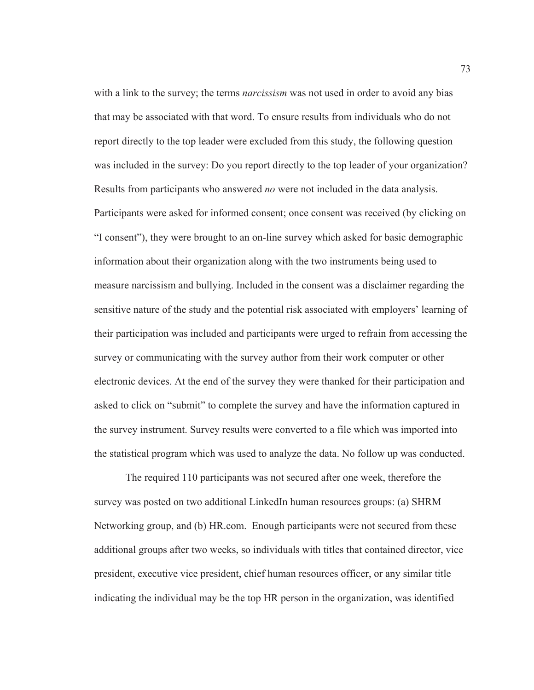with a link to the survey; the terms *narcissism* was not used in order to avoid any bias that may be associated with that word. To ensure results from individuals who do not report directly to the top leader were excluded from this study, the following question was included in the survey: Do you report directly to the top leader of your organization? Results from participants who answered *no* were not included in the data analysis. Participants were asked for informed consent; once consent was received (by clicking on "I consent"), they were brought to an on-line survey which asked for basic demographic information about their organization along with the two instruments being used to measure narcissism and bullying. Included in the consent was a disclaimer regarding the sensitive nature of the study and the potential risk associated with employers' learning of their participation was included and participants were urged to refrain from accessing the survey or communicating with the survey author from their work computer or other electronic devices. At the end of the survey they were thanked for their participation and asked to click on "submit" to complete the survey and have the information captured in the survey instrument. Survey results were converted to a file which was imported into the statistical program which was used to analyze the data. No follow up was conducted.

The required 110 participants was not secured after one week, therefore the survey was posted on two additional LinkedIn human resources groups: (a) SHRM Networking group, and (b) HR.com. Enough participants were not secured from these additional groups after two weeks, so individuals with titles that contained director, vice president, executive vice president, chief human resources officer, or any similar title indicating the individual may be the top HR person in the organization, was identified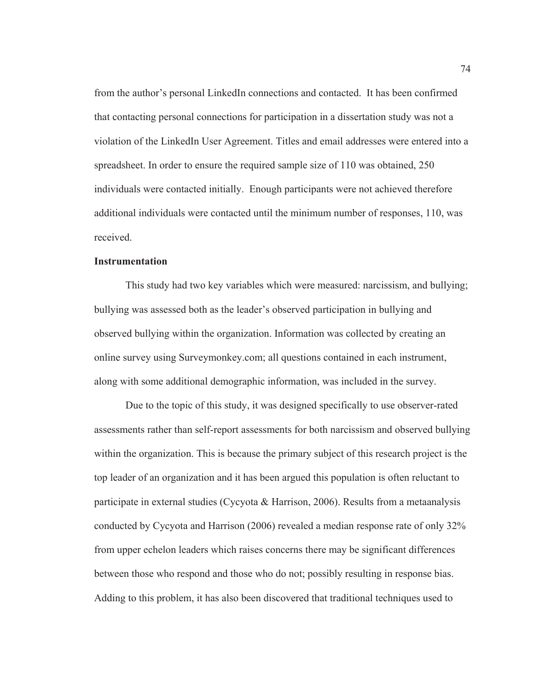from the author's personal LinkedIn connections and contacted. It has been confirmed that contacting personal connections for participation in a dissertation study was not a violation of the LinkedIn User Agreement. Titles and email addresses were entered into a spreadsheet. In order to ensure the required sample size of 110 was obtained, 250 individuals were contacted initially. Enough participants were not achieved therefore additional individuals were contacted until the minimum number of responses, 110, was received.

## **Instrumentation**

This study had two key variables which were measured: narcissism, and bullying; bullying was assessed both as the leader's observed participation in bullying and observed bullying within the organization. Information was collected by creating an online survey using Surveymonkey.com; all questions contained in each instrument, along with some additional demographic information, was included in the survey.

Due to the topic of this study, it was designed specifically to use observer-rated assessments rather than self-report assessments for both narcissism and observed bullying within the organization. This is because the primary subject of this research project is the top leader of an organization and it has been argued this population is often reluctant to participate in external studies (Cycyota & Harrison, 2006). Results from a metaanalysis conducted by Cycyota and Harrison (2006) revealed a median response rate of only 32% from upper echelon leaders which raises concerns there may be significant differences between those who respond and those who do not; possibly resulting in response bias. Adding to this problem, it has also been discovered that traditional techniques used to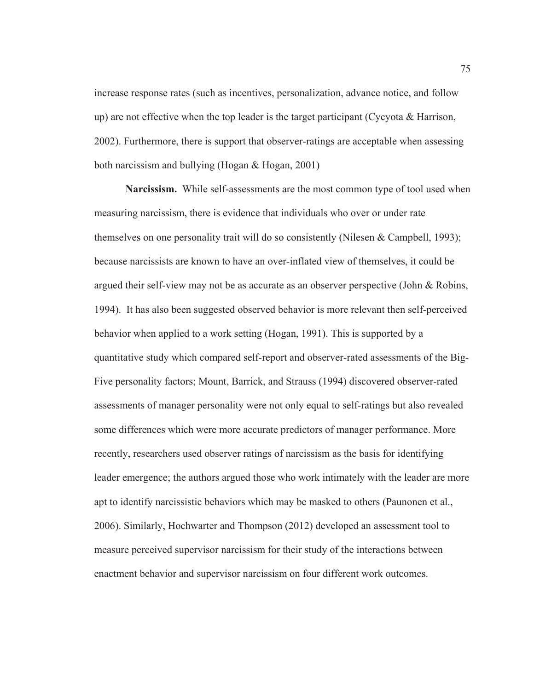increase response rates (such as incentives, personalization, advance notice, and follow up) are not effective when the top leader is the target participant (Cycyota  $\&$  Harrison, 2002). Furthermore, there is support that observer-ratings are acceptable when assessing both narcissism and bullying (Hogan & Hogan, 2001)

**Narcissism.** While self-assessments are the most common type of tool used when measuring narcissism, there is evidence that individuals who over or under rate themselves on one personality trait will do so consistently (Nilesen  $\&$  Campbell, 1993); because narcissists are known to have an over-inflated view of themselves, it could be argued their self-view may not be as accurate as an observer perspective (John & Robins, 1994). It has also been suggested observed behavior is more relevant then self-perceived behavior when applied to a work setting (Hogan, 1991). This is supported by a quantitative study which compared self-report and observer-rated assessments of the Big-Five personality factors; Mount, Barrick, and Strauss (1994) discovered observer-rated assessments of manager personality were not only equal to self-ratings but also revealed some differences which were more accurate predictors of manager performance. More recently, researchers used observer ratings of narcissism as the basis for identifying leader emergence; the authors argued those who work intimately with the leader are more apt to identify narcissistic behaviors which may be masked to others (Paunonen et al., 2006). Similarly, Hochwarter and Thompson (2012) developed an assessment tool to measure perceived supervisor narcissism for their study of the interactions between enactment behavior and supervisor narcissism on four different work outcomes.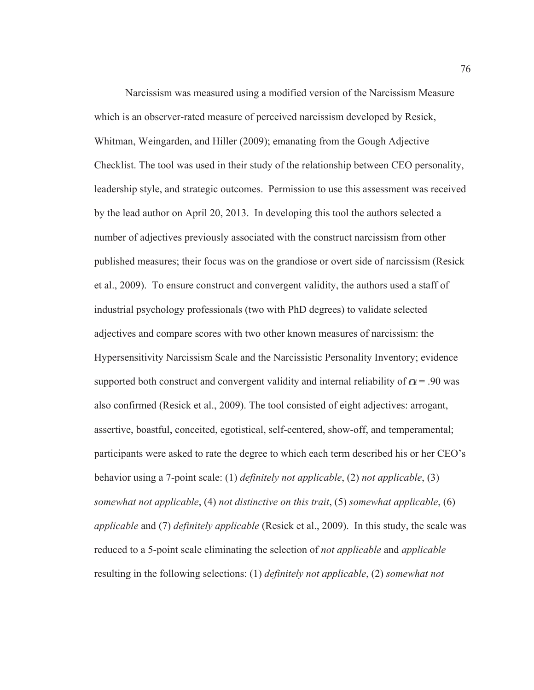Narcissism was measured using a modified version of the Narcissism Measure which is an observer-rated measure of perceived narcissism developed by Resick, Whitman, Weingarden, and Hiller (2009); emanating from the Gough Adjective Checklist. The tool was used in their study of the relationship between CEO personality, leadership style, and strategic outcomes. Permission to use this assessment was received by the lead author on April 20, 2013. In developing this tool the authors selected a number of adjectives previously associated with the construct narcissism from other published measures; their focus was on the grandiose or overt side of narcissism (Resick et al., 2009). To ensure construct and convergent validity, the authors used a staff of industrial psychology professionals (two with PhD degrees) to validate selected adjectives and compare scores with two other known measures of narcissism: the Hypersensitivity Narcissism Scale and the Narcissistic Personality Inventory; evidence supported both construct and convergent validity and internal reliability of  $\alpha$  = .90 was also confirmed (Resick et al., 2009). The tool consisted of eight adjectives: arrogant, assertive, boastful, conceited, egotistical, self-centered, show-off, and temperamental; participants were asked to rate the degree to which each term described his or her CEO's behavior using a 7-point scale: (1) *definitely not applicable*, (2) *not applicable*, (3) *somewhat not applicable*, (4) *not distinctive on this trait*, (5) *somewhat applicable*, (6) *applicable* and (7) *definitely applicable* (Resick et al., 2009). In this study, the scale was reduced to a 5-point scale eliminating the selection of *not applicable* and *applicable* resulting in the following selections: (1) *definitely not applicable*, (2) *somewhat not*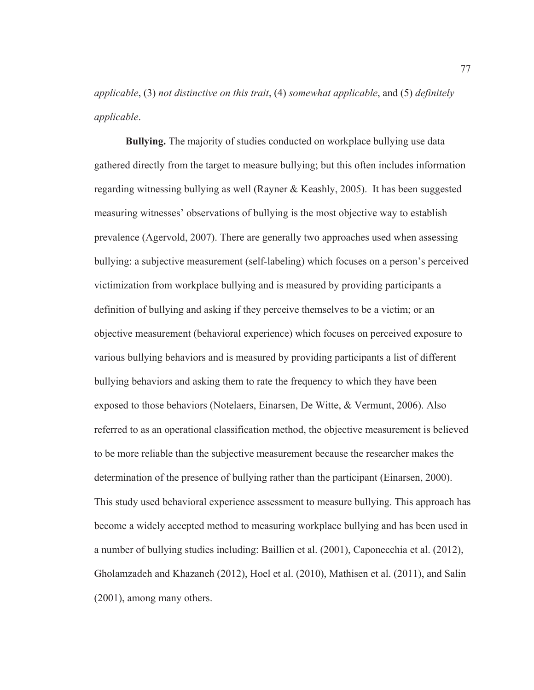*applicable*, (3) *not distinctive on this trait*, (4) *somewhat applicable*, and (5) *definitely applicable*.

**Bullying.** The majority of studies conducted on workplace bullying use data gathered directly from the target to measure bullying; but this often includes information regarding witnessing bullying as well (Rayner & Keashly, 2005). It has been suggested measuring witnesses' observations of bullying is the most objective way to establish prevalence (Agervold, 2007). There are generally two approaches used when assessing bullying: a subjective measurement (self-labeling) which focuses on a person's perceived victimization from workplace bullying and is measured by providing participants a definition of bullying and asking if they perceive themselves to be a victim; or an objective measurement (behavioral experience) which focuses on perceived exposure to various bullying behaviors and is measured by providing participants a list of different bullying behaviors and asking them to rate the frequency to which they have been exposed to those behaviors (Notelaers, Einarsen, De Witte, & Vermunt, 2006). Also referred to as an operational classification method, the objective measurement is believed to be more reliable than the subjective measurement because the researcher makes the determination of the presence of bullying rather than the participant (Einarsen, 2000). This study used behavioral experience assessment to measure bullying. This approach has become a widely accepted method to measuring workplace bullying and has been used in a number of bullying studies including: Baillien et al. (2001), Caponecchia et al. (2012), Gholamzadeh and Khazaneh (2012), Hoel et al. (2010), Mathisen et al. (2011), and Salin (2001), among many others.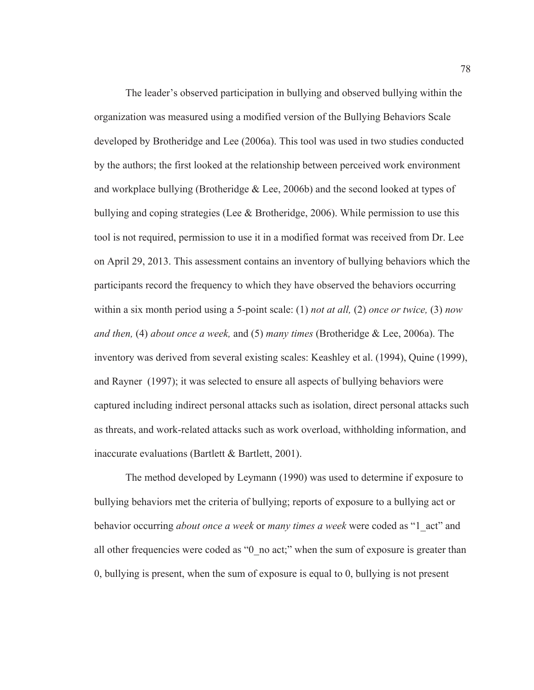The leader's observed participation in bullying and observed bullying within the organization was measured using a modified version of the Bullying Behaviors Scale developed by Brotheridge and Lee (2006a). This tool was used in two studies conducted by the authors; the first looked at the relationship between perceived work environment and workplace bullying (Brotheridge  $&$  Lee, 2006b) and the second looked at types of bullying and coping strategies (Lee & Brotheridge, 2006). While permission to use this tool is not required, permission to use it in a modified format was received from Dr. Lee on April 29, 2013. This assessment contains an inventory of bullying behaviors which the participants record the frequency to which they have observed the behaviors occurring within a six month period using a 5-point scale: (1) *not at all,* (2) *once or twice,* (3) *now and then,* (4) *about once a week,* and (5) *many times* (Brotheridge & Lee, 2006a). The inventory was derived from several existing scales: Keashley et al. (1994), Quine (1999), and Rayner (1997); it was selected to ensure all aspects of bullying behaviors were captured including indirect personal attacks such as isolation, direct personal attacks such as threats, and work-related attacks such as work overload, withholding information, and inaccurate evaluations (Bartlett  $&$  Bartlett, 2001).

The method developed by Leymann (1990) was used to determine if exposure to bullying behaviors met the criteria of bullying; reports of exposure to a bullying act or behavior occurring *about once a week* or *many times a week* were coded as "1\_act" and all other frequencies were coded as "0 no act;" when the sum of exposure is greater than 0, bullying is present, when the sum of exposure is equal to 0, bullying is not present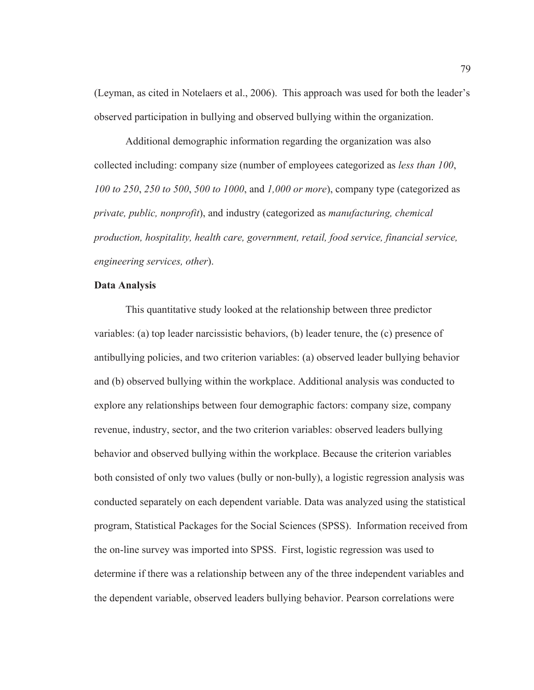(Leyman, as cited in Notelaers et al., 2006). This approach was used for both the leader's observed participation in bullying and observed bullying within the organization.

Additional demographic information regarding the organization was also collected including: company size (number of employees categorized as *less than 100*, *100 to 250*, *250 to 500*, *500 to 1000*, and *1,000 or more*), company type (categorized as *private, public, nonprofit*), and industry (categorized as *manufacturing, chemical production, hospitality, health care, government, retail, food service, financial service, engineering services, other*).

## **Data Analysis**

This quantitative study looked at the relationship between three predictor variables: (a) top leader narcissistic behaviors, (b) leader tenure, the (c) presence of antibullying policies, and two criterion variables: (a) observed leader bullying behavior and (b) observed bullying within the workplace. Additional analysis was conducted to explore any relationships between four demographic factors: company size, company revenue, industry, sector, and the two criterion variables: observed leaders bullying behavior and observed bullying within the workplace. Because the criterion variables both consisted of only two values (bully or non-bully), a logistic regression analysis was conducted separately on each dependent variable. Data was analyzed using the statistical program, Statistical Packages for the Social Sciences (SPSS). Information received from the on-line survey was imported into SPSS. First, logistic regression was used to determine if there was a relationship between any of the three independent variables and the dependent variable, observed leaders bullying behavior. Pearson correlations were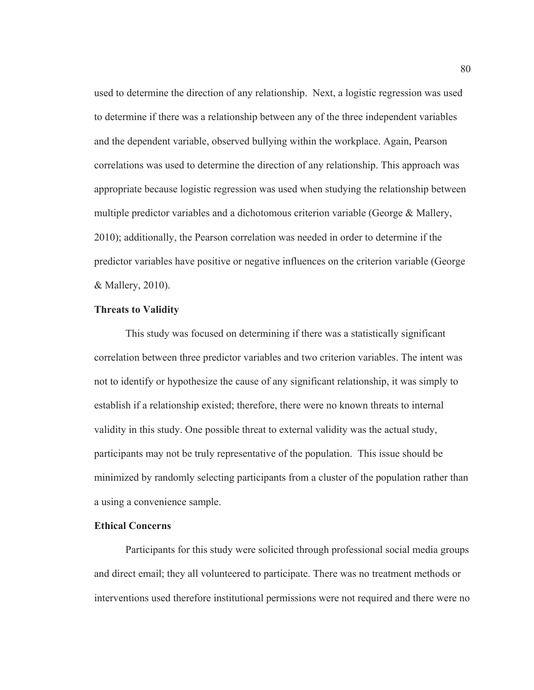used to determine the direction of any relationship. Next, a logistic regression was used to determine if there was a relationship between any of the three independent variables and the dependent variable, observed bullying within the workplace. Again, Pearson correlations was used to determine the direction of any relationship. This approach was appropriate because logistic regression was used when studying the relationship between multiple predictor variables and a dichotomous criterion variable (George & Mallery, 2010); additionally, the Pearson correlation was needed in order to determine if the predictor variables have positive or negative influences on the criterion variable (George & Mallery, 2010).

#### **Threats to Validity**

This study was focused on determining if there was a statistically significant correlation between three predictor variables and two criterion variables. The intent was not to identify or hypothesize the cause of any significant relationship, it was simply to establish if a relationship existed; therefore, there were no known threats to internal validity in this study. One possible threat to external validity was the actual study, participants may not be truly representative of the population. This issue should be minimized by randomly selecting participants from a cluster of the population rather than a using a convenience sample.

## **Ethical Concerns**

Participants for this study were solicited through professional social media groups and direct email; they all volunteered to participate. There was no treatment methods or interventions used therefore institutional permissions were not required and there were no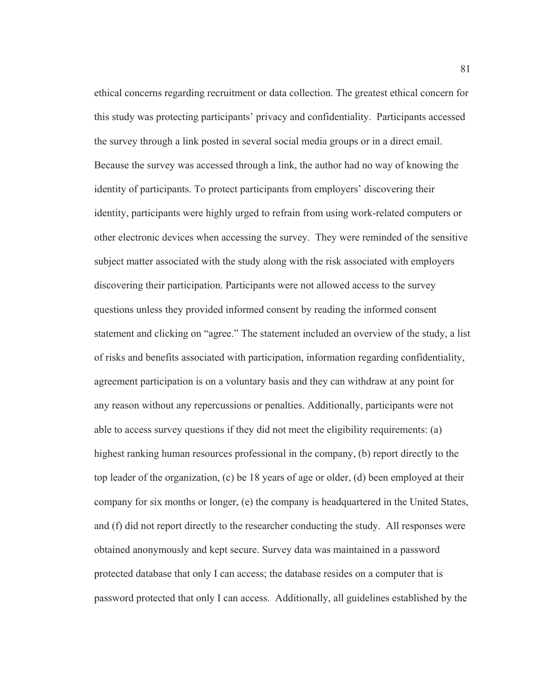ethical concerns regarding recruitment or data collection. The greatest ethical concern for this study was protecting participants' privacy and confidentiality. Participants accessed the survey through a link posted in several social media groups or in a direct email. Because the survey was accessed through a link, the author had no way of knowing the identity of participants. To protect participants from employers' discovering their identity, participants were highly urged to refrain from using work-related computers or other electronic devices when accessing the survey. They were reminded of the sensitive subject matter associated with the study along with the risk associated with employers discovering their participation. Participants were not allowed access to the survey questions unless they provided informed consent by reading the informed consent statement and clicking on "agree." The statement included an overview of the study, a list of risks and benefits associated with participation, information regarding confidentiality, agreement participation is on a voluntary basis and they can withdraw at any point for any reason without any repercussions or penalties. Additionally, participants were not able to access survey questions if they did not meet the eligibility requirements: (a) highest ranking human resources professional in the company, (b) report directly to the top leader of the organization, (c) be 18 years of age or older, (d) been employed at their company for six months or longer, (e) the company is headquartered in the United States, and (f) did not report directly to the researcher conducting the study. All responses were obtained anonymously and kept secure. Survey data was maintained in a password protected database that only I can access; the database resides on a computer that is password protected that only I can access. Additionally, all guidelines established by the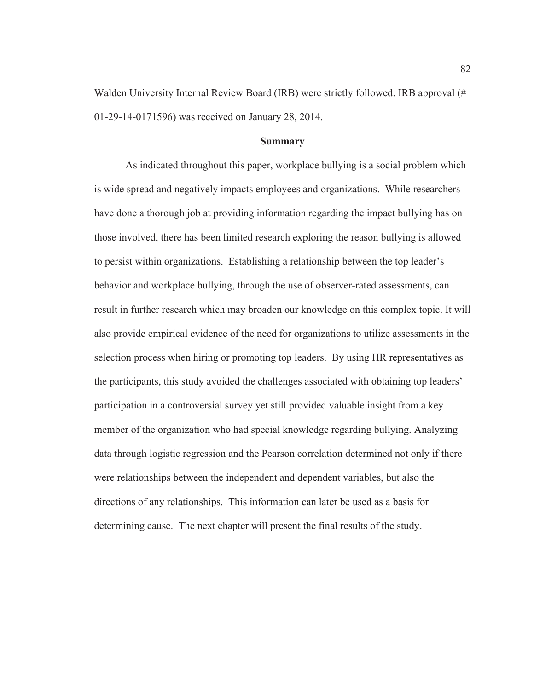Walden University Internal Review Board (IRB) were strictly followed. IRB approval (# 01-29-14-0171596) was received on January 28, 2014.

## **Summary**

As indicated throughout this paper, workplace bullying is a social problem which is wide spread and negatively impacts employees and organizations. While researchers have done a thorough job at providing information regarding the impact bullying has on those involved, there has been limited research exploring the reason bullying is allowed to persist within organizations. Establishing a relationship between the top leader's behavior and workplace bullying, through the use of observer-rated assessments, can result in further research which may broaden our knowledge on this complex topic. It will also provide empirical evidence of the need for organizations to utilize assessments in the selection process when hiring or promoting top leaders. By using HR representatives as the participants, this study avoided the challenges associated with obtaining top leaders' participation in a controversial survey yet still provided valuable insight from a key member of the organization who had special knowledge regarding bullying. Analyzing data through logistic regression and the Pearson correlation determined not only if there were relationships between the independent and dependent variables, but also the directions of any relationships. This information can later be used as a basis for determining cause. The next chapter will present the final results of the study.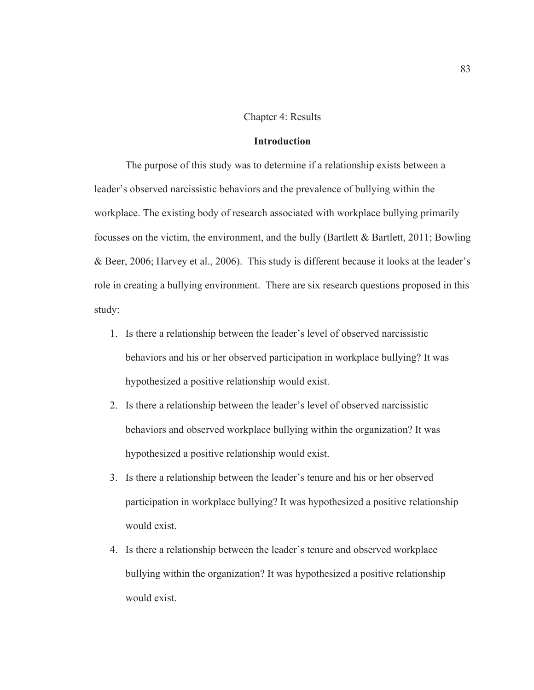#### Chapter 4: Results

## **Introduction**

The purpose of this study was to determine if a relationship exists between a leader's observed narcissistic behaviors and the prevalence of bullying within the workplace. The existing body of research associated with workplace bullying primarily focusses on the victim, the environment, and the bully (Bartlett  $\&$  Bartlett, 2011; Bowling & Beer, 2006; Harvey et al., 2006). This study is different because it looks at the leader's role in creating a bullying environment. There are six research questions proposed in this study:

- 1. Is there a relationship between the leader's level of observed narcissistic behaviors and his or her observed participation in workplace bullying? It was hypothesized a positive relationship would exist.
- 2. Is there a relationship between the leader's level of observed narcissistic behaviors and observed workplace bullying within the organization? It was hypothesized a positive relationship would exist.
- 3. Is there a relationship between the leader's tenure and his or her observed participation in workplace bullying? It was hypothesized a positive relationship would exist.
- 4. Is there a relationship between the leader's tenure and observed workplace bullying within the organization? It was hypothesized a positive relationship would exist.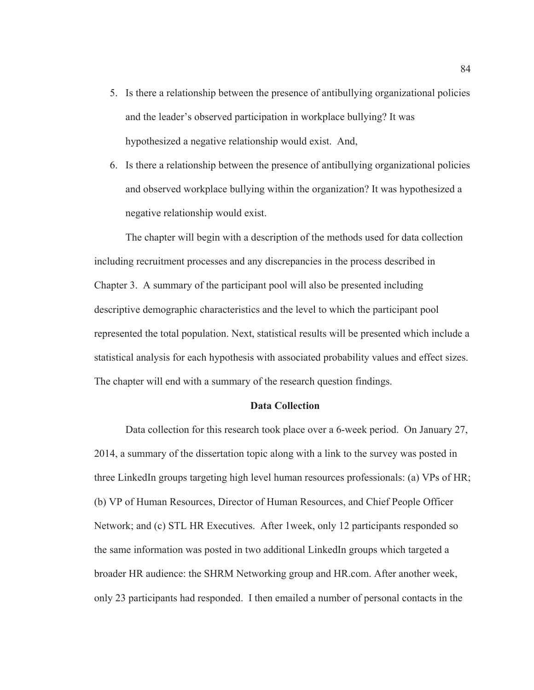- 5. Is there a relationship between the presence of antibullying organizational policies and the leader's observed participation in workplace bullying? It was hypothesized a negative relationship would exist. And,
- 6. Is there a relationship between the presence of antibullying organizational policies and observed workplace bullying within the organization? It was hypothesized a negative relationship would exist.

The chapter will begin with a description of the methods used for data collection including recruitment processes and any discrepancies in the process described in Chapter 3. A summary of the participant pool will also be presented including descriptive demographic characteristics and the level to which the participant pool represented the total population. Next, statistical results will be presented which include a statistical analysis for each hypothesis with associated probability values and effect sizes. The chapter will end with a summary of the research question findings.

## **Data Collection**

Data collection for this research took place over a 6-week period. On January 27, 2014, a summary of the dissertation topic along with a link to the survey was posted in three LinkedIn groups targeting high level human resources professionals: (a) VPs of HR; (b) VP of Human Resources, Director of Human Resources, and Chief People Officer Network; and (c) STL HR Executives. After 1week, only 12 participants responded so the same information was posted in two additional LinkedIn groups which targeted a broader HR audience: the SHRM Networking group and HR.com. After another week, only 23 participants had responded. I then emailed a number of personal contacts in the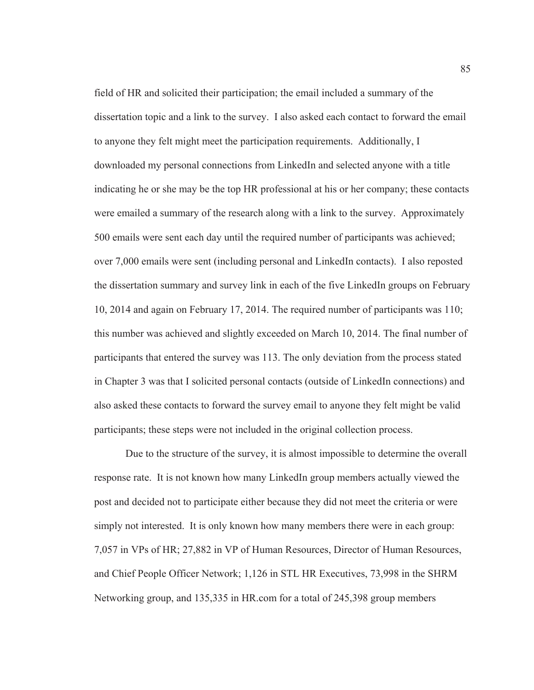field of HR and solicited their participation; the email included a summary of the dissertation topic and a link to the survey. I also asked each contact to forward the email to anyone they felt might meet the participation requirements. Additionally, I downloaded my personal connections from LinkedIn and selected anyone with a title indicating he or she may be the top HR professional at his or her company; these contacts were emailed a summary of the research along with a link to the survey. Approximately 500 emails were sent each day until the required number of participants was achieved; over 7,000 emails were sent (including personal and LinkedIn contacts). I also reposted the dissertation summary and survey link in each of the five LinkedIn groups on February 10, 2014 and again on February 17, 2014. The required number of participants was 110; this number was achieved and slightly exceeded on March 10, 2014. The final number of participants that entered the survey was 113. The only deviation from the process stated in Chapter 3 was that I solicited personal contacts (outside of LinkedIn connections) and also asked these contacts to forward the survey email to anyone they felt might be valid participants; these steps were not included in the original collection process.

Due to the structure of the survey, it is almost impossible to determine the overall response rate. It is not known how many LinkedIn group members actually viewed the post and decided not to participate either because they did not meet the criteria or were simply not interested. It is only known how many members there were in each group: 7,057 in VPs of HR; 27,882 in VP of Human Resources, Director of Human Resources, and Chief People Officer Network; 1,126 in STL HR Executives, 73,998 in the SHRM Networking group, and 135,335 in HR.com for a total of 245,398 group members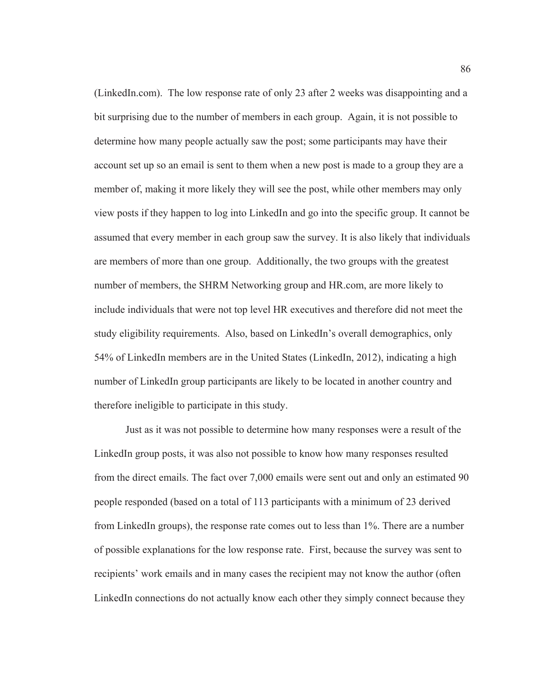(LinkedIn.com). The low response rate of only 23 after 2 weeks was disappointing and a bit surprising due to the number of members in each group. Again, it is not possible to determine how many people actually saw the post; some participants may have their account set up so an email is sent to them when a new post is made to a group they are a member of, making it more likely they will see the post, while other members may only view posts if they happen to log into LinkedIn and go into the specific group. It cannot be assumed that every member in each group saw the survey. It is also likely that individuals are members of more than one group. Additionally, the two groups with the greatest number of members, the SHRM Networking group and HR.com, are more likely to include individuals that were not top level HR executives and therefore did not meet the study eligibility requirements. Also, based on LinkedIn's overall demographics, only 54% of LinkedIn members are in the United States (LinkedIn, 2012), indicating a high number of LinkedIn group participants are likely to be located in another country and therefore ineligible to participate in this study.

Just as it was not possible to determine how many responses were a result of the LinkedIn group posts, it was also not possible to know how many responses resulted from the direct emails. The fact over 7,000 emails were sent out and only an estimated 90 people responded (based on a total of 113 participants with a minimum of 23 derived from LinkedIn groups), the response rate comes out to less than 1%. There are a number of possible explanations for the low response rate. First, because the survey was sent to recipients' work emails and in many cases the recipient may not know the author (often LinkedIn connections do not actually know each other they simply connect because they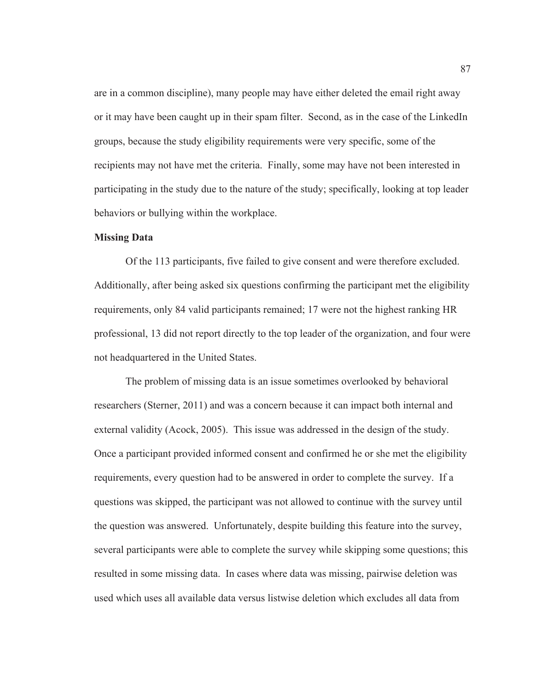are in a common discipline), many people may have either deleted the email right away or it may have been caught up in their spam filter. Second, as in the case of the LinkedIn groups, because the study eligibility requirements were very specific, some of the recipients may not have met the criteria. Finally, some may have not been interested in participating in the study due to the nature of the study; specifically, looking at top leader behaviors or bullying within the workplace.

#### **Missing Data**

Of the 113 participants, five failed to give consent and were therefore excluded. Additionally, after being asked six questions confirming the participant met the eligibility requirements, only 84 valid participants remained; 17 were not the highest ranking HR professional, 13 did not report directly to the top leader of the organization, and four were not headquartered in the United States.

 The problem of missing data is an issue sometimes overlooked by behavioral researchers (Sterner, 2011) and was a concern because it can impact both internal and external validity (Acock, 2005). This issue was addressed in the design of the study. Once a participant provided informed consent and confirmed he or she met the eligibility requirements, every question had to be answered in order to complete the survey. If a questions was skipped, the participant was not allowed to continue with the survey until the question was answered. Unfortunately, despite building this feature into the survey, several participants were able to complete the survey while skipping some questions; this resulted in some missing data. In cases where data was missing, pairwise deletion was used which uses all available data versus listwise deletion which excludes all data from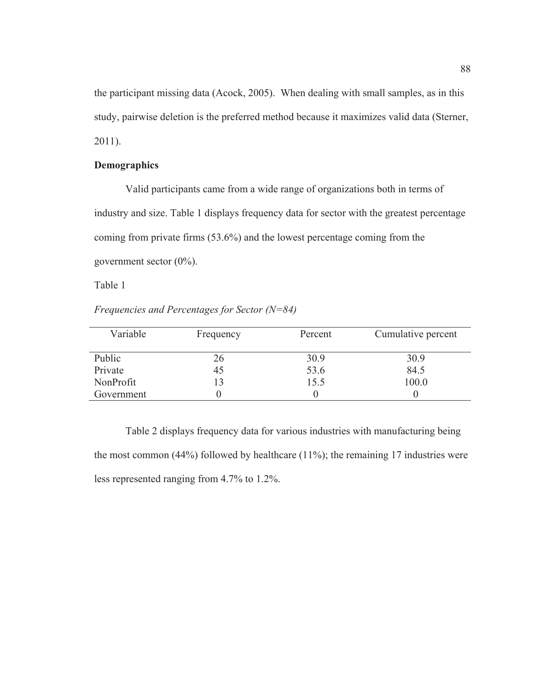the participant missing data (Acock, 2005). When dealing with small samples, as in this study, pairwise deletion is the preferred method because it maximizes valid data (Sterner, 2011).

# **Demographics**

Valid participants came from a wide range of organizations both in terms of industry and size. Table 1 displays frequency data for sector with the greatest percentage coming from private firms (53.6%) and the lowest percentage coming from the government sector (0%).

Table 1

*Frequencies and Percentages for Sector (N=84)* 

| Variable   | Frequency | Percent | Cumulative percent |
|------------|-----------|---------|--------------------|
| Public     | 26        | 30.9    | 30.9               |
| Private    | 45        | 53.6    | 84.5               |
| NonProfit  | 13        | 15.5    | 100.0              |
| Government |           |         |                    |

Table 2 displays frequency data for various industries with manufacturing being the most common (44%) followed by healthcare (11%); the remaining 17 industries were less represented ranging from 4.7% to 1.2%.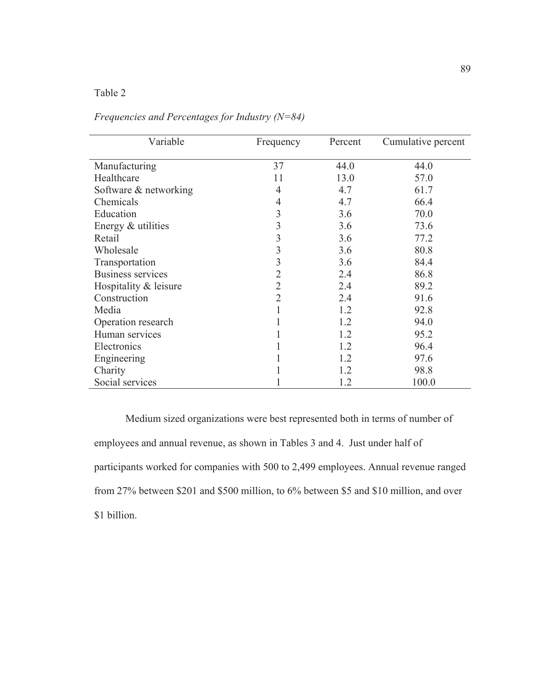# Table 2

| Variable                 | Frequency      | Percent | Cumulative percent |
|--------------------------|----------------|---------|--------------------|
| Manufacturing            | 37             | 44.0    | 44.0               |
| Healthcare               | 11             | 13.0    | 57.0               |
| Software & networking    | 4              | 4.7     | 61.7               |
| Chemicals                | 4              | 4.7     | 66.4               |
| Education                | 3              | 3.6     | 70.0               |
| Energy & utilities       | 3              | 3.6     | 73.6               |
| Retail                   | 3              | 3.6     | 77.2               |
| Wholesale                | 3              | 3.6     | 80.8               |
| Transportation           | 3              | 3.6     | 84.4               |
| <b>Business services</b> | 2              | 2.4     | 86.8               |
| Hospitality & leisure    | 2              | 2.4     | 89.2               |
| Construction             | $\overline{2}$ | 2.4     | 91.6               |
| Media                    |                | 1.2     | 92.8               |
| Operation research       |                | 1.2     | 94.0               |
| Human services           |                | 1.2     | 95.2               |
| Electronics              |                | 1.2     | 96.4               |
| Engineering              |                | 1.2     | 97.6               |
| Charity                  |                | 1.2     | 98.8               |
| Social services          |                | 1.2     | 100.0              |

*Frequencies and Percentages for Industry (N=84)* 

Medium sized organizations were best represented both in terms of number of employees and annual revenue, as shown in Tables 3 and 4. Just under half of participants worked for companies with 500 to 2,499 employees. Annual revenue ranged from 27% between \$201 and \$500 million, to 6% between \$5 and \$10 million, and over \$1 billion.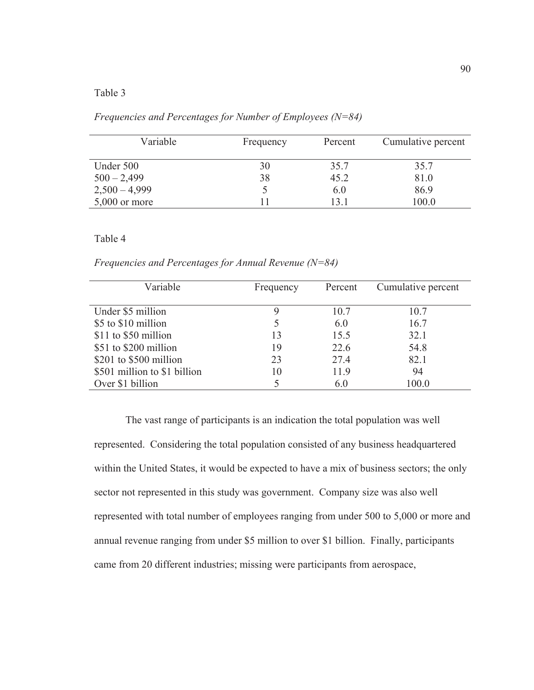# Table 3

| Variable        | Frequency | Percent | Cumulative percent |
|-----------------|-----------|---------|--------------------|
| Under 500       | 30        | 35.7    | 35.7               |
| $500 - 2,499$   | 38        | 45.2    | 81.0               |
| $2,500 - 4,999$ |           | 6.0     | 86.9               |
| $5,000$ or more |           | 13 1    | 100.0              |

*Frequencies and Percentages for Number of Employees (N=84)* 

## Table 4

*Frequencies and Percentages for Annual Revenue (N=84)* 

| Variable                     | Frequency | Percent | Cumulative percent |
|------------------------------|-----------|---------|--------------------|
| Under \$5 million            |           | 10.7    | 10.7               |
| \$5 to \$10 million          |           | 6.0     | 16.7               |
| \$11 to \$50 million         | 13        | 15.5    | 32.1               |
| \$51 to \$200 million        | 19        | 22.6    | 54.8               |
| \$201 to \$500 million       | 23        | 27.4    | 82.1               |
| \$501 million to \$1 billion | 10        | 11.9    | 94                 |
| Over \$1 billion             |           | 6.0     | 100.0              |

The vast range of participants is an indication the total population was well represented. Considering the total population consisted of any business headquartered within the United States, it would be expected to have a mix of business sectors; the only sector not represented in this study was government. Company size was also well represented with total number of employees ranging from under 500 to 5,000 or more and annual revenue ranging from under \$5 million to over \$1 billion. Finally, participants came from 20 different industries; missing were participants from aerospace,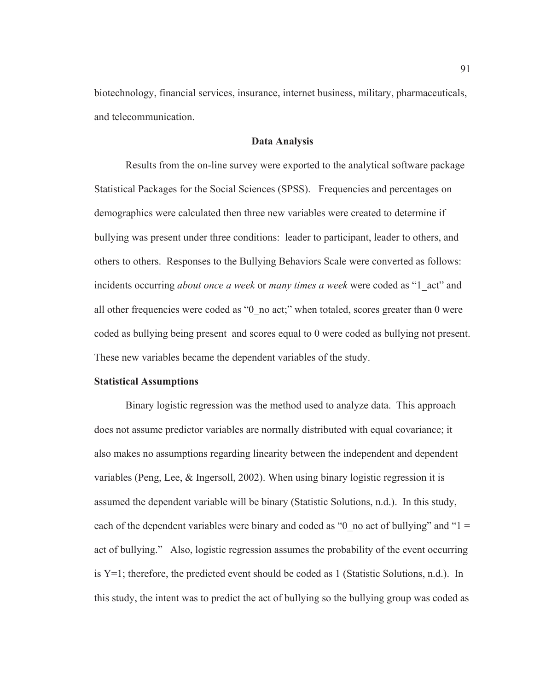biotechnology, financial services, insurance, internet business, military, pharmaceuticals, and telecommunication.

## **Data Analysis**

Results from the on-line survey were exported to the analytical software package Statistical Packages for the Social Sciences (SPSS). Frequencies and percentages on demographics were calculated then three new variables were created to determine if bullying was present under three conditions: leader to participant, leader to others, and others to others. Responses to the Bullying Behaviors Scale were converted as follows: incidents occurring *about once a week* or *many times a week* were coded as "1\_act" and all other frequencies were coded as "0\_no act;" when totaled, scores greater than 0 were coded as bullying being present and scores equal to 0 were coded as bullying not present. These new variables became the dependent variables of the study.

#### **Statistical Assumptions**

Binary logistic regression was the method used to analyze data. This approach does not assume predictor variables are normally distributed with equal covariance; it also makes no assumptions regarding linearity between the independent and dependent variables (Peng, Lee, & Ingersoll, 2002). When using binary logistic regression it is assumed the dependent variable will be binary (Statistic Solutions, n.d.). In this study, each of the dependent variables were binary and coded as "0\_no act of bullying" and "1 = act of bullying." Also, logistic regression assumes the probability of the event occurring is  $Y=1$ ; therefore, the predicted event should be coded as 1 (Statistic Solutions, n.d.). In this study, the intent was to predict the act of bullying so the bullying group was coded as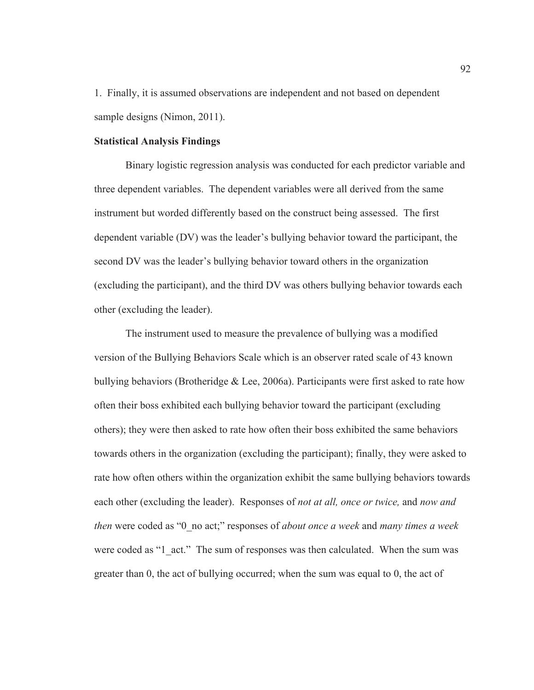1. Finally, it is assumed observations are independent and not based on dependent sample designs (Nimon, 2011).

## **Statistical Analysis Findings**

Binary logistic regression analysis was conducted for each predictor variable and three dependent variables. The dependent variables were all derived from the same instrument but worded differently based on the construct being assessed. The first dependent variable (DV) was the leader's bullying behavior toward the participant, the second DV was the leader's bullying behavior toward others in the organization (excluding the participant), and the third DV was others bullying behavior towards each other (excluding the leader).

The instrument used to measure the prevalence of bullying was a modified version of the Bullying Behaviors Scale which is an observer rated scale of 43 known bullying behaviors (Brotheridge & Lee, 2006a). Participants were first asked to rate how often their boss exhibited each bullying behavior toward the participant (excluding others); they were then asked to rate how often their boss exhibited the same behaviors towards others in the organization (excluding the participant); finally, they were asked to rate how often others within the organization exhibit the same bullying behaviors towards each other (excluding the leader). Responses of *not at all, once or twice,* and *now and then* were coded as "0\_no act;" responses of *about once a week* and *many times a week* were coded as "1 act." The sum of responses was then calculated. When the sum was greater than 0, the act of bullying occurred; when the sum was equal to 0, the act of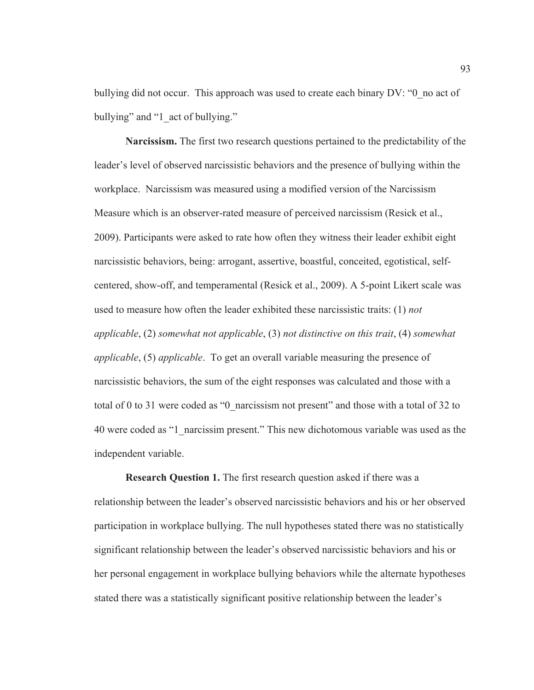bullying did not occur. This approach was used to create each binary DV: "0\_no act of bullying" and "1 act of bullying."

**Narcissism.** The first two research questions pertained to the predictability of the leader's level of observed narcissistic behaviors and the presence of bullying within the workplace. Narcissism was measured using a modified version of the Narcissism Measure which is an observer-rated measure of perceived narcissism (Resick et al., 2009). Participants were asked to rate how often they witness their leader exhibit eight narcissistic behaviors, being: arrogant, assertive, boastful, conceited, egotistical, selfcentered, show-off, and temperamental (Resick et al., 2009). A 5-point Likert scale was used to measure how often the leader exhibited these narcissistic traits: (1) *not applicable*, (2) *somewhat not applicable*, (3) *not distinctive on this trait*, (4) *somewhat applicable*, (5) *applicable*. To get an overall variable measuring the presence of narcissistic behaviors, the sum of the eight responses was calculated and those with a total of 0 to 31 were coded as "0\_narcissism not present" and those with a total of 32 to 40 were coded as "1\_narcissim present." This new dichotomous variable was used as the independent variable.

**Research Question 1.** The first research question asked if there was a relationship between the leader's observed narcissistic behaviors and his or her observed participation in workplace bullying. The null hypotheses stated there was no statistically significant relationship between the leader's observed narcissistic behaviors and his or her personal engagement in workplace bullying behaviors while the alternate hypotheses stated there was a statistically significant positive relationship between the leader's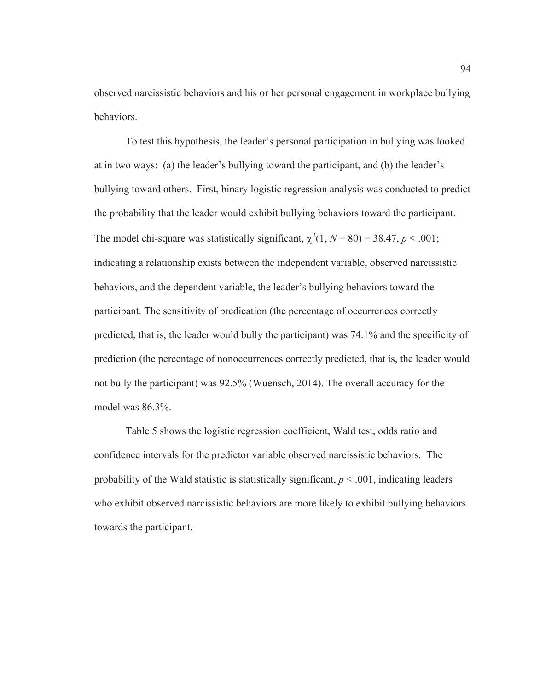observed narcissistic behaviors and his or her personal engagement in workplace bullying behaviors.

To test this hypothesis, the leader's personal participation in bullying was looked at in two ways: (a) the leader's bullying toward the participant, and (b) the leader's bullying toward others. First, binary logistic regression analysis was conducted to predict the probability that the leader would exhibit bullying behaviors toward the participant. The model chi-square was statistically significant,  $\chi^2(1, N = 80) = 38.47, p < .001$ ; indicating a relationship exists between the independent variable, observed narcissistic behaviors, and the dependent variable, the leader's bullying behaviors toward the participant. The sensitivity of predication (the percentage of occurrences correctly predicted, that is, the leader would bully the participant) was 74.1% and the specificity of prediction (the percentage of nonoccurrences correctly predicted, that is, the leader would not bully the participant) was 92.5% (Wuensch, 2014). The overall accuracy for the model was 86.3%.

Table 5 shows the logistic regression coefficient, Wald test, odds ratio and confidence intervals for the predictor variable observed narcissistic behaviors. The probability of the Wald statistic is statistically significant,  $p < .001$ , indicating leaders who exhibit observed narcissistic behaviors are more likely to exhibit bullying behaviors towards the participant.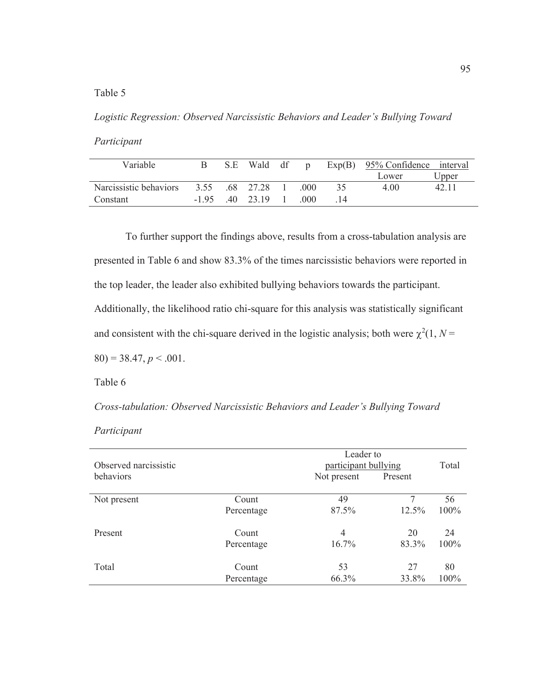# Table 5

*Logistic Regression: Observed Narcissistic Behaviors and Leader's Bullying Toward* 

*Participant* 

| Variable               |      | S.E | Wald df         | $\mathbf{D}$ |    | $Exp(B)$ 95% Confidence interval |       |
|------------------------|------|-----|-----------------|--------------|----|----------------------------------|-------|
|                        |      |     |                 |              |    | Lower                            | Upper |
| Narcissistic behaviors | 3.55 |     | 68 27 28        | -000         | 35 | 4 00                             | 42.11 |
| Constant               |      |     | $-195$ 40 23.19 | (000)        |    |                                  |       |

 To further support the findings above, results from a cross-tabulation analysis are presented in Table 6 and show 83.3% of the times narcissistic behaviors were reported in the top leader, the leader also exhibited bullying behaviors towards the participant. Additionally, the likelihood ratio chi-square for this analysis was statistically significant and consistent with the chi-square derived in the logistic analysis; both were  $\chi^2(1, N =$  $80$ ) = 38.47,  $p < .001$ .

Table 6

*Cross-tabulation: Observed Narcissistic Behaviors and Leader's Bullying Toward* 

*Participant* 

| Observed narcissistic |            | Leader to<br>participant bullying | Total   |      |
|-----------------------|------------|-----------------------------------|---------|------|
| behaviors             |            | Not present                       | Present |      |
| Not present           | Count      | 49                                | 7       | 56   |
|                       | Percentage | 87.5%                             | 12.5%   | 100% |
| Present               | Count      | 4                                 | 20      | 24   |
|                       | Percentage | 16.7%                             | 83.3%   | 100% |
| Total                 | Count      | 53                                | 27      | 80   |
|                       | Percentage | 66.3%                             | 33.8%   | 100% |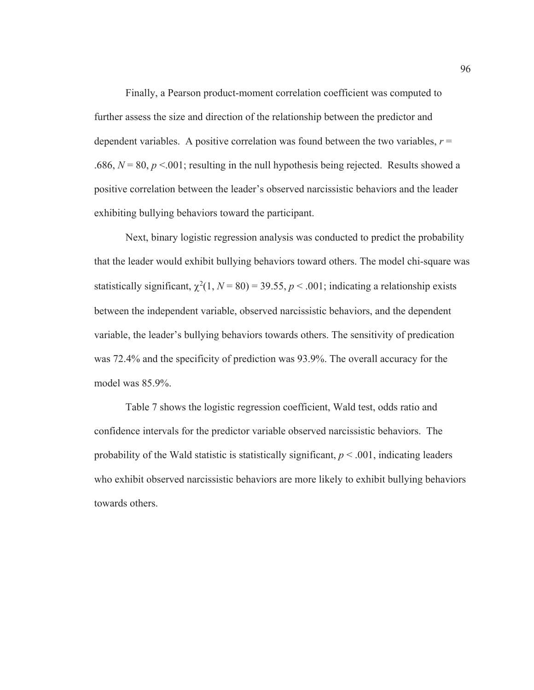Finally, a Pearson product-moment correlation coefficient was computed to further assess the size and direction of the relationship between the predictor and dependent variables. A positive correlation was found between the two variables,  $r =$ .686,  $N = 80$ ,  $p < 0.001$ ; resulting in the null hypothesis being rejected. Results showed a positive correlation between the leader's observed narcissistic behaviors and the leader exhibiting bullying behaviors toward the participant.

 Next, binary logistic regression analysis was conducted to predict the probability that the leader would exhibit bullying behaviors toward others. The model chi-square was statistically significant,  $\chi^2(1, N = 80) = 39.55, p < .001$ ; indicating a relationship exists between the independent variable, observed narcissistic behaviors, and the dependent variable, the leader's bullying behaviors towards others. The sensitivity of predication was 72.4% and the specificity of prediction was 93.9%. The overall accuracy for the model was 85.9%.

Table 7 shows the logistic regression coefficient, Wald test, odds ratio and confidence intervals for the predictor variable observed narcissistic behaviors. The probability of the Wald statistic is statistically significant,  $p < .001$ , indicating leaders who exhibit observed narcissistic behaviors are more likely to exhibit bullying behaviors towards others.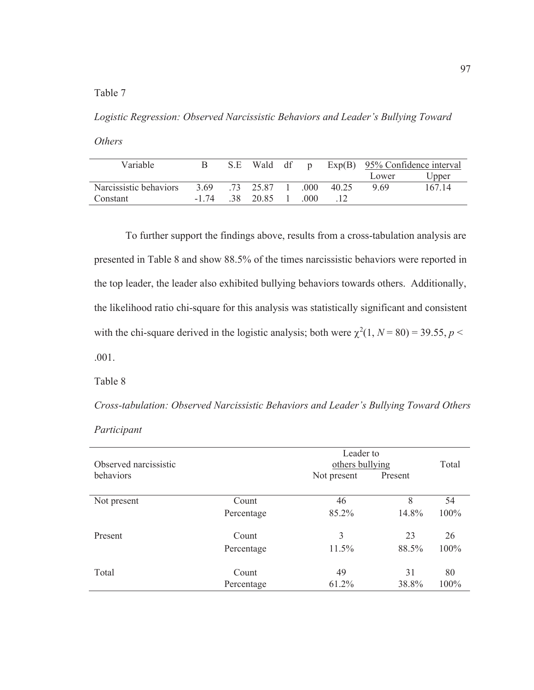Table 7

*Logistic Regression: Observed Narcissistic Behaviors and Leader's Bullying Toward* 

*Others* 

| <b>Variable</b>        |          | S.E | Wald df p |        |       | $Exp(B)$ 95% Confidence interval |        |
|------------------------|----------|-----|-----------|--------|-------|----------------------------------|--------|
|                        |          |     |           |        |       | Lower                            | Upper  |
| Narcissistic behaviors | 3.69     |     | 73 25.87  | -000-  | 40 25 | 9.69                             | 167 14 |
| Constant               | $-1, 74$ |     | 38 2085   | (1)(1) |       |                                  |        |

 To further support the findings above, results from a cross-tabulation analysis are presented in Table 8 and show 88.5% of the times narcissistic behaviors were reported in the top leader, the leader also exhibited bullying behaviors towards others. Additionally, the likelihood ratio chi-square for this analysis was statistically significant and consistent with the chi-square derived in the logistic analysis; both were  $\chi^2(1, N = 80) = 39.55, p <$ .001.

Table 8

*Cross-tabulation: Observed Narcissistic Behaviors and Leader's Bullying Toward Others* 

| Participant |  |
|-------------|--|
|             |  |

| Observed narcissistic |            | Leader to<br>others bullying |         | Total |
|-----------------------|------------|------------------------------|---------|-------|
| behaviors             |            | Not present                  | Present |       |
| Not present           | Count      | 46                           | 8       | 54    |
|                       | Percentage | 85.2%                        | 14.8%   | 100%  |
| Present               | Count      | 3                            | 23      | 26    |
|                       | Percentage | 11.5%                        | 88.5%   | 100%  |
| Total                 | Count      | 49                           | 31      | 80    |
|                       | Percentage | 61.2%                        | 38.8%   | 100%  |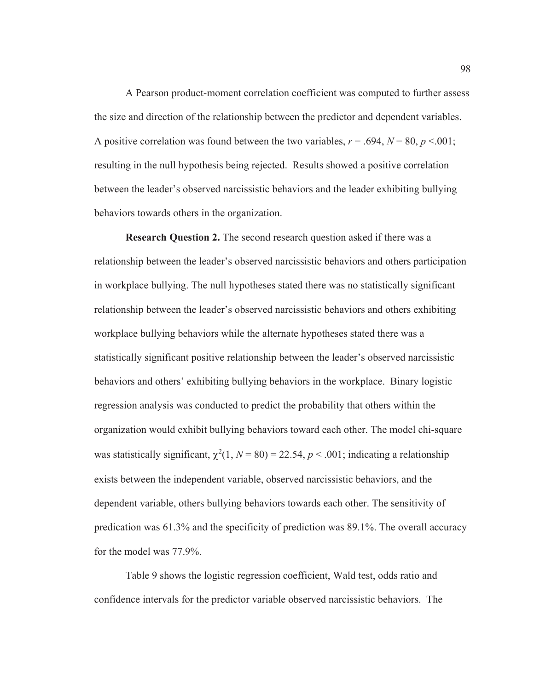A Pearson product-moment correlation coefficient was computed to further assess the size and direction of the relationship between the predictor and dependent variables. A positive correlation was found between the two variables,  $r = .694$ ,  $N = 80$ ,  $p < .001$ ; resulting in the null hypothesis being rejected. Results showed a positive correlation between the leader's observed narcissistic behaviors and the leader exhibiting bullying behaviors towards others in the organization.

**Research Question 2.** The second research question asked if there was a relationship between the leader's observed narcissistic behaviors and others participation in workplace bullying. The null hypotheses stated there was no statistically significant relationship between the leader's observed narcissistic behaviors and others exhibiting workplace bullying behaviors while the alternate hypotheses stated there was a statistically significant positive relationship between the leader's observed narcissistic behaviors and others' exhibiting bullying behaviors in the workplace. Binary logistic regression analysis was conducted to predict the probability that others within the organization would exhibit bullying behaviors toward each other. The model chi-square was statistically significant,  $\chi^2(1, N = 80) = 22.54$ ,  $p < .001$ ; indicating a relationship exists between the independent variable, observed narcissistic behaviors, and the dependent variable, others bullying behaviors towards each other. The sensitivity of predication was 61.3% and the specificity of prediction was 89.1%. The overall accuracy for the model was 77.9%.

Table 9 shows the logistic regression coefficient, Wald test, odds ratio and confidence intervals for the predictor variable observed narcissistic behaviors. The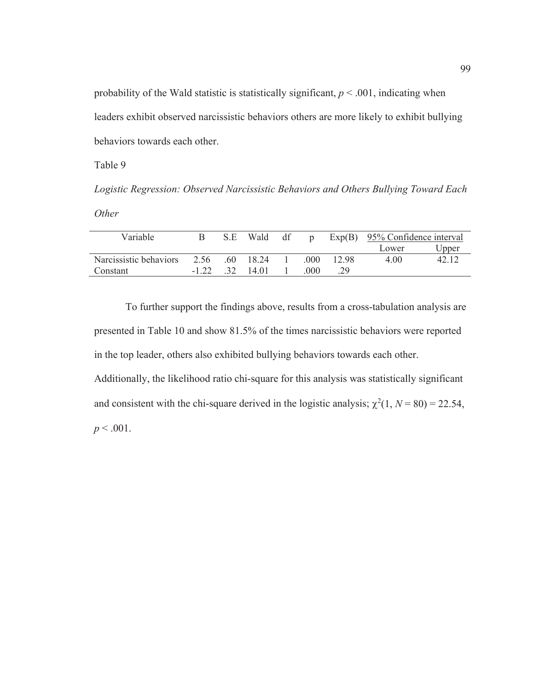probability of the Wald statistic is statistically significant,  $p < .001$ , indicating when leaders exhibit observed narcissistic behaviors others are more likely to exhibit bullying behaviors towards each other.

Table 9

*Logistic Regression: Observed Narcissistic Behaviors and Others Bullying Toward Each Other* 

| Variable               |        | S.E           | Wald    | df | $\mathbf{D}$ |       | $Exp(B)$ 95% Confidence interval |       |
|------------------------|--------|---------------|---------|----|--------------|-------|----------------------------------|-------|
|                        |        |               |         |    |              |       | Lower                            | Upper |
| Narcissistic behaviors | 2.56   | -60           | 18 24   |    | -000-        | 12.98 | 4.00                             | 42 12 |
| Constant               | $-122$ | $\mathcal{R}$ | - 14.01 |    | (1)(1)       | 29    |                                  |       |

 To further support the findings above, results from a cross-tabulation analysis are presented in Table 10 and show 81.5% of the times narcissistic behaviors were reported in the top leader, others also exhibited bullying behaviors towards each other.

Additionally, the likelihood ratio chi-square for this analysis was statistically significant and consistent with the chi-square derived in the logistic analysis;  $\chi^2(1, N = 80) = 22.54$ ,  $p < .001$ .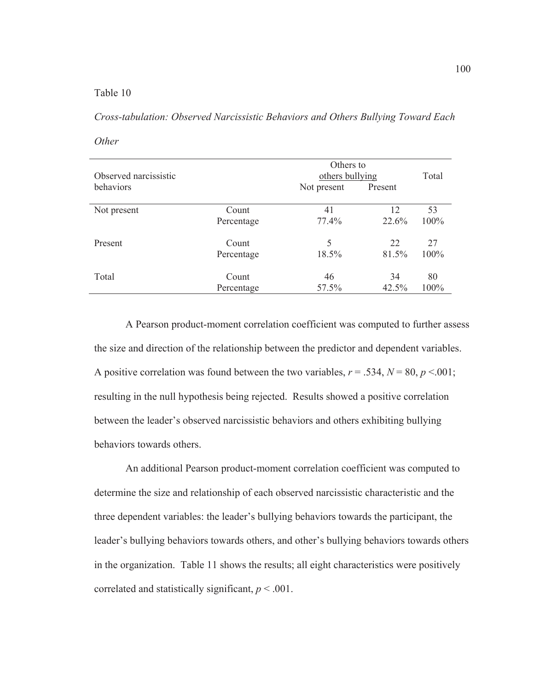## Table 10

*Cross-tabulation: Observed Narcissistic Behaviors and Others Bullying Toward Each* 

*Other* 

| Observed narcissistic |            | Others to<br>others bullying | Total   |         |
|-----------------------|------------|------------------------------|---------|---------|
| behaviors             |            | Not present                  | Present |         |
| Not present           | Count      | 41                           | 12      | 53      |
|                       | Percentage | 77.4%                        | 22.6%   | 100%    |
| Present               | Count      | 5                            | 22      | 27      |
|                       | Percentage | 18.5%                        | 81.5%   | 100%    |
| Total                 | Count      | 46                           | 34      | 80      |
|                       | Percentage | 57.5%                        | 42.5%   | $100\%$ |

A Pearson product-moment correlation coefficient was computed to further assess the size and direction of the relationship between the predictor and dependent variables. A positive correlation was found between the two variables,  $r = .534$ ,  $N = 80$ ,  $p < .001$ ; resulting in the null hypothesis being rejected. Results showed a positive correlation between the leader's observed narcissistic behaviors and others exhibiting bullying behaviors towards others.

An additional Pearson product-moment correlation coefficient was computed to determine the size and relationship of each observed narcissistic characteristic and the three dependent variables: the leader's bullying behaviors towards the participant, the leader's bullying behaviors towards others, and other's bullying behaviors towards others in the organization. Table 11 shows the results; all eight characteristics were positively correlated and statistically significant,  $p < .001$ .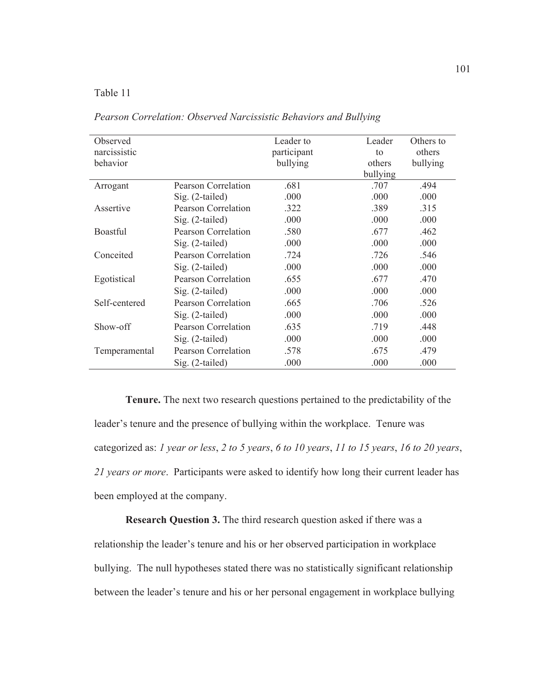## Table 11

| Observed<br>narcissistic<br>behavior |                            | Leader to<br>participant<br>bullying | Leader<br>to<br>others | Others to<br>others<br>bullying |
|--------------------------------------|----------------------------|--------------------------------------|------------------------|---------------------------------|
|                                      |                            |                                      | bullying               |                                 |
| Arrogant                             | <b>Pearson Correlation</b> | .681                                 | .707                   | .494                            |
|                                      | $Sig. (2-tailed)$          | .000                                 | .000                   | .000                            |
| Assertive                            | <b>Pearson Correlation</b> | .322                                 | .389                   | .315                            |
|                                      | $Sig. (2-tailed)$          | .000                                 | .000                   | .000                            |
| <b>Boastful</b>                      | Pearson Correlation        | .580                                 | .677                   | .462                            |
|                                      | $Sig. (2-tailed)$          | .000                                 | .000                   | .000                            |
| Conceited                            | <b>Pearson Correlation</b> | .724                                 | .726                   | .546                            |
|                                      | $Sig. (2-tailed)$          | .000                                 | .000                   | .000                            |
| Egotistical                          | Pearson Correlation        | .655                                 | .677                   | .470                            |
|                                      | $Sig. (2-tailed)$          | .000                                 | .000                   | .000                            |
| Self-centered                        | Pearson Correlation        | .665                                 | .706                   | .526                            |
|                                      | $Sig. (2-tailed)$          | .000                                 | .000                   | .000                            |
| Show-off                             | <b>Pearson Correlation</b> | .635                                 | .719                   | .448                            |
|                                      | $Sig. (2-tailed)$          | .000                                 | .000                   | .000                            |
| Temperamental                        | Pearson Correlation        | .578                                 | .675                   | .479                            |
|                                      | Sig. (2-tailed)            | .000                                 | .000                   | .000                            |

*Pearson Correlation: Observed Narcissistic Behaviors and Bullying* 

**Tenure.** The next two research questions pertained to the predictability of the leader's tenure and the presence of bullying within the workplace. Tenure was categorized as: *1 year or less*, *2 to 5 years*, *6 to 10 years*, *11 to 15 years*, *16 to 20 years*, *21 years or more*. Participants were asked to identify how long their current leader has been employed at the company.

**Research Question 3.** The third research question asked if there was a relationship the leader's tenure and his or her observed participation in workplace bullying. The null hypotheses stated there was no statistically significant relationship between the leader's tenure and his or her personal engagement in workplace bullying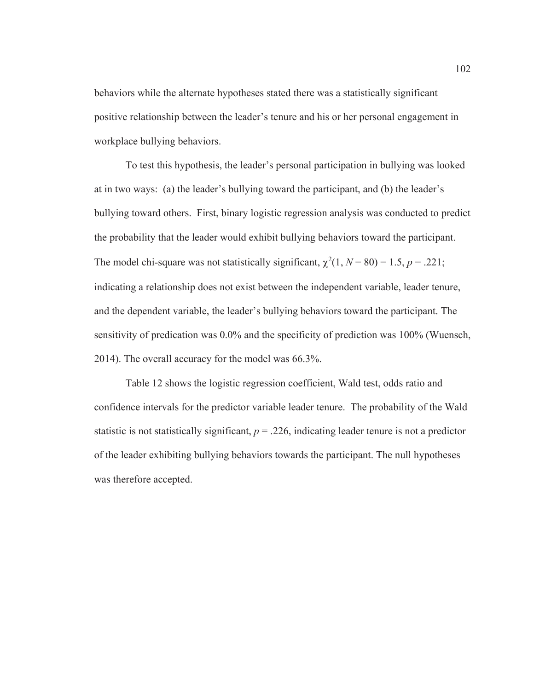behaviors while the alternate hypotheses stated there was a statistically significant positive relationship between the leader's tenure and his or her personal engagement in workplace bullying behaviors.

To test this hypothesis, the leader's personal participation in bullying was looked at in two ways: (a) the leader's bullying toward the participant, and (b) the leader's bullying toward others. First, binary logistic regression analysis was conducted to predict the probability that the leader would exhibit bullying behaviors toward the participant. The model chi-square was not statistically significant,  $\chi^2(1, N = 80) = 1.5, p = .221$ ; indicating a relationship does not exist between the independent variable, leader tenure, and the dependent variable, the leader's bullying behaviors toward the participant. The sensitivity of predication was 0.0% and the specificity of prediction was 100% (Wuensch, 2014). The overall accuracy for the model was 66.3%.

Table 12 shows the logistic regression coefficient, Wald test, odds ratio and confidence intervals for the predictor variable leader tenure. The probability of the Wald statistic is not statistically significant,  $p = 0.226$ , indicating leader tenure is not a predictor of the leader exhibiting bullying behaviors towards the participant. The null hypotheses was therefore accepted.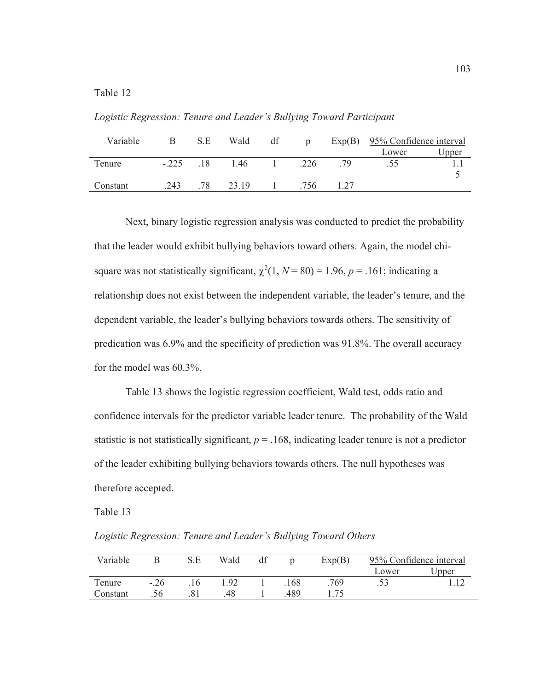Table 12

*Logistic Regression: Tenure and Leader's Bullying Toward Participant* 

| Variable | В      | S.E | Wald  | df | D    |    | $Exp(B)$ 95% Confidence interval |       |
|----------|--------|-----|-------|----|------|----|----------------------------------|-------|
|          |        |     |       |    |      |    | Lower                            | Upper |
| Tenure   | $-225$ | 18  | 1.46  |    | .226 | 79 | .55                              |       |
|          |        |     |       |    |      |    |                                  |       |
| Constant | .243   | 78  | 23.19 |    | .756 |    |                                  |       |

 Next, binary logistic regression analysis was conducted to predict the probability that the leader would exhibit bullying behaviors toward others. Again, the model chisquare was not statistically significant,  $\chi^2(1, N = 80) = 1.96$ ,  $p = .161$ ; indicating a relationship does not exist between the independent variable, the leader's tenure, and the dependent variable, the leader's bullying behaviors towards others. The sensitivity of predication was 6.9% and the specificity of prediction was 91.8%. The overall accuracy for the model was 60.3%.

Table 13 shows the logistic regression coefficient, Wald test, odds ratio and confidence intervals for the predictor variable leader tenure. The probability of the Wald statistic is not statistically significant,  $p = 0.168$ , indicating leader tenure is not a predictor of the leader exhibiting bullying behaviors towards others. The null hypotheses was therefore accepted.

Table 13

*Logistic Regression: Tenure and Leader's Bullying Toward Others* 

| Variable |        | S.E | Wald | df |     | Exp(B) | 95% Confidence interval |       |
|----------|--------|-----|------|----|-----|--------|-------------------------|-------|
|          |        |     |      |    |     |        | Lower                   | Upper |
| Tenure   | $-.26$ |     | .92  |    | 168 | 769    |                         |       |
| Constant |        |     | .48  |    | 489 |        |                         |       |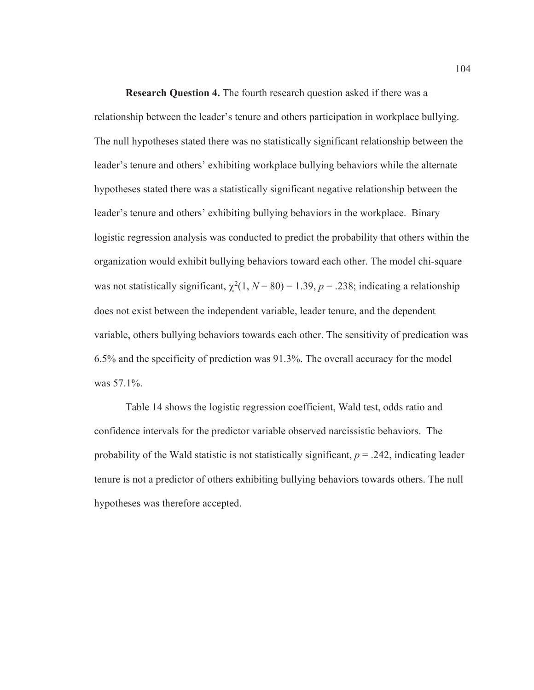**Research Question 4.** The fourth research question asked if there was a relationship between the leader's tenure and others participation in workplace bullying. The null hypotheses stated there was no statistically significant relationship between the leader's tenure and others' exhibiting workplace bullying behaviors while the alternate hypotheses stated there was a statistically significant negative relationship between the leader's tenure and others' exhibiting bullying behaviors in the workplace. Binary logistic regression analysis was conducted to predict the probability that others within the organization would exhibit bullying behaviors toward each other. The model chi-square was not statistically significant,  $\chi^2(1, N = 80) = 1.39$ ,  $p = .238$ ; indicating a relationship does not exist between the independent variable, leader tenure, and the dependent variable, others bullying behaviors towards each other. The sensitivity of predication was 6.5% and the specificity of prediction was 91.3%. The overall accuracy for the model was 57.1%.

Table 14 shows the logistic regression coefficient, Wald test, odds ratio and confidence intervals for the predictor variable observed narcissistic behaviors. The probability of the Wald statistic is not statistically significant,  $p = .242$ , indicating leader tenure is not a predictor of others exhibiting bullying behaviors towards others. The null hypotheses was therefore accepted.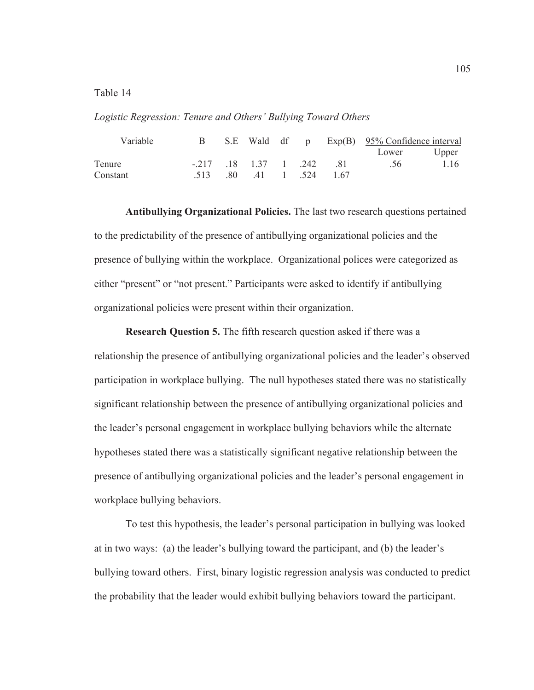## Table 14

*Logistic Regression: Tenure and Others' Bullying Toward Others* 

| Variable |        |    | S.E Wald df | $\mathbf{D}$ |      | $Exp(B)$ 95% Confidence interval |       |
|----------|--------|----|-------------|--------------|------|----------------------------------|-------|
|          |        |    |             |              |      | Lower                            | Upper |
| Tenure   | $-217$ | 18 | 137         | .242         | .81  | .56                              | 1.16  |
| Constant |        | 80 | 41          | -524         | l 67 |                                  |       |

**Antibullying Organizational Policies.** The last two research questions pertained to the predictability of the presence of antibullying organizational policies and the presence of bullying within the workplace. Organizational polices were categorized as either "present" or "not present." Participants were asked to identify if antibullying organizational policies were present within their organization.

**Research Question 5.** The fifth research question asked if there was a relationship the presence of antibullying organizational policies and the leader's observed participation in workplace bullying. The null hypotheses stated there was no statistically significant relationship between the presence of antibullying organizational policies and the leader's personal engagement in workplace bullying behaviors while the alternate hypotheses stated there was a statistically significant negative relationship between the presence of antibullying organizational policies and the leader's personal engagement in workplace bullying behaviors.

To test this hypothesis, the leader's personal participation in bullying was looked at in two ways: (a) the leader's bullying toward the participant, and (b) the leader's bullying toward others. First, binary logistic regression analysis was conducted to predict the probability that the leader would exhibit bullying behaviors toward the participant.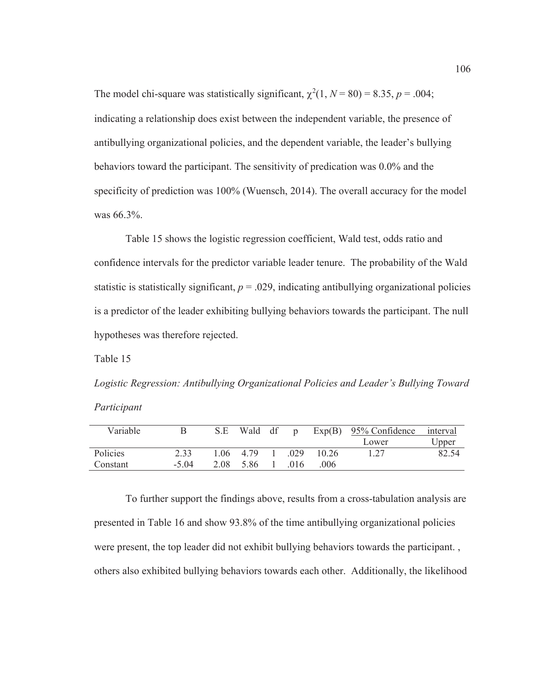The model chi-square was statistically significant,  $\chi^2(1, N = 80) = 8.35, p = .004$ ; indicating a relationship does exist between the independent variable, the presence of antibullying organizational policies, and the dependent variable, the leader's bullying behaviors toward the participant. The sensitivity of predication was 0.0% and the specificity of prediction was 100% (Wuensch, 2014). The overall accuracy for the model was 66.3%.

Table 15 shows the logistic regression coefficient, Wald test, odds ratio and confidence intervals for the predictor variable leader tenure. The probability of the Wald statistic is statistically significant,  $p = 0.029$ , indicating antibullying organizational policies is a predictor of the leader exhibiting bullying behaviors towards the participant. The null hypotheses was therefore rejected.

Table 15

*Logistic Regression: Antibullying Organizational Policies and Leader's Bullying Toward Participant* 

| Variable |         | S.E | Wald df p     |       |          | $Exp(B)$ 95% Confidence | interval |
|----------|---------|-----|---------------|-------|----------|-------------------------|----------|
|          |         |     |               |       |          | Lower                   | Upper    |
| Policies | 2.33    |     | 1 0 6 4 7 9 1 | -029  | $-10.26$ |                         | 82.54    |
| Constant | $-5.04$ |     | 208 586       | - 016 | 006      |                         |          |

To further support the findings above, results from a cross-tabulation analysis are presented in Table 16 and show 93.8% of the time antibullying organizational policies were present, the top leader did not exhibit bullying behaviors towards the participant. , others also exhibited bullying behaviors towards each other. Additionally, the likelihood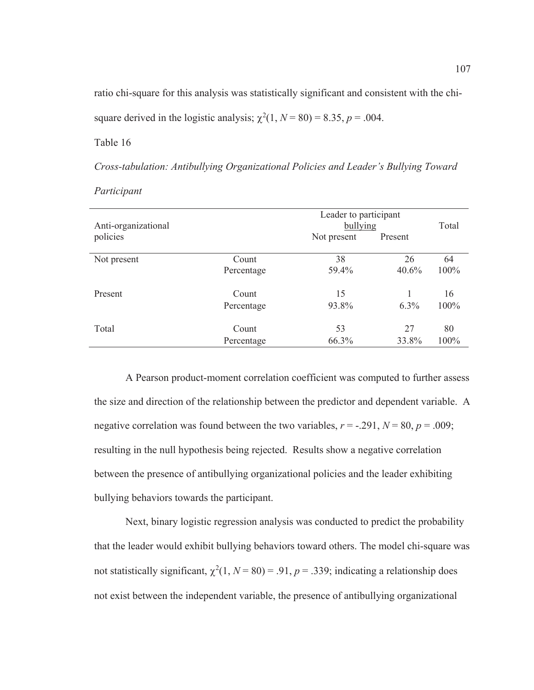ratio chi-square for this analysis was statistically significant and consistent with the chi-

square derived in the logistic analysis;  $\chi^2(1, N = 80) = 8.35, p = .004$ .

Table 16

*Cross-tabulation: Antibullying Organizational Policies and Leader's Bullying Toward* 

| Anti-organizational |            | Leader to participant<br>bullying | Total   |         |
|---------------------|------------|-----------------------------------|---------|---------|
| policies            |            | Not present                       | Present |         |
| Not present         | Count      | 38                                | 26      | 64      |
|                     | Percentage | 59.4%                             | 40.6%   | $100\%$ |
| Present             | Count      | 15                                |         | 16      |
|                     | Percentage | 93.8%                             | $6.3\%$ | $100\%$ |
| Total               | Count      | 53                                | 27      | 80      |
|                     | Percentage | 66.3%                             | 33.8%   | 100%    |

*Participant* 

A Pearson product-moment correlation coefficient was computed to further assess the size and direction of the relationship between the predictor and dependent variable. A negative correlation was found between the two variables,  $r = -.291$ ,  $N = 80$ ,  $p = .009$ ; resulting in the null hypothesis being rejected. Results show a negative correlation between the presence of antibullying organizational policies and the leader exhibiting bullying behaviors towards the participant.

Next, binary logistic regression analysis was conducted to predict the probability that the leader would exhibit bullying behaviors toward others. The model chi-square was not statistically significant,  $\chi^2(1, N = 80) = .91$ ,  $p = .339$ ; indicating a relationship does not exist between the independent variable, the presence of antibullying organizational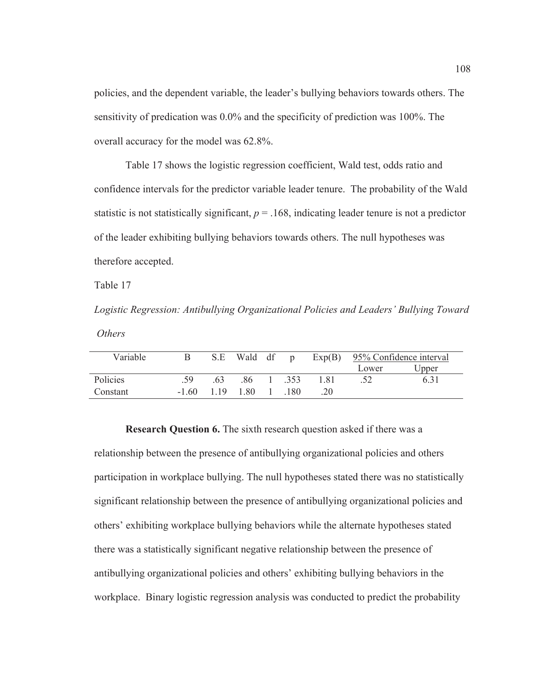policies, and the dependent variable, the leader's bullying behaviors towards others. The sensitivity of predication was 0.0% and the specificity of prediction was 100%. The overall accuracy for the model was 62.8%.

Table 17 shows the logistic regression coefficient, Wald test, odds ratio and confidence intervals for the predictor variable leader tenure. The probability of the Wald statistic is not statistically significant,  $p = 0.168$ , indicating leader tenure is not a predictor of the leader exhibiting bullying behaviors towards others. The null hypotheses was therefore accepted.

Table 17

*Logistic Regression: Antibullying Organizational Policies and Leaders' Bullying Toward Others* 

| Variable |         | S.E | Wald df | $\mathbf{D}$ | Exp(B) | 95% Confidence interval |       |  |
|----------|---------|-----|---------|--------------|--------|-------------------------|-------|--|
|          |         |     |         |              |        | Lower                   | Upper |  |
| Policies | -59     | .63 | .86     | -353         | 181    |                         | 6.31  |  |
| Constant | $-1.60$ | 119 | 1.80    | - 180        | 20     |                         |       |  |

**Research Question 6.** The sixth research question asked if there was a relationship between the presence of antibullying organizational policies and others participation in workplace bullying. The null hypotheses stated there was no statistically significant relationship between the presence of antibullying organizational policies and others' exhibiting workplace bullying behaviors while the alternate hypotheses stated there was a statistically significant negative relationship between the presence of antibullying organizational policies and others' exhibiting bullying behaviors in the workplace. Binary logistic regression analysis was conducted to predict the probability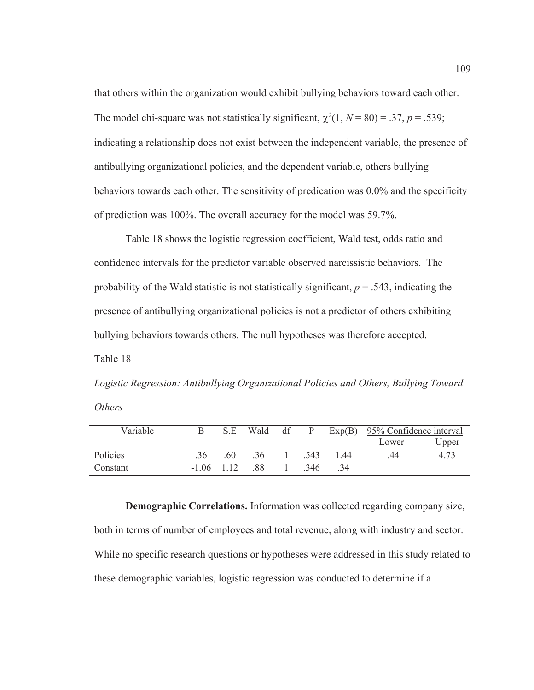that others within the organization would exhibit bullying behaviors toward each other. The model chi-square was not statistically significant,  $\chi^2(1, N = 80) = .37, p = .539;$ indicating a relationship does not exist between the independent variable, the presence of antibullying organizational policies, and the dependent variable, others bullying behaviors towards each other. The sensitivity of predication was 0.0% and the specificity of prediction was 100%. The overall accuracy for the model was 59.7%.

Table 18 shows the logistic regression coefficient, Wald test, odds ratio and confidence intervals for the predictor variable observed narcissistic behaviors. The probability of the Wald statistic is not statistically significant,  $p = .543$ , indicating the presence of antibullying organizational policies is not a predictor of others exhibiting bullying behaviors towards others. The null hypotheses was therefore accepted. Table 18

*Logistic Regression: Antibullying Organizational Policies and Others, Bullying Toward Others* 

| Variable |              | S.E | Wald | df |       |     | P $Exp(B)$ 95% Confidence interval |       |
|----------|--------------|-----|------|----|-------|-----|------------------------------------|-------|
|          |              |     |      |    |       |     | Lower                              | Upper |
| Policies | .36          | 60  | .36  |    | 543   | 144 | .44                                | 4.73  |
| Constant | $-1.06$ 1.12 |     | -88  |    | - 346 | -34 |                                    |       |

**Demographic Correlations.** Information was collected regarding company size, both in terms of number of employees and total revenue, along with industry and sector. While no specific research questions or hypotheses were addressed in this study related to these demographic variables, logistic regression was conducted to determine if a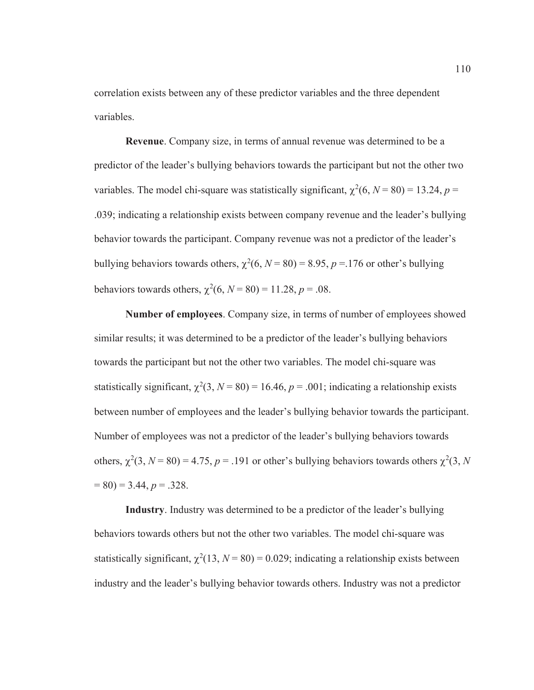correlation exists between any of these predictor variables and the three dependent variables.

**Revenue**. Company size, in terms of annual revenue was determined to be a predictor of the leader's bullying behaviors towards the participant but not the other two variables. The model chi-square was statistically significant,  $\chi^2(6, N = 80) = 13.24, p =$ .039; indicating a relationship exists between company revenue and the leader's bullying behavior towards the participant. Company revenue was not a predictor of the leader's bullying behaviors towards others,  $\chi^2(6, N = 80) = 8.95$ ,  $p = 176$  or other's bullying behaviors towards others,  $\chi^2(6, N = 80) = 11.28, p = .08$ .

**Number of employees**. Company size, in terms of number of employees showed similar results; it was determined to be a predictor of the leader's bullying behaviors towards the participant but not the other two variables. The model chi-square was statistically significant,  $\chi^2(3, N = 80) = 16.46$ ,  $p = .001$ ; indicating a relationship exists between number of employees and the leader's bullying behavior towards the participant. Number of employees was not a predictor of the leader's bullying behaviors towards others,  $\chi^2(3, N = 80) = 4.75$ ,  $p = .191$  or other's bullying behaviors towards others  $\chi^2(3, N)$  $= 80$ )  $= 3.44$ ,  $p = 0.328$ .

**Industry**. Industry was determined to be a predictor of the leader's bullying behaviors towards others but not the other two variables. The model chi-square was statistically significant,  $\chi^2(13, N = 80) = 0.029$ ; indicating a relationship exists between industry and the leader's bullying behavior towards others. Industry was not a predictor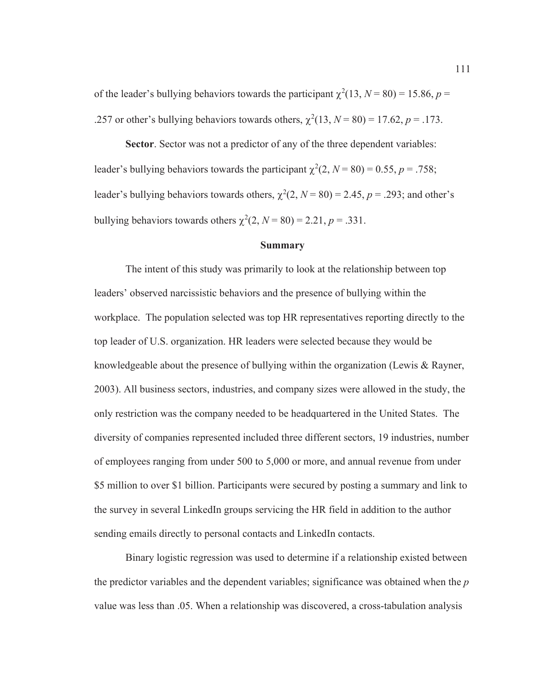of the leader's bullying behaviors towards the participant  $\chi^2(13, N = 80) = 15.86, p =$ .257 or other's bullying behaviors towards others,  $\chi^2(13, N = 80) = 17.62, p = .173$ .

**Sector**. Sector was not a predictor of any of the three dependent variables: leader's bullying behaviors towards the participant  $\chi^2(2, N = 80) = 0.55, p = .758;$ leader's bullying behaviors towards others,  $\chi^2(2, N = 80) = 2.45$ ,  $p = .293$ ; and other's bullying behaviors towards others  $\chi^2(2, N = 80) = 2.21, p = .331$ .

## **Summary**

The intent of this study was primarily to look at the relationship between top leaders' observed narcissistic behaviors and the presence of bullying within the workplace. The population selected was top HR representatives reporting directly to the top leader of U.S. organization. HR leaders were selected because they would be knowledgeable about the presence of bullying within the organization (Lewis & Rayner, 2003). All business sectors, industries, and company sizes were allowed in the study, the only restriction was the company needed to be headquartered in the United States. The diversity of companies represented included three different sectors, 19 industries, number of employees ranging from under 500 to 5,000 or more, and annual revenue from under \$5 million to over \$1 billion. Participants were secured by posting a summary and link to the survey in several LinkedIn groups servicing the HR field in addition to the author sending emails directly to personal contacts and LinkedIn contacts.

Binary logistic regression was used to determine if a relationship existed between the predictor variables and the dependent variables; significance was obtained when the *p* value was less than .05. When a relationship was discovered, a cross-tabulation analysis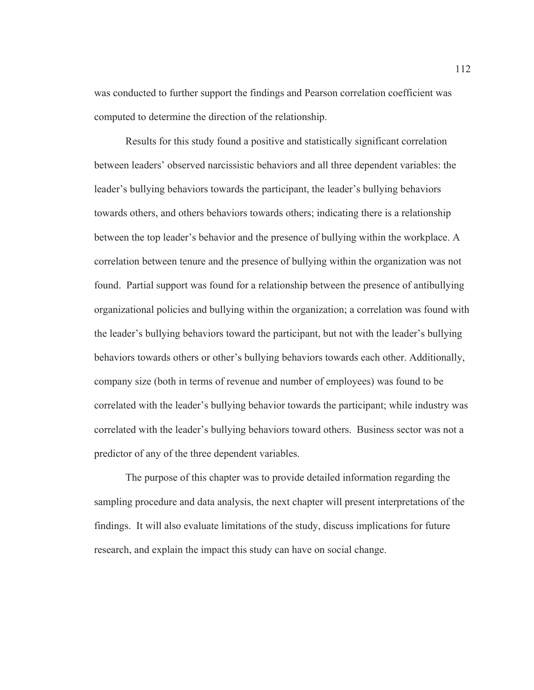was conducted to further support the findings and Pearson correlation coefficient was computed to determine the direction of the relationship.

Results for this study found a positive and statistically significant correlation between leaders' observed narcissistic behaviors and all three dependent variables: the leader's bullying behaviors towards the participant, the leader's bullying behaviors towards others, and others behaviors towards others; indicating there is a relationship between the top leader's behavior and the presence of bullying within the workplace. A correlation between tenure and the presence of bullying within the organization was not found. Partial support was found for a relationship between the presence of antibullying organizational policies and bullying within the organization; a correlation was found with the leader's bullying behaviors toward the participant, but not with the leader's bullying behaviors towards others or other's bullying behaviors towards each other. Additionally, company size (both in terms of revenue and number of employees) was found to be correlated with the leader's bullying behavior towards the participant; while industry was correlated with the leader's bullying behaviors toward others. Business sector was not a predictor of any of the three dependent variables.

The purpose of this chapter was to provide detailed information regarding the sampling procedure and data analysis, the next chapter will present interpretations of the findings. It will also evaluate limitations of the study, discuss implications for future research, and explain the impact this study can have on social change.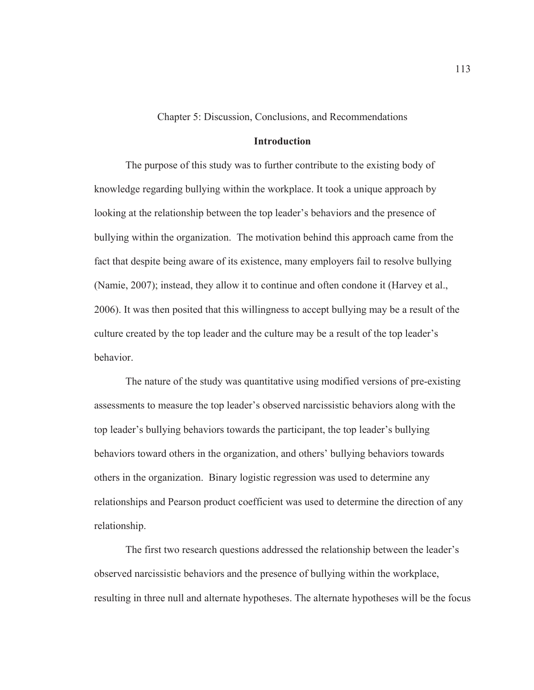Chapter 5: Discussion, Conclusions, and Recommendations

### **Introduction**

The purpose of this study was to further contribute to the existing body of knowledge regarding bullying within the workplace. It took a unique approach by looking at the relationship between the top leader's behaviors and the presence of bullying within the organization. The motivation behind this approach came from the fact that despite being aware of its existence, many employers fail to resolve bullying (Namie, 2007); instead, they allow it to continue and often condone it (Harvey et al., 2006). It was then posited that this willingness to accept bullying may be a result of the culture created by the top leader and the culture may be a result of the top leader's behavior.

The nature of the study was quantitative using modified versions of pre-existing assessments to measure the top leader's observed narcissistic behaviors along with the top leader's bullying behaviors towards the participant, the top leader's bullying behaviors toward others in the organization, and others' bullying behaviors towards others in the organization. Binary logistic regression was used to determine any relationships and Pearson product coefficient was used to determine the direction of any relationship.

The first two research questions addressed the relationship between the leader's observed narcissistic behaviors and the presence of bullying within the workplace, resulting in three null and alternate hypotheses. The alternate hypotheses will be the focus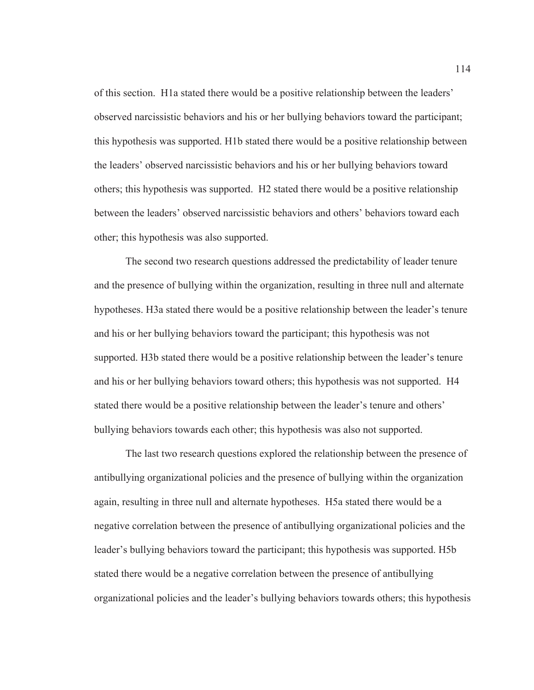of this section. H1a stated there would be a positive relationship between the leaders' observed narcissistic behaviors and his or her bullying behaviors toward the participant; this hypothesis was supported. H1b stated there would be a positive relationship between the leaders' observed narcissistic behaviors and his or her bullying behaviors toward others; this hypothesis was supported. H2 stated there would be a positive relationship between the leaders' observed narcissistic behaviors and others' behaviors toward each other; this hypothesis was also supported.

The second two research questions addressed the predictability of leader tenure and the presence of bullying within the organization, resulting in three null and alternate hypotheses. H3a stated there would be a positive relationship between the leader's tenure and his or her bullying behaviors toward the participant; this hypothesis was not supported. H3b stated there would be a positive relationship between the leader's tenure and his or her bullying behaviors toward others; this hypothesis was not supported. H4 stated there would be a positive relationship between the leader's tenure and others' bullying behaviors towards each other; this hypothesis was also not supported.

The last two research questions explored the relationship between the presence of antibullying organizational policies and the presence of bullying within the organization again, resulting in three null and alternate hypotheses. H5a stated there would be a negative correlation between the presence of antibullying organizational policies and the leader's bullying behaviors toward the participant; this hypothesis was supported. H5b stated there would be a negative correlation between the presence of antibullying organizational policies and the leader's bullying behaviors towards others; this hypothesis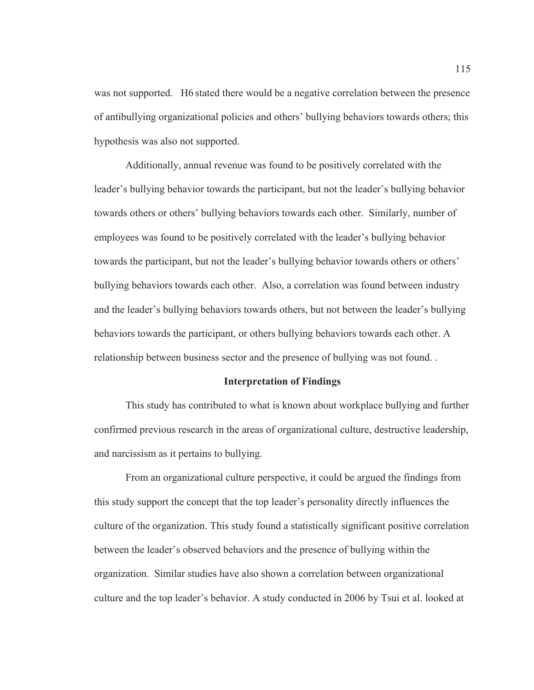was not supported. H6 stated there would be a negative correlation between the presence of antibullying organizational policies and others' bullying behaviors towards others; this hypothesis was also not supported.

Additionally, annual revenue was found to be positively correlated with the leader's bullying behavior towards the participant, but not the leader's bullying behavior towards others or others' bullying behaviors towards each other. Similarly, number of employees was found to be positively correlated with the leader's bullying behavior towards the participant, but not the leader's bullying behavior towards others or others' bullying behaviors towards each other. Also, a correlation was found between industry and the leader's bullying behaviors towards others, but not between the leader's bullying behaviors towards the participant, or others bullying behaviors towards each other. A relationship between business sector and the presence of bullying was not found. .

#### **Interpretation of Findings**

This study has contributed to what is known about workplace bullying and further confirmed previous research in the areas of organizational culture, destructive leadership, and narcissism as it pertains to bullying.

From an organizational culture perspective, it could be argued the findings from this study support the concept that the top leader's personality directly influences the culture of the organization. This study found a statistically significant positive correlation between the leader's observed behaviors and the presence of bullying within the organization. Similar studies have also shown a correlation between organizational culture and the top leader's behavior. A study conducted in 2006 by Tsui et al. looked at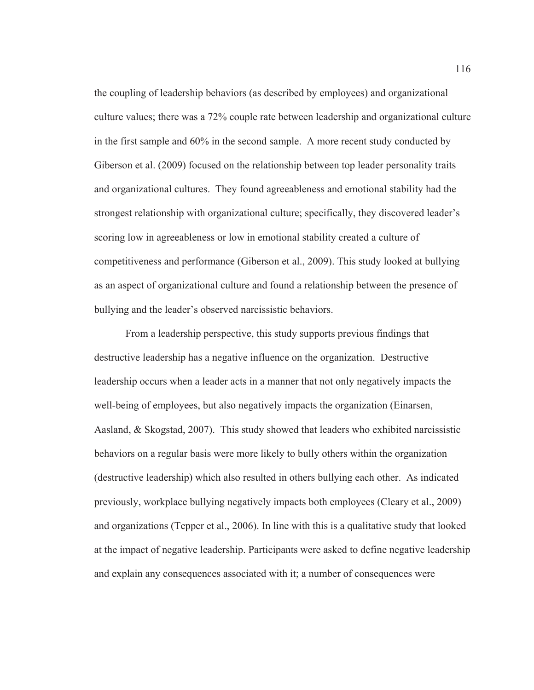the coupling of leadership behaviors (as described by employees) and organizational culture values; there was a 72% couple rate between leadership and organizational culture in the first sample and 60% in the second sample. A more recent study conducted by Giberson et al. (2009) focused on the relationship between top leader personality traits and organizational cultures. They found agreeableness and emotional stability had the strongest relationship with organizational culture; specifically, they discovered leader's scoring low in agreeableness or low in emotional stability created a culture of competitiveness and performance (Giberson et al., 2009). This study looked at bullying as an aspect of organizational culture and found a relationship between the presence of bullying and the leader's observed narcissistic behaviors.

From a leadership perspective, this study supports previous findings that destructive leadership has a negative influence on the organization. Destructive leadership occurs when a leader acts in a manner that not only negatively impacts the well-being of employees, but also negatively impacts the organization (Einarsen, Aasland, & Skogstad, 2007). This study showed that leaders who exhibited narcissistic behaviors on a regular basis were more likely to bully others within the organization (destructive leadership) which also resulted in others bullying each other. As indicated previously, workplace bullying negatively impacts both employees (Cleary et al., 2009) and organizations (Tepper et al., 2006). In line with this is a qualitative study that looked at the impact of negative leadership. Participants were asked to define negative leadership and explain any consequences associated with it; a number of consequences were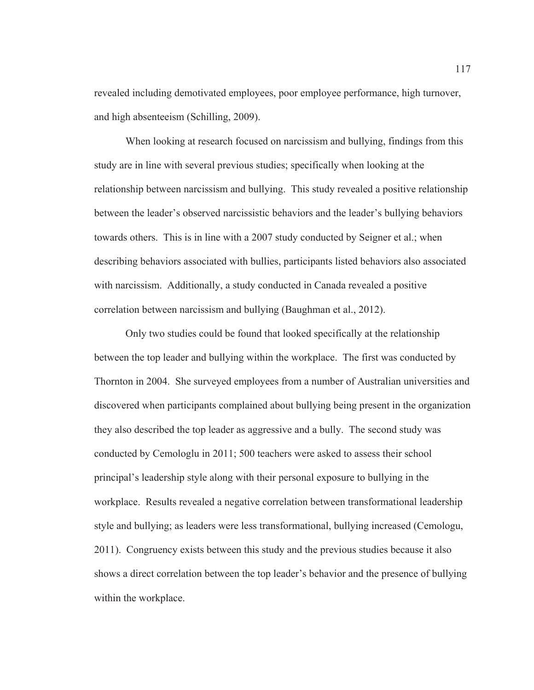revealed including demotivated employees, poor employee performance, high turnover, and high absenteeism (Schilling, 2009).

When looking at research focused on narcissism and bullying, findings from this study are in line with several previous studies; specifically when looking at the relationship between narcissism and bullying. This study revealed a positive relationship between the leader's observed narcissistic behaviors and the leader's bullying behaviors towards others. This is in line with a 2007 study conducted by Seigner et al.; when describing behaviors associated with bullies, participants listed behaviors also associated with narcissism. Additionally, a study conducted in Canada revealed a positive correlation between narcissism and bullying (Baughman et al., 2012).

Only two studies could be found that looked specifically at the relationship between the top leader and bullying within the workplace. The first was conducted by Thornton in 2004. She surveyed employees from a number of Australian universities and discovered when participants complained about bullying being present in the organization they also described the top leader as aggressive and a bully. The second study was conducted by Cemologlu in 2011; 500 teachers were asked to assess their school principal's leadership style along with their personal exposure to bullying in the workplace. Results revealed a negative correlation between transformational leadership style and bullying; as leaders were less transformational, bullying increased (Cemologu, 2011). Congruency exists between this study and the previous studies because it also shows a direct correlation between the top leader's behavior and the presence of bullying within the workplace.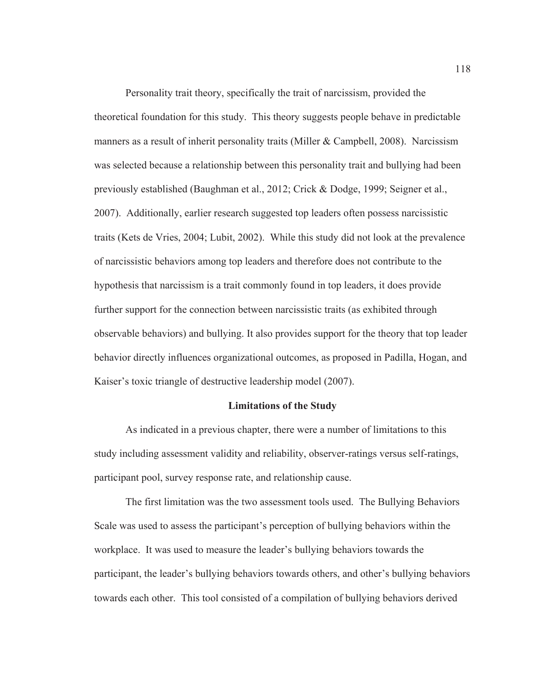Personality trait theory, specifically the trait of narcissism, provided the theoretical foundation for this study. This theory suggests people behave in predictable manners as a result of inherit personality traits (Miller & Campbell, 2008). Narcissism was selected because a relationship between this personality trait and bullying had been previously established (Baughman et al., 2012; Crick & Dodge, 1999; Seigner et al., 2007). Additionally, earlier research suggested top leaders often possess narcissistic traits (Kets de Vries, 2004; Lubit, 2002). While this study did not look at the prevalence of narcissistic behaviors among top leaders and therefore does not contribute to the hypothesis that narcissism is a trait commonly found in top leaders, it does provide further support for the connection between narcissistic traits (as exhibited through observable behaviors) and bullying. It also provides support for the theory that top leader behavior directly influences organizational outcomes, as proposed in Padilla, Hogan, and Kaiser's toxic triangle of destructive leadership model (2007).

### **Limitations of the Study**

As indicated in a previous chapter, there were a number of limitations to this study including assessment validity and reliability, observer-ratings versus self-ratings, participant pool, survey response rate, and relationship cause.

The first limitation was the two assessment tools used. The Bullying Behaviors Scale was used to assess the participant's perception of bullying behaviors within the workplace. It was used to measure the leader's bullying behaviors towards the participant, the leader's bullying behaviors towards others, and other's bullying behaviors towards each other. This tool consisted of a compilation of bullying behaviors derived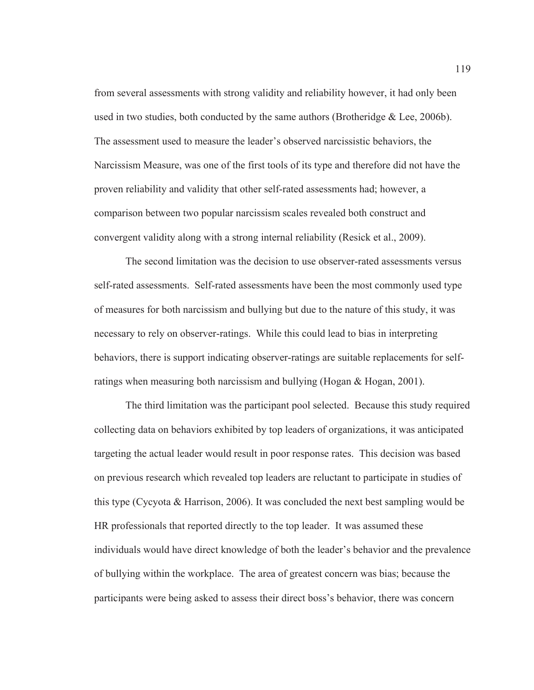from several assessments with strong validity and reliability however, it had only been used in two studies, both conducted by the same authors (Brotheridge & Lee, 2006b). The assessment used to measure the leader's observed narcissistic behaviors, the Narcissism Measure, was one of the first tools of its type and therefore did not have the proven reliability and validity that other self-rated assessments had; however, a comparison between two popular narcissism scales revealed both construct and convergent validity along with a strong internal reliability (Resick et al., 2009).

The second limitation was the decision to use observer-rated assessments versus self-rated assessments. Self-rated assessments have been the most commonly used type of measures for both narcissism and bullying but due to the nature of this study, it was necessary to rely on observer-ratings. While this could lead to bias in interpreting behaviors, there is support indicating observer-ratings are suitable replacements for selfratings when measuring both narcissism and bullying (Hogan & Hogan, 2001).

The third limitation was the participant pool selected. Because this study required collecting data on behaviors exhibited by top leaders of organizations, it was anticipated targeting the actual leader would result in poor response rates. This decision was based on previous research which revealed top leaders are reluctant to participate in studies of this type (Cycyota & Harrison, 2006). It was concluded the next best sampling would be HR professionals that reported directly to the top leader. It was assumed these individuals would have direct knowledge of both the leader's behavior and the prevalence of bullying within the workplace. The area of greatest concern was bias; because the participants were being asked to assess their direct boss's behavior, there was concern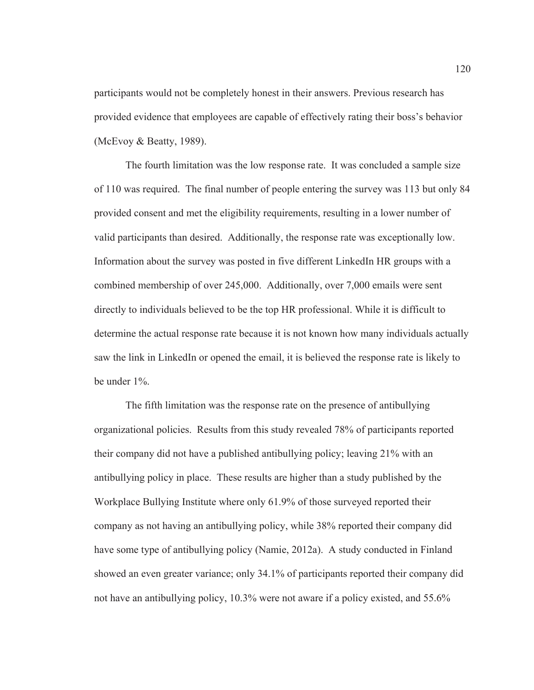participants would not be completely honest in their answers. Previous research has provided evidence that employees are capable of effectively rating their boss's behavior (McEvoy & Beatty, 1989).

The fourth limitation was the low response rate. It was concluded a sample size of 110 was required. The final number of people entering the survey was 113 but only 84 provided consent and met the eligibility requirements, resulting in a lower number of valid participants than desired. Additionally, the response rate was exceptionally low. Information about the survey was posted in five different LinkedIn HR groups with a combined membership of over 245,000. Additionally, over 7,000 emails were sent directly to individuals believed to be the top HR professional. While it is difficult to determine the actual response rate because it is not known how many individuals actually saw the link in LinkedIn or opened the email, it is believed the response rate is likely to be under 1%.

The fifth limitation was the response rate on the presence of antibullying organizational policies. Results from this study revealed 78% of participants reported their company did not have a published antibullying policy; leaving 21% with an antibullying policy in place. These results are higher than a study published by the Workplace Bullying Institute where only 61.9% of those surveyed reported their company as not having an antibullying policy, while 38% reported their company did have some type of antibullying policy (Namie, 2012a). A study conducted in Finland showed an even greater variance; only 34.1% of participants reported their company did not have an antibullying policy, 10.3% were not aware if a policy existed, and 55.6%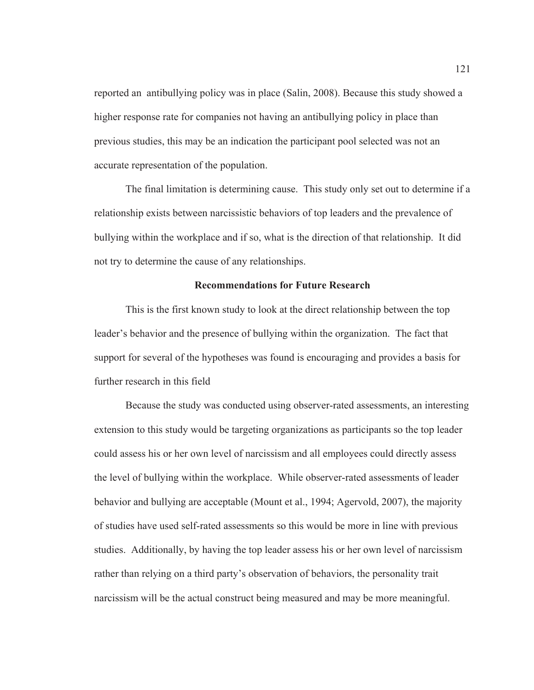reported an antibullying policy was in place (Salin, 2008). Because this study showed a higher response rate for companies not having an antibullying policy in place than previous studies, this may be an indication the participant pool selected was not an accurate representation of the population.

The final limitation is determining cause. This study only set out to determine if a relationship exists between narcissistic behaviors of top leaders and the prevalence of bullying within the workplace and if so, what is the direction of that relationship. It did not try to determine the cause of any relationships.

## **Recommendations for Future Research**

This is the first known study to look at the direct relationship between the top leader's behavior and the presence of bullying within the organization. The fact that support for several of the hypotheses was found is encouraging and provides a basis for further research in this field

Because the study was conducted using observer-rated assessments, an interesting extension to this study would be targeting organizations as participants so the top leader could assess his or her own level of narcissism and all employees could directly assess the level of bullying within the workplace. While observer-rated assessments of leader behavior and bullying are acceptable (Mount et al., 1994; Agervold, 2007), the majority of studies have used self-rated assessments so this would be more in line with previous studies. Additionally, by having the top leader assess his or her own level of narcissism rather than relying on a third party's observation of behaviors, the personality trait narcissism will be the actual construct being measured and may be more meaningful.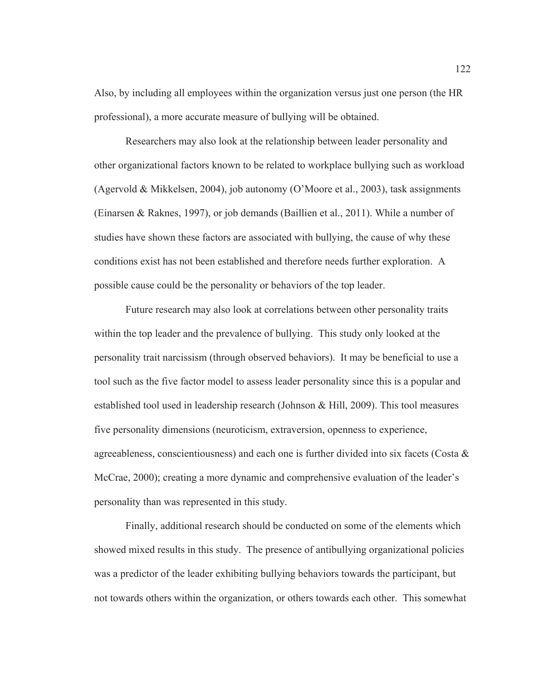Also, by including all employees within the organization versus just one person (the HR professional), a more accurate measure of bullying will be obtained.

Researchers may also look at the relationship between leader personality and other organizational factors known to be related to workplace bullying such as workload (Agervold & Mikkelsen, 2004), job autonomy (O'Moore et al., 2003), task assignments (Einarsen & Raknes, 1997), or job demands (Baillien et al., 2011). While a number of studies have shown these factors are associated with bullying, the cause of why these conditions exist has not been established and therefore needs further exploration. A possible cause could be the personality or behaviors of the top leader.

Future research may also look at correlations between other personality traits within the top leader and the prevalence of bullying. This study only looked at the personality trait narcissism (through observed behaviors). It may be beneficial to use a tool such as the five factor model to assess leader personality since this is a popular and established tool used in leadership research (Johnson & Hill, 2009). This tool measures five personality dimensions (neuroticism, extraversion, openness to experience, agreeableness, conscientiousness) and each one is further divided into six facets (Costa  $\&$ McCrae, 2000); creating a more dynamic and comprehensive evaluation of the leader's personality than was represented in this study.

Finally, additional research should be conducted on some of the elements which showed mixed results in this study. The presence of antibullying organizational policies was a predictor of the leader exhibiting bullying behaviors towards the participant, but not towards others within the organization, or others towards each other. This somewhat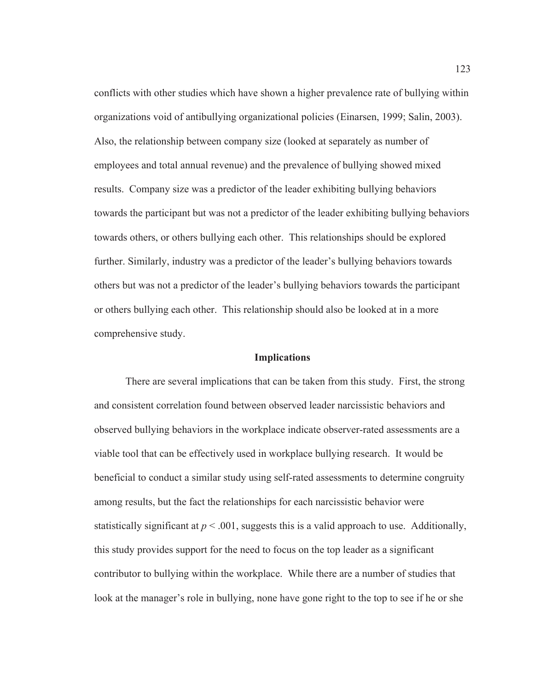conflicts with other studies which have shown a higher prevalence rate of bullying within organizations void of antibullying organizational policies (Einarsen, 1999; Salin, 2003). Also, the relationship between company size (looked at separately as number of employees and total annual revenue) and the prevalence of bullying showed mixed results. Company size was a predictor of the leader exhibiting bullying behaviors towards the participant but was not a predictor of the leader exhibiting bullying behaviors towards others, or others bullying each other. This relationships should be explored further. Similarly, industry was a predictor of the leader's bullying behaviors towards others but was not a predictor of the leader's bullying behaviors towards the participant or others bullying each other. This relationship should also be looked at in a more comprehensive study.

### **Implications**

There are several implications that can be taken from this study. First, the strong and consistent correlation found between observed leader narcissistic behaviors and observed bullying behaviors in the workplace indicate observer-rated assessments are a viable tool that can be effectively used in workplace bullying research. It would be beneficial to conduct a similar study using self-rated assessments to determine congruity among results, but the fact the relationships for each narcissistic behavior were statistically significant at  $p < .001$ , suggests this is a valid approach to use. Additionally, this study provides support for the need to focus on the top leader as a significant contributor to bullying within the workplace. While there are a number of studies that look at the manager's role in bullying, none have gone right to the top to see if he or she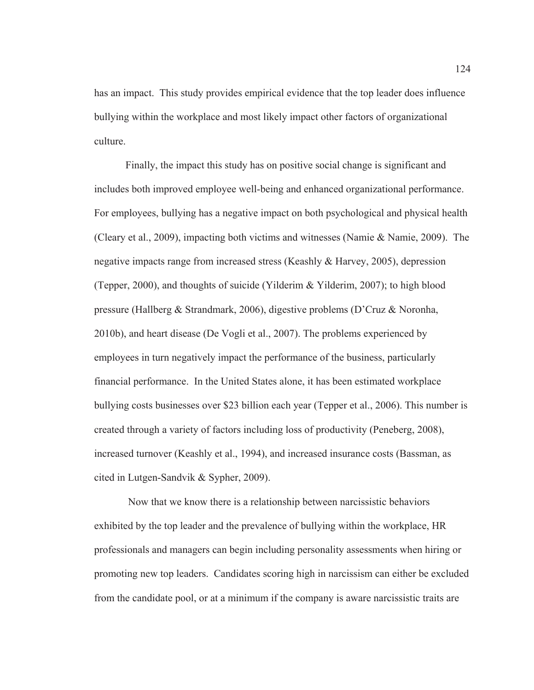has an impact. This study provides empirical evidence that the top leader does influence bullying within the workplace and most likely impact other factors of organizational culture.

Finally, the impact this study has on positive social change is significant and includes both improved employee well-being and enhanced organizational performance. For employees, bullying has a negative impact on both psychological and physical health (Cleary et al., 2009), impacting both victims and witnesses (Namie & Namie, 2009). The negative impacts range from increased stress (Keashly & Harvey, 2005), depression (Tepper, 2000), and thoughts of suicide (Yilderim & Yilderim, 2007); to high blood pressure (Hallberg & Strandmark, 2006), digestive problems (D'Cruz & Noronha, 2010b), and heart disease (De Vogli et al., 2007). The problems experienced by employees in turn negatively impact the performance of the business, particularly financial performance. In the United States alone, it has been estimated workplace bullying costs businesses over \$23 billion each year (Tepper et al., 2006). This number is created through a variety of factors including loss of productivity (Peneberg, 2008), increased turnover (Keashly et al., 1994), and increased insurance costs (Bassman, as cited in Lutgen-Sandvik & Sypher, 2009).

 Now that we know there is a relationship between narcissistic behaviors exhibited by the top leader and the prevalence of bullying within the workplace, HR professionals and managers can begin including personality assessments when hiring or promoting new top leaders. Candidates scoring high in narcissism can either be excluded from the candidate pool, or at a minimum if the company is aware narcissistic traits are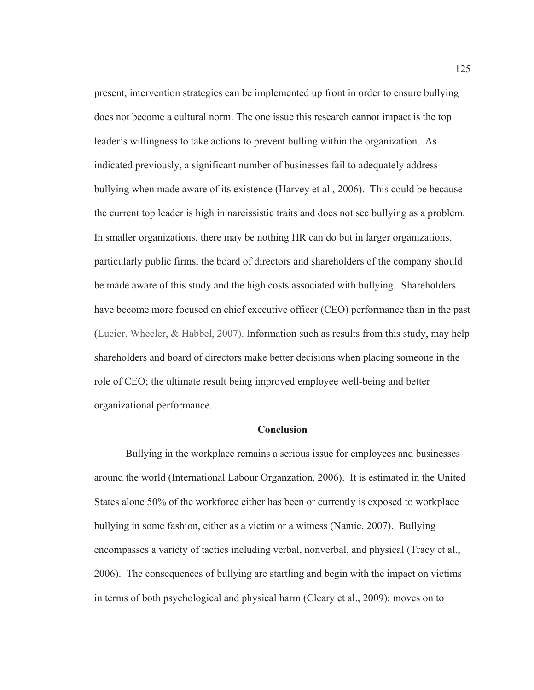present, intervention strategies can be implemented up front in order to ensure bullying does not become a cultural norm. The one issue this research cannot impact is the top leader's willingness to take actions to prevent bulling within the organization. As indicated previously, a significant number of businesses fail to adequately address bullying when made aware of its existence (Harvey et al., 2006). This could be because the current top leader is high in narcissistic traits and does not see bullying as a problem. In smaller organizations, there may be nothing HR can do but in larger organizations, particularly public firms, the board of directors and shareholders of the company should be made aware of this study and the high costs associated with bullying. Shareholders have become more focused on chief executive officer (CEO) performance than in the past (Lucier, Wheeler, & Habbel, 2007). Information such as results from this study, may help shareholders and board of directors make better decisions when placing someone in the role of CEO; the ultimate result being improved employee well-being and better organizational performance.

### **Conclusion**

Bullying in the workplace remains a serious issue for employees and businesses around the world (International Labour Organzation, 2006). It is estimated in the United States alone 50% of the workforce either has been or currently is exposed to workplace bullying in some fashion, either as a victim or a witness (Namie, 2007). Bullying encompasses a variety of tactics including verbal, nonverbal, and physical (Tracy et al., 2006). The consequences of bullying are startling and begin with the impact on victims in terms of both psychological and physical harm (Cleary et al., 2009); moves on to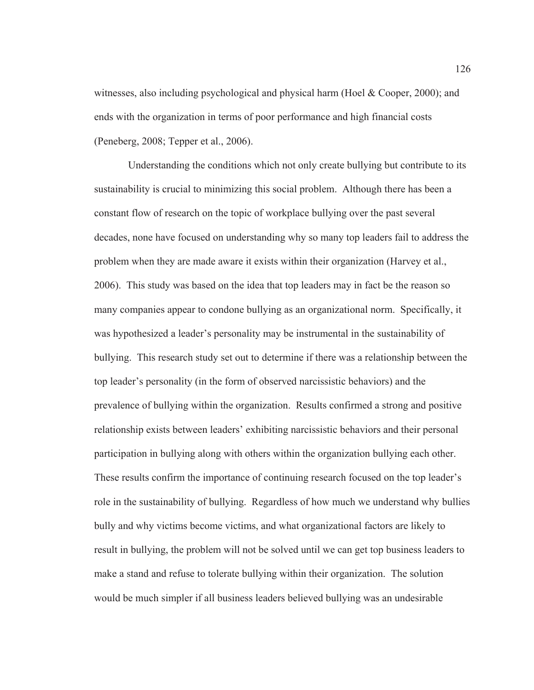witnesses, also including psychological and physical harm (Hoel & Cooper, 2000); and ends with the organization in terms of poor performance and high financial costs (Peneberg, 2008; Tepper et al., 2006).

 Understanding the conditions which not only create bullying but contribute to its sustainability is crucial to minimizing this social problem. Although there has been a constant flow of research on the topic of workplace bullying over the past several decades, none have focused on understanding why so many top leaders fail to address the problem when they are made aware it exists within their organization (Harvey et al., 2006). This study was based on the idea that top leaders may in fact be the reason so many companies appear to condone bullying as an organizational norm. Specifically, it was hypothesized a leader's personality may be instrumental in the sustainability of bullying. This research study set out to determine if there was a relationship between the top leader's personality (in the form of observed narcissistic behaviors) and the prevalence of bullying within the organization. Results confirmed a strong and positive relationship exists between leaders' exhibiting narcissistic behaviors and their personal participation in bullying along with others within the organization bullying each other. These results confirm the importance of continuing research focused on the top leader's role in the sustainability of bullying. Regardless of how much we understand why bullies bully and why victims become victims, and what organizational factors are likely to result in bullying, the problem will not be solved until we can get top business leaders to make a stand and refuse to tolerate bullying within their organization. The solution would be much simpler if all business leaders believed bullying was an undesirable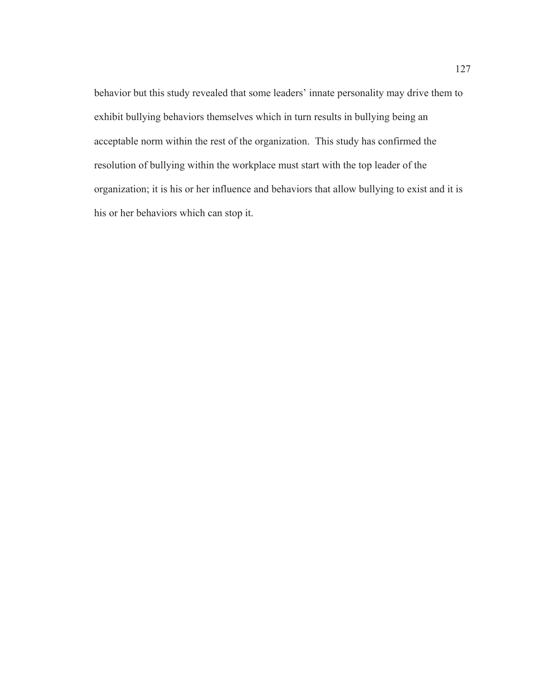behavior but this study revealed that some leaders' innate personality may drive them to exhibit bullying behaviors themselves which in turn results in bullying being an acceptable norm within the rest of the organization. This study has confirmed the resolution of bullying within the workplace must start with the top leader of the organization; it is his or her influence and behaviors that allow bullying to exist and it is his or her behaviors which can stop it.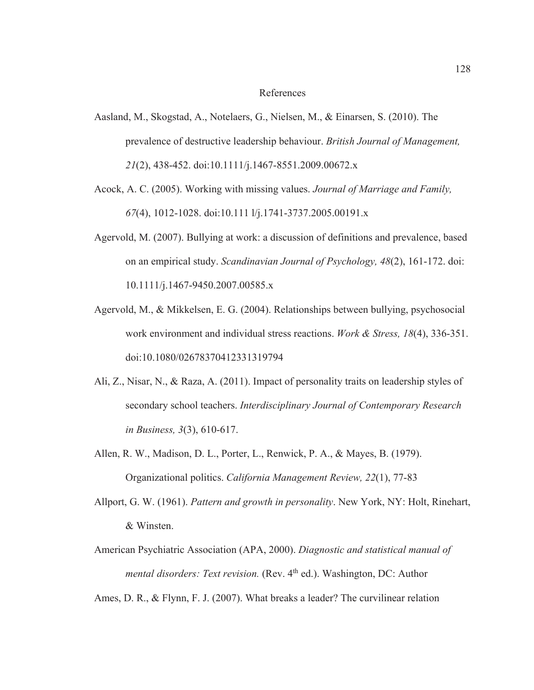### References

- Aasland, M., Skogstad, A., Notelaers, G., Nielsen, M., & Einarsen, S. (2010). The prevalence of destructive leadership behaviour. *British Journal of Management, 21*(2), 438-452. doi:10.1111/j.1467-8551.2009.00672.x
- Acock, A. C. (2005). Working with missing values. *Journal of Marriage and Family, 67*(4), 1012-1028. doi:10.111 l/j.1741-3737.2005.00191.x
- Agervold, M. (2007). Bullying at work: a discussion of definitions and prevalence, based on an empirical study. *Scandinavian Journal of Psychology, 48*(2), 161-172. doi: 10.1111/j.1467-9450.2007.00585.x
- Agervold, M., & Mikkelsen, E. G. (2004). Relationships between bullying, psychosocial work environment and individual stress reactions. *Work & Stress, 18*(4), 336-351. doi:10.1080/02678370412331319794
- Ali, Z., Nisar, N., & Raza, A. (2011). Impact of personality traits on leadership styles of secondary school teachers. *Interdisciplinary Journal of Contemporary Research in Business, 3*(3), 610-617.
- Allen, R. W., Madison, D. L., Porter, L., Renwick, P. A., & Mayes, B. (1979). Organizational politics. *California Management Review, 22*(1), 77-83
- Allport, G. W. (1961). *Pattern and growth in personality*. New York, NY: Holt, Rinehart, & Winsten.
- American Psychiatric Association (APA, 2000). *Diagnostic and statistical manual of mental disorders: Text revision.* (Rev. 4<sup>th</sup> ed.). Washington, DC: Author

Ames, D. R., & Flynn, F. J. (2007). What breaks a leader? The curvilinear relation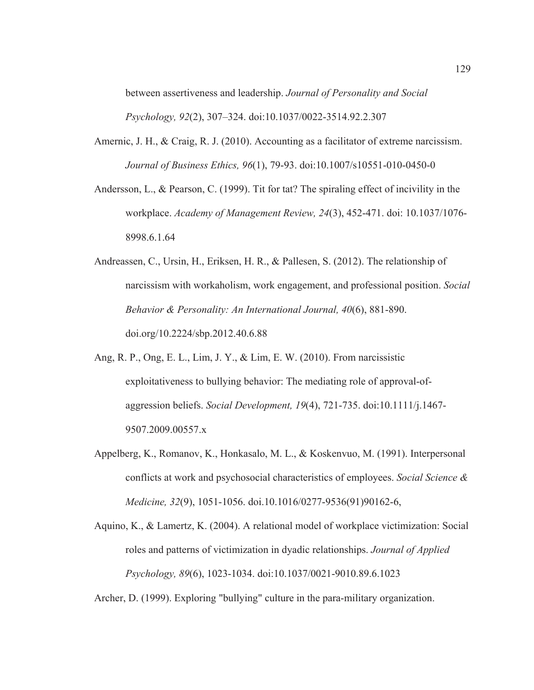between assertiveness and leadership. *Journal of Personality and Social Psychology, 92*(2), 307–324. doi:10.1037/0022-3514.92.2.307

- Amernic, J. H., & Craig, R. J. (2010). Accounting as a facilitator of extreme narcissism. *Journal of Business Ethics, 96*(1), 79-93. doi:10.1007/s10551-010-0450-0
- Andersson, L., & Pearson, C. (1999). Tit for tat? The spiraling effect of incivility in the workplace. *Academy of Management Review, 24*(3), 452-471. doi: 10.1037/1076- 8998.6.1.64
- Andreassen, C., Ursin, H., Eriksen, H. R., & Pallesen, S. (2012). The relationship of narcissism with workaholism, work engagement, and professional position. *Social Behavior & Personality: An International Journal, 40*(6), 881-890. doi.org/10.2224/sbp.2012.40.6.88
- Ang, R. P., Ong, E. L., Lim, J. Y., & Lim, E. W. (2010). From narcissistic exploitativeness to bullying behavior: The mediating role of approval-ofaggression beliefs. *Social Development, 19*(4), 721-735. doi:10.1111/j.1467- 9507.2009.00557.x
- Appelberg, K., Romanov, K., Honkasalo, M. L., & Koskenvuo, M. (1991). Interpersonal conflicts at work and psychosocial characteristics of employees. *Social Science & Medicine, 32*(9), 1051-1056. doi.10.1016/0277-9536(91)90162-6,
- Aquino, K., & Lamertz, K. (2004). A relational model of workplace victimization: Social roles and patterns of victimization in dyadic relationships. *Journal of Applied Psychology, 89*(6), 1023-1034. doi:10.1037/0021-9010.89.6.1023

Archer, D. (1999). Exploring "bullying" culture in the para-military organization.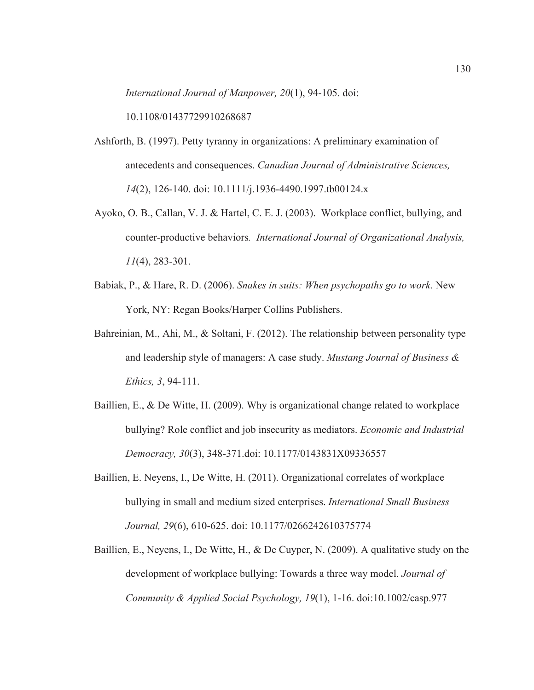*International Journal of Manpower, 20*(1), 94-105. doi:

10.1108/01437729910268687

- Ashforth, B. (1997). Petty tyranny in organizations: A preliminary examination of antecedents and consequences. *Canadian Journal of Administrative Sciences, 14*(2), 126-140. doi: 10.1111/j.1936-4490.1997.tb00124.x
- Ayoko, O. B., Callan, V. J. & Hartel, C. E. J. (2003). Workplace conflict, bullying, and counter-productive behaviors*. International Journal of Organizational Analysis, 11*(4), 283-301.
- Babiak, P., & Hare, R. D. (2006). *Snakes in suits: When psychopaths go to work*. New York, NY: Regan Books/Harper Collins Publishers.
- Bahreinian, M., Ahi, M., & Soltani, F. (2012). The relationship between personality type and leadership style of managers: A case study. *Mustang Journal of Business & Ethics, 3*, 94-111.
- Baillien, E., & De Witte, H. (2009). Why is organizational change related to workplace bullying? Role conflict and job insecurity as mediators. *Economic and Industrial Democracy, 30*(3), 348-371.doi: 10.1177/0143831X09336557
- Baillien, E. Neyens, I., De Witte, H. (2011). Organizational correlates of workplace bullying in small and medium sized enterprises. *International Small Business Journal, 29*(6), 610-625. doi: 10.1177/0266242610375774
- Baillien, E., Neyens, I., De Witte, H., & De Cuyper, N. (2009). A qualitative study on the development of workplace bullying: Towards a three way model. *Journal of Community & Applied Social Psychology, 19*(1), 1-16. doi:10.1002/casp.977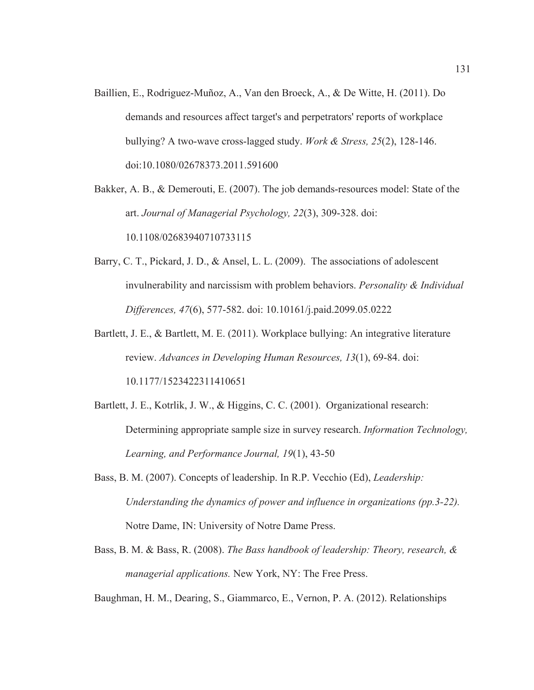Baillien, E., Rodriguez-Muñoz, A., Van den Broeck, A., & De Witte, H. (2011). Do demands and resources affect target's and perpetrators' reports of workplace bullying? A two-wave cross-lagged study. *Work & Stress, 25*(2), 128-146. doi:10.1080/02678373.2011.591600

Bakker, A. B., & Demerouti, E. (2007). The job demands-resources model: State of the art. *Journal of Managerial Psychology, 22*(3), 309-328. doi: 10.1108/02683940710733115

- Barry, C. T., Pickard, J. D., & Ansel, L. L. (2009). The associations of adolescent invulnerability and narcissism with problem behaviors. *Personality & Individual Differences, 47*(6), 577-582. doi: 10.10161/j.paid.2099.05.0222
- Bartlett, J. E., & Bartlett, M. E. (2011). Workplace bullying: An integrative literature review. *Advances in Developing Human Resources, 13*(1), 69-84. doi: 10.1177/1523422311410651
- Bartlett, J. E., Kotrlik, J. W., & Higgins, C. C. (2001). Organizational research: Determining appropriate sample size in survey research. *Information Technology, Learning, and Performance Journal, 19*(1), 43-50
- Bass, B. M. (2007). Concepts of leadership. In R.P. Vecchio (Ed), *Leadership: Understanding the dynamics of power and influence in organizations (pp.3-22).* Notre Dame, IN: University of Notre Dame Press.
- Bass, B. M. & Bass, R. (2008). *The Bass handbook of leadership: Theory, research, & managerial applications.* New York, NY: The Free Press.

Baughman, H. M., Dearing, S., Giammarco, E., Vernon, P. A. (2012). Relationships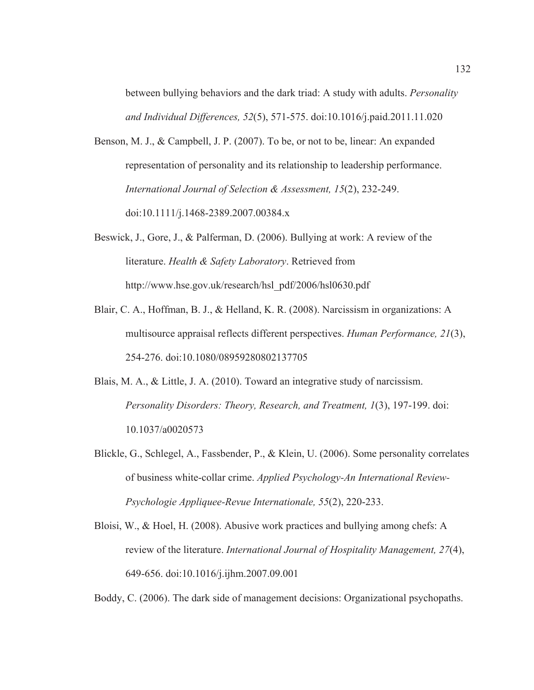between bullying behaviors and the dark triad: A study with adults. *Personality and Individual Differences, 52*(5), 571-575. doi:10.1016/j.paid.2011.11.020

- Benson, M. J., & Campbell, J. P. (2007). To be, or not to be, linear: An expanded representation of personality and its relationship to leadership performance. *International Journal of Selection & Assessment, 15*(2), 232-249. doi:10.1111/j.1468-2389.2007.00384.x
- Beswick, J., Gore, J., & Palferman, D. (2006). Bullying at work: A review of the literature. *Health & Safety Laboratory*. Retrieved from http://www.hse.gov.uk/research/hsl\_pdf/2006/hsl0630.pdf
- Blair, C. A., Hoffman, B. J., & Helland, K. R. (2008). Narcissism in organizations: A multisource appraisal reflects different perspectives. *Human Performance, 21*(3), 254-276. doi:10.1080/08959280802137705
- Blais, M. A., & Little, J. A. (2010). Toward an integrative study of narcissism. *Personality Disorders: Theory, Research, and Treatment, 1*(3), 197-199. doi: 10.1037/a0020573
- Blickle, G., Schlegel, A., Fassbender, P., & Klein, U. (2006). Some personality correlates of business white-collar crime. *Applied Psychology-An International Review-Psychologie Appliquee-Revue Internationale, 55*(2), 220-233.
- Bloisi, W., & Hoel, H. (2008). Abusive work practices and bullying among chefs: A review of the literature. *International Journal of Hospitality Management, 27*(4), 649-656. doi:10.1016/j.ijhm.2007.09.001

Boddy, C. (2006). The dark side of management decisions: Organizational psychopaths.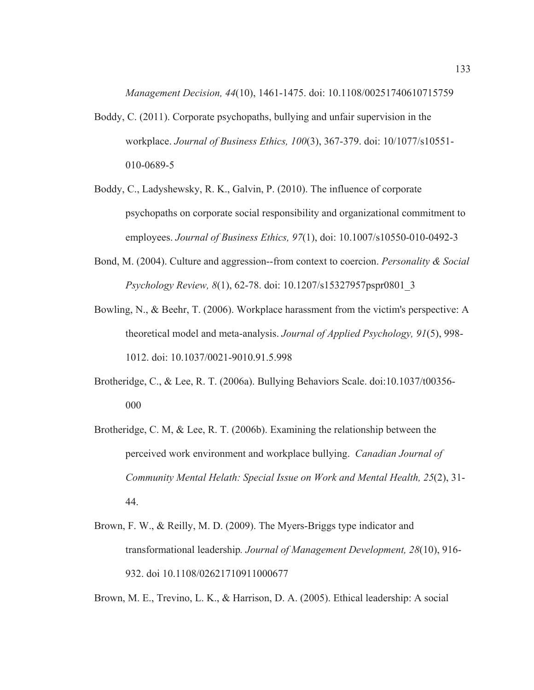*Management Decision, 44*(10), 1461-1475. doi: 10.1108/00251740610715759

- Boddy, C. (2011). Corporate psychopaths, bullying and unfair supervision in the workplace. *Journal of Business Ethics, 100*(3), 367-379. doi: 10/1077/s10551- 010-0689-5
- Boddy, C., Ladyshewsky, R. K., Galvin, P. (2010). The influence of corporate psychopaths on corporate social responsibility and organizational commitment to employees. *Journal of Business Ethics, 97*(1), doi: 10.1007/s10550-010-0492-3
- Bond, M. (2004). Culture and aggression--from context to coercion. *Personality & Social Psychology Review, 8*(1), 62-78. doi: 10.1207/s15327957pspr0801\_3
- Bowling, N., & Beehr, T. (2006). Workplace harassment from the victim's perspective: A theoretical model and meta-analysis. *Journal of Applied Psychology, 91*(5), 998- 1012. doi: 10.1037/0021-9010.91.5.998
- Brotheridge, C., & Lee, R. T. (2006a). Bullying Behaviors Scale. doi:10.1037/t00356- 000
- Brotheridge, C. M,  $\&$  Lee, R. T. (2006b). Examining the relationship between the perceived work environment and workplace bullying. *Canadian Journal of Community Mental Helath: Special Issue on Work and Mental Health, 25*(2), 31- 44.
- Brown, F. W., & Reilly, M. D. (2009). The Myers-Briggs type indicator and transformational leadership*. Journal of Management Development, 28*(10), 916- 932. doi 10.1108/02621710911000677

Brown, M. E., Trevino, L. K., & Harrison, D. A. (2005). Ethical leadership: A social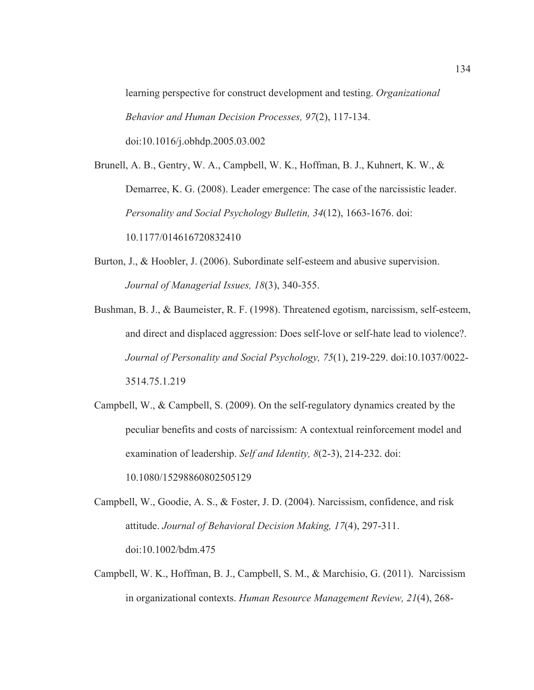learning perspective for construct development and testing. *Organizational Behavior and Human Decision Processes, 97*(2), 117-134. doi:10.1016/j.obhdp.2005.03.002

Brunell, A. B., Gentry, W. A., Campbell, W. K., Hoffman, B. J., Kuhnert, K. W., & Demarree, K. G. (2008). Leader emergence: The case of the narcissistic leader. *Personality and Social Psychology Bulletin, 34*(12), 1663-1676. doi: 10.1177/014616720832410

- Burton, J., & Hoobler, J. (2006). Subordinate self-esteem and abusive supervision. *Journal of Managerial Issues, 18*(3), 340-355.
- Bushman, B. J., & Baumeister, R. F. (1998). Threatened egotism, narcissism, self-esteem, and direct and displaced aggression: Does self-love or self-hate lead to violence?. *Journal of Personality and Social Psychology, 75*(1), 219-229. doi:10.1037/0022- 3514.75.1.219
- Campbell, W., & Campbell, S. (2009). On the self-regulatory dynamics created by the peculiar benefits and costs of narcissism: A contextual reinforcement model and examination of leadership. *Self and Identity, 8*(2-3), 214-232. doi: 10.1080/15298860802505129
- Campbell, W., Goodie, A. S., & Foster, J. D. (2004). Narcissism, confidence, and risk attitude. *Journal of Behavioral Decision Making, 17*(4), 297-311. doi:10.1002/bdm.475
- Campbell, W. K., Hoffman, B. J., Campbell, S. M., & Marchisio, G. (2011). Narcissism in organizational contexts. *Human Resource Management Review, 21*(4), 268-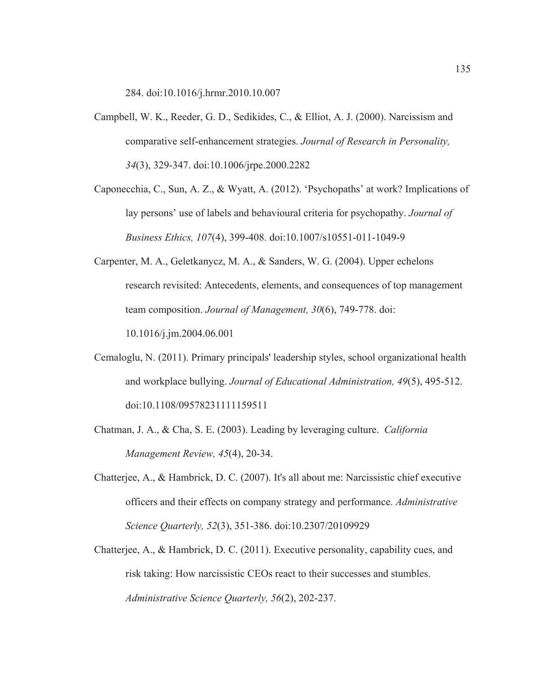284. doi:10.1016/j.hrmr.2010.10.007

- Campbell, W. K., Reeder, G. D., Sedikides, C., & Elliot, A. J. (2000). Narcissism and comparative self-enhancement strategies. *Journal of Research in Personality, 34*(3), 329-347. doi:10.1006/jrpe.2000.2282
- Caponecchia, C., Sun, A. Z., & Wyatt, A. (2012). 'Psychopaths' at work? Implications of lay persons' use of labels and behavioural criteria for psychopathy. *Journal of Business Ethics, 107*(4), 399-408. doi:10.1007/s10551-011-1049-9
- Carpenter, M. A., Geletkanycz, M. A., & Sanders, W. G. (2004). Upper echelons research revisited: Antecedents, elements, and consequences of top management team composition. *Journal of Management, 30*(6), 749-778. doi: 10.1016/j.jm.2004.06.001
- Cemaloglu, N. (2011). Primary principals' leadership styles, school organizational health and workplace bullying. *Journal of Educational Administration, 49*(5), 495-512. doi:10.1108/09578231111159511
- Chatman, J. A., & Cha, S. E. (2003). Leading by leveraging culture. *California Management Review, 45*(4), 20-34.
- Chatterjee, A., & Hambrick, D. C. (2007). It's all about me: Narcissistic chief executive officers and their effects on company strategy and performance. *Administrative Science Quarterly, 52*(3), 351-386. doi:10.2307/20109929
- Chatterjee, A., & Hambrick, D. C. (2011). Executive personality, capability cues, and risk taking: How narcissistic CEOs react to their successes and stumbles. *Administrative Science Quarterly, 56*(2), 202-237.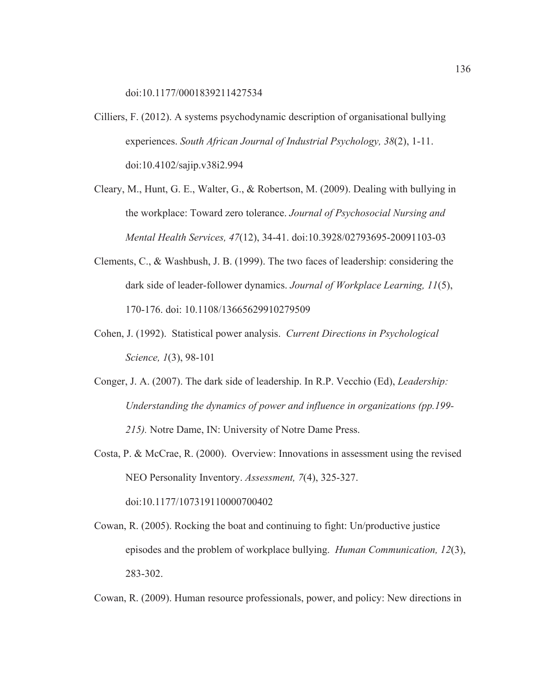doi:10.1177/0001839211427534

- Cilliers, F. (2012). A systems psychodynamic description of organisational bullying experiences. *South African Journal of Industrial Psychology, 38*(2), 1-11. doi:10.4102/sajip.v38i2.994
- Cleary, M., Hunt, G. E., Walter, G., & Robertson, M. (2009). Dealing with bullying in the workplace: Toward zero tolerance. *Journal of Psychosocial Nursing and Mental Health Services, 47*(12), 34-41. doi:10.3928/02793695-20091103-03
- Clements, C., & Washbush, J. B. (1999). The two faces of leadership: considering the dark side of leader-follower dynamics. *Journal of Workplace Learning, 11*(5), 170-176. doi: 10.1108/13665629910279509
- Cohen, J. (1992). Statistical power analysis. *Current Directions in Psychological Science, 1*(3), 98-101
- Conger, J. A. (2007). The dark side of leadership. In R.P. Vecchio (Ed), *Leadership: Understanding the dynamics of power and influence in organizations (pp.199- 215).* Notre Dame, IN: University of Notre Dame Press.
- Costa, P. & McCrae, R. (2000). Overview: Innovations in assessment using the revised NEO Personality Inventory. *Assessment, 7*(4), 325-327. doi:10.1177/107319110000700402
- Cowan, R. (2005). Rocking the boat and continuing to fight: Un/productive justice episodes and the problem of workplace bullying. *Human Communication, 12*(3), 283-302.

Cowan, R. (2009). Human resource professionals, power, and policy: New directions in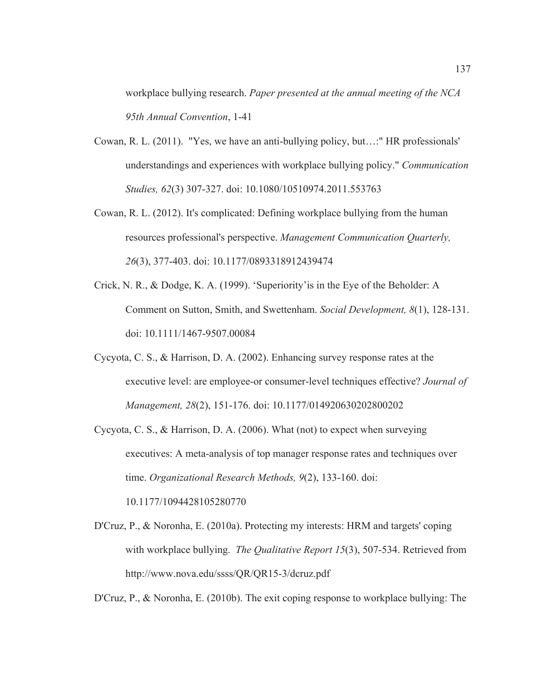workplace bullying research. *Paper presented at the annual meeting of the NCA 95th Annual Convention*, 1-41

- Cowan, R. L. (2011). "Yes, we have an anti-bullying policy, but…:" HR professionals' understandings and experiences with workplace bullying policy." *Communication Studies, 62*(3) 307-327. doi: 10.1080/10510974.2011.553763
- Cowan, R. L. (2012). It's complicated: Defining workplace bullying from the human resources professional's perspective. *Management Communication Quarterly, 26*(3), 377-403. doi: 10.1177/0893318912439474
- Crick, N. R., & Dodge, K. A. (1999). 'Superiority'is in the Eye of the Beholder: A Comment on Sutton, Smith, and Swettenham. *Social Development, 8*(1), 128-131. doi: 10.1111/1467-9507.00084
- Cycyota, C. S., & Harrison, D. A. (2002). Enhancing survey response rates at the executive level: are employee-or consumer-level techniques effective? *Journal of Management, 28*(2), 151-176. doi: 10.1177/014920630202800202
- Cycyota, C. S., & Harrison, D. A. (2006). What (not) to expect when surveying executives: A meta-analysis of top manager response rates and techniques over time. *Organizational Research Methods, 9*(2), 133-160. doi: 10.1177/1094428105280770
- D'Cruz, P., & Noronha, E. (2010a). Protecting my interests: HRM and targets' coping with workplace bullying. *The Qualitative Report 15*(3), 507-534. Retrieved from http://www.nova.edu/ssss/QR/QR15-3/dcruz.pdf

D'Cruz, P., & Noronha, E. (2010b). The exit coping response to workplace bullying: The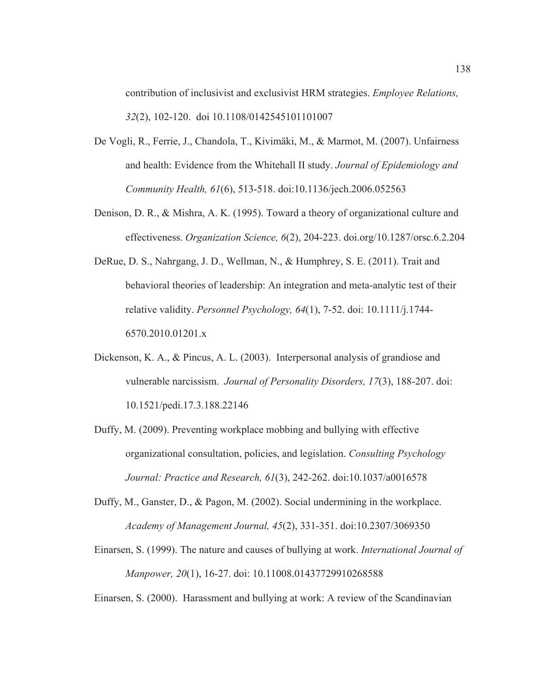contribution of inclusivist and exclusivist HRM strategies. *Employee Relations, 32*(2), 102-120. doi 10.1108/0142545101101007

- De Vogli, R., Ferrie, J., Chandola, T., Kivimäki, M., & Marmot, M. (2007). Unfairness and health: Evidence from the Whitehall II study. *Journal of Epidemiology and Community Health, 61*(6), 513-518. doi:10.1136/jech.2006.052563
- Denison, D. R., & Mishra, A. K. (1995). Toward a theory of organizational culture and effectiveness. *Organization Science, 6*(2), 204-223. doi.org/10.1287/orsc.6.2.204
- DeRue, D. S., Nahrgang, J. D., Wellman, N., & Humphrey, S. E. (2011). Trait and behavioral theories of leadership: An integration and meta-analytic test of their relative validity. *Personnel Psychology, 64*(1), 7-52. doi: 10.1111/j.1744- 6570.2010.01201.x
- Dickenson, K. A., & Pincus, A. L. (2003). Interpersonal analysis of grandiose and vulnerable narcissism. *Journal of Personality Disorders, 17*(3), 188-207. doi: 10.1521/pedi.17.3.188.22146
- Duffy, M. (2009). Preventing workplace mobbing and bullying with effective organizational consultation, policies, and legislation. *Consulting Psychology Journal: Practice and Research, 61*(3), 242-262. doi:10.1037/a0016578
- Duffy, M., Ganster, D., & Pagon, M. (2002). Social undermining in the workplace. *Academy of Management Journal, 45*(2), 331-351. doi:10.2307/3069350
- Einarsen, S. (1999). The nature and causes of bullying at work. *International Journal of Manpower, 20*(1), 16-27. doi: 10.11008.01437729910268588

Einarsen, S. (2000). Harassment and bullying at work: A review of the Scandinavian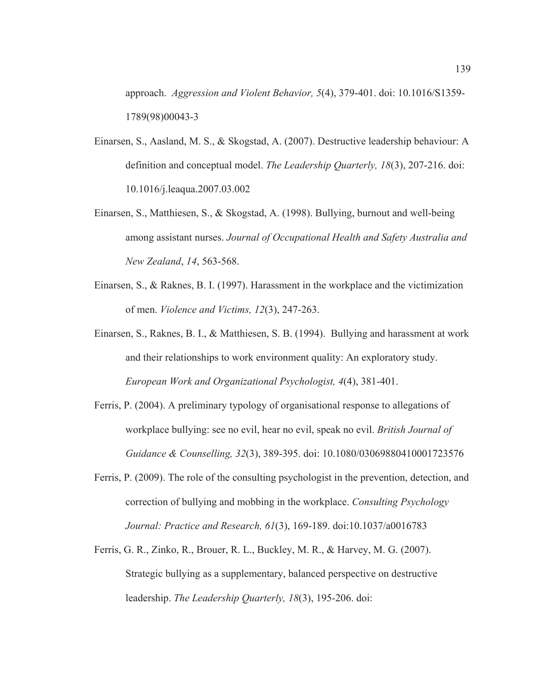approach. *Aggression and Violent Behavior, 5*(4), 379-401. doi: 10.1016/S1359- 1789(98)00043-3

- Einarsen, S., Aasland, M. S., & Skogstad, A. (2007). Destructive leadership behaviour: A definition and conceptual model. *The Leadership Quarterly, 18*(3), 207-216. doi: 10.1016/j.leaqua.2007.03.002
- Einarsen, S., Matthiesen, S., & Skogstad, A. (1998). Bullying, burnout and well-being among assistant nurses. *Journal of Occupational Health and Safety Australia and New Zealand*, *14*, 563-568.
- Einarsen, S., & Raknes, B. I. (1997). Harassment in the workplace and the victimization of men. *Violence and Victims, 12*(3), 247-263.
- Einarsen, S., Raknes, B. I., & Matthiesen, S. B. (1994). Bullying and harassment at work and their relationships to work environment quality: An exploratory study. *European Work and Organizational Psychologist, 4*(4), 381-401.
- Ferris, P. (2004). A preliminary typology of organisational response to allegations of workplace bullying: see no evil, hear no evil, speak no evil. *British Journal of Guidance & Counselling, 32*(3), 389-395. doi: 10.1080/03069880410001723576
- Ferris, P. (2009). The role of the consulting psychologist in the prevention, detection, and correction of bullying and mobbing in the workplace. *Consulting Psychology Journal: Practice and Research, 61*(3), 169-189. doi:10.1037/a0016783
- Ferris, G. R., Zinko, R., Brouer, R. L., Buckley, M. R., & Harvey, M. G. (2007). Strategic bullying as a supplementary, balanced perspective on destructive leadership. *The Leadership Quarterly, 18*(3), 195-206. doi: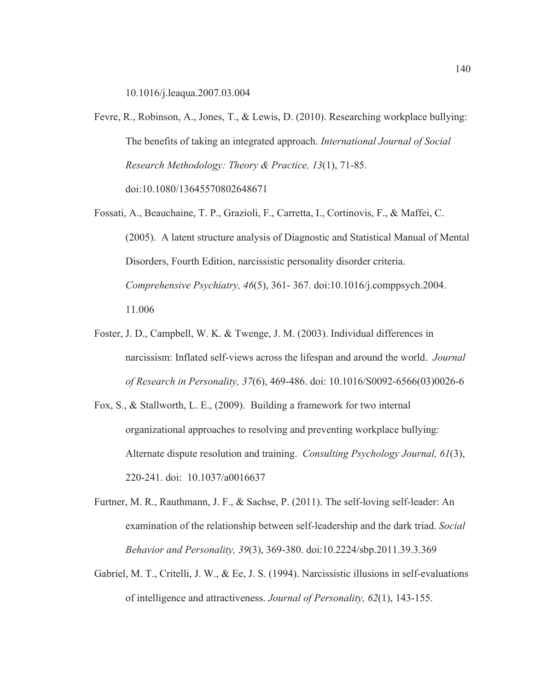10.1016/j.leaqua.2007.03.004

- Fevre, R., Robinson, A., Jones, T., & Lewis, D. (2010). Researching workplace bullying: The benefits of taking an integrated approach. *International Journal of Social Research Methodology: Theory & Practice, 13*(1), 71-85. doi:10.1080/13645570802648671
- Fossati, A., Beauchaine, T. P., Grazioli, F., Carretta, I., Cortinovis, F., & Maffei, C. (2005). A latent structure analysis of Diagnostic and Statistical Manual of Mental Disorders, Fourth Edition, narcissistic personality disorder criteria. *Comprehensive Psychiatry, 46*(5), 361- 367. doi:10.1016/j.comppsych.2004. 11.006
- Foster, J. D., Campbell, W. K. & Twenge, J. M. (2003). Individual differences in narcissism: Inflated self-views across the lifespan and around the world. *Journal of Research in Personality, 37*(6), 469-486. doi: 10.1016/S0092-6566(03)0026-6
- Fox, S., & Stallworth, L. E., (2009). Building a framework for two internal organizational approaches to resolving and preventing workplace bullying: Alternate dispute resolution and training. *Consulting Psychology Journal, 61*(3), 220-241. doi: 10.1037/a0016637
- Furtner, M. R., Rauthmann, J. F., & Sachse, P. (2011). The self-loving self-leader: An examination of the relationship between self-leadership and the dark triad. *Social Behavior and Personality, 39*(3), 369-380. doi:10.2224/sbp.2011.39.3.369
- Gabriel, M. T., Critelli, J. W., & Ee, J. S. (1994). Narcissistic illusions in self-evaluations of intelligence and attractiveness. *Journal of Personality, 62*(1), 143-155.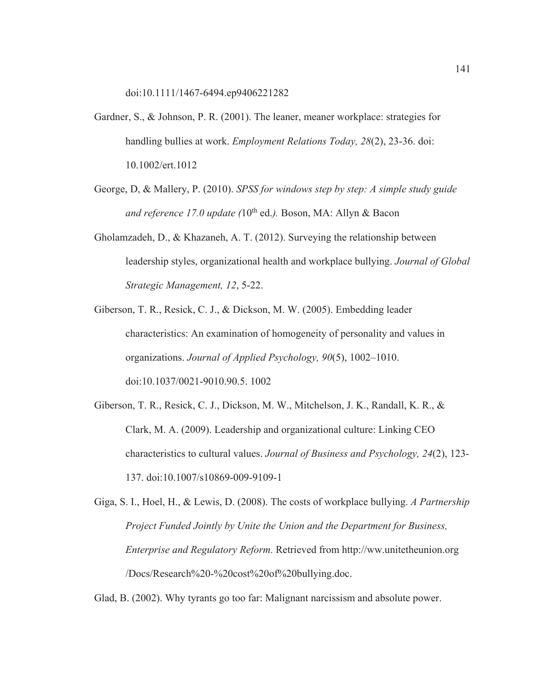doi:10.1111/1467-6494.ep9406221282

- Gardner, S., & Johnson, P. R. (2001). The leaner, meaner workplace: strategies for handling bullies at work. *Employment Relations Today, 28*(2), 23-36. doi: 10.1002/ert.1012
- George, D, & Mallery, P. (2010). *SPSS for windows step by step: A simple study guide and reference 17.0 update* (10<sup>th</sup> ed.). Boson, MA: Allyn & Bacon
- Gholamzadeh, D., & Khazaneh, A. T. (2012). Surveying the relationship between leadership styles, organizational health and workplace bullying. *Journal of Global Strategic Management, 12*, 5-22.
- Giberson, T. R., Resick, C. J., & Dickson, M. W. (2005). Embedding leader characteristics: An examination of homogeneity of personality and values in organizations. *Journal of Applied Psychology, 90*(5), 1002–1010. doi:10.1037/0021-9010.90.5. 1002
- Giberson, T. R., Resick, C. J., Dickson, M. W., Mitchelson, J. K., Randall, K. R., & Clark, M. A. (2009). Leadership and organizational culture: Linking CEO characteristics to cultural values. *Journal of Business and Psychology, 24*(2), 123- 137. doi:10.1007/s10869-009-9109-1
- Giga, S. I., Hoel, H., & Lewis, D. (2008). The costs of workplace bullying. *A Partnership Project Funded Jointly by Unite the Union and the Department for Business, Enterprise and Regulatory Reform.* Retrieved from http://ww.unitetheunion.org /Docs/Research%20-%20cost%20of%20bullying.doc.

Glad, B. (2002). Why tyrants go too far: Malignant narcissism and absolute power.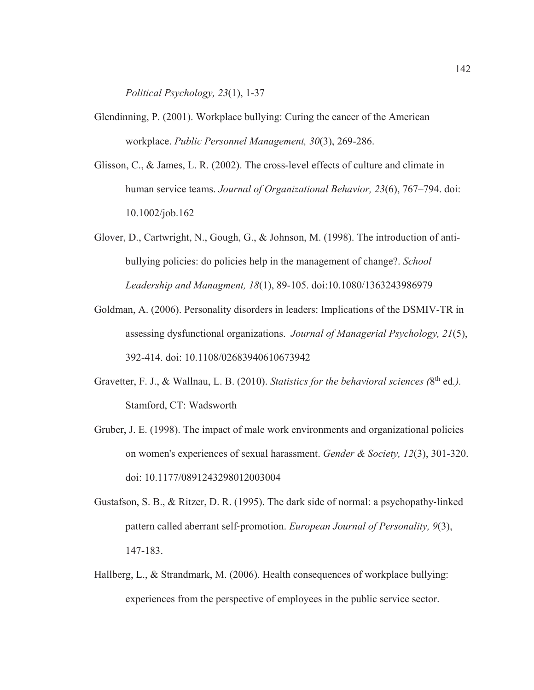*Political Psychology, 23*(1), 1-37

- Glendinning, P. (2001). Workplace bullying: Curing the cancer of the American workplace. *Public Personnel Management, 30*(3), 269-286.
- Glisson, C., & James, L. R. (2002). The cross-level effects of culture and climate in human service teams. *Journal of Organizational Behavior, 23*(6), 767–794. doi: 10.1002/job.162
- Glover, D., Cartwright, N., Gough, G., & Johnson, M. (1998). The introduction of antibullying policies: do policies help in the management of change?. *School Leadership and Managment, 18*(1), 89-105. doi:10.1080/1363243986979
- Goldman, A. (2006). Personality disorders in leaders: Implications of the DSMIV-TR in assessing dysfunctional organizations. *Journal of Managerial Psychology, 21*(5), 392-414. doi: 10.1108/02683940610673942
- Gravetter, F. J., & Wallnau, L. B. (2010). *Statistics for the behavioral sciences* (8<sup>th</sup> ed.). Stamford, CT: Wadsworth
- Gruber, J. E. (1998). The impact of male work environments and organizational policies on women's experiences of sexual harassment. *Gender & Society, 12*(3), 301-320. doi: 10.1177/0891243298012003004
- Gustafson, S. B., & Ritzer, D. R. (1995). The dark side of normal: a psychopathy-linked pattern called aberrant self-promotion. *European Journal of Personality*, 9(3), 147-183.
- Hallberg, L., & Strandmark, M. (2006). Health consequences of workplace bullying: experiences from the perspective of employees in the public service sector.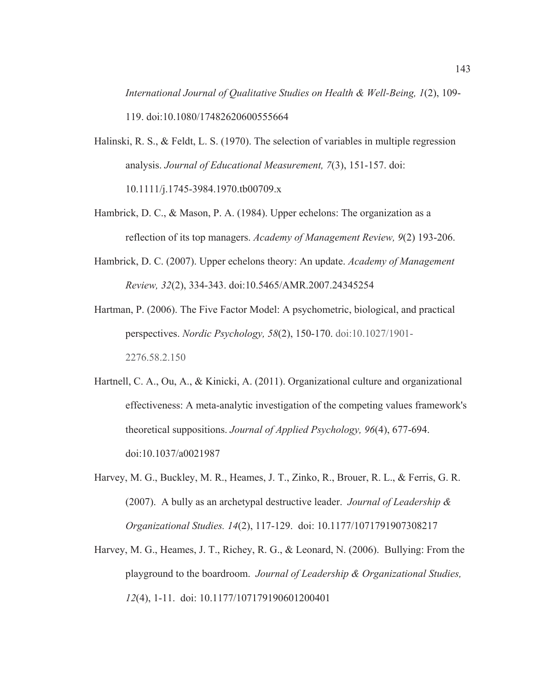*International Journal of Qualitative Studies on Health & Well-Being, 1*(2), 109- 119. doi:10.1080/17482620600555664

- Halinski, R. S., & Feldt, L. S. (1970). The selection of variables in multiple regression analysis. *Journal of Educational Measurement, 7*(3), 151-157. doi: 10.1111/j.1745-3984.1970.tb00709.x
- Hambrick, D. C., & Mason, P. A. (1984). Upper echelons: The organization as a reflection of its top managers. *Academy of Management Review, 9*(2) 193-206.
- Hambrick, D. C. (2007). Upper echelons theory: An update. *Academy of Management Review, 32*(2), 334-343. doi:10.5465/AMR.2007.24345254
- Hartman, P. (2006). The Five Factor Model: A psychometric, biological, and practical perspectives. *Nordic Psychology, 58*(2), 150-170. doi:10.1027/1901- 2276.58.2.150
- Hartnell, C. A., Ou, A., & Kinicki, A. (2011). Organizational culture and organizational effectiveness: A meta-analytic investigation of the competing values framework's theoretical suppositions. *Journal of Applied Psychology, 96*(4), 677-694. doi:10.1037/a0021987
- Harvey, M. G., Buckley, M. R., Heames, J. T., Zinko, R., Brouer, R. L., & Ferris, G. R. (2007). A bully as an archetypal destructive leader. *Journal of Leadership & Organizational Studies. 14*(2), 117-129. doi: 10.1177/1071791907308217
- Harvey, M. G., Heames, J. T., Richey, R. G., & Leonard, N. (2006). Bullying: From the playground to the boardroom. *Journal of Leadership & Organizational Studies, 12*(4), 1-11. doi: 10.1177/107179190601200401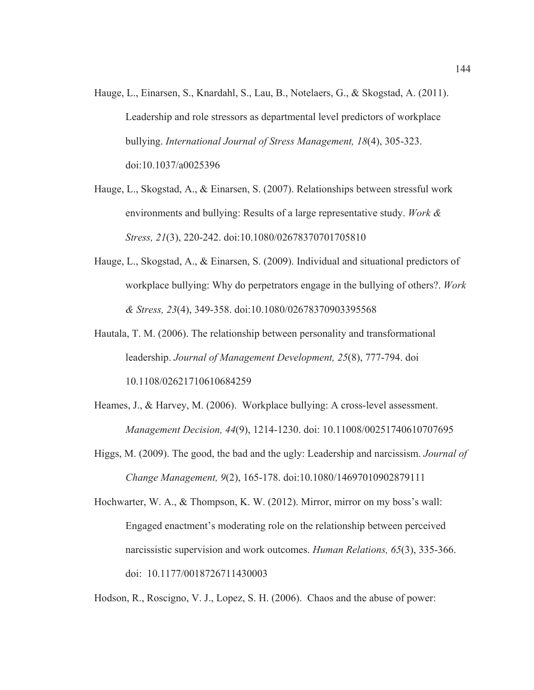- Hauge, L., Einarsen, S., Knardahl, S., Lau, B., Notelaers, G., & Skogstad, A. (2011). Leadership and role stressors as departmental level predictors of workplace bullying. *International Journal of Stress Management, 18*(4), 305-323. doi:10.1037/a0025396
- Hauge, L., Skogstad, A., & Einarsen, S. (2007). Relationships between stressful work environments and bullying: Results of a large representative study. *Work & Stress, 21*(3), 220-242. doi:10.1080/02678370701705810
- Hauge, L., Skogstad, A., & Einarsen, S. (2009). Individual and situational predictors of workplace bullying: Why do perpetrators engage in the bullying of others?. *Work & Stress, 23*(4), 349-358. doi:10.1080/02678370903395568
- Hautala, T. M. (2006). The relationship between personality and transformational leadership. *Journal of Management Development, 25*(8), 777-794. doi 10.1108/02621710610684259
- Heames, J., & Harvey, M. (2006). Workplace bullying: A cross-level assessment. *Management Decision, 44*(9), 1214-1230. doi: 10.11008/00251740610707695
- Higgs, M. (2009). The good, the bad and the ugly: Leadership and narcissism. *Journal of Change Management, 9*(2), 165-178. doi:10.1080/14697010902879111

Hochwarter, W. A., & Thompson, K. W. (2012). Mirror, mirror on my boss's wall: Engaged enactment's moderating role on the relationship between perceived narcissistic supervision and work outcomes. *Human Relations, 65*(3), 335-366. doi: 10.1177/0018726711430003

Hodson, R., Roscigno, V. J., Lopez, S. H. (2006). Chaos and the abuse of power: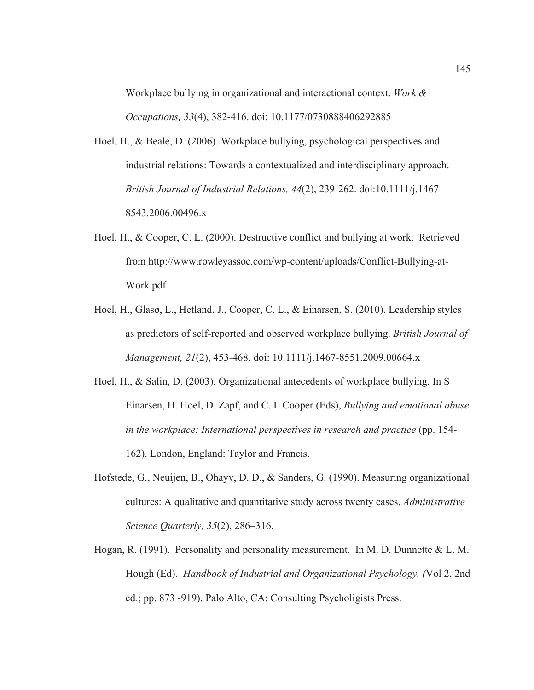Workplace bullying in organizational and interactional context. *Work & Occupations, 33*(4), 382-416. doi: 10.1177/0730888406292885

- Hoel, H., & Beale, D. (2006). Workplace bullying, psychological perspectives and industrial relations: Towards a contextualized and interdisciplinary approach. *British Journal of Industrial Relations, 44*(2), 239-262. doi:10.1111/j.1467- 8543.2006.00496.x
- Hoel, H., & Cooper, C. L. (2000). Destructive conflict and bullying at work. Retrieved from http://www.rowleyassoc.com/wp-content/uploads/Conflict-Bullying-at-Work.pdf
- Hoel, H., Glasø, L., Hetland, J., Cooper, C. L., & Einarsen, S. (2010). Leadership styles as predictors of self-reported and observed workplace bullying. *British Journal of Management, 21*(2), 453-468. doi: 10.1111/j.1467-8551.2009.00664.x
- Hoel, H., & Salin, D. (2003). Organizational antecedents of workplace bullying. In S Einarsen, H. Hoel, D. Zapf, and C. L Cooper (Eds), *Bullying and emotional abuse in the workplace: International perspectives in research and practice* (pp. 154- 162). London, England: Taylor and Francis.
- Hofstede, G., Neuijen, B., Ohayv, D. D., & Sanders, G. (1990). Measuring organizational cultures: A qualitative and quantitative study across twenty cases. *Administrative Science Quarterly, 35*(2), 286–316.
- Hogan, R. (1991). Personality and personality measurement. In M. D. Dunnette & L. M. Hough (Ed). *Handbook of Industrial and Organizational Psychology, (*Vol 2, 2nd ed*.*; pp. 873 -919). Palo Alto, CA: Consulting Psycholigists Press.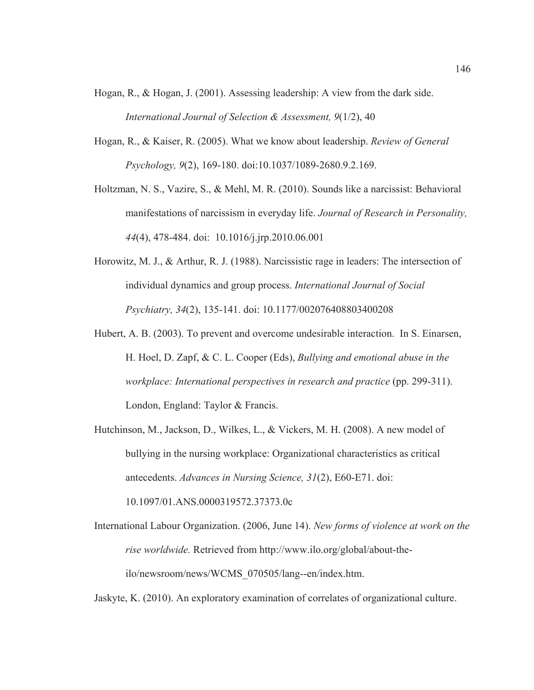- Hogan, R., & Hogan, J. (2001). Assessing leadership: A view from the dark side. *International Journal of Selection & Assessment, 9*(1/2), 40
- Hogan, R., & Kaiser, R. (2005). What we know about leadership. *Review of General Psychology, 9*(2), 169-180. doi:10.1037/1089-2680.9.2.169.
- Holtzman, N. S., Vazire, S., & Mehl, M. R. (2010). Sounds like a narcissist: Behavioral manifestations of narcissism in everyday life. *Journal of Research in Personality, 44*(4), 478-484. doi: 10.1016/j.jrp.2010.06.001
- Horowitz, M. J., & Arthur, R. J. (1988). Narcissistic rage in leaders: The intersection of individual dynamics and group process. *International Journal of Social Psychiatry, 34*(2), 135-141. doi: 10.1177/002076408803400208
- Hubert, A. B. (2003). To prevent and overcome undesirable interaction. In S. Einarsen, H. Hoel, D. Zapf, & C. L. Cooper (Eds), *Bullying and emotional abuse in the workplace: International perspectives in research and practice* (pp. 299-311). London, England: Taylor & Francis.
- Hutchinson, M., Jackson, D., Wilkes, L., & Vickers, M. H. (2008). A new model of bullying in the nursing workplace: Organizational characteristics as critical antecedents. *Advances in Nursing Science, 31*(2), E60-E71. doi:

10.1097/01.ANS.0000319572.37373.0c

International Labour Organization. (2006, June 14). *New forms of violence at work on the rise worldwide.* Retrieved from http://www.ilo.org/global/about-theilo/newsroom/news/WCMS\_070505/lang--en/index.htm.

Jaskyte, K. (2010). An exploratory examination of correlates of organizational culture.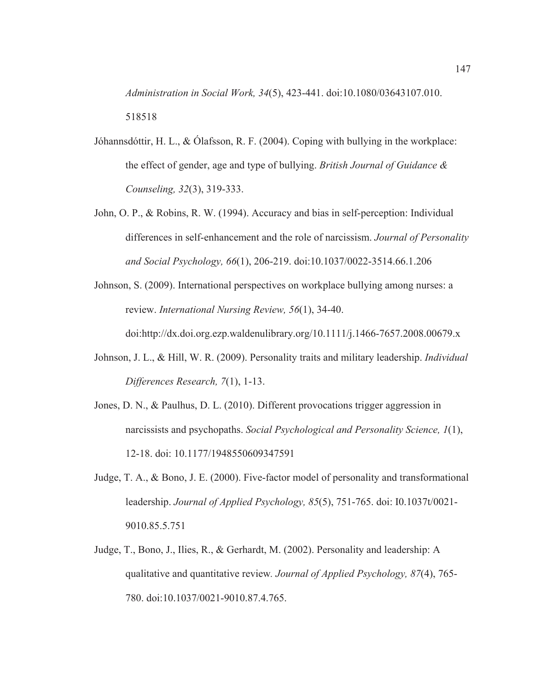*Administration in Social Work, 34*(5), 423-441. doi:10.1080/03643107.010. 518518

- Jóhannsdóttir, H. L., & Ólafsson, R. F. (2004). Coping with bullying in the workplace: the effect of gender, age and type of bullying. *British Journal of Guidance & Counseling, 32*(3), 319-333.
- John, O. P., & Robins, R. W. (1994). Accuracy and bias in self-perception: Individual differences in self-enhancement and the role of narcissism. *Journal of Personality and Social Psychology, 66*(1), 206-219. doi:10.1037/0022-3514.66.1.206
- Johnson, S. (2009). International perspectives on workplace bullying among nurses: a review. *International Nursing Review, 56*(1), 34-40.

doi:http://dx.doi.org.ezp.waldenulibrary.org/10.1111/j.1466-7657.2008.00679.x

- Johnson, J. L., & Hill, W. R. (2009). Personality traits and military leadership. *Individual Differences Research, 7*(1), 1-13.
- Jones, D. N., & Paulhus, D. L. (2010). Different provocations trigger aggression in narcissists and psychopaths. *Social Psychological and Personality Science, 1*(1), 12-18. doi: 10.1177/1948550609347591
- Judge, T. A., & Bono, J. E. (2000). Five-factor model of personality and transformational leadership. *Journal of Applied Psychology, 85*(5), 751-765. doi: I0.1037t/0021- 9010.85.5.751
- Judge, T., Bono, J., Ilies, R., & Gerhardt, M. (2002). Personality and leadership: A qualitative and quantitative review*. Journal of Applied Psychology, 87*(4), 765- 780. doi:10.1037/0021-9010.87.4.765.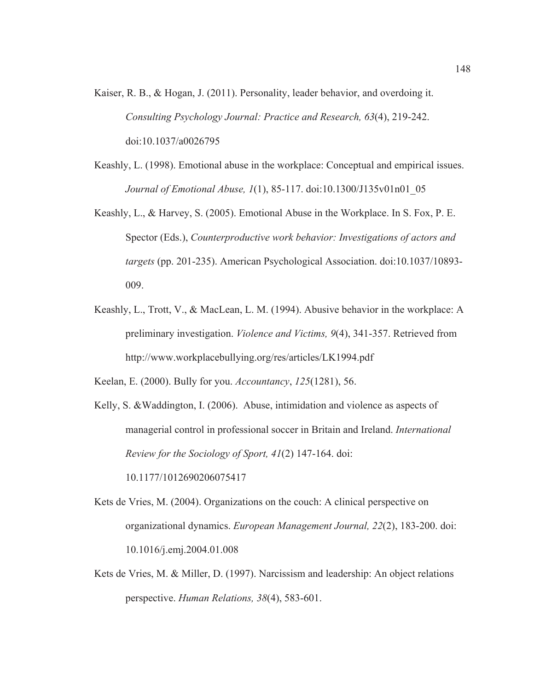- Kaiser, R. B., & Hogan, J. (2011). Personality, leader behavior, and overdoing it. *Consulting Psychology Journal: Practice and Research, 63*(4), 219-242. doi:10.1037/a0026795
- Keashly, L. (1998). Emotional abuse in the workplace: Conceptual and empirical issues. *Journal of Emotional Abuse, 1*(1), 85-117. doi:10.1300/J135v01n01\_05
- Keashly, L., & Harvey, S. (2005). Emotional Abuse in the Workplace. In S. Fox, P. E. Spector (Eds.), *Counterproductive work behavior: Investigations of actors and targets* (pp. 201-235). American Psychological Association. doi:10.1037/10893- 009.
- Keashly, L., Trott, V., & MacLean, L. M. (1994). Abusive behavior in the workplace: A preliminary investigation. *Violence and Victims, 9*(4), 341-357. Retrieved from http://www.workplacebullying.org/res/articles/LK1994.pdf

Keelan, E. (2000). Bully for you. *Accountancy*, *125*(1281), 56.

Kelly, S. &Waddington, I. (2006). Abuse, intimidation and violence as aspects of managerial control in professional soccer in Britain and Ireland. *International Review for the Sociology of Sport, 41*(2) 147-164. doi: 10.1177/1012690206075417

Kets de Vries, M. (2004). Organizations on the couch: A clinical perspective on organizational dynamics. *European Management Journal, 22*(2), 183-200. doi: 10.1016/j.emj.2004.01.008

Kets de Vries, M. & Miller, D. (1997). Narcissism and leadership: An object relations perspective. *Human Relations, 38*(4), 583-601.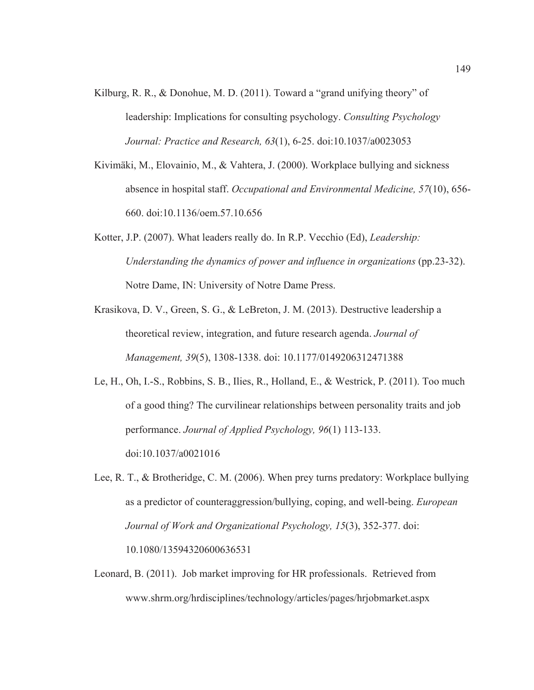- Kilburg, R. R., & Donohue, M. D. (2011). Toward a "grand unifying theory" of leadership: Implications for consulting psychology. *Consulting Psychology Journal: Practice and Research, 63*(1), 6-25. doi:10.1037/a0023053
- Kivimäki, M., Elovainio, M., & Vahtera, J. (2000). Workplace bullying and sickness absence in hospital staff. *Occupational and Environmental Medicine, 57*(10), 656- 660. doi:10.1136/oem.57.10.656
- Kotter, J.P. (2007). What leaders really do. In R.P. Vecchio (Ed), *Leadership: Understanding the dynamics of power and influence in organizations (pp.23-32).* Notre Dame, IN: University of Notre Dame Press.
- Krasikova, D. V., Green, S. G., & LeBreton, J. M. (2013). Destructive leadership a theoretical review, integration, and future research agenda. *Journal of Management, 39*(5), 1308-1338. doi: 10.1177/0149206312471388
- Le, H., Oh, I.-S., Robbins, S. B., Ilies, R., Holland, E., & Westrick, P. (2011). Too much of a good thing? The curvilinear relationships between personality traits and job performance. *Journal of Applied Psychology, 96*(1) 113-133. doi:10.1037/a0021016
- Lee, R. T., & Brotheridge, C. M. (2006). When prey turns predatory: Workplace bullying as a predictor of counteraggression/bullying, coping, and well-being. *European Journal of Work and Organizational Psychology, 15*(3), 352-377. doi: 10.1080/13594320600636531
- Leonard, B. (2011). Job market improving for HR professionals. Retrieved from www.shrm.org/hrdisciplines/technology/articles/pages/hrjobmarket.aspx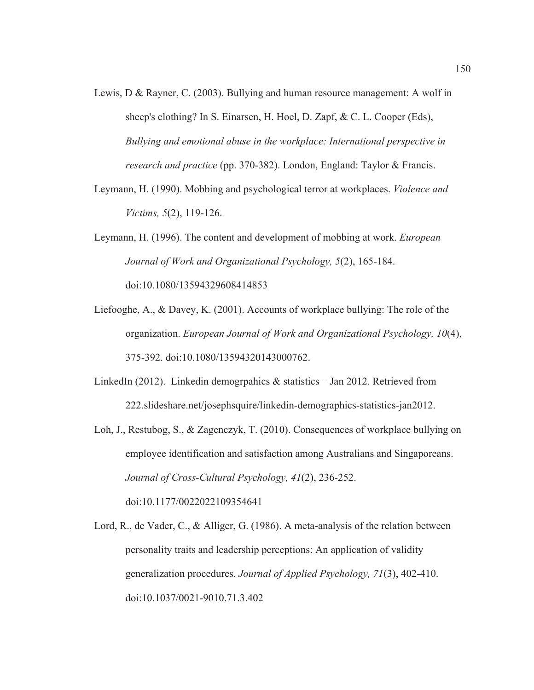- Lewis, D & Rayner, C. (2003). Bullying and human resource management: A wolf in sheep's clothing? In S. Einarsen, H. Hoel, D. Zapf, & C. L. Cooper (Eds), *Bullying and emotional abuse in the workplace: International perspective in research and practice* (pp. 370-382). London, England: Taylor & Francis.
- Leymann, H. (1990). Mobbing and psychological terror at workplaces. *Violence and Victims, 5*(2), 119-126.
- Leymann, H. (1996). The content and development of mobbing at work. *European Journal of Work and Organizational Psychology, 5*(2), 165-184. doi:10.1080/13594329608414853
- Liefooghe, A., & Davey, K. (2001). Accounts of workplace bullying: The role of the organization. *European Journal of Work and Organizational Psychology, 10*(4), 375-392. doi:10.1080/13594320143000762.
- LinkedIn (2012). Linkedin demographics  $\&$  statistics Jan 2012. Retrieved from 222.slideshare.net/josephsquire/linkedin-demographics-statistics-jan2012.
- Loh, J., Restubog, S., & Zagenczyk, T. (2010). Consequences of workplace bullying on employee identification and satisfaction among Australians and Singaporeans. *Journal of Cross-Cultural Psychology, 41*(2), 236-252. doi:10.1177/0022022109354641
- Lord, R., de Vader, C., & Alliger, G. (1986). A meta-analysis of the relation between personality traits and leadership perceptions: An application of validity generalization procedures. *Journal of Applied Psychology, 71*(3), 402-410. doi:10.1037/0021-9010.71.3.402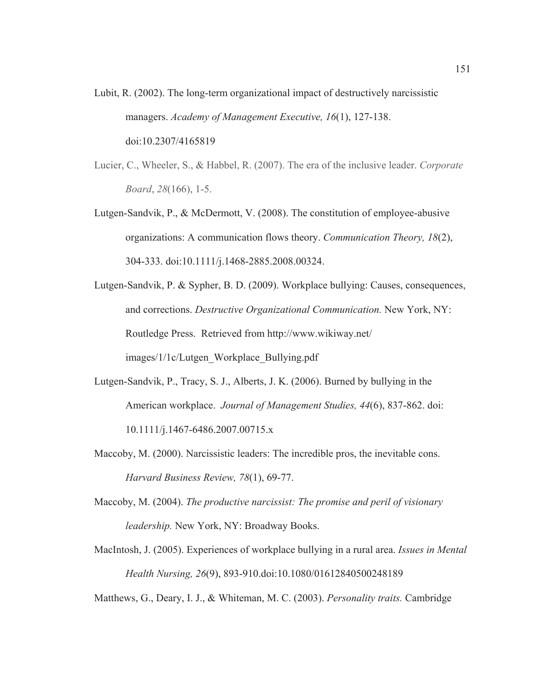- Lubit, R. (2002). The long-term organizational impact of destructively narcissistic managers. *Academy of Management Executive, 16*(1), 127-138. doi:10.2307/4165819
- Lucier, C., Wheeler, S., & Habbel, R. (2007). The era of the inclusive leader. *Corporate Board*, *28*(166), 1-5.
- Lutgen-Sandvik, P., & McDermott, V. (2008). The constitution of employee-abusive organizations: A communication flows theory. *Communication Theory, 18*(2), 304-333. doi:10.1111/j.1468-2885.2008.00324.
- Lutgen-Sandvik, P. & Sypher, B. D. (2009). Workplace bullying: Causes, consequences, and corrections. *Destructive Organizational Communication.* New York, NY: Routledge Press. Retrieved from http://www.wikiway.net/ images/1/1c/Lutgen\_Workplace\_Bullying.pdf
- Lutgen-Sandvik, P., Tracy, S. J., Alberts, J. K. (2006). Burned by bullying in the American workplace. *Journal of Management Studies, 44*(6), 837-862. doi: 10.1111/j.1467-6486.2007.00715.x
- Maccoby, M. (2000). Narcissistic leaders: The incredible pros, the inevitable cons. *Harvard Business Review, 78*(1), 69-77.
- Maccoby, M. (2004). *The productive narcissist: The promise and peril of visionary leadership.* New York, NY: Broadway Books.
- MacIntosh, J. (2005). Experiences of workplace bullying in a rural area. *Issues in Mental Health Nursing, 26*(9), 893-910.doi:10.1080/01612840500248189

Matthews, G., Deary, I. J., & Whiteman, M. C. (2003). *Personality traits.* Cambridge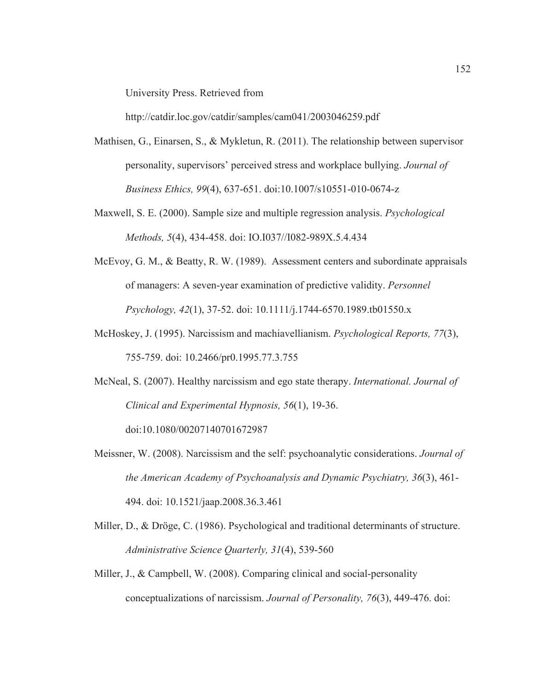University Press. Retrieved from

http://catdir.loc.gov/catdir/samples/cam041/2003046259.pdf

- Mathisen, G., Einarsen, S., & Mykletun, R. (2011). The relationship between supervisor personality, supervisors' perceived stress and workplace bullying. *Journal of Business Ethics, 99*(4), 637-651. doi:10.1007/s10551-010-0674-z
- Maxwell, S. E. (2000). Sample size and multiple regression analysis. *Psychological Methods, 5*(4), 434-458. doi: IO.I037//I082-989X.5.4.434
- McEvoy, G. M., & Beatty, R. W. (1989). Assessment centers and subordinate appraisals of managers: A seven-year examination of predictive validity. *Personnel Psychology, 42*(1), 37-52. doi: 10.1111/j.1744-6570.1989.tb01550.x
- McHoskey, J. (1995). Narcissism and machiavellianism. *Psychological Reports, 77*(3), 755-759. doi: 10.2466/pr0.1995.77.3.755
- McNeal, S. (2007). Healthy narcissism and ego state therapy. *International. Journal of Clinical and Experimental Hypnosis, 56*(1), 19-36.

doi:10.1080/00207140701672987

- Meissner, W. (2008). Narcissism and the self: psychoanalytic considerations. *Journal of the American Academy of Psychoanalysis and Dynamic Psychiatry, 36*(3), 461- 494. doi: 10.1521/jaap.2008.36.3.461
- Miller, D., & Dröge, C. (1986). Psychological and traditional determinants of structure. *Administrative Science Quarterly, 31*(4), 539-560
- Miller, J., & Campbell, W. (2008). Comparing clinical and social-personality conceptualizations of narcissism. *Journal of Personality, 76*(3), 449-476. doi: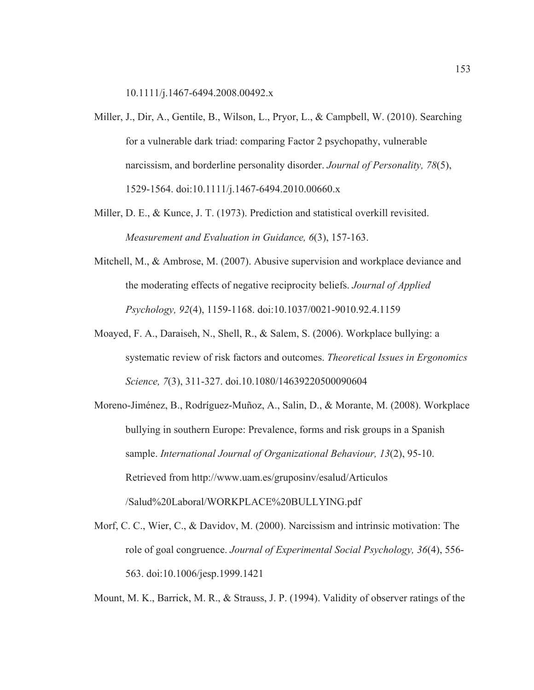10.1111/j.1467-6494.2008.00492.x

- Miller, J., Dir, A., Gentile, B., Wilson, L., Pryor, L., & Campbell, W. (2010). Searching for a vulnerable dark triad: comparing Factor 2 psychopathy, vulnerable narcissism, and borderline personality disorder. *Journal of Personality, 78*(5), 1529-1564. doi:10.1111/j.1467-6494.2010.00660.x
- Miller, D. E., & Kunce, J. T. (1973). Prediction and statistical overkill revisited. *Measurement and Evaluation in Guidance, 6*(3), 157-163.
- Mitchell, M., & Ambrose, M. (2007). Abusive supervision and workplace deviance and the moderating effects of negative reciprocity beliefs. *Journal of Applied Psychology, 92*(4), 1159-1168. doi:10.1037/0021-9010.92.4.1159
- Moayed, F. A., Daraiseh, N., Shell, R., & Salem, S. (2006). Workplace bullying: a systematic review of risk factors and outcomes. *Theoretical Issues in Ergonomics Science, 7*(3), 311-327. doi.10.1080/14639220500090604
- Moreno-Jiménez, B., Rodríguez-Muñoz, A., Salin, D., & Morante, M. (2008). Workplace bullying in southern Europe: Prevalence, forms and risk groups in a Spanish sample. *International Journal of Organizational Behaviour, 13*(2), 95-10. Retrieved from http://www.uam.es/gruposinv/esalud/Articulos /Salud%20Laboral/WORKPLACE%20BULLYING.pdf
- Morf, C. C., Wier, C., & Davidov, M. (2000). Narcissism and intrinsic motivation: The role of goal congruence. *Journal of Experimental Social Psychology, 36*(4), 556- 563. doi:10.1006/jesp.1999.1421

Mount, M. K., Barrick, M. R., & Strauss, J. P. (1994). Validity of observer ratings of the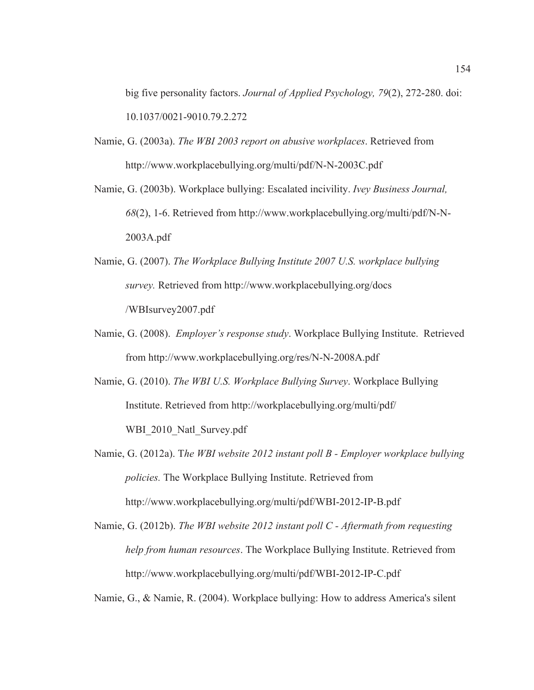big five personality factors. *Journal of Applied Psychology, 79*(2), 272-280. doi: 10.1037/0021-9010.79.2.272

- Namie, G. (2003a). *The WBI 2003 report on abusive workplaces*. Retrieved from http://www.workplacebullying.org/multi/pdf/N-N-2003C.pdf
- Namie, G. (2003b). Workplace bullying: Escalated incivility. *Ivey Business Journal, 68*(2), 1-6. Retrieved from http://www.workplacebullying.org/multi/pdf/N-N-2003A.pdf
- Namie, G. (2007). *The Workplace Bullying Institute 2007 U.S. workplace bullying survey.* Retrieved from http://www.workplacebullying.org/docs /WBIsurvey2007.pdf
- Namie, G. (2008). *Employer's response study*. Workplace Bullying Institute. Retrieved from http://www.workplacebullying.org/res/N-N-2008A.pdf

Namie, G. (2010). *The WBI U.S. Workplace Bullying Survey*. Workplace Bullying Institute. Retrieved from http://workplacebullying.org/multi/pdf/ WBI\_2010\_Natl\_Survey.pdf

Namie, G. (2012a). T*he WBI website 2012 instant poll B - Employer workplace bullying policies.* The Workplace Bullying Institute. Retrieved from http://www.workplacebullying.org/multi/pdf/WBI-2012-IP-B.pdf

Namie, G. (2012b). *The WBI website 2012 instant poll C - Aftermath from requesting help from human resources*. The Workplace Bullying Institute. Retrieved from http://www.workplacebullying.org/multi/pdf/WBI-2012-IP-C.pdf

Namie, G., & Namie, R. (2004). Workplace bullying: How to address America's silent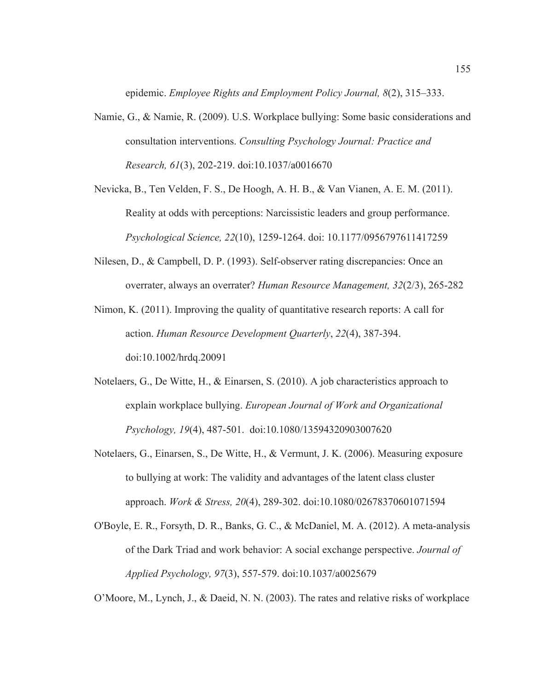epidemic. *Employee Rights and Employment Policy Journal, 8*(2), 315–333.

- Namie, G., & Namie, R. (2009). U.S. Workplace bullying: Some basic considerations and consultation interventions. *Consulting Psychology Journal: Practice and Research, 61*(3), 202-219. doi:10.1037/a0016670
- Nevicka, B., Ten Velden, F. S., De Hoogh, A. H. B., & Van Vianen, A. E. M. (2011). Reality at odds with perceptions: Narcissistic leaders and group performance. *Psychological Science, 22*(10), 1259-1264. doi: 10.1177/0956797611417259
- Nilesen, D., & Campbell, D. P. (1993). Self-observer rating discrepancies: Once an overrater, always an overrater? *Human Resource Management, 32*(2/3), 265-282
- Nimon, K. (2011). Improving the quality of quantitative research reports: A call for action. *Human Resource Development Quarterly*, *22*(4), 387-394. doi:10.1002/hrdq.20091
- Notelaers, G., De Witte, H., & Einarsen, S. (2010). A job characteristics approach to explain workplace bullying. *European Journal of Work and Organizational Psychology, 19*(4), 487-501. doi:10.1080/13594320903007620
- Notelaers, G., Einarsen, S., De Witte, H., & Vermunt, J. K. (2006). Measuring exposure to bullying at work: The validity and advantages of the latent class cluster approach. *Work & Stress, 20*(4), 289-302. doi:10.1080/02678370601071594
- O'Boyle, E. R., Forsyth, D. R., Banks, G. C., & McDaniel, M. A. (2012). A meta-analysis of the Dark Triad and work behavior: A social exchange perspective. *Journal of Applied Psychology, 97*(3), 557-579. doi:10.1037/a0025679

O'Moore, M., Lynch, J., & Daeid, N. N. (2003). The rates and relative risks of workplace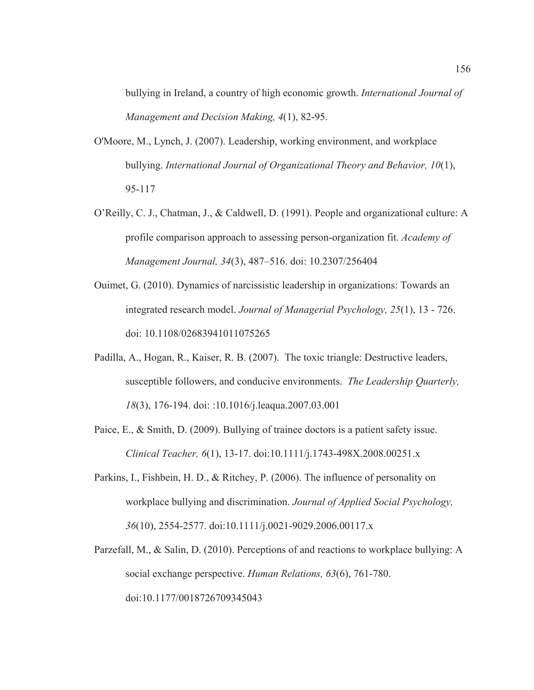bullying in Ireland, a country of high economic growth. *International Journal of Management and Decision Making, 4*(1), 82-95.

- O'Moore, M., Lynch, J. (2007). Leadership, working environment, and workplace bullying. *International Journal of Organizational Theory and Behavior, 10*(1), 95-117
- O'Reilly, C. J., Chatman, J., & Caldwell, D. (1991). People and organizational culture: A profile comparison approach to assessing person-organization fit. *Academy of Management Journal, 34*(3), 487–516. doi: 10.2307/256404
- Ouimet, G. (2010). Dynamics of narcissistic leadership in organizations: Towards an integrated research model. *Journal of Managerial Psychology, 25*(1), 13 - 726. doi: 10.1108/02683941011075265
- Padilla, A., Hogan, R., Kaiser, R. B. (2007). The toxic triangle: Destructive leaders, susceptible followers, and conducive environments. *The Leadership Quarterly, 18*(3), 176-194. doi: :10.1016/j.leaqua.2007.03.001
- Paice, E., & Smith, D. (2009). Bullying of trainee doctors is a patient safety issue. *Clinical Teacher, 6*(1), 13-17. doi:10.1111/j.1743-498X.2008.00251.x
- Parkins, I., Fishbein, H. D., & Ritchey, P. (2006). The influence of personality on workplace bullying and discrimination. *Journal of Applied Social Psychology, 36*(10), 2554-2577. doi:10.1111/j.0021-9029.2006.00117.x
- Parzefall, M., & Salin, D. (2010). Perceptions of and reactions to workplace bullying: A social exchange perspective. *Human Relations, 63*(6), 761-780. doi:10.1177/0018726709345043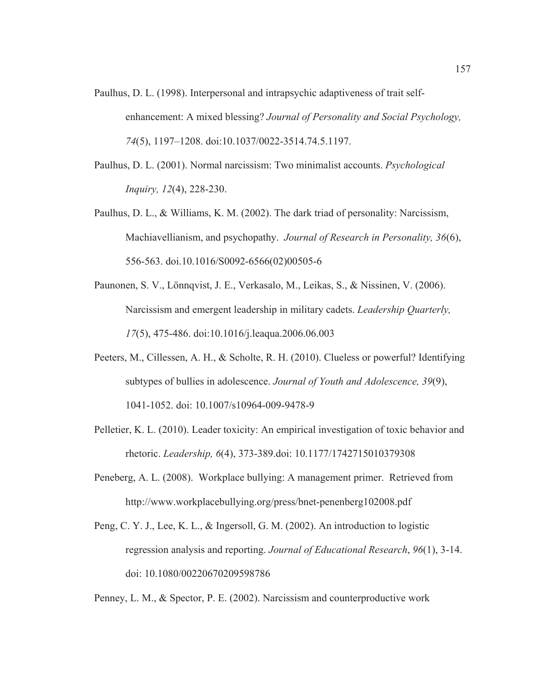- Paulhus, D. L. (1998). Interpersonal and intrapsychic adaptiveness of trait selfenhancement: A mixed blessing? *Journal of Personality and Social Psychology, 74*(5), 1197–1208. doi:10.1037/0022-3514.74.5.1197.
- Paulhus, D. L. (2001). Normal narcissism: Two minimalist accounts. *Psychological Inquiry, 12*(4), 228-230.
- Paulhus, D. L., & Williams, K. M. (2002). The dark triad of personality: Narcissism, Machiavellianism, and psychopathy. *Journal of Research in Personality, 36*(6), 556-563. doi.10.1016/S0092-6566(02)00505-6
- Paunonen, S. V., Lönnqvist, J. E., Verkasalo, M., Leikas, S., & Nissinen, V. (2006). Narcissism and emergent leadership in military cadets. *Leadership Quarterly, 17*(5), 475-486. doi:10.1016/j.leaqua.2006.06.003
- Peeters, M., Cillessen, A. H., & Scholte, R. H. (2010). Clueless or powerful? Identifying subtypes of bullies in adolescence. *Journal of Youth and Adolescence, 39*(9), 1041-1052. doi: 10.1007/s10964-009-9478-9
- Pelletier, K. L. (2010). Leader toxicity: An empirical investigation of toxic behavior and rhetoric. *Leadership, 6*(4), 373-389.doi: 10.1177/1742715010379308
- Peneberg, A. L. (2008). Workplace bullying: A management primer. Retrieved from http://www.workplacebullying.org/press/bnet-penenberg102008.pdf
- Peng, C. Y. J., Lee, K. L., & Ingersoll, G. M. (2002). An introduction to logistic regression analysis and reporting. *Journal of Educational Research*, *96*(1), 3-14. doi: 10.1080/00220670209598786

Penney, L. M., & Spector, P. E. (2002). Narcissism and counterproductive work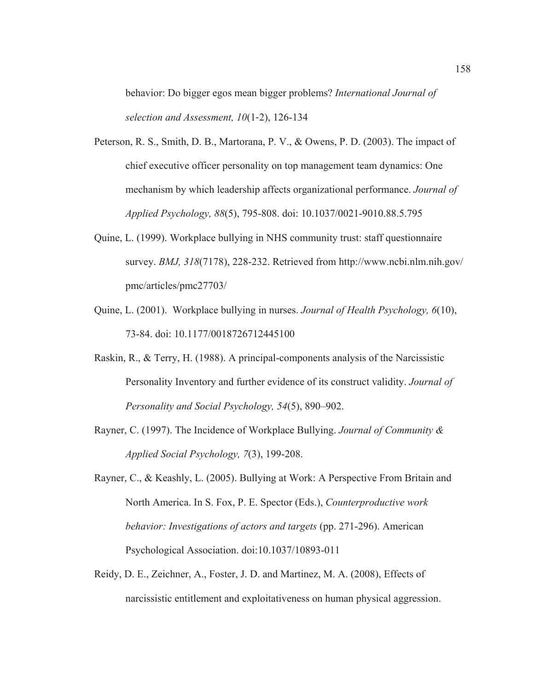behavior: Do bigger egos mean bigger problems? *International Journal of selection and Assessment, 10*(1-2), 126-134

- Peterson, R. S., Smith, D. B., Martorana, P. V., & Owens, P. D. (2003). The impact of chief executive officer personality on top management team dynamics: One mechanism by which leadership affects organizational performance. *Journal of Applied Psychology, 88*(5), 795-808. doi: 10.1037/0021-9010.88.5.795
- Quine, L. (1999). Workplace bullying in NHS community trust: staff questionnaire survey. *BMJ, 318*(7178), 228-232. Retrieved from http://www.ncbi.nlm.nih.gov/ pmc/articles/pmc27703/
- Quine, L. (2001). Workplace bullying in nurses. *Journal of Health Psychology, 6*(10), 73-84. doi: 10.1177/0018726712445100
- Raskin, R., & Terry, H. (1988). A principal-components analysis of the Narcissistic Personality Inventory and further evidence of its construct validity. *Journal of Personality and Social Psychology, 54*(5), 890–902.
- Rayner, C. (1997). The Incidence of Workplace Bullying. *Journal of Community & Applied Social Psychology, 7*(3), 199-208.
- Rayner, C., & Keashly, L. (2005). Bullying at Work: A Perspective From Britain and North America. In S. Fox, P. E. Spector (Eds.), *Counterproductive work behavior: Investigations of actors and targets* (pp. 271-296). American Psychological Association. doi:10.1037/10893-011
- Reidy, D. E., Zeichner, A., Foster, J. D. and Martinez, M. A. (2008), Effects of narcissistic entitlement and exploitativeness on human physical aggression.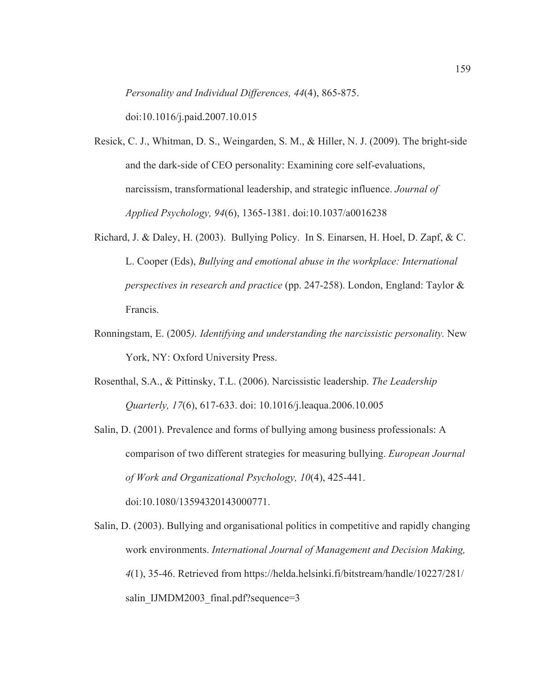*Personality and Individual Differences, 44*(4), 865-875.

doi:10.1016/j.paid.2007.10.015

- Resick, C. J., Whitman, D. S., Weingarden, S. M., & Hiller, N. J. (2009). The bright-side and the dark-side of CEO personality: Examining core self-evaluations, narcissism, transformational leadership, and strategic influence. *Journal of Applied Psychology, 94*(6), 1365-1381. doi:10.1037/a0016238
- Richard, J. & Daley, H. (2003). Bullying Policy. In S. Einarsen, H. Hoel, D. Zapf, & C. L. Cooper (Eds), *Bullying and emotional abuse in the workplace: International perspectives in research and practice* (pp. 247-258). London, England: Taylor & Francis.
- Ronningstam, E. (2005*). Identifying and understanding the narcissistic personality.* New York, NY: Oxford University Press.
- Rosenthal, S.A., & Pittinsky, T.L. (2006). Narcissistic leadership. *The Leadership Quarterly, 17*(6), 617-633. doi: 10.1016/j.leaqua.2006.10.005
- Salin, D. (2001). Prevalence and forms of bullying among business professionals: A comparison of two different strategies for measuring bullying. *European Journal of Work and Organizational Psychology, 10*(4), 425-441. doi:10.1080/13594320143000771.
- Salin, D. (2003). Bullying and organisational politics in competitive and rapidly changing work environments. *International Journal of Management and Decision Making, 4*(1), 35-46. Retrieved from https://helda.helsinki.fi/bitstream/handle/10227/281/ salin IJMDM2003 final.pdf?sequence=3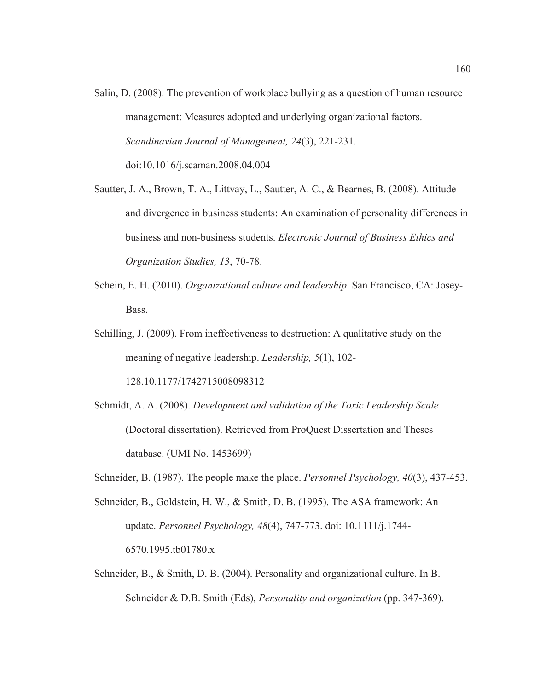- Salin, D. (2008). The prevention of workplace bullying as a question of human resource management: Measures adopted and underlying organizational factors. *Scandinavian Journal of Management, 24*(3), 221-231. doi:10.1016/j.scaman.2008.04.004
- Sautter, J. A., Brown, T. A., Littvay, L., Sautter, A. C., & Bearnes, B. (2008). Attitude and divergence in business students: An examination of personality differences in business and non-business students. *Electronic Journal of Business Ethics and Organization Studies, 13*, 70-78.
- Schein, E. H. (2010). *Organizational culture and leadership*. San Francisco, CA: Josey-Bass.
- Schilling, J. (2009). From ineffectiveness to destruction: A qualitative study on the meaning of negative leadership. *Leadership, 5*(1), 102- 128.10.1177/1742715008098312
- Schmidt, A. A. (2008). *Development and validation of the Toxic Leadership Scale* (Doctoral dissertation). Retrieved from ProQuest Dissertation and Theses database. (UMI No. 1453699)
- Schneider, B. (1987). The people make the place. *Personnel Psychology, 40*(3), 437-453.
- Schneider, B., Goldstein, H. W., & Smith, D. B. (1995). The ASA framework: An update. *Personnel Psychology, 48*(4), 747-773. doi: 10.1111/j.1744- 6570.1995.tb01780.x
- Schneider, B., & Smith, D. B. (2004). Personality and organizational culture. In B. Schneider & D.B. Smith (Eds), *Personality and organization* (pp. 347-369).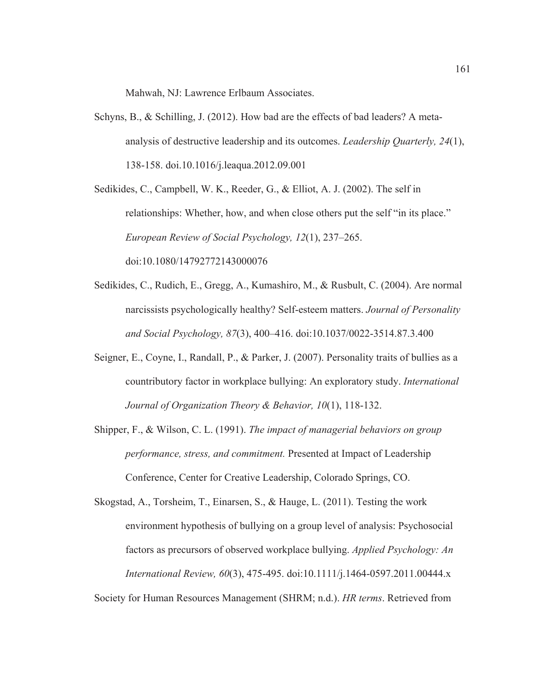Mahwah, NJ: Lawrence Erlbaum Associates.

Schyns, B., & Schilling, J. (2012). How bad are the effects of bad leaders? A metaanalysis of destructive leadership and its outcomes. *Leadership Quarterly, 24*(1), 138-158. doi.10.1016/j.leaqua.2012.09.001

Sedikides, C., Campbell, W. K., Reeder, G., & Elliot, A. J. (2002). The self in relationships: Whether, how, and when close others put the self "in its place." *European Review of Social Psychology, 12*(1), 237–265. doi:10.1080/14792772143000076

- Sedikides, C., Rudich, E., Gregg, A., Kumashiro, M., & Rusbult, C. (2004). Are normal narcissists psychologically healthy? Self-esteem matters. *Journal of Personality and Social Psychology, 87*(3), 400–416. doi:10.1037/0022-3514.87.3.400
- Seigner, E., Coyne, I., Randall, P., & Parker, J. (2007). Personality traits of bullies as a countributory factor in workplace bullying: An exploratory study. *International Journal of Organization Theory & Behavior, 10*(1), 118-132.
- Shipper, F., & Wilson, C. L. (1991). *The impact of managerial behaviors on group performance, stress, and commitment.* Presented at Impact of Leadership Conference, Center for Creative Leadership, Colorado Springs, CO.

Skogstad, A., Torsheim, T., Einarsen, S., & Hauge, L. (2011). Testing the work environment hypothesis of bullying on a group level of analysis: Psychosocial factors as precursors of observed workplace bullying. *Applied Psychology: An International Review, 60*(3), 475-495. doi:10.1111/j.1464-0597.2011.00444.x

Society for Human Resources Management (SHRM; n.d.). *HR terms*. Retrieved from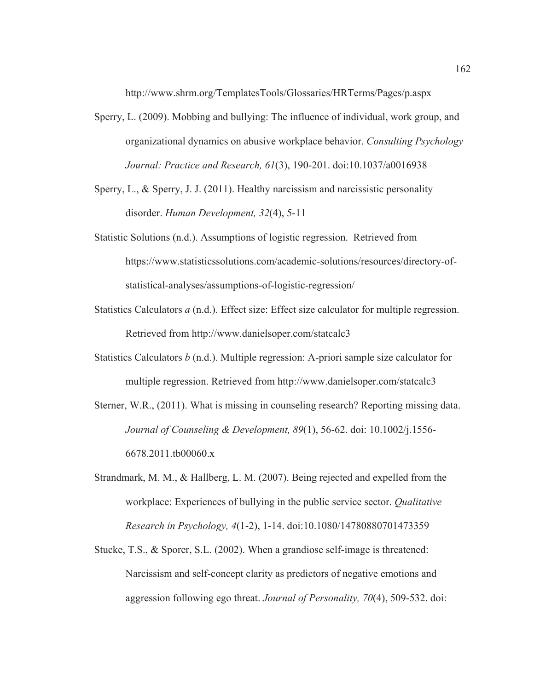http://www.shrm.org/TemplatesTools/Glossaries/HRTerms/Pages/p.aspx

- Sperry, L. (2009). Mobbing and bullying: The influence of individual, work group, and organizational dynamics on abusive workplace behavior. *Consulting Psychology Journal: Practice and Research, 61*(3), 190-201. doi:10.1037/a0016938
- Sperry, L., & Sperry, J. J. (2011). Healthy narcissism and narcissistic personality disorder. *Human Development, 32*(4), 5-11
- Statistic Solutions (n.d.). Assumptions of logistic regression. Retrieved from https://www.statisticssolutions.com/academic-solutions/resources/directory-ofstatistical-analyses/assumptions-of-logistic-regression/
- Statistics Calculators *a* (n.d.). Effect size: Effect size calculator for multiple regression. Retrieved from http://www.danielsoper.com/statcalc3
- Statistics Calculators *b* (n.d.). Multiple regression: A-priori sample size calculator for multiple regression. Retrieved from http://www.danielsoper.com/statcalc3
- Sterner, W.R., (2011). What is missing in counseling research? Reporting missing data. *Journal of Counseling & Development, 89*(1), 56-62. doi: 10.1002/j.1556- 6678.2011.tb00060.x
- Strandmark, M. M., & Hallberg, L. M. (2007). Being rejected and expelled from the workplace: Experiences of bullying in the public service sector. *Qualitative Research in Psychology, 4*(1-2), 1-14. doi:10.1080/14780880701473359
- Stucke, T.S., & Sporer, S.L. (2002). When a grandiose self-image is threatened: Narcissism and self-concept clarity as predictors of negative emotions and aggression following ego threat. *Journal of Personality, 70*(4), 509-532. doi: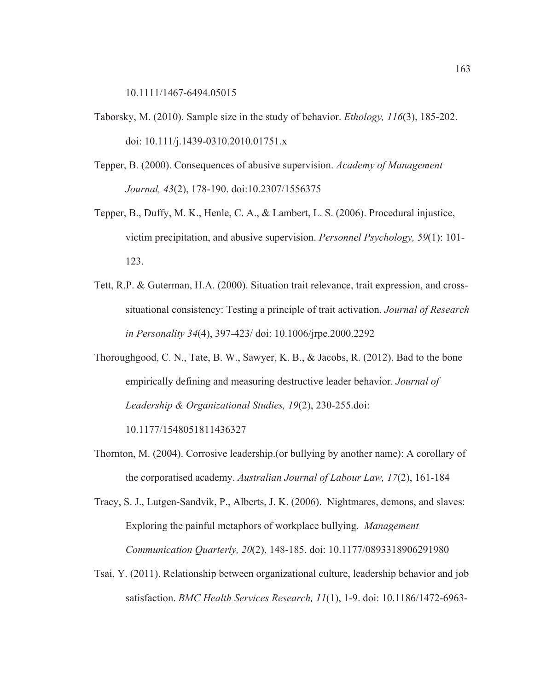10.1111/1467-6494.05015

- Taborsky, M. (2010). Sample size in the study of behavior. *Ethology, 116*(3), 185-202. doi: 10.111/j.1439-0310.2010.01751.x
- Tepper, B. (2000). Consequences of abusive supervision. *Academy of Management Journal, 43*(2), 178-190. doi:10.2307/1556375
- Tepper, B., Duffy, M. K., Henle, C. A., & Lambert, L. S. (2006). Procedural injustice, victim precipitation, and abusive supervision. *Personnel Psychology, 59*(1): 101- 123.
- Tett, R.P. & Guterman, H.A. (2000). Situation trait relevance, trait expression, and crosssituational consistency: Testing a principle of trait activation. *Journal of Research in Personality 34*(4), 397-423/ doi: 10.1006/jrpe.2000.2292
- Thoroughgood, C. N., Tate, B. W., Sawyer, K. B., & Jacobs, R. (2012). Bad to the bone empirically defining and measuring destructive leader behavior. *Journal of Leadership & Organizational Studies, 19*(2), 230-255.doi:

10.1177/1548051811436327

- Thornton, M. (2004). Corrosive leadership.(or bullying by another name): A corollary of the corporatised academy. *Australian Journal of Labour Law, 17*(2), 161-184
- Tracy, S. J., Lutgen-Sandvik, P., Alberts, J. K. (2006). Nightmares, demons, and slaves: Exploring the painful metaphors of workplace bullying. *Management Communication Quarterly, 20*(2), 148-185. doi: 10.1177/0893318906291980
- Tsai, Y. (2011). Relationship between organizational culture, leadership behavior and job satisfaction. *BMC Health Services Research, 11*(1), 1-9. doi: 10.1186/1472-6963-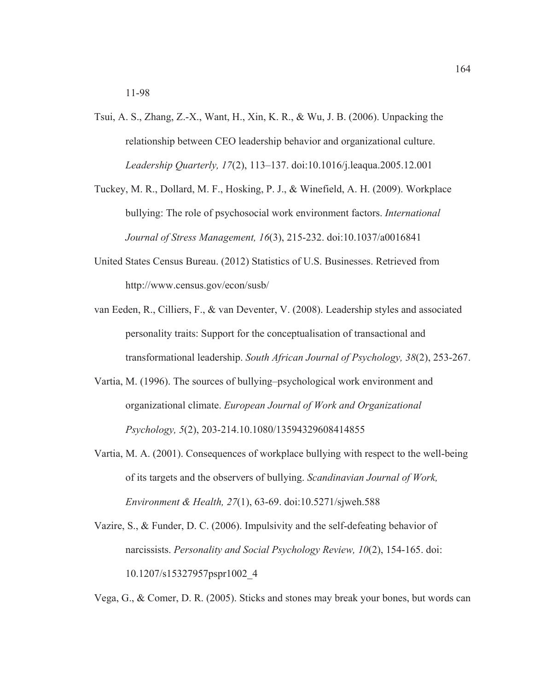- Tsui, A. S., Zhang, Z.-X., Want, H., Xin, K. R., & Wu, J. B. (2006). Unpacking the relationship between CEO leadership behavior and organizational culture. *Leadership Quarterly, 17*(2), 113–137. doi:10.1016/j.leaqua.2005.12.001
- Tuckey, M. R., Dollard, M. F., Hosking, P. J., & Winefield, A. H. (2009). Workplace bullying: The role of psychosocial work environment factors. *International Journal of Stress Management, 16*(3), 215-232. doi:10.1037/a0016841
- United States Census Bureau. (2012) Statistics of U.S. Businesses. Retrieved from http://www.census.gov/econ/susb/
- van Eeden, R., Cilliers, F., & van Deventer, V. (2008). Leadership styles and associated personality traits: Support for the conceptualisation of transactional and transformational leadership. *South African Journal of Psychology, 38*(2), 253-267.
- Vartia, M. (1996). The sources of bullying–psychological work environment and organizational climate. *European Journal of Work and Organizational Psychology, 5*(2), 203-214.10.1080/13594329608414855
- Vartia, M. A. (2001). Consequences of workplace bullying with respect to the well-being of its targets and the observers of bullying. *Scandinavian Journal of Work, Environment & Health, 27*(1), 63-69. doi:10.5271/sjweh.588
- Vazire, S., & Funder, D. C. (2006). Impulsivity and the self-defeating behavior of narcissists. *Personality and Social Psychology Review, 10*(2), 154-165. doi: 10.1207/s15327957pspr1002\_4

Vega, G., & Comer, D. R. (2005). Sticks and stones may break your bones, but words can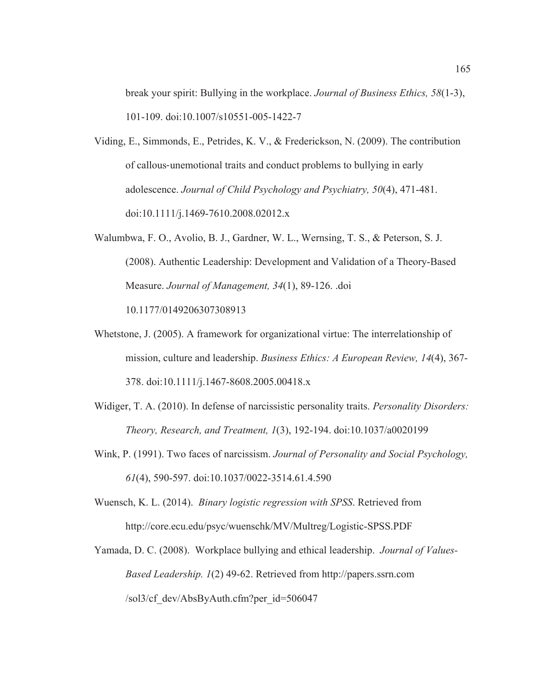break your spirit: Bullying in the workplace. *Journal of Business Ethics, 58*(1-3), 101-109. doi:10.1007/s10551-005-1422-7

- Viding, E., Simmonds, E., Petrides, K. V., & Frederickson, N. (2009). The contribution of callous-unemotional traits and conduct problems to bullying in early adolescence. *Journal of Child Psychology and Psychiatry, 50*(4), 471-481. doi:10.1111/j.1469-7610.2008.02012.x
- Walumbwa, F. O., Avolio, B. J., Gardner, W. L., Wernsing, T. S., & Peterson, S. J. (2008). Authentic Leadership: Development and Validation of a Theory-Based Measure. *Journal of Management, 34*(1), 89-126. .doi 10.1177/0149206307308913
- Whetstone, J. (2005). A framework for organizational virtue: The interrelationship of mission, culture and leadership. *Business Ethics: A European Review, 14*(4), 367- 378. doi:10.1111/j.1467-8608.2005.00418.x
- Widiger, T. A. (2010). In defense of narcissistic personality traits. *Personality Disorders: Theory, Research, and Treatment, 1*(3), 192-194. doi:10.1037/a0020199
- Wink, P. (1991). Two faces of narcissism. *Journal of Personality and Social Psychology, 61*(4), 590-597. doi:10.1037/0022-3514.61.4.590

Wuensch, K. L. (2014). *Binary logistic regression with SPSS*. Retrieved from http://core.ecu.edu/psyc/wuenschk/MV/Multreg/Logistic-SPSS.PDF

Yamada, D. C. (2008). Workplace bullying and ethical leadership. *Journal of Values-Based Leadership. 1*(2) 49-62. Retrieved from http://papers.ssrn.com /sol3/cf\_dev/AbsByAuth.cfm?per\_id=506047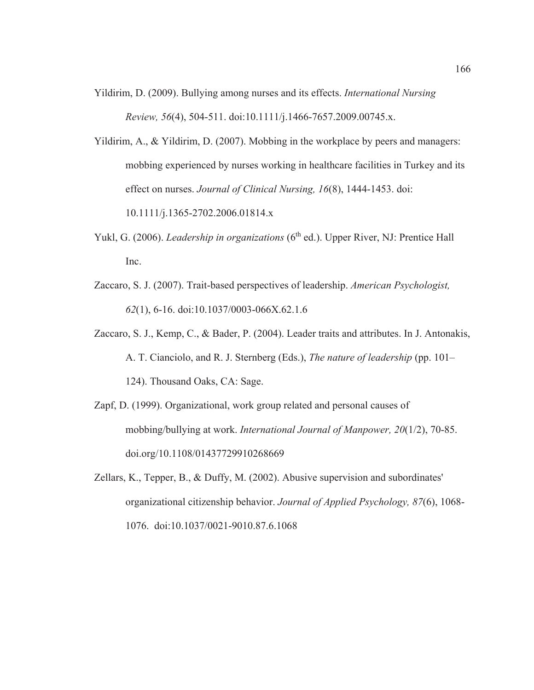Yildirim, D. (2009). Bullying among nurses and its effects. *International Nursing Review, 56*(4), 504-511. doi:10.1111/j.1466-7657.2009.00745.x.

Yildirim, A., & Yildirim, D. (2007). Mobbing in the workplace by peers and managers: mobbing experienced by nurses working in healthcare facilities in Turkey and its effect on nurses. *Journal of Clinical Nursing, 16*(8), 1444-1453. doi:

10.1111/j.1365-2702.2006.01814.x

- Yukl, G. (2006). *Leadership in organizations* (6<sup>th</sup> ed.). Upper River, NJ: Prentice Hall Inc.
- Zaccaro, S. J. (2007). Trait-based perspectives of leadership. *American Psychologist, 62*(1), 6-16. doi:10.1037/0003-066X.62.1.6
- Zaccaro, S. J., Kemp, C., & Bader, P. (2004). Leader traits and attributes. In J. Antonakis, A. T. Cianciolo, and R. J. Sternberg (Eds.), *The nature of leadership* (pp. 101– 124). Thousand Oaks, CA: Sage.
- Zapf, D. (1999). Organizational, work group related and personal causes of mobbing/bullying at work. *International Journal of Manpower, 20*(1/2), 70-85. doi.org/10.1108/01437729910268669
- Zellars, K., Tepper, B., & Duffy, M. (2002). Abusive supervision and subordinates' organizational citizenship behavior. *Journal of Applied Psychology, 87*(6), 1068- 1076. doi:10.1037/0021-9010.87.6.1068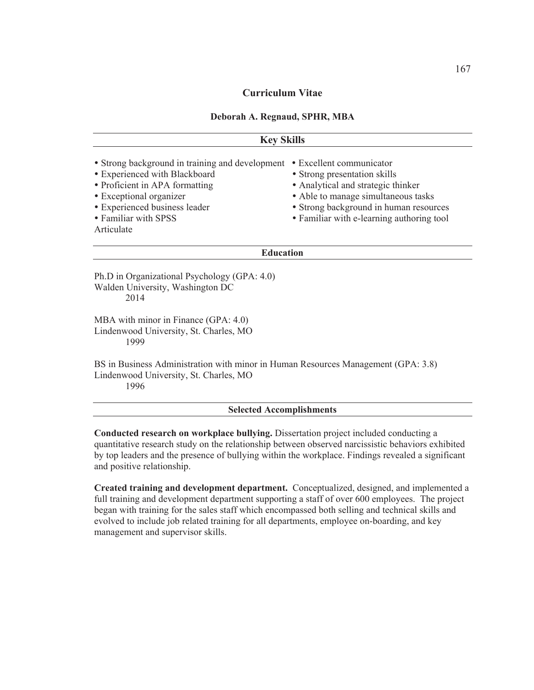# **Curriculum Vitae**

### **Deborah A. Regnaud, SPHR, MBA**

| <b>Key Skills</b>                                                                                                                                                                                                    |                                                                                                                                                                                                                              |
|----------------------------------------------------------------------------------------------------------------------------------------------------------------------------------------------------------------------|------------------------------------------------------------------------------------------------------------------------------------------------------------------------------------------------------------------------------|
| • Strong background in training and development<br>• Experienced with Blackboard<br>• Proficient in APA formatting<br>• Exceptional organizer<br>• Experienced business leader<br>• Familiar with SPSS<br>Articulate | • Excellent communicator<br>• Strong presentation skills<br>• Analytical and strategic thinker<br>• Able to manage simultaneous tasks<br>• Strong background in human resources<br>• Familiar with e-learning authoring tool |
| <b>Education</b>                                                                                                                                                                                                     |                                                                                                                                                                                                                              |
| Ph.D in Organizational Psychology (GPA: 4.0)<br>Walden University, Washington DC<br>2014                                                                                                                             |                                                                                                                                                                                                                              |
| MBA with minor in Finance (GPA: 4.0)<br>Lindenwood University, St. Charles, MO<br>1999                                                                                                                               |                                                                                                                                                                                                                              |
| BS in Business Administration with minor in Human Resources Management (GPA: 3.8)<br>Lindenwood University, St. Charles, MO                                                                                          |                                                                                                                                                                                                                              |

1996

#### **Selected Accomplishments**

**Conducted research on workplace bullying.** Dissertation project included conducting a quantitative research study on the relationship between observed narcissistic behaviors exhibited by top leaders and the presence of bullying within the workplace. Findings revealed a significant and positive relationship.

**Created training and development department.** Conceptualized, designed, and implemented a full training and development department supporting a staff of over 600 employees. The project began with training for the sales staff which encompassed both selling and technical skills and evolved to include job related training for all departments, employee on-boarding, and key management and supervisor skills.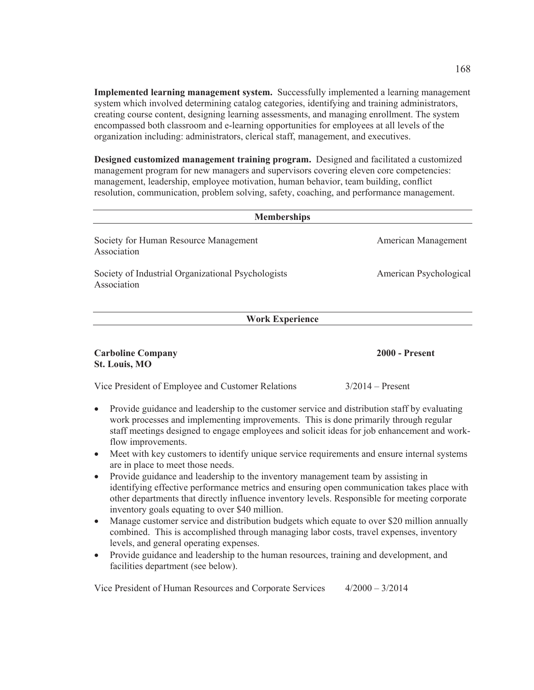**Implemented learning management system.** Successfully implemented a learning management system which involved determining catalog categories, identifying and training administrators, creating course content, designing learning assessments, and managing enrollment. The system encompassed both classroom and e-learning opportunities for employees at all levels of the organization including: administrators, clerical staff, management, and executives.

**Designed customized management training program.** Designed and facilitated a customized management program for new managers and supervisors covering eleven core competencies: management, leadership, employee motivation, human behavior, team building, conflict resolution, communication, problem solving, safety, coaching, and performance management.

| <b>Memberships</b>                                                                                        |                        |
|-----------------------------------------------------------------------------------------------------------|------------------------|
| Society for Human Resource Management<br>Association                                                      | American Management    |
| Society of Industrial Organizational Psychologists<br>Association                                         | American Psychological |
| <b>Work Experience</b>                                                                                    |                        |
| <b>Carboline Company</b><br><b>St. Louis, MO</b>                                                          | <b>2000 - Present</b>  |
| Vice President of Employee and Customer Relations                                                         | $3/2014$ – Present     |
| Provide guidance and leadership to the customer service and distribution staff by evaluating<br>$\bullet$ |                        |

- work processes and implementing improvements. This is done primarily through regular staff meetings designed to engage employees and solicit ideas for job enhancement and workflow improvements.
- Meet with key customers to identify unique service requirements and ensure internal systems are in place to meet those needs.
- Provide guidance and leadership to the inventory management team by assisting in identifying effective performance metrics and ensuring open communication takes place with other departments that directly influence inventory levels. Responsible for meeting corporate inventory goals equating to over \$40 million.
- Manage customer service and distribution budgets which equate to over \$20 million annually combined. This is accomplished through managing labor costs, travel expenses, inventory levels, and general operating expenses.
- Provide guidance and leadership to the human resources, training and development, and facilities department (see below).

Vice President of Human Resources and Corporate Services 4/2000 – 3/2014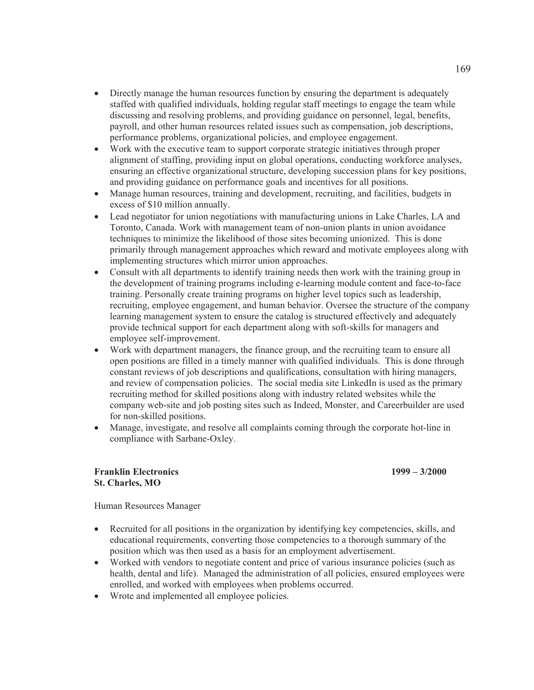- Directly manage the human resources function by ensuring the department is adequately staffed with qualified individuals, holding regular staff meetings to engage the team while discussing and resolving problems, and providing guidance on personnel, legal, benefits, payroll, and other human resources related issues such as compensation, job descriptions, performance problems, organizational policies, and employee engagement.
- Work with the executive team to support corporate strategic initiatives through proper alignment of staffing, providing input on global operations, conducting workforce analyses, ensuring an effective organizational structure, developing succession plans for key positions, and providing guidance on performance goals and incentives for all positions.
- Manage human resources, training and development, recruiting, and facilities, budgets in excess of \$10 million annually.
- Lead negotiator for union negotiations with manufacturing unions in Lake Charles, LA and Toronto, Canada. Work with management team of non-union plants in union avoidance techniques to minimize the likelihood of those sites becoming unionized. This is done primarily through management approaches which reward and motivate employees along with implementing structures which mirror union approaches.
- Consult with all departments to identify training needs then work with the training group in the development of training programs including e-learning module content and face-to-face training. Personally create training programs on higher level topics such as leadership, recruiting, employee engagement, and human behavior. Oversee the structure of the company learning management system to ensure the catalog is structured effectively and adequately provide technical support for each department along with soft-skills for managers and employee self-improvement.
- Work with department managers, the finance group, and the recruiting team to ensure all open positions are filled in a timely manner with qualified individuals. This is done through constant reviews of job descriptions and qualifications, consultation with hiring managers, and review of compensation policies. The social media site LinkedIn is used as the primary recruiting method for skilled positions along with industry related websites while the company web-site and job posting sites such as Indeed, Monster, and Careerbuilder are used for non-skilled positions.
- Manage, investigate, and resolve all complaints coming through the corporate hot-line in compliance with Sarbane-Oxley.

## **Franklin Electronics 1999 – 3/2000 St. Charles, MO**

Human Resources Manager

- Recruited for all positions in the organization by identifying key competencies, skills, and educational requirements, converting those competencies to a thorough summary of the position which was then used as a basis for an employment advertisement.
- Worked with vendors to negotiate content and price of various insurance policies (such as health, dental and life). Managed the administration of all policies, ensured employees were enrolled, and worked with employees when problems occurred.
- Wrote and implemented all employee policies.